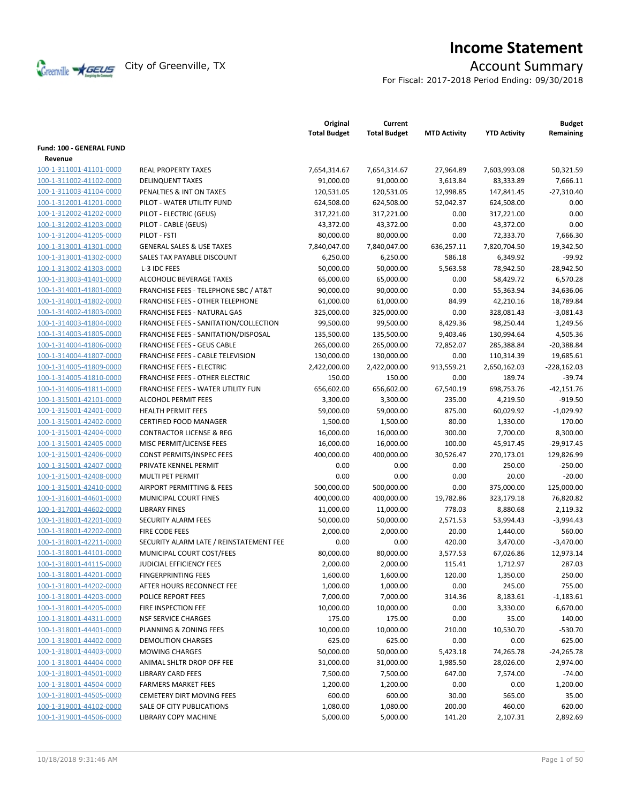

# **Income Statement**

For Fiscal: 2017-2018 Period Ending: 09/30/2018

|                          |                                                  | Original<br><b>Total Budget</b> | Current<br><b>Total Budget</b> | <b>MTD Activity</b> | <b>YTD Activity</b> | <b>Budget</b><br>Remaining |
|--------------------------|--------------------------------------------------|---------------------------------|--------------------------------|---------------------|---------------------|----------------------------|
| Fund: 100 - GENERAL FUND |                                                  |                                 |                                |                     |                     |                            |
| Revenue                  |                                                  |                                 |                                |                     |                     |                            |
| 100-1-311001-41101-0000  | <b>REAL PROPERTY TAXES</b>                       | 7,654,314.67                    | 7,654,314.67                   | 27,964.89           | 7,603,993.08        | 50.321.59                  |
| 100-1-311002-41102-0000  | <b>DELINQUENT TAXES</b>                          | 91,000.00                       | 91,000.00                      | 3,613.84            | 83,333.89           | 7,666.11                   |
| 100-1-311003-41104-0000  | PENALTIES & INT ON TAXES                         | 120,531.05                      | 120,531.05                     | 12,998.85           | 147,841.45          | $-27,310.40$               |
| 100-1-312001-41201-0000  | PILOT - WATER UTILITY FUND                       | 624,508.00                      | 624,508.00                     | 52,042.37           | 624,508.00          | 0.00                       |
| 100-1-312002-41202-0000  | PILOT - ELECTRIC (GEUS)                          | 317,221.00                      | 317,221.00                     | 0.00                | 317,221.00          | 0.00                       |
| 100-1-312002-41203-0000  | PILOT - CABLE (GEUS)                             | 43,372.00                       | 43,372.00                      | 0.00                | 43,372.00           | 0.00                       |
| 100-1-312004-41205-0000  | PILOT - FSTI                                     | 80,000.00                       | 80,000.00                      | 0.00                | 72,333.70           | 7,666.30                   |
| 100-1-313001-41301-0000  | <b>GENERAL SALES &amp; USE TAXES</b>             | 7,840,047.00                    | 7,840,047.00                   | 636,257.11          | 7,820,704.50        | 19,342.50                  |
| 100-1-313001-41302-0000  | SALES TAX PAYABLE DISCOUNT                       | 6,250.00                        | 6,250.00                       | 586.18              | 6,349.92            | $-99.92$                   |
| 100-1-313002-41303-0000  | L-3 IDC FEES                                     | 50,000.00                       | 50,000.00                      | 5,563.58            | 78,942.50           | $-28,942.50$               |
| 100-1-313003-41401-0000  | ALCOHOLIC BEVERAGE TAXES                         | 65,000.00                       | 65,000.00                      | 0.00                | 58,429.72           | 6,570.28                   |
| 100-1-314001-41801-0000  | <b>FRANCHISE FEES - TELEPHONE SBC / AT&amp;T</b> | 90,000.00                       | 90,000.00                      | 0.00                | 55,363.94           | 34,636.06                  |
| 100-1-314001-41802-0000  | <b>FRANCHISE FEES - OTHER TELEPHONE</b>          | 61,000.00                       | 61,000.00                      | 84.99               | 42,210.16           | 18,789.84                  |
| 100-1-314002-41803-0000  | FRANCHISE FEES - NATURAL GAS                     | 325,000.00                      | 325,000.00                     | 0.00                | 328,081.43          | $-3,081.43$                |
| 100-1-314003-41804-0000  | FRANCHISE FEES - SANITATION/COLLECTION           | 99,500.00                       | 99,500.00                      | 8,429.36            | 98,250.44           | 1,249.56                   |
| 100-1-314003-41805-0000  | FRANCHISE FEES - SANITATION/DISPOSAL             | 135,500.00                      | 135,500.00                     | 9,403.46            | 130,994.64          | 4,505.36                   |
| 100-1-314004-41806-0000  | <b>FRANCHISE FEES - GEUS CABLE</b>               | 265,000.00                      | 265,000.00                     | 72,852.07           | 285,388.84          | $-20,388.84$               |
| 100-1-314004-41807-0000  | FRANCHISE FEES - CABLE TELEVISION                | 130,000.00                      | 130,000.00                     | 0.00                | 110,314.39          | 19,685.61                  |
| 100-1-314005-41809-0000  | <b>FRANCHISE FEES - ELECTRIC</b>                 | 2,422,000.00                    | 2,422,000.00                   | 913,559.21          | 2,650,162.03        | $-228,162.03$              |
| 100-1-314005-41810-0000  | <b>FRANCHISE FEES - OTHER ELECTRIC</b>           | 150.00                          | 150.00                         | 0.00                | 189.74              | $-39.74$                   |
| 100-1-314006-41811-0000  | <b>FRANCHISE FEES - WATER UTILITY FUN</b>        | 656,602.00                      | 656,602.00                     | 67,540.19           | 698,753.76          | $-42,151.76$               |
| 100-1-315001-42101-0000  | <b>ALCOHOL PERMIT FEES</b>                       | 3,300.00                        | 3,300.00                       | 235.00              | 4,219.50            | $-919.50$                  |
| 100-1-315001-42401-0000  | <b>HEALTH PERMIT FEES</b>                        | 59,000.00                       | 59,000.00                      | 875.00              | 60,029.92           | $-1,029.92$                |
| 100-1-315001-42402-0000  | <b>CERTIFIED FOOD MANAGER</b>                    | 1,500.00                        | 1,500.00                       | 80.00               | 1,330.00            | 170.00                     |
| 100-1-315001-42404-0000  | <b>CONTRACTOR LICENSE &amp; REG</b>              | 16,000.00                       | 16,000.00                      | 300.00              | 7,700.00            | 8,300.00                   |
| 100-1-315001-42405-0000  | MISC PERMIT/LICENSE FEES                         | 16,000.00                       | 16,000.00                      | 100.00              | 45,917.45           | $-29,917.45$               |
| 100-1-315001-42406-0000  | CONST PERMITS/INSPEC FEES                        | 400,000.00                      | 400,000.00                     | 30,526.47           | 270,173.01          | 129,826.99                 |
| 100-1-315001-42407-0000  | PRIVATE KENNEL PERMIT                            | 0.00                            | 0.00                           | 0.00                | 250.00              | $-250.00$                  |
| 100-1-315001-42408-0000  | MULTI PET PERMIT                                 | 0.00                            | 0.00                           | 0.00                | 20.00               | $-20.00$                   |
| 100-1-315001-42410-0000  | <b>AIRPORT PERMITTING &amp; FEES</b>             | 500,000.00                      | 500,000.00                     | 0.00                | 375,000.00          | 125,000.00                 |
| 100-1-316001-44601-0000  | MUNICIPAL COURT FINES                            | 400,000.00                      | 400,000.00                     | 19,782.86           | 323,179.18          | 76,820.82                  |
| 100-1-317001-44602-0000  | <b>LIBRARY FINES</b>                             | 11,000.00                       | 11,000.00                      | 778.03              | 8,880.68            | 2,119.32                   |
| 100-1-318001-42201-0000  | SECURITY ALARM FEES                              | 50,000.00                       | 50,000.00                      | 2,571.53            | 53,994.43           | $-3,994.43$                |
| 100-1-318001-42202-0000  | FIRE CODE FEES                                   | 2,000.00                        | 2,000.00                       | 20.00               | 1,440.00            | 560.00                     |
| 100-1-318001-42211-0000  | SECURITY ALARM LATE / REINSTATEMENT FEE          | 0.00                            | 0.00                           | 420.00              | 3,470.00            | $-3,470.00$                |
| 100-1-318001-44101-0000  | MUNICIPAL COURT COST/FEES                        | 80,000.00                       | 80,000.00                      | 3,577.53            | 67,026.86           | 12,973.14                  |
| 100-1-318001-44115-0000  | JUDICIAL EFFICIENCY FEES                         | 2,000.00                        | 2,000.00                       | 115.41              | 1,712.97            | 287.03                     |
| 100-1-318001-44201-0000  | <b>FINGERPRINTING FEES</b>                       | 1,600.00                        | 1,600.00                       | 120.00              | 1,350.00            | 250.00                     |
| 100-1-318001-44202-0000  | AFTER HOURS RECONNECT FEE                        | 1,000.00                        | 1,000.00                       | 0.00                | 245.00              | 755.00                     |
| 100-1-318001-44203-0000  | POLICE REPORT FEES                               | 7,000.00                        | 7,000.00                       | 314.36              | 8,183.61            | $-1,183.61$                |
| 100-1-318001-44205-0000  | FIRE INSPECTION FEE                              | 10,000.00                       | 10,000.00                      | 0.00                | 3,330.00            | 6,670.00                   |
| 100-1-318001-44311-0000  | <b>NSF SERVICE CHARGES</b>                       | 175.00                          | 175.00                         | 0.00                | 35.00               | 140.00                     |
| 100-1-318001-44401-0000  | PLANNING & ZONING FEES                           | 10,000.00                       | 10,000.00                      | 210.00              | 10,530.70           | -530.70                    |
| 100-1-318001-44402-0000  | DEMOLITION CHARGES                               | 625.00                          | 625.00                         | 0.00                | 0.00                | 625.00                     |
| 100-1-318001-44403-0000  | <b>MOWING CHARGES</b>                            | 50,000.00                       | 50,000.00                      | 5,423.18            | 74,265.78           | $-24,265.78$               |
| 100-1-318001-44404-0000  | ANIMAL SHLTR DROP OFF FEE                        | 31,000.00                       | 31,000.00                      | 1,985.50            | 28,026.00           | 2,974.00                   |
| 100-1-318001-44501-0000  | <b>LIBRARY CARD FEES</b>                         | 7,500.00                        | 7,500.00                       | 647.00              | 7,574.00            | $-74.00$                   |
| 100-1-318001-44504-0000  | <b>FARMERS MARKET FEES</b>                       | 1,200.00                        | 1,200.00                       | 0.00                | 0.00                | 1,200.00                   |
| 100-1-318001-44505-0000  | <b>CEMETERY DIRT MOVING FEES</b>                 | 600.00                          | 600.00                         | 30.00               | 565.00              | 35.00                      |
| 100-1-319001-44102-0000  | SALE OF CITY PUBLICATIONS                        | 1,080.00                        | 1,080.00                       | 200.00              | 460.00              | 620.00                     |
| 100-1-319001-44506-0000  | LIBRARY COPY MACHINE                             | 5,000.00                        | 5,000.00                       | 141.20              | 2,107.31            | 2,892.69                   |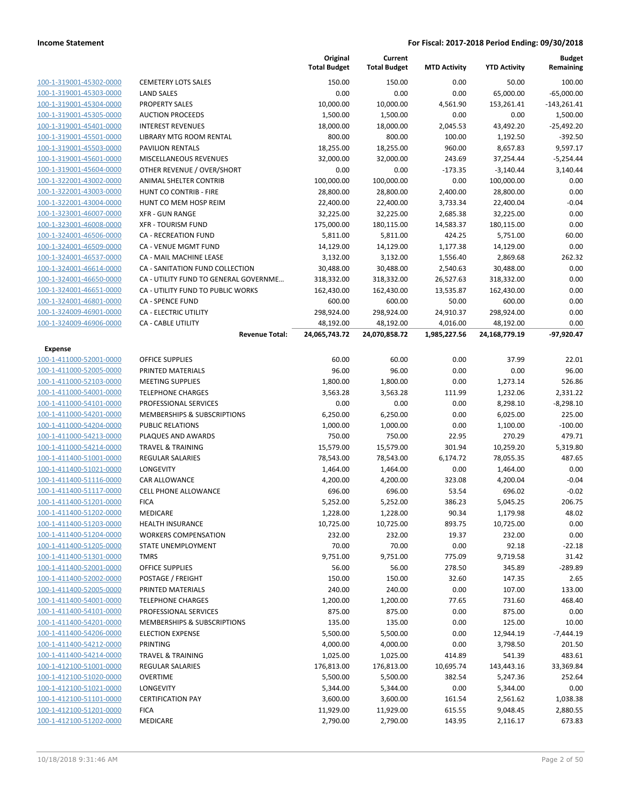|                                                    |                                          | Original<br><b>Total Budget</b> | Current<br><b>Total Budget</b> | <b>MTD Activity</b> | <b>YTD Activity</b>    | <b>Budget</b><br>Remaining |
|----------------------------------------------------|------------------------------------------|---------------------------------|--------------------------------|---------------------|------------------------|----------------------------|
| 100-1-319001-45302-0000                            | <b>CEMETERY LOTS SALES</b>               | 150.00                          | 150.00                         | 0.00                | 50.00                  | 100.00                     |
| 100-1-319001-45303-0000                            | <b>LAND SALES</b>                        | 0.00                            | 0.00                           | 0.00                | 65,000.00              | $-65,000.00$               |
| 100-1-319001-45304-0000                            | <b>PROPERTY SALES</b>                    | 10,000.00                       | 10,000.00                      | 4,561.90            | 153,261.41             | $-143,261.41$              |
| 100-1-319001-45305-0000                            | <b>AUCTION PROCEEDS</b>                  | 1,500.00                        | 1,500.00                       | 0.00                | 0.00                   | 1,500.00                   |
| 100-1-319001-45401-0000                            | <b>INTEREST REVENUES</b>                 | 18,000.00                       | 18,000.00                      | 2,045.53            | 43,492.20              | $-25,492.20$               |
| 100-1-319001-45501-0000                            | LIBRARY MTG ROOM RENTAL                  | 800.00                          | 800.00                         | 100.00              | 1,192.50               | $-392.50$                  |
| 100-1-319001-45503-0000                            | PAVILION RENTALS                         | 18,255.00                       | 18,255.00                      | 960.00              | 8,657.83               | 9,597.17                   |
| 100-1-319001-45601-0000                            | <b>MISCELLANEOUS REVENUES</b>            | 32,000.00                       | 32,000.00                      | 243.69              | 37,254.44              | $-5,254.44$                |
| 100-1-319001-45604-0000                            | OTHER REVENUE / OVER/SHORT               | 0.00                            | 0.00                           | $-173.35$           | $-3,140.44$            | 3,140.44                   |
| 100-1-322001-43002-0000                            | ANIMAL SHELTER CONTRIB                   | 100,000.00                      | 100,000.00                     | 0.00                | 100,000.00             | 0.00                       |
| 100-1-322001-43003-0000                            | <b>HUNT CO CONTRIB - FIRE</b>            | 28,800.00                       | 28,800.00                      | 2,400.00            | 28,800.00              | 0.00                       |
| 100-1-322001-43004-0000                            | HUNT CO MEM HOSP REIM                    | 22,400.00                       | 22,400.00                      | 3,733.34            | 22,400.04              | $-0.04$                    |
| 100-1-323001-46007-0000                            | <b>XFR - GUN RANGE</b>                   | 32,225.00                       | 32,225.00                      | 2,685.38            | 32,225.00              | 0.00                       |
| 100-1-323001-46008-0000                            | <b>XFR - TOURISM FUND</b>                | 175,000.00                      | 180,115.00                     | 14,583.37           | 180,115.00             | 0.00                       |
| 100-1-324001-46506-0000                            | CA - RECREATION FUND                     | 5,811.00                        | 5,811.00                       | 424.25              | 5,751.00               | 60.00                      |
| 100-1-324001-46509-0000                            | CA - VENUE MGMT FUND                     | 14,129.00                       | 14,129.00                      | 1,177.38            | 14,129.00              | 0.00                       |
| 100-1-324001-46537-0000                            | CA - MAIL MACHINE LEASE                  | 3,132.00                        | 3,132.00                       | 1,556.40            | 2,869.68               | 262.32                     |
| 100-1-324001-46614-0000                            | CA - SANITATION FUND COLLECTION          | 30,488.00                       | 30,488.00                      | 2,540.63            | 30,488.00              | 0.00                       |
| 100-1-324001-46650-0000                            | CA - UTILITY FUND TO GENERAL GOVERNME    | 318,332.00                      | 318,332.00                     | 26,527.63           | 318,332.00             | 0.00                       |
| 100-1-324001-46651-0000                            | CA - UTILITY FUND TO PUBLIC WORKS        | 162,430.00                      | 162,430.00                     | 13,535.87           | 162,430.00             | 0.00                       |
| 100-1-324001-46801-0000                            | <b>CA - SPENCE FUND</b>                  | 600.00                          | 600.00                         | 50.00               | 600.00                 | 0.00                       |
| 100-1-324009-46901-0000                            | <b>CA - ELECTRIC UTILITY</b>             | 298,924.00                      | 298,924.00                     | 24,910.37           | 298,924.00             | 0.00                       |
| 100-1-324009-46906-0000                            | <b>CA - CABLE UTILITY</b>                | 48,192.00                       | 48,192.00                      | 4,016.00            | 48,192.00              | 0.00                       |
|                                                    | <b>Revenue Total:</b>                    | 24,065,743.72                   | 24,070,858.72                  | 1,985,227.56        | 24,168,779.19          | $-97,920.47$               |
| Expense                                            |                                          |                                 |                                |                     |                        |                            |
| 100-1-411000-52001-0000                            | <b>OFFICE SUPPLIES</b>                   | 60.00                           | 60.00                          | 0.00                | 37.99                  | 22.01                      |
| 100-1-411000-52005-0000                            | PRINTED MATERIALS                        | 96.00                           | 96.00                          | 0.00                | 0.00                   | 96.00                      |
| 100-1-411000-52103-0000                            | <b>MEETING SUPPLIES</b>                  | 1,800.00                        | 1,800.00                       | 0.00                | 1,273.14               | 526.86                     |
| 100-1-411000-54001-0000                            | <b>TELEPHONE CHARGES</b>                 | 3,563.28                        | 3,563.28                       | 111.99              | 1,232.06               | 2,331.22                   |
| 100-1-411000-54101-0000                            | PROFESSIONAL SERVICES                    | 0.00                            | 0.00                           | 0.00                | 8,298.10               | $-8,298.10$                |
| 100-1-411000-54201-0000                            | MEMBERSHIPS & SUBSCRIPTIONS              | 6,250.00                        | 6,250.00                       | 0.00                | 6,025.00               | 225.00                     |
| 100-1-411000-54204-0000                            | <b>PUBLIC RELATIONS</b>                  | 1,000.00                        | 1,000.00                       | 0.00                | 1,100.00               | $-100.00$                  |
| 100-1-411000-54213-0000                            | PLAQUES AND AWARDS                       | 750.00                          | 750.00                         | 22.95               | 270.29                 | 479.71                     |
| 100-1-411000-54214-0000                            | <b>TRAVEL &amp; TRAINING</b>             | 15,579.00                       | 15,579.00                      | 301.94              | 10,259.20              | 5,319.80                   |
| 100-1-411400-51001-0000                            | <b>REGULAR SALARIES</b>                  | 78,543.00                       | 78,543.00                      | 6,174.72            | 78,055.35              | 487.65                     |
| 100-1-411400-51021-0000                            | LONGEVITY                                | 1,464.00                        | 1,464.00                       | 0.00                | 1,464.00               | 0.00                       |
| 100-1-411400-51116-0000                            | <b>CAR ALLOWANCE</b>                     | 4,200.00                        | 4,200.00                       | 323.08              | 4,200.04               | $-0.04$                    |
| 100-1-411400-51117-0000                            | <b>CELL PHONE ALLOWANCE</b>              | 696.00                          | 696.00                         | 53.54               | 696.02                 | $-0.02$                    |
| 100-1-411400-51201-0000                            | <b>FICA</b>                              | 5,252.00                        | 5,252.00                       | 386.23              | 5,045.25               | 206.75                     |
| 100-1-411400-51202-0000                            | <b>MEDICARE</b>                          | 1,228.00                        | 1,228.00                       | 90.34               | 1,179.98               | 48.02                      |
| 100-1-411400-51203-0000                            | HEALTH INSURANCE                         | 10,725.00                       | 10,725.00                      | 893.75              | 10,725.00              | 0.00                       |
| 100-1-411400-51204-0000                            | <b>WORKERS COMPENSATION</b>              | 232.00                          | 232.00                         | 19.37               | 232.00                 | 0.00                       |
| 100-1-411400-51205-0000                            | STATE UNEMPLOYMENT                       | 70.00                           | 70.00                          | 0.00                | 92.18                  | $-22.18$                   |
| 100-1-411400-51301-0000                            | <b>TMRS</b>                              | 9,751.00                        | 9,751.00                       | 775.09              | 9,719.58               | 31.42                      |
| 100-1-411400-52001-0000                            | OFFICE SUPPLIES                          | 56.00                           | 56.00                          | 278.50              | 345.89                 | $-289.89$                  |
| 100-1-411400-52002-0000                            | POSTAGE / FREIGHT                        | 150.00                          | 150.00                         | 32.60               | 147.35                 | 2.65                       |
| 100-1-411400-52005-0000                            | PRINTED MATERIALS                        | 240.00                          | 240.00                         | 0.00                | 107.00                 | 133.00                     |
| 100-1-411400-54001-0000                            | <b>TELEPHONE CHARGES</b>                 | 1,200.00                        | 1,200.00                       | 77.65               | 731.60                 | 468.40                     |
| 100-1-411400-54101-0000                            | PROFESSIONAL SERVICES                    | 875.00                          | 875.00                         | 0.00                | 875.00                 | 0.00                       |
| 100-1-411400-54201-0000                            | MEMBERSHIPS & SUBSCRIPTIONS              | 135.00                          | 135.00                         | 0.00                | 125.00                 | 10.00                      |
| 100-1-411400-54206-0000<br>100-1-411400-54212-0000 | <b>ELECTION EXPENSE</b>                  | 5,500.00                        | 5,500.00                       | 0.00                | 12,944.19              | $-7,444.19$                |
| 100-1-411400-54214-0000                            | PRINTING<br><b>TRAVEL &amp; TRAINING</b> | 4,000.00                        | 4,000.00                       | 0.00<br>414.89      | 3,798.50<br>541.39     | 201.50<br>483.61           |
| 100-1-412100-51001-0000                            | <b>REGULAR SALARIES</b>                  | 1,025.00                        | 1,025.00                       | 10,695.74           |                        | 33,369.84                  |
| 100-1-412100-51020-0000                            | <b>OVERTIME</b>                          | 176,813.00<br>5,500.00          | 176,813.00<br>5,500.00         | 382.54              | 143,443.16<br>5,247.36 | 252.64                     |
| 100-1-412100-51021-0000                            | LONGEVITY                                | 5,344.00                        | 5,344.00                       | 0.00                | 5,344.00               | 0.00                       |
| 100-1-412100-51101-0000                            | <b>CERTIFICATION PAY</b>                 | 3,600.00                        | 3,600.00                       | 161.54              | 2,561.62               | 1,038.38                   |
| 100-1-412100-51201-0000                            | <b>FICA</b>                              | 11,929.00                       | 11,929.00                      | 615.55              | 9,048.45               | 2,880.55                   |
| 100-1-412100-51202-0000                            | MEDICARE                                 | 2,790.00                        | 2,790.00                       | 143.95              | 2,116.17               | 673.83                     |
|                                                    |                                          |                                 |                                |                     |                        |                            |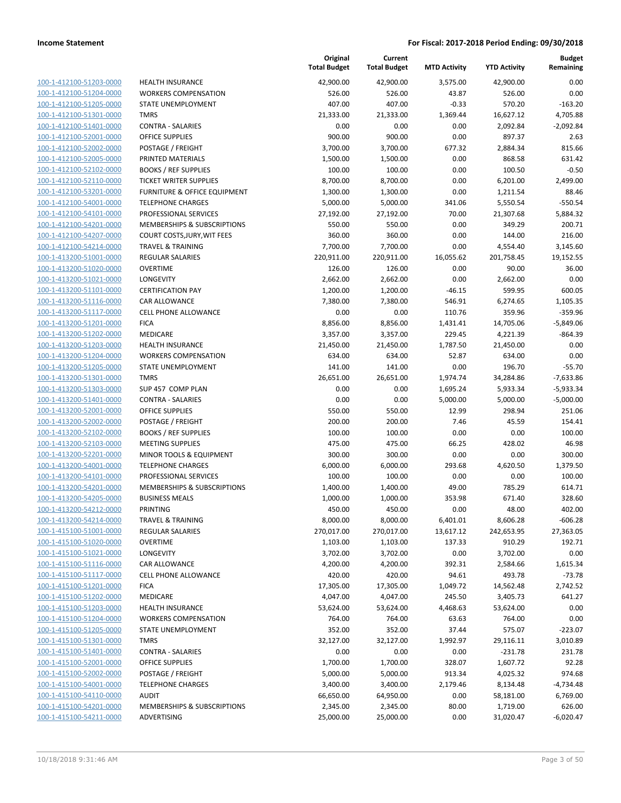| 100-1-412100-51203-0000        |
|--------------------------------|
| 100-1-412100-51204-0000        |
| 100-1-412100-51205-0000        |
| <u>100-1-412100-51301-0000</u> |
| 100-1-412100-51401-0000        |
| 100-1-412100-52001-0000        |
| 100-1-412100-52002-0000        |
| 100-1-412100-52005-0000        |
| <u>100-1-412100-52102-0000</u> |
| 100-1-412100-52110-0000        |
| 100-1-412100-53201-0000        |
| 100-1-412100-54001-0000        |
| 100-1-412100-54101-0000        |
| <u>100-1-412100-54201-0000</u> |
| 100-1-412100-54207-0000        |
| 100-1-412100-54214-0000        |
| 100-1-413200-51001-0000        |
| 100-1-413200-51020-0000        |
| 100-1-413200-51021-0000        |
| 100-1-413200-51101-0000        |
| 100-1-413200-51116-0000        |
| 100-1-413200-51117-0000        |
| 100-1-413200-51201-0000        |
|                                |
| <u>100-1-413200-51202-0000</u> |
| 100-1-413200-51203-0000        |
| 100-1-413200-51204-0000        |
| 100-1-413200-51205-0000        |
| 100-1-413200-51301-0000        |
| 100-1-413200-51303-0000        |
| 100-1-413200-51401-0000        |
| 100-1-413200-52001-0000        |
| 100-1-413200-52002-0000        |
| 100-1-413200-52102-0000        |
| <u>100-1-413200-52103-0000</u> |
| 100-1-413200-52201-0000        |
| 100-1-413200-54001-0000        |
| 100-1-413200-54101-0000        |
| 100-1-413200-54201-0000        |
| 100-1-413200-54205-0000        |
| 100-1-413200-54212-0000        |
| 100-1-413200-54214-0000        |
| 100-1-415100-51001-0000        |
| 100-1-415100-51020-0000        |
| 100-1-415100-51021-0000        |
| <u>100-1-415100-51116-0000</u> |
| <u>100-1-415100-51117-0000</u> |
| 100-1-415100-51201-0000        |
| 100-1-415100-51202-0000        |
| 100-1-415100-51203-0000        |
| <u>100-1-415100-51204-0000</u> |
| 100-1-415100-51205-0000        |
| 100-1-415100-51301-0000        |
| 100-1-415100-51401-0000        |
| 100-1-415100-52001-0000        |
| <u>100-1-415100-52002-0000</u> |
| 100-1-415100-54001-0000        |
| <u>100-1-415100-54110-0000</u> |
| 100-1-415100-54201-0000        |
| <u>100-1-415100-54211-0000</u> |
|                                |

|                         |                               | Original<br><b>Total Budget</b> | Current<br><b>Total Budget</b> | <b>MTD Activity</b> | <b>YTD Activity</b> | <b>Budget</b><br>Remaining |
|-------------------------|-------------------------------|---------------------------------|--------------------------------|---------------------|---------------------|----------------------------|
| 100-1-412100-51203-0000 | <b>HEALTH INSURANCE</b>       | 42,900.00                       | 42,900.00                      | 3,575.00            | 42,900.00           | 0.00                       |
| 100-1-412100-51204-0000 | <b>WORKERS COMPENSATION</b>   | 526.00                          | 526.00                         | 43.87               | 526.00              | 0.00                       |
| 100-1-412100-51205-0000 | STATE UNEMPLOYMENT            | 407.00                          | 407.00                         | $-0.33$             | 570.20              | $-163.20$                  |
| 100-1-412100-51301-0000 | <b>TMRS</b>                   | 21,333.00                       | 21,333.00                      | 1,369.44            | 16,627.12           | 4,705.88                   |
| 100-1-412100-51401-0000 | <b>CONTRA - SALARIES</b>      | 0.00                            | 0.00                           | 0.00                | 2,092.84            | $-2,092.84$                |
| 100-1-412100-52001-0000 | <b>OFFICE SUPPLIES</b>        | 900.00                          | 900.00                         | 0.00                | 897.37              | 2.63                       |
| 100-1-412100-52002-0000 | POSTAGE / FREIGHT             | 3,700.00                        | 3,700.00                       | 677.32              | 2,884.34            | 815.66                     |
| 100-1-412100-52005-0000 | PRINTED MATERIALS             | 1,500.00                        | 1,500.00                       | 0.00                | 868.58              | 631.42                     |
| 100-1-412100-52102-0000 | <b>BOOKS / REF SUPPLIES</b>   | 100.00                          | 100.00                         | 0.00                | 100.50              | $-0.50$                    |
| 100-1-412100-52110-0000 | <b>TICKET WRITER SUPPLIES</b> | 8,700.00                        | 8,700.00                       | 0.00                | 6,201.00            | 2,499.00                   |
| 100-1-412100-53201-0000 | FURNITURE & OFFICE EQUIPMENT  | 1,300.00                        | 1,300.00                       | 0.00                | 1,211.54            | 88.46                      |
| 100-1-412100-54001-0000 | <b>TELEPHONE CHARGES</b>      | 5,000.00                        | 5,000.00                       | 341.06              | 5,550.54            | $-550.54$                  |
| 100-1-412100-54101-0000 | PROFESSIONAL SERVICES         | 27,192.00                       | 27,192.00                      | 70.00               | 21,307.68           | 5,884.32                   |
| 100-1-412100-54201-0000 | MEMBERSHIPS & SUBSCRIPTIONS   | 550.00                          | 550.00                         | 0.00                | 349.29              | 200.71                     |
| 100-1-412100-54207-0000 | COURT COSTS, JURY, WIT FEES   | 360.00                          | 360.00                         | 0.00                | 144.00              | 216.00                     |
| 100-1-412100-54214-0000 | <b>TRAVEL &amp; TRAINING</b>  | 7,700.00                        | 7,700.00                       | 0.00                | 4,554.40            | 3,145.60                   |
| 100-1-413200-51001-0000 | REGULAR SALARIES              | 220,911.00                      | 220,911.00                     | 16,055.62           | 201,758.45          | 19,152.55                  |
| 100-1-413200-51020-0000 | <b>OVERTIME</b>               | 126.00                          | 126.00                         | 0.00                | 90.00               | 36.00                      |
| 100-1-413200-51021-0000 | LONGEVITY                     | 2,662.00                        | 2,662.00                       | 0.00                | 2,662.00            | 0.00                       |
| 100-1-413200-51101-0000 | <b>CERTIFICATION PAY</b>      | 1,200.00                        | 1,200.00                       | $-46.15$            | 599.95              | 600.05                     |
| 100-1-413200-51116-0000 | <b>CAR ALLOWANCE</b>          | 7,380.00                        | 7,380.00                       | 546.91              | 6,274.65            | 1,105.35                   |
| 100-1-413200-51117-0000 | CELL PHONE ALLOWANCE          | 0.00                            | 0.00                           | 110.76              | 359.96              | $-359.96$                  |
| 100-1-413200-51201-0000 | <b>FICA</b>                   | 8,856.00                        | 8,856.00                       | 1,431.41            | 14,705.06           | $-5,849.06$                |
| 100-1-413200-51202-0000 | MEDICARE                      | 3,357.00                        | 3,357.00                       | 229.45              | 4,221.39            | $-864.39$                  |
| 100-1-413200-51203-0000 | <b>HEALTH INSURANCE</b>       | 21,450.00                       | 21,450.00                      | 1,787.50            | 21,450.00           | 0.00                       |
| 100-1-413200-51204-0000 | <b>WORKERS COMPENSATION</b>   | 634.00                          | 634.00                         | 52.87               | 634.00              | 0.00                       |
| 100-1-413200-51205-0000 | STATE UNEMPLOYMENT            | 141.00                          | 141.00                         | 0.00                | 196.70              | $-55.70$                   |
| 100-1-413200-51301-0000 | <b>TMRS</b>                   | 26,651.00                       | 26,651.00                      | 1,974.74            | 34,284.86           | $-7,633.86$                |
| 100-1-413200-51303-0000 | SUP 457 COMP PLAN             | 0.00                            | 0.00                           | 1,695.24            | 5,933.34            | $-5,933.34$                |
| 100-1-413200-51401-0000 | <b>CONTRA - SALARIES</b>      | 0.00                            | 0.00                           | 5,000.00            | 5,000.00            | $-5,000.00$                |
| 100-1-413200-52001-0000 | <b>OFFICE SUPPLIES</b>        | 550.00                          | 550.00                         | 12.99               | 298.94              | 251.06                     |
| 100-1-413200-52002-0000 | POSTAGE / FREIGHT             | 200.00                          | 200.00                         | 7.46                | 45.59               | 154.41                     |
| 100-1-413200-52102-0000 | <b>BOOKS / REF SUPPLIES</b>   | 100.00                          | 100.00                         | 0.00                | 0.00                | 100.00                     |
| 100-1-413200-52103-0000 | <b>MEETING SUPPLIES</b>       | 475.00                          | 475.00                         | 66.25               | 428.02              | 46.98                      |
| 100-1-413200-52201-0000 | MINOR TOOLS & EQUIPMENT       | 300.00                          | 300.00                         | 0.00                | 0.00                | 300.00                     |
| 100-1-413200-54001-0000 | <b>TELEPHONE CHARGES</b>      | 6,000.00                        | 6,000.00                       | 293.68              | 4,620.50            | 1,379.50                   |
| 100-1-413200-54101-0000 | PROFESSIONAL SERVICES         | 100.00                          | 100.00                         | 0.00                | 0.00                | 100.00                     |
| 100-1-413200-54201-0000 | MEMBERSHIPS & SUBSCRIPTIONS   | 1,400.00                        | 1,400.00                       | 49.00               | 785.29              | 614.71                     |
| 100-1-413200-54205-0000 | <b>BUSINESS MEALS</b>         | 1,000.00                        | 1,000.00                       | 353.98              | 671.40              | 328.60                     |
| 100-1-413200-54212-0000 | PRINTING                      | 450.00                          | 450.00                         | 0.00                | 48.00               | 402.00                     |
| 100-1-413200-54214-0000 | <b>TRAVEL &amp; TRAINING</b>  | 8,000.00                        | 8,000.00                       | 6,401.01            | 8,606.28            | $-606.28$                  |
| 100-1-415100-51001-0000 | <b>REGULAR SALARIES</b>       | 270,017.00                      | 270,017.00                     | 13,617.12           | 242,653.95          | 27,363.05                  |
| 100-1-415100-51020-0000 | <b>OVERTIME</b>               | 1,103.00                        | 1,103.00                       | 137.33              | 910.29              | 192.71                     |
| 100-1-415100-51021-0000 | LONGEVITY                     | 3,702.00                        | 3,702.00                       | 0.00                | 3,702.00            | 0.00                       |
| 100-1-415100-51116-0000 | CAR ALLOWANCE                 | 4,200.00                        | 4,200.00                       | 392.31              | 2,584.66            | 1,615.34                   |
| 100-1-415100-51117-0000 | CELL PHONE ALLOWANCE          | 420.00                          | 420.00                         | 94.61               | 493.78              | $-73.78$                   |
| 100-1-415100-51201-0000 | <b>FICA</b>                   | 17,305.00                       | 17,305.00                      | 1,049.72            | 14,562.48           | 2,742.52                   |
| 100-1-415100-51202-0000 | MEDICARE                      | 4,047.00                        | 4,047.00                       | 245.50              | 3,405.73            | 641.27                     |
| 100-1-415100-51203-0000 | <b>HEALTH INSURANCE</b>       | 53,624.00                       | 53,624.00                      | 4,468.63            | 53,624.00           | 0.00                       |
| 100-1-415100-51204-0000 | <b>WORKERS COMPENSATION</b>   | 764.00                          | 764.00                         | 63.63               | 764.00              | 0.00                       |
| 100-1-415100-51205-0000 | STATE UNEMPLOYMENT            | 352.00                          | 352.00                         | 37.44               | 575.07              | $-223.07$                  |
| 100-1-415100-51301-0000 | <b>TMRS</b>                   | 32,127.00                       | 32,127.00                      | 1,992.97            | 29,116.11           | 3,010.89                   |
| 100-1-415100-51401-0000 | <b>CONTRA - SALARIES</b>      | 0.00                            | 0.00                           | 0.00                | $-231.78$           | 231.78                     |
| 100-1-415100-52001-0000 | <b>OFFICE SUPPLIES</b>        | 1,700.00                        | 1,700.00                       | 328.07              | 1,607.72            | 92.28                      |
| 100-1-415100-52002-0000 | POSTAGE / FREIGHT             | 5,000.00                        | 5,000.00                       | 913.34              | 4,025.32            | 974.68                     |
| 100-1-415100-54001-0000 | <b>TELEPHONE CHARGES</b>      | 3,400.00                        | 3,400.00                       | 2,179.46            | 8,134.48            | $-4,734.48$                |
| 100-1-415100-54110-0000 | <b>AUDIT</b>                  | 66,650.00                       | 64,950.00                      | 0.00                | 58,181.00           | 6,769.00                   |
| 100-1-415100-54201-0000 | MEMBERSHIPS & SUBSCRIPTIONS   | 2,345.00                        | 2,345.00                       | 80.00               | 1,719.00            | 626.00                     |
| 100-1-415100-54211-0000 | ADVERTISING                   | 25,000.00                       | 25,000.00                      | 0.00                | 31,020.47           | $-6,020.47$                |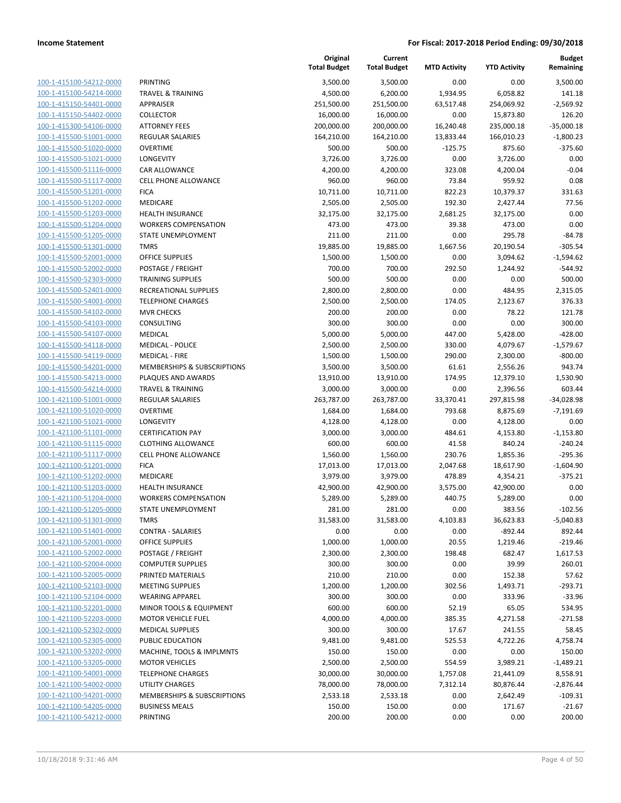| 100-1-415100-54212-0000        |
|--------------------------------|
| 100-1-415100-54214-0000        |
| 100-1-415150-54401-0000        |
| 100-1-415150-54402-0000        |
| 100-1-415300-54106-0000        |
| 100-1-415500-51001-0000        |
| 100-1-415500-51020-0000        |
| 100-1-415500-51021-0000        |
| 100-1-415500-51116-0000        |
| 100-1-415500-51117-0000        |
| 100-1-415500-51201-0000        |
| 100-1-415500-51202-0000        |
| 100-1-415500-51203-0000        |
| 100-1-415500-51204-0000        |
| 100-1-415500-51205-0000        |
| 100-1-415500-51301-0000        |
| 100-1-415500-52001-0000        |
| 100-1-415500-52002-0000        |
| 100-1-415500-52303-0000        |
| 100-1-415500-52401-0000        |
| 100-1-415500-54001-0000        |
| 100-1-415500-54102-0000        |
| 100-1-415500-54103-0000        |
| 100-1-415500-54107-0000        |
| 100-1-415500-54118-0000        |
| 100-1-415500-54119-0000        |
| 100-1-415500-54201-0000        |
| 100-1-415500-54213-0000        |
| 100-1-415500-54214-0000        |
|                                |
| 100-1-421100-51001-0000        |
| 100-1-421100-51020-0000        |
| 100-1-421100-51021-0000        |
| 100-1-421100-51101-0000        |
| 100-1-421100-51115-0000        |
| 100-1-421100-51117-0000        |
| 100-1-421100-51201-0000        |
| 100-1-421100-51202-0000        |
| 100-1-421100-51203-0000        |
| 100-1-421100-51204-0000        |
| 100-1-421100-51205-0000        |
| 100-1-421100-51301-0000        |
| <u>100-1-421100-51401-0000</u> |
| 100-1-421100-52001-0000        |
| <u>100-1-421100-52002-0000</u> |
| 100-1-421100-52004-0000        |
| 100-1-421100-52005-0000        |
| <u>100-1-421100-52103-0000</u> |
| <u>100-1-421100-52104-0000</u> |
| <u>100-1-421100-52201-0000</u> |
| 100-1-421100-52203-0000        |
| 100-1-421100-52302-0000        |
| 100-1-421100-52305-0000        |
| <u>100-1-421100-53202-0000</u> |
| <u>100-1-421100-53205-0000</u> |
| 100-1-421100-54001-0000        |
| <u>100-1-421100-54002-0000</u> |
| <u>100-1-421100-54201-0000</u> |
| <u>100-1-421100-54205-0000</u> |
| <u>100-1-421100-54212-0000</u> |
|                                |

| 'RINTING                                      |
|-----------------------------------------------|
| <b>RAVEL &amp; TRAINING</b>                   |
| <b>\PPRAISER</b>                              |
| :OLLECTOR                                     |
| <b>\TTORNEY FEES</b>                          |
| EGULAR SALARIES:                              |
| <b>OVERTIME</b>                               |
| ONGEVITY                                      |
| AR ALLOWANCE:                                 |
| <b>ELL PHONE ALLOWANCE</b>                    |
| ICA                                           |
| <i>A</i> EDICARE                              |
| IEALTH INSURANCE                              |
| VORKERS COMPENSATION                          |
| TATE UNEMPLOYMENT                             |
| <b>MRS</b>                                    |
| <b>DEFICE SUPPLIES</b>                        |
| OSTAGE / FREIGHT                              |
| <b>RAINING SUPPLIES</b>                       |
| ECREATIONAL SUPPLIES:                         |
| <b>ELEPHONE CHARGES</b>                       |
| AVR CHECKS                                    |
| :ONSULTING                                    |
| <i><b>AEDICAL</b></i>                         |
| <i><b>AEDICAL - POLICE</b></i>                |
| AEDICAL - FIRE                                |
| AEMBERSHIPS & SUBSCRIPTIONS                   |
| LAQUES AND AWARDS                             |
| <b>RAVEL &amp; TRAINING</b>                   |
| EGULAR SALARIES:                              |
| <b>OVERTIME</b>                               |
| ONGEVITY                                      |
| <b>ERTIFICATION PAY</b>                       |
| LOTHING ALLOWANCE:                            |
| <b>ELL PHONE ALLOWANCE</b>                    |
| ICA                                           |
| <b><i>AEDICARE</i></b>                        |
| <b>IEALTH INSURANCE</b>                       |
| VORKERS COMPENSATION                          |
| TATE UNEMPLOYMENT                             |
| MRS                                           |
| <b>CONTRA - SALARIES</b>                      |
| <b>PERCE SUPPLIES</b>                         |
| OSTAGE / FREIGHT                              |
| OMPUTER SUPPLIES                              |
| <b>RINTED MATERIALS</b>                       |
| <b><i>MEETING SUPPLIES</i></b>                |
| <b>VEARING APPAREL</b>                        |
| AINOR TOOLS & EQUIPMENT                       |
| <b><i>IOTOR VEHICLE FUEL</i></b>              |
| <b><i>AEDICAL SUPPLIES</i></b>                |
| <b>UBLIC EDUCATION</b>                        |
| <b><i>AACHINE, TOOLS &amp; IMPLMNTS</i></b>   |
| <b><i>AOTOR VEHICLES</i></b>                  |
| <b>ELEPHONE CHARGES</b>                       |
| <b>JTILITY CHARGES</b>                        |
| <b><i>AEMBERSHIPS &amp; SUBSCRIPTIONS</i></b> |
| USINESS MEALS                                 |

|                                                    |                                            | Original<br><b>Total Budget</b> | Current<br><b>Total Budget</b> | <b>MTD Activity</b> | <b>YTD Activity</b> | <b>Budget</b><br>Remaining |
|----------------------------------------------------|--------------------------------------------|---------------------------------|--------------------------------|---------------------|---------------------|----------------------------|
| 100-1-415100-54212-0000                            | PRINTING                                   | 3,500.00                        | 3,500.00                       | 0.00                | 0.00                | 3,500.00                   |
| 100-1-415100-54214-0000                            | <b>TRAVEL &amp; TRAINING</b>               | 4,500.00                        | 6,200.00                       | 1,934.95            | 6,058.82            | 141.18                     |
| 100-1-415150-54401-0000                            | APPRAISER                                  | 251,500.00                      | 251,500.00                     | 63,517.48           | 254,069.92          | $-2,569.92$                |
| 100-1-415150-54402-0000                            | <b>COLLECTOR</b>                           | 16,000.00                       | 16,000.00                      | 0.00                | 15,873.80           | 126.20                     |
| 100-1-415300-54106-0000                            | <b>ATTORNEY FEES</b>                       | 200,000.00                      | 200,000.00                     | 16,240.48           | 235,000.18          | $-35,000.18$               |
| 100-1-415500-51001-0000                            | <b>REGULAR SALARIES</b>                    | 164,210.00                      | 164,210.00                     | 13,833.44           | 166,010.23          | $-1,800.23$                |
| 100-1-415500-51020-0000                            | <b>OVERTIME</b>                            | 500.00                          | 500.00                         | $-125.75$           | 875.60              | $-375.60$                  |
| 100-1-415500-51021-0000                            | LONGEVITY                                  | 3,726.00                        | 3,726.00                       | 0.00                | 3,726.00            | 0.00                       |
| 100-1-415500-51116-0000                            | <b>CAR ALLOWANCE</b>                       | 4,200.00                        | 4,200.00                       | 323.08              | 4,200.04            | $-0.04$                    |
| 100-1-415500-51117-0000                            | <b>CELL PHONE ALLOWANCE</b>                | 960.00                          | 960.00                         | 73.84               | 959.92              | 0.08                       |
| 100-1-415500-51201-0000                            | <b>FICA</b>                                | 10,711.00                       | 10,711.00                      | 822.23              | 10,379.37           | 331.63                     |
| 100-1-415500-51202-0000                            | MEDICARE                                   | 2,505.00                        | 2,505.00                       | 192.30              | 2,427.44            | 77.56                      |
| 100-1-415500-51203-0000                            | <b>HEALTH INSURANCE</b>                    | 32,175.00                       | 32,175.00                      | 2,681.25            | 32,175.00           | 0.00                       |
| 100-1-415500-51204-0000                            | <b>WORKERS COMPENSATION</b>                | 473.00                          | 473.00                         | 39.38               | 473.00              | 0.00                       |
| 100-1-415500-51205-0000                            | STATE UNEMPLOYMENT                         | 211.00                          | 211.00                         | 0.00                | 295.78              | $-84.78$                   |
| 100-1-415500-51301-0000                            | <b>TMRS</b>                                | 19,885.00                       | 19,885.00                      | 1,667.56            | 20,190.54           | $-305.54$                  |
| 100-1-415500-52001-0000                            | <b>OFFICE SUPPLIES</b>                     | 1,500.00                        | 1,500.00                       | 0.00                | 3,094.62            | $-1,594.62$                |
| 100-1-415500-52002-0000                            | POSTAGE / FREIGHT                          | 700.00                          | 700.00                         | 292.50              | 1,244.92            | $-544.92$                  |
| 100-1-415500-52303-0000                            | <b>TRAINING SUPPLIES</b>                   | 500.00                          | 500.00                         | 0.00                | 0.00                | 500.00                     |
| 100-1-415500-52401-0000                            | RECREATIONAL SUPPLIES                      | 2,800.00                        | 2,800.00                       | 0.00                | 484.95              | 2,315.05                   |
| 100-1-415500-54001-0000                            | <b>TELEPHONE CHARGES</b>                   | 2,500.00                        | 2,500.00                       | 174.05              | 2,123.67            | 376.33                     |
| 100-1-415500-54102-0000                            | <b>MVR CHECKS</b>                          | 200.00                          | 200.00                         | 0.00                | 78.22               | 121.78                     |
| 100-1-415500-54103-0000                            | CONSULTING                                 | 300.00                          | 300.00                         | 0.00                | 0.00                | 300.00                     |
| 100-1-415500-54107-0000                            | <b>MEDICAL</b>                             | 5,000.00                        | 5,000.00                       | 447.00              | 5,428.00            | $-428.00$                  |
| 100-1-415500-54118-0000                            | <b>MEDICAL - POLICE</b>                    | 2,500.00                        | 2,500.00                       | 330.00              | 4,079.67            | $-1,579.67$                |
| 100-1-415500-54119-0000                            | <b>MEDICAL - FIRE</b>                      | 1,500.00                        | 1,500.00                       | 290.00              | 2,300.00            | $-800.00$                  |
| 100-1-415500-54201-0000                            | MEMBERSHIPS & SUBSCRIPTIONS                | 3,500.00                        | 3,500.00                       | 61.61               | 2,556.26            | 943.74                     |
| 100-1-415500-54213-0000                            | PLAQUES AND AWARDS                         | 13,910.00                       | 13,910.00                      | 174.95              | 12,379.10           | 1,530.90                   |
| 100-1-415500-54214-0000                            | <b>TRAVEL &amp; TRAINING</b>               | 3,000.00                        | 3,000.00                       | 0.00                | 2,396.56            | 603.44                     |
| 100-1-421100-51001-0000                            | <b>REGULAR SALARIES</b><br><b>OVERTIME</b> | 263,787.00                      | 263,787.00                     | 33,370.41           | 297,815.98          | $-34,028.98$               |
| 100-1-421100-51020-0000                            | LONGEVITY                                  | 1,684.00                        | 1,684.00                       | 793.68<br>0.00      | 8,875.69            | $-7,191.69$<br>0.00        |
| 100-1-421100-51021-0000<br>100-1-421100-51101-0000 | <b>CERTIFICATION PAY</b>                   | 4,128.00                        | 4,128.00<br>3,000.00           | 484.61              | 4,128.00            | $-1,153.80$                |
| 100-1-421100-51115-0000                            | <b>CLOTHING ALLOWANCE</b>                  | 3,000.00<br>600.00              | 600.00                         | 41.58               | 4,153.80<br>840.24  | $-240.24$                  |
| 100-1-421100-51117-0000                            | <b>CELL PHONE ALLOWANCE</b>                | 1,560.00                        | 1,560.00                       | 230.76              | 1,855.36            | $-295.36$                  |
| 100-1-421100-51201-0000                            | <b>FICA</b>                                | 17,013.00                       | 17,013.00                      | 2,047.68            | 18,617.90           | $-1,604.90$                |
| 100-1-421100-51202-0000                            | MEDICARE                                   | 3,979.00                        | 3,979.00                       | 478.89              | 4,354.21            | $-375.21$                  |
| 100-1-421100-51203-0000                            | <b>HEALTH INSURANCE</b>                    | 42,900.00                       | 42,900.00                      | 3,575.00            | 42,900.00           | 0.00                       |
| 100-1-421100-51204-0000                            | <b>WORKERS COMPENSATION</b>                | 5,289.00                        | 5,289.00                       | 440.75              | 5,289.00            | 0.00                       |
| 100-1-421100-51205-0000                            | STATE UNEMPLOYMENT                         | 281.00                          | 281.00                         | 0.00                | 383.56              | $-102.56$                  |
| 100-1-421100-51301-0000                            | <b>TMRS</b>                                | 31,583.00                       | 31,583.00                      | 4,103.83            | 36,623.83           | $-5,040.83$                |
| 100-1-421100-51401-0000                            | <b>CONTRA - SALARIES</b>                   | 0.00                            | 0.00                           | 0.00                | $-892.44$           | 892.44                     |
| 100-1-421100-52001-0000                            | <b>OFFICE SUPPLIES</b>                     | 1,000.00                        | 1,000.00                       | 20.55               | 1,219.46            | $-219.46$                  |
| 100-1-421100-52002-0000                            | POSTAGE / FREIGHT                          | 2,300.00                        | 2,300.00                       | 198.48              | 682.47              | 1,617.53                   |
| 100-1-421100-52004-0000                            | <b>COMPUTER SUPPLIES</b>                   | 300.00                          | 300.00                         | 0.00                | 39.99               | 260.01                     |
| 100-1-421100-52005-0000                            | PRINTED MATERIALS                          | 210.00                          | 210.00                         | 0.00                | 152.38              | 57.62                      |
| 100-1-421100-52103-0000                            | <b>MEETING SUPPLIES</b>                    | 1,200.00                        | 1,200.00                       | 302.56              | 1,493.71            | $-293.71$                  |
| 100-1-421100-52104-0000                            | <b>WEARING APPAREL</b>                     | 300.00                          | 300.00                         | 0.00                | 333.96              | $-33.96$                   |
| 100-1-421100-52201-0000                            | MINOR TOOLS & EQUIPMENT                    | 600.00                          | 600.00                         | 52.19               | 65.05               | 534.95                     |
| 100-1-421100-52203-0000                            | <b>MOTOR VEHICLE FUEL</b>                  | 4,000.00                        | 4,000.00                       | 385.35              | 4,271.58            | $-271.58$                  |
| 100-1-421100-52302-0000                            | <b>MEDICAL SUPPLIES</b>                    | 300.00                          | 300.00                         | 17.67               | 241.55              | 58.45                      |
| 100-1-421100-52305-0000                            | PUBLIC EDUCATION                           | 9,481.00                        | 9,481.00                       | 525.53              | 4,722.26            | 4,758.74                   |
| 100-1-421100-53202-0000                            | MACHINE, TOOLS & IMPLMNTS                  | 150.00                          | 150.00                         | 0.00                | 0.00                | 150.00                     |
| 100-1-421100-53205-0000                            | <b>MOTOR VEHICLES</b>                      | 2,500.00                        | 2,500.00                       | 554.59              | 3,989.21            | $-1,489.21$                |
| 100-1-421100-54001-0000                            | <b>TELEPHONE CHARGES</b>                   | 30,000.00                       | 30,000.00                      | 1,757.08            | 21,441.09           | 8,558.91                   |
| 100-1-421100-54002-0000                            | UTILITY CHARGES                            | 78,000.00                       | 78,000.00                      | 7,312.14            | 80,876.44           | $-2,876.44$                |
| 100-1-421100-54201-0000                            | MEMBERSHIPS & SUBSCRIPTIONS                | 2,533.18                        | 2,533.18                       | 0.00                | 2,642.49            | $-109.31$                  |
| 100-1-421100-54205-0000                            | <b>BUSINESS MEALS</b>                      | 150.00                          | 150.00                         | 0.00                | 171.67              | $-21.67$                   |
| 100-1-421100-54212-0000                            | PRINTING                                   | 200.00                          | 200.00                         | 0.00                | 0.00                | 200.00                     |
|                                                    |                                            |                                 |                                |                     |                     |                            |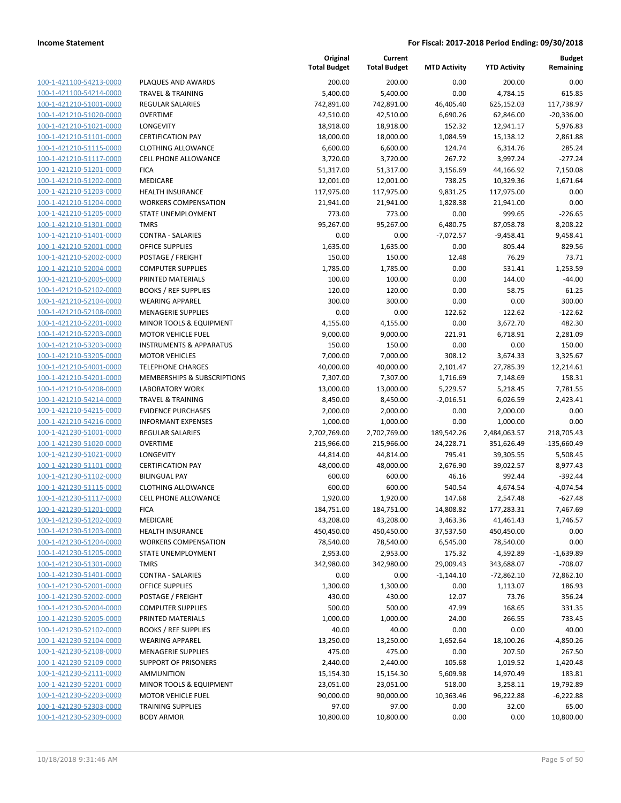| 100-1-421100-54213-0000                            |
|----------------------------------------------------|
| 100-1-421100-54214-0000                            |
| 100-1-421210-51001-0000                            |
| 100-1-421210-51020-0000                            |
| 100-1-421210-51021-0000                            |
| 100-1-421210-51101-0000                            |
| 100-1-421210-51115-0000                            |
| 100-1-421210-51117-0000                            |
| 100-1-421210-51201-0000                            |
| 100-1-421210-51202-0000                            |
| 100-1-421210-51203-0000                            |
| 100-1-421210-51204-0000                            |
| 100-1-421210-51205-0000                            |
| 100-1-421210-51301-0000                            |
| 100-1-421210-51401-0000                            |
| 100-1-421210-52001-0000                            |
| 100-1-421210-52002-0000                            |
| 100-1-421210-52004-0000                            |
| 100-1-421210-52005-0000                            |
| 100-1-421210-52102-0000                            |
| 100-1-421210-52104-0000                            |
| 100-1-421210-52108-0000                            |
| 100-1-421210-52201-0000                            |
| 100-1-421210-52203-0000                            |
| 100-1-421210-53203-0000                            |
| 100-1-421210-53205-0000                            |
| 100-1-421210-54001-0000                            |
|                                                    |
| 100-1-421210-54201-0000                            |
| 100-1-421210-54208-0000                            |
| 100-1-421210-54214-0000                            |
| 100-1-421210-54215-0000<br>100-1-421210-54216-0000 |
| 100-1-421230-51001-0000                            |
| 100-1-421230-51020-0000                            |
| 100-1-421230-51021-0000                            |
| 100-1-421230-51101-0000                            |
| 100-1-421230-51102-0000                            |
| 100-1-421230-51115-0000                            |
| 100-1-421230-51117-0000                            |
| 100-1-421230-51201-0000                            |
|                                                    |
| 100-1-421230-51202-0000<br>100-1-421230-51203-0000 |
|                                                    |
| <u>100-1-421230-51204-0000</u>                     |
| <u>100-1-421230-51205-0000</u>                     |
| <u>100-1-421230-51301-0000</u>                     |
| <u>100-1-421230-51401-0000</u>                     |
| 100-1-421230-52001-0000                            |
| <u>100-1-421230-52002-0000</u>                     |
| <u>100-1-421230-52004-0000</u>                     |
| <u>100-1-421230-52005-0000</u>                     |
| <u>100-1-421230-52102-0000</u>                     |
| 100-1-421230-52104-0000                            |
| 100-1-421230-52108-0000                            |
| <u>100-1-421230-52109-0000</u>                     |
| <u>100-1-421230-52111-0000</u>                     |
| <u>100-1-421230-52201-0000</u>                     |
| 100-1-421230-52203-0000                            |
| <u>100-1-421230-52303-0000</u>                     |
| 100-1-421230-52309-0000                            |

|                         |                                    | Original<br><b>Total Budget</b> | Current<br><b>Total Budget</b> | <b>MTD Activity</b> | <b>YTD Activity</b> | <b>Budget</b><br>Remaining |
|-------------------------|------------------------------------|---------------------------------|--------------------------------|---------------------|---------------------|----------------------------|
| 100-1-421100-54213-0000 | PLAQUES AND AWARDS                 | 200.00                          | 200.00                         | 0.00                | 200.00              | 0.00                       |
| 100-1-421100-54214-0000 | <b>TRAVEL &amp; TRAINING</b>       | 5,400.00                        | 5,400.00                       | 0.00                | 4,784.15            | 615.85                     |
| 100-1-421210-51001-0000 | <b>REGULAR SALARIES</b>            | 742,891.00                      | 742,891.00                     | 46,405.40           | 625,152.03          | 117,738.97                 |
| 100-1-421210-51020-0000 | <b>OVERTIME</b>                    | 42,510.00                       | 42,510.00                      | 6,690.26            | 62,846.00           | $-20,336.00$               |
| 100-1-421210-51021-0000 | LONGEVITY                          | 18,918.00                       | 18,918.00                      | 152.32              | 12,941.17           | 5,976.83                   |
| 100-1-421210-51101-0000 | <b>CERTIFICATION PAY</b>           | 18,000.00                       | 18,000.00                      | 1,084.59            | 15,138.12           | 2,861.88                   |
| 100-1-421210-51115-0000 | <b>CLOTHING ALLOWANCE</b>          | 6,600.00                        | 6,600.00                       | 124.74              | 6,314.76            | 285.24                     |
| 100-1-421210-51117-0000 | <b>CELL PHONE ALLOWANCE</b>        | 3,720.00                        | 3,720.00                       | 267.72              | 3,997.24            | $-277.24$                  |
| 100-1-421210-51201-0000 | <b>FICA</b>                        | 51,317.00                       | 51,317.00                      | 3,156.69            | 44,166.92           | 7,150.08                   |
| 100-1-421210-51202-0000 | MEDICARE                           | 12,001.00                       | 12,001.00                      | 738.25              | 10,329.36           | 1,671.64                   |
| 100-1-421210-51203-0000 | <b>HEALTH INSURANCE</b>            | 117,975.00                      | 117,975.00                     | 9,831.25            | 117,975.00          | 0.00                       |
| 100-1-421210-51204-0000 | <b>WORKERS COMPENSATION</b>        | 21,941.00                       | 21,941.00                      | 1,828.38            | 21,941.00           | 0.00                       |
| 100-1-421210-51205-0000 | STATE UNEMPLOYMENT                 | 773.00                          | 773.00                         | 0.00                | 999.65              | $-226.65$                  |
| 100-1-421210-51301-0000 | <b>TMRS</b>                        | 95,267.00                       | 95,267.00                      | 6,480.75            | 87,058.78           | 8,208.22                   |
| 100-1-421210-51401-0000 | <b>CONTRA - SALARIES</b>           | 0.00                            | 0.00                           | $-7,072.57$         | $-9,458.41$         | 9,458.41                   |
| 100-1-421210-52001-0000 | <b>OFFICE SUPPLIES</b>             | 1,635.00                        | 1,635.00                       | 0.00                | 805.44              | 829.56                     |
| 100-1-421210-52002-0000 | POSTAGE / FREIGHT                  | 150.00                          | 150.00                         | 12.48               | 76.29               | 73.71                      |
| 100-1-421210-52004-0000 | <b>COMPUTER SUPPLIES</b>           | 1,785.00                        | 1,785.00                       | 0.00                | 531.41              | 1,253.59                   |
| 100-1-421210-52005-0000 | PRINTED MATERIALS                  | 100.00                          | 100.00                         | 0.00                | 144.00              | $-44.00$                   |
| 100-1-421210-52102-0000 | <b>BOOKS / REF SUPPLIES</b>        | 120.00                          | 120.00                         | 0.00                | 58.75               | 61.25                      |
| 100-1-421210-52104-0000 | <b>WEARING APPAREL</b>             | 300.00                          | 300.00                         | 0.00                | 0.00                | 300.00                     |
| 100-1-421210-52108-0000 | <b>MENAGERIE SUPPLIES</b>          | 0.00                            | 0.00                           | 122.62              | 122.62              | $-122.62$                  |
| 100-1-421210-52201-0000 | MINOR TOOLS & EQUIPMENT            | 4,155.00                        | 4,155.00                       | 0.00                | 3,672.70            | 482.30                     |
| 100-1-421210-52203-0000 | <b>MOTOR VEHICLE FUEL</b>          | 9,000.00                        | 9,000.00                       | 221.91              | 6,718.91            | 2,281.09                   |
| 100-1-421210-53203-0000 | <b>INSTRUMENTS &amp; APPARATUS</b> | 150.00                          | 150.00                         | 0.00                | 0.00                | 150.00                     |
| 100-1-421210-53205-0000 | <b>MOTOR VEHICLES</b>              | 7,000.00                        | 7,000.00                       | 308.12              | 3,674.33            | 3,325.67                   |
| 100-1-421210-54001-0000 | <b>TELEPHONE CHARGES</b>           | 40,000.00                       | 40,000.00                      | 2,101.47            | 27,785.39           | 12,214.61                  |
| 100-1-421210-54201-0000 | MEMBERSHIPS & SUBSCRIPTIONS        | 7,307.00                        | 7,307.00                       | 1,716.69            | 7,148.69            | 158.31                     |
| 100-1-421210-54208-0000 | <b>LABORATORY WORK</b>             | 13,000.00                       | 13,000.00                      | 5,229.57            | 5,218.45            | 7,781.55                   |
| 100-1-421210-54214-0000 | <b>TRAVEL &amp; TRAINING</b>       | 8,450.00                        | 8,450.00                       | $-2,016.51$         | 6,026.59            | 2,423.41                   |
| 100-1-421210-54215-0000 | <b>EVIDENCE PURCHASES</b>          | 2,000.00                        | 2,000.00                       | 0.00                | 2,000.00            | 0.00                       |
| 100-1-421210-54216-0000 | <b>INFORMANT EXPENSES</b>          | 1,000.00                        | 1,000.00                       | 0.00                | 1,000.00            | 0.00                       |
| 100-1-421230-51001-0000 | <b>REGULAR SALARIES</b>            | 2,702,769.00                    | 2,702,769.00                   | 189,542.26          | 2,484,063.57        | 218,705.43                 |
| 100-1-421230-51020-0000 | <b>OVERTIME</b>                    | 215,966.00                      | 215,966.00                     | 24,228.71           | 351,626.49          | $-135,660.49$              |
| 100-1-421230-51021-0000 | LONGEVITY                          | 44,814.00                       | 44,814.00                      | 795.41              | 39,305.55           | 5,508.45                   |
| 100-1-421230-51101-0000 | <b>CERTIFICATION PAY</b>           | 48,000.00                       | 48,000.00                      | 2,676.90            | 39,022.57           | 8,977.43                   |
| 100-1-421230-51102-0000 | <b>BILINGUAL PAY</b>               | 600.00                          | 600.00                         | 46.16               | 992.44              | $-392.44$                  |
| 100-1-421230-51115-0000 | <b>CLOTHING ALLOWANCE</b>          | 600.00                          | 600.00                         | 540.54              | 4,674.54            | $-4,074.54$                |
| 100-1-421230-51117-0000 | <b>CELL PHONE ALLOWANCE</b>        | 1,920.00                        | 1,920.00                       | 147.68              | 2,547.48            | $-627.48$                  |
| 100-1-421230-51201-0000 | <b>FICA</b>                        | 184,751.00                      | 184,751.00                     | 14,808.82           | 1//,283.31          | 7,467.69                   |
| 100-1-421230-51202-0000 | MEDICARE                           | 43,208.00                       | 43,208.00                      | 3,463.36            | 41,461.43           | 1,746.57                   |
| 100-1-421230-51203-0000 | <b>HEALTH INSURANCE</b>            | 450,450.00                      | 450,450.00                     | 37,537.50           | 450,450.00          | 0.00                       |
| 100-1-421230-51204-0000 | <b>WORKERS COMPENSATION</b>        | 78,540.00                       | 78,540.00                      | 6,545.00            | 78,540.00           | 0.00                       |
| 100-1-421230-51205-0000 | STATE UNEMPLOYMENT                 | 2,953.00                        | 2,953.00                       | 175.32              | 4,592.89            | $-1,639.89$                |
| 100-1-421230-51301-0000 | <b>TMRS</b>                        | 342,980.00                      | 342,980.00                     | 29,009.43           | 343,688.07          | $-708.07$                  |
| 100-1-421230-51401-0000 | <b>CONTRA - SALARIES</b>           | 0.00                            | 0.00                           | $-1,144.10$         | $-72,862.10$        | 72,862.10                  |
| 100-1-421230-52001-0000 | <b>OFFICE SUPPLIES</b>             | 1,300.00                        | 1,300.00                       | 0.00                | 1,113.07            | 186.93                     |
| 100-1-421230-52002-0000 | POSTAGE / FREIGHT                  | 430.00                          | 430.00                         | 12.07               | 73.76               | 356.24                     |
| 100-1-421230-52004-0000 | <b>COMPUTER SUPPLIES</b>           | 500.00                          | 500.00                         | 47.99               | 168.65              | 331.35                     |
| 100-1-421230-52005-0000 | PRINTED MATERIALS                  | 1,000.00                        | 1,000.00                       | 24.00               | 266.55              | 733.45                     |
| 100-1-421230-52102-0000 | <b>BOOKS / REF SUPPLIES</b>        | 40.00                           | 40.00                          | 0.00                | 0.00                | 40.00                      |
| 100-1-421230-52104-0000 | <b>WEARING APPAREL</b>             | 13,250.00                       | 13,250.00                      | 1,652.64            | 18,100.26           | -4,850.26                  |
| 100-1-421230-52108-0000 | <b>MENAGERIE SUPPLIES</b>          | 475.00                          | 475.00                         | 0.00                | 207.50              | 267.50                     |
| 100-1-421230-52109-0000 | <b>SUPPORT OF PRISONERS</b>        | 2,440.00                        | 2,440.00                       | 105.68              | 1,019.52            | 1,420.48                   |
| 100-1-421230-52111-0000 | <b>AMMUNITION</b>                  | 15,154.30                       | 15,154.30                      | 5,609.98            | 14,970.49           | 183.81                     |
| 100-1-421230-52201-0000 | MINOR TOOLS & EQUIPMENT            | 23,051.00                       | 23,051.00                      | 518.00              | 3,258.11            | 19,792.89                  |
| 100-1-421230-52203-0000 | <b>MOTOR VEHICLE FUEL</b>          | 90,000.00                       | 90,000.00                      | 10,363.46           | 96,222.88           | $-6,222.88$                |
| 100-1-421230-52303-0000 | <b>TRAINING SUPPLIES</b>           | 97.00                           | 97.00                          | 0.00                | 32.00               | 65.00                      |
| 100-1-421230-52309-0000 | <b>BODY ARMOR</b>                  | 10,800.00                       | 10,800.00                      | 0.00                | 0.00                | 10,800.00                  |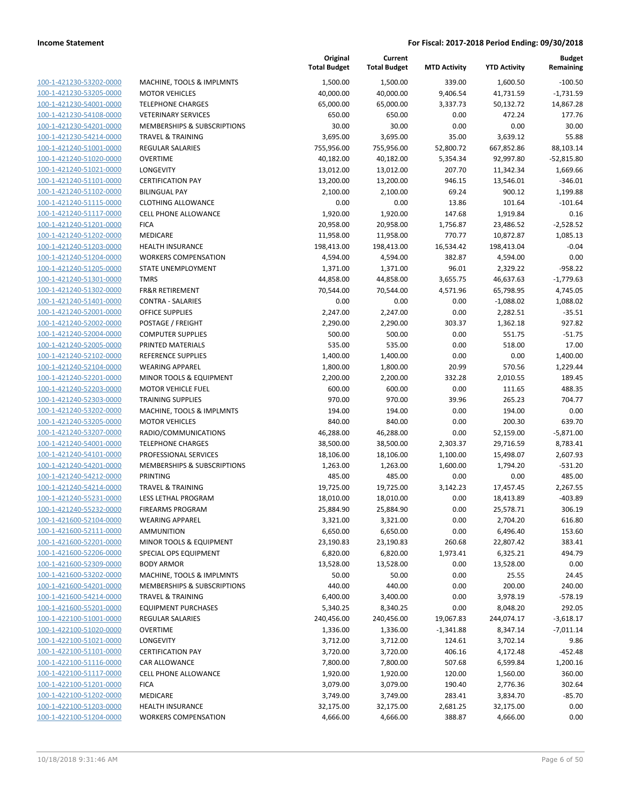| 100-1-421230-53202-0000        |
|--------------------------------|
| 100-1-421230-53205-0000        |
| 100-1-421230-54001-0000        |
| 100-1-421230-54108-0000        |
| 100-1-421230-54201-0000        |
| 100-1-421230-54214-0000        |
| 100-1-421240-51001-0000        |
| 100-1-421240-51020-0000        |
| 100-1-421240-51021-0000        |
|                                |
| 100-1-421240-51101-0000        |
| 100-1-421240-51102-0000        |
| 100-1-421240-51115-0000        |
| 100-1-421240-51117-0000        |
| 100-1-421240-51201-0000        |
| 100-1-421240-51202-0000        |
| 100-1-421240-51203-0000        |
| 100-1-421240-51204-0000        |
| 100-1-421240-51205-0000        |
| 100-1-421240-51301-0000        |
| 100-1-421240-51302-0000        |
| 100-1-421240-51401-0000        |
|                                |
| 100-1-421240-52001-0000        |
| 100-1-421240-52002-0000        |
| 100-1-421240-52004-0000        |
| 100-1-421240-52005-0000        |
| 100-1-421240-52102-0000        |
| 100-1-421240-52104-0000        |
| 100-1-421240-52201-0000        |
| 100-1-421240-52203-0000        |
| 100-1-421240-52303-0000        |
| 100-1-421240-53202-0000        |
| 100-1-421240-53205-0000        |
| 100-1-421240-53207-0000        |
| 100-1-421240-54001-0000        |
|                                |
| 100-1-421240-54101-0000        |
| 100-1-421240-54201-0000        |
| 100-1-421240-54212-0000        |
| 100-1-421240-54214-0000        |
| 100-1-421240-55231-0000        |
| 100-1-421240-55232-0000        |
| 100-1-421600-52104-0000        |
| 100-1-421600-52111-0000        |
| <u>100-1-421600-52201-0000</u> |
| <u>100-1-421600-52206-0000</u> |
| 100-1-421600-52309-0000        |
| 100-1-421600-53202-0000        |
| 100-1-421600-54201-0000        |
|                                |
| 100-1-421600-54214-0000        |
| <u>100-1-421600-55201-0000</u> |
| 100-1-422100-51001-0000        |
| 100-1-422100-51020-0000        |
| 100-1-422100-51021-0000        |
| 100-1-422100-51101-0000        |
| <u>100-1-422100-51116-0000</u> |
| <u>100-1-422100-51117-0000</u> |
| 100-1-422100-51201-0000        |
| 100-1-422100-51202-0000        |
| <u>100-1-422100-51203-0000</u> |
|                                |
| <u>100-1-422100-51204-0000</u> |

|                         |                                        | Original<br><b>Total Budget</b> | Current<br><b>Total Budget</b> | <b>MTD Activity</b> | <b>YTD Activity</b> | <b>Budget</b><br>Remaining |
|-------------------------|----------------------------------------|---------------------------------|--------------------------------|---------------------|---------------------|----------------------------|
| 100-1-421230-53202-0000 | MACHINE, TOOLS & IMPLMNTS              | 1,500.00                        | 1,500.00                       | 339.00              | 1,600.50            | $-100.50$                  |
| 100-1-421230-53205-0000 | <b>MOTOR VEHICLES</b>                  | 40,000.00                       | 40,000.00                      | 9,406.54            | 41,731.59           | $-1,731.59$                |
| 100-1-421230-54001-0000 | <b>TELEPHONE CHARGES</b>               | 65,000.00                       | 65,000.00                      | 3,337.73            | 50,132.72           | 14,867.28                  |
| 100-1-421230-54108-0000 | <b>VETERINARY SERVICES</b>             | 650.00                          | 650.00                         | 0.00                | 472.24              | 177.76                     |
| 100-1-421230-54201-0000 | <b>MEMBERSHIPS &amp; SUBSCRIPTIONS</b> | 30.00                           | 30.00                          | 0.00                | 0.00                | 30.00                      |
| 100-1-421230-54214-0000 | <b>TRAVEL &amp; TRAINING</b>           | 3,695.00                        | 3,695.00                       | 35.00               | 3,639.12            | 55.88                      |
| 100-1-421240-51001-0000 | REGULAR SALARIES                       | 755,956.00                      | 755,956.00                     | 52,800.72           | 667,852.86          | 88,103.14                  |
| 100-1-421240-51020-0000 | <b>OVERTIME</b>                        | 40,182.00                       | 40,182.00                      | 5,354.34            | 92,997.80           | $-52,815.80$               |
| 100-1-421240-51021-0000 | LONGEVITY                              | 13,012.00                       | 13,012.00                      | 207.70              | 11,342.34           | 1,669.66                   |
| 100-1-421240-51101-0000 | <b>CERTIFICATION PAY</b>               | 13,200.00                       | 13,200.00                      | 946.15              | 13,546.01           | $-346.01$                  |
| 100-1-421240-51102-0000 | <b>BILINGUAL PAY</b>                   | 2,100.00                        | 2,100.00                       | 69.24               | 900.12              | 1,199.88                   |
| 100-1-421240-51115-0000 | <b>CLOTHING ALLOWANCE</b>              | 0.00                            | 0.00                           | 13.86               | 101.64              | $-101.64$                  |
| 100-1-421240-51117-0000 | <b>CELL PHONE ALLOWANCE</b>            | 1,920.00                        | 1,920.00                       | 147.68              | 1,919.84            | 0.16                       |
| 100-1-421240-51201-0000 | <b>FICA</b>                            | 20,958.00                       | 20,958.00                      | 1,756.87            | 23,486.52           | $-2,528.52$                |
| 100-1-421240-51202-0000 | MEDICARE                               | 11,958.00                       | 11,958.00                      | 770.77              | 10,872.87           | 1,085.13                   |
| 100-1-421240-51203-0000 | HEALTH INSURANCE                       | 198,413.00                      | 198,413.00                     | 16,534.42           | 198,413.04          | $-0.04$                    |
| 100-1-421240-51204-0000 | <b>WORKERS COMPENSATION</b>            | 4,594.00                        | 4,594.00                       | 382.87              | 4,594.00            | 0.00                       |
| 100-1-421240-51205-0000 | STATE UNEMPLOYMENT                     | 1,371.00                        | 1,371.00                       | 96.01               | 2,329.22            | $-958.22$                  |
| 100-1-421240-51301-0000 | <b>TMRS</b>                            | 44,858.00                       | 44,858.00                      | 3,655.75            | 46,637.63           | $-1,779.63$                |
| 100-1-421240-51302-0000 | <b>FR&amp;R RETIREMENT</b>             | 70,544.00                       | 70,544.00                      | 4,571.96            | 65,798.95           | 4,745.05                   |
| 100-1-421240-51401-0000 | <b>CONTRA - SALARIES</b>               | 0.00                            | 0.00                           | 0.00                | $-1,088.02$         | 1,088.02                   |
| 100-1-421240-52001-0000 | <b>OFFICE SUPPLIES</b>                 | 2,247.00                        | 2,247.00                       | 0.00                | 2,282.51            | $-35.51$                   |
| 100-1-421240-52002-0000 | POSTAGE / FREIGHT                      | 2,290.00                        | 2,290.00                       | 303.37              | 1,362.18            | 927.82                     |
| 100-1-421240-52004-0000 | <b>COMPUTER SUPPLIES</b>               | 500.00                          | 500.00                         | 0.00                | 551.75              | $-51.75$                   |
| 100-1-421240-52005-0000 | PRINTED MATERIALS                      | 535.00                          | 535.00                         | 0.00                | 518.00              | 17.00                      |
| 100-1-421240-52102-0000 | <b>REFERENCE SUPPLIES</b>              | 1,400.00                        | 1,400.00                       | 0.00                | 0.00                | 1,400.00                   |
| 100-1-421240-52104-0000 | <b>WEARING APPAREL</b>                 | 1,800.00                        | 1,800.00                       | 20.99               | 570.56              | 1,229.44                   |
| 100-1-421240-52201-0000 | MINOR TOOLS & EQUIPMENT                | 2,200.00                        | 2,200.00                       | 332.28              | 2,010.55            | 189.45                     |
| 100-1-421240-52203-0000 | <b>MOTOR VEHICLE FUEL</b>              | 600.00                          | 600.00                         | 0.00                | 111.65              | 488.35                     |
| 100-1-421240-52303-0000 | <b>TRAINING SUPPLIES</b>               | 970.00                          | 970.00                         | 39.96               | 265.23              | 704.77                     |
| 100-1-421240-53202-0000 | MACHINE, TOOLS & IMPLMNTS              | 194.00                          | 194.00                         | 0.00                | 194.00              | 0.00                       |
| 100-1-421240-53205-0000 | <b>MOTOR VEHICLES</b>                  | 840.00                          | 840.00                         | 0.00                | 200.30              | 639.70                     |
| 100-1-421240-53207-0000 | RADIO/COMMUNICATIONS                   | 46,288.00                       | 46,288.00                      | 0.00                | 52,159.00           | $-5,871.00$                |
| 100-1-421240-54001-0000 | <b>TELEPHONE CHARGES</b>               | 38,500.00                       | 38,500.00                      | 2,303.37            | 29,716.59           | 8,783.41                   |
| 100-1-421240-54101-0000 | PROFESSIONAL SERVICES                  | 18,106.00                       | 18,106.00                      | 1,100.00            | 15,498.07           | 2,607.93                   |
| 100-1-421240-54201-0000 | MEMBERSHIPS & SUBSCRIPTIONS            | 1,263.00                        | 1,263.00                       | 1,600.00            | 1,794.20            | $-531.20$                  |
| 100-1-421240-54212-0000 | <b>PRINTING</b>                        | 485.00                          | 485.00                         | 0.00                | 0.00                | 485.00                     |
| 100-1-421240-54214-0000 | <b>TRAVEL &amp; TRAINING</b>           | 19,725.00                       | 19,725.00                      | 3,142.23            | 17,457.45           | 2,267.55                   |
| 100-1-421240-55231-0000 | LESS LETHAL PROGRAM                    | 18,010.00                       | 18,010.00                      | 0.00                | 18,413.89           | $-403.89$                  |
| 100-1-421240-55232-0000 | <b>FIREARMS PROGRAM</b>                | 25,884.90                       | 25,884.90                      | 0.00                | 25,578.71           | 306.19                     |
| 100-1-421600-52104-0000 | <b>WEARING APPAREL</b>                 | 3,321.00                        | 3,321.00                       | 0.00                | 2,704.20            | 616.80                     |
| 100-1-421600-52111-0000 | <b>AMMUNITION</b>                      | 6,650.00                        | 6,650.00                       | 0.00                | 6,496.40            | 153.60                     |
| 100-1-421600-52201-0000 | MINOR TOOLS & EQUIPMENT                | 23,190.83                       | 23,190.83                      | 260.68              | 22,807.42           | 383.41                     |
| 100-1-421600-52206-0000 | SPECIAL OPS EQUIPMENT                  | 6,820.00                        | 6,820.00                       | 1,973.41            | 6,325.21            | 494.79                     |
| 100-1-421600-52309-0000 | <b>BODY ARMOR</b>                      | 13,528.00                       | 13,528.00                      | 0.00                | 13,528.00           | 0.00                       |
| 100-1-421600-53202-0000 | MACHINE, TOOLS & IMPLMNTS              | 50.00                           | 50.00                          | 0.00                | 25.55               | 24.45                      |
| 100-1-421600-54201-0000 | MEMBERSHIPS & SUBSCRIPTIONS            | 440.00                          | 440.00                         | 0.00                | 200.00              | 240.00                     |
| 100-1-421600-54214-0000 | <b>TRAVEL &amp; TRAINING</b>           | 6,400.00                        | 3,400.00                       | 0.00                | 3,978.19            | $-578.19$                  |
| 100-1-421600-55201-0000 | <b>EQUIPMENT PURCHASES</b>             | 5,340.25                        | 8,340.25                       | 0.00                | 8,048.20            | 292.05                     |
| 100-1-422100-51001-0000 | REGULAR SALARIES                       | 240,456.00                      | 240,456.00                     | 19,067.83           | 244,074.17          | $-3,618.17$                |
| 100-1-422100-51020-0000 | <b>OVERTIME</b>                        | 1,336.00                        | 1,336.00                       | -1,341.88           | 8,347.14            | $-7,011.14$                |
| 100-1-422100-51021-0000 | LONGEVITY                              | 3,712.00                        | 3,712.00                       | 124.61              | 3,702.14            | 9.86                       |
| 100-1-422100-51101-0000 | <b>CERTIFICATION PAY</b>               | 3,720.00                        | 3,720.00                       | 406.16              | 4,172.48            | $-452.48$                  |
| 100-1-422100-51116-0000 | CAR ALLOWANCE                          | 7,800.00                        | 7,800.00                       | 507.68              | 6,599.84            | 1,200.16                   |
| 100-1-422100-51117-0000 | <b>CELL PHONE ALLOWANCE</b>            | 1,920.00                        | 1,920.00                       | 120.00              | 1,560.00            | 360.00                     |
| 100-1-422100-51201-0000 | <b>FICA</b>                            | 3,079.00                        | 3,079.00                       | 190.40              | 2,776.36            | 302.64                     |
| 100-1-422100-51202-0000 | MEDICARE                               | 3,749.00                        | 3,749.00                       | 283.41              | 3,834.70            | $-85.70$                   |
| 100-1-422100-51203-0000 | <b>HEALTH INSURANCE</b>                | 32,175.00                       | 32,175.00                      | 2,681.25            | 32,175.00           | 0.00                       |
| 100-1-422100-51204-0000 | <b>WORKERS COMPENSATION</b>            | 4,666.00                        | 4,666.00                       | 388.87              | 4,666.00            | 0.00                       |
|                         |                                        |                                 |                                |                     |                     |                            |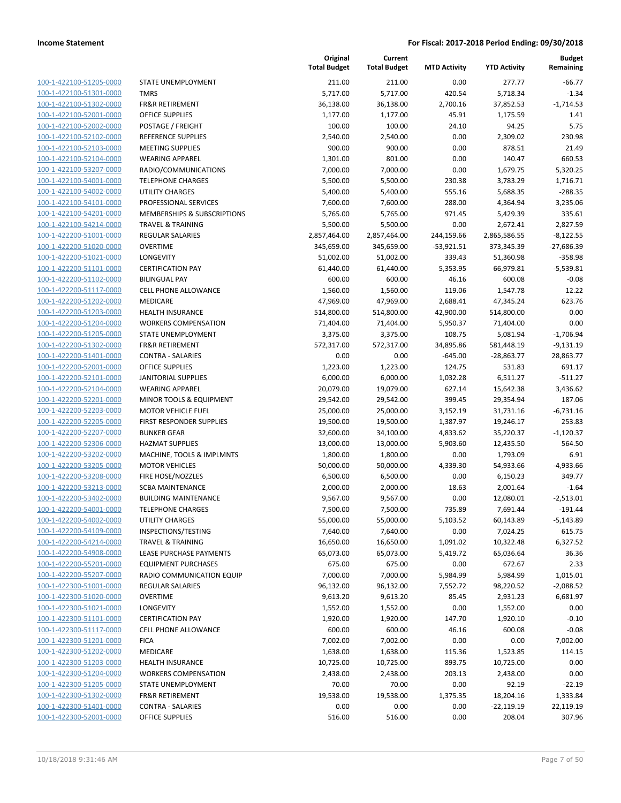100-1-422100-51205-0000 100-1-422100-51301-0000 100-1-422100-51302-0000 100-1-422100-52001-0000 100-1-422100-52002-0000 100-1-422100-52102-0000 100-1-422100-52103-0000 100-1-422100-52104-0000 100-1-422100-53207-0000 100-1-422100-54001-0000 100-1-422100-54002-0000 100-1-422100-54101-0000 100-1-422100-54201-0000 100-1-422100-54214-0000 100-1-422200-51001-0000 100-1-422200-51020-0000 100-1-422200-51021-0000 100-1-422200-51101-0000 100-1-422200-51102-0000 100-1-422200-51117-0000 100-1-422200-51202-0000 100-1-422200-51203-0000 100-1-422200-51204-0000 100-1-422200-51205-0000 100-1-422200-51302-0000 100-1-422200-51401-0000 100-1-422200-52001-0000 100-1-422200-52101-0000 100-1-422200-52104-0000 100-1-422200-52201-0000 100-1-422200-52203-0000 100-1-422200-52205-0000 100-1-422200-52207-0000 100-1-422200-52306-0000 100-1-422200-53202-0000 100-1-422200-53205-0000 100-1-422200-53208-0000 100-1-422200-53213-0000 100-1-422200-53402-0000 100-1-422200-54001-0000 100-1-422200-54002-0000 100-1-422200-54109-0000 100-1-422200-54214-0000 100-1-422200-54908-0000 100-1-422200-55201-0000 100-1-422200-55207-0000 100-1-422300-51001-0000 100-1-422300-51020-0000 100-1-422300-51021-0000 100-1-422300-51101-0000 100-1-422300-51117-0000 100-1-422300-51201-0000 100-1-422300-51202-0000 100-1-422300-51203-0000 100-1-422300-51204-0000 100-1-422300-51205-0000 100-1-422300-51302-0000 100-1-422300-51401-0000 100-1-422300-52001-0000

|                                                  | Original<br><b>Total Budget</b> | Current<br><b>Total Budget</b> | <b>MTD Activity</b> | <b>YTD Activity</b>      | <b>Budget</b><br>Remaining |
|--------------------------------------------------|---------------------------------|--------------------------------|---------------------|--------------------------|----------------------------|
|                                                  |                                 |                                |                     |                          |                            |
| STATE UNEMPLOYMENT                               | 211.00                          | 211.00                         | 0.00                | 277.77                   | $-66.77$                   |
| <b>TMRS</b>                                      | 5,717.00                        | 5,717.00                       | 420.54              | 5,718.34                 | $-1.34$                    |
| <b>FR&amp;R RETIREMENT</b>                       | 36,138.00                       | 36,138.00                      | 2,700.16            | 37,852.53                | $-1,714.53$                |
| <b>OFFICE SUPPLIES</b>                           | 1,177.00                        | 1,177.00                       | 45.91               | 1,175.59                 | 1.41                       |
| POSTAGE / FREIGHT                                | 100.00                          | 100.00                         | 24.10               | 94.25                    | 5.75                       |
| <b>REFERENCE SUPPLIES</b>                        | 2,540.00                        | 2,540.00                       | 0.00                | 2,309.02                 | 230.98                     |
| <b>MEETING SUPPLIES</b>                          | 900.00                          | 900.00                         | 0.00                | 878.51                   | 21.49                      |
| <b>WEARING APPAREL</b>                           | 1,301.00                        | 801.00                         | 0.00                | 140.47                   | 660.53                     |
| RADIO/COMMUNICATIONS                             | 7,000.00                        | 7,000.00                       | 0.00                | 1,679.75                 | 5,320.25                   |
| <b>TELEPHONE CHARGES</b>                         | 5,500.00                        | 5,500.00                       | 230.38              | 3,783.29                 | 1,716.71                   |
| UTILITY CHARGES                                  | 5,400.00                        | 5,400.00                       | 555.16              | 5,688.35                 | $-288.35$                  |
| PROFESSIONAL SERVICES                            | 7,600.00                        | 7,600.00                       | 288.00              | 4,364.94                 | 3,235.06                   |
| MEMBERSHIPS & SUBSCRIPTIONS                      | 5,765.00                        | 5,765.00                       | 971.45              | 5,429.39                 | 335.61                     |
| <b>TRAVEL &amp; TRAINING</b><br>REGULAR SALARIES | 5,500.00                        | 5,500.00                       | 0.00<br>244,159.66  | 2,672.41<br>2,865,586.55 | 2,827.59                   |
| <b>OVERTIME</b>                                  | 2,857,464.00<br>345,659.00      | 2,857,464.00<br>345,659.00     | $-53,921.51$        | 373,345.39               | $-8,122.55$                |
| LONGEVITY                                        | 51,002.00                       | 51,002.00                      | 339.43              | 51,360.98                | $-27,686.39$<br>$-358.98$  |
| <b>CERTIFICATION PAY</b>                         | 61,440.00                       | 61,440.00                      | 5,353.95            | 66,979.81                | $-5,539.81$                |
| <b>BILINGUAL PAY</b>                             | 600.00                          | 600.00                         | 46.16               | 600.08                   | $-0.08$                    |
| CELL PHONE ALLOWANCE                             | 1,560.00                        | 1,560.00                       | 119.06              | 1,547.78                 | 12.22                      |
| MEDICARE                                         | 47,969.00                       | 47,969.00                      | 2,688.41            | 47,345.24                | 623.76                     |
| <b>HEALTH INSURANCE</b>                          | 514,800.00                      | 514,800.00                     | 42,900.00           | 514,800.00               | 0.00                       |
| <b>WORKERS COMPENSATION</b>                      | 71,404.00                       | 71,404.00                      | 5,950.37            | 71,404.00                | 0.00                       |
| STATE UNEMPLOYMENT                               | 3,375.00                        | 3,375.00                       | 108.75              | 5,081.94                 | $-1,706.94$                |
| <b>FR&amp;R RETIREMENT</b>                       | 572,317.00                      | 572,317.00                     | 34,895.86           | 581,448.19               | $-9,131.19$                |
| <b>CONTRA - SALARIES</b>                         | 0.00                            | 0.00                           | $-645.00$           | $-28,863.77$             | 28,863.77                  |
| <b>OFFICE SUPPLIES</b>                           | 1,223.00                        | 1,223.00                       | 124.75              | 531.83                   | 691.17                     |
| <b>JANITORIAL SUPPLIES</b>                       | 6,000.00                        | 6,000.00                       | 1,032.28            | 6,511.27                 | $-511.27$                  |
| <b>WEARING APPAREL</b>                           | 20,079.00                       | 19,079.00                      | 627.14              | 15,642.38                | 3,436.62                   |
| MINOR TOOLS & EQUIPMENT                          | 29,542.00                       | 29,542.00                      | 399.45              | 29,354.94                | 187.06                     |
| <b>MOTOR VEHICLE FUEL</b>                        | 25,000.00                       | 25,000.00                      | 3,152.19            | 31,731.16                | $-6,731.16$                |
| FIRST RESPONDER SUPPLIES                         | 19,500.00                       | 19,500.00                      | 1,387.97            | 19,246.17                | 253.83                     |
| <b>BUNKER GEAR</b>                               | 32,600.00                       | 34,100.00                      | 4,833.62            | 35,220.37                | $-1,120.37$                |
| <b>HAZMAT SUPPLIES</b>                           | 13,000.00                       | 13,000.00                      | 5,903.60            | 12,435.50                | 564.50                     |
| MACHINE, TOOLS & IMPLMNTS                        | 1,800.00                        | 1,800.00                       | 0.00                | 1,793.09                 | 6.91                       |
| <b>MOTOR VEHICLES</b>                            | 50,000.00                       | 50,000.00                      | 4,339.30            | 54,933.66                | -4,933.66                  |
| FIRE HOSE/NOZZLES                                | 6,500.00                        | 6,500.00                       | 0.00                | 6,150.23                 | 349.77                     |
| <b>SCBA MAINTENANCE</b>                          | 2,000.00                        | 2,000.00                       | 18.63               | 2,001.64                 | $-1.64$                    |
| <b>BUILDING MAINTENANCE</b>                      | 9,567.00                        | 9,567.00                       | 0.00                | 12,080.01                | $-2,513.01$                |
| <b>TELEPHONE CHARGES</b>                         | 7,500.00                        | 7,500.00                       | 735.89              | 7,691.44                 | $-191.44$                  |
| UTILITY CHARGES                                  | 55,000.00                       | 55,000.00                      | 5,103.52            | 60,143.89                | $-5,143.89$                |
| INSPECTIONS/TESTING                              | 7,640.00                        | 7,640.00                       | 0.00                | 7,024.25                 | 615.75                     |
| <b>TRAVEL &amp; TRAINING</b>                     | 16,650.00                       | 16,650.00                      | 1,091.02            | 10,322.48                | 6,327.52                   |
| LEASE PURCHASE PAYMENTS                          | 65,073.00                       | 65,073.00                      | 5,419.72            | 65,036.64                | 36.36                      |
| <b>EQUIPMENT PURCHASES</b>                       | 675.00                          | 675.00                         | 0.00                | 672.67                   | 2.33                       |
| RADIO COMMUNICATION EQUIP                        | 7,000.00                        | 7,000.00                       | 5,984.99            | 5,984.99                 | 1,015.01                   |
| <b>REGULAR SALARIES</b>                          | 96,132.00                       | 96,132.00                      | 7,552.72            | 98,220.52                | $-2,088.52$                |
| <b>OVERTIME</b>                                  | 9,613.20                        | 9,613.20                       | 85.45               | 2,931.23                 | 6,681.97                   |
| LONGEVITY                                        | 1,552.00                        | 1,552.00                       | 0.00                | 1,552.00                 | 0.00                       |
| <b>CERTIFICATION PAY</b>                         | 1,920.00                        | 1,920.00                       | 147.70              | 1,920.10                 | $-0.10$                    |
| CELL PHONE ALLOWANCE                             | 600.00                          | 600.00                         | 46.16               | 600.08                   | $-0.08$                    |
| <b>FICA</b>                                      | 7,002.00                        | 7,002.00                       | 0.00                | 0.00                     | 7,002.00                   |
| MEDICARE                                         | 1,638.00                        | 1,638.00                       | 115.36              | 1,523.85                 | 114.15                     |
| HEALTH INSURANCE                                 | 10,725.00                       | 10,725.00                      | 893.75              | 10,725.00                | 0.00                       |
| <b>WORKERS COMPENSATION</b>                      | 2,438.00                        | 2,438.00                       | 203.13              | 2,438.00                 | 0.00                       |
| STATE UNEMPLOYMENT                               | 70.00                           | 70.00                          | 0.00                | 92.19                    | $-22.19$                   |
| <b>FR&amp;R RETIREMENT</b>                       | 19,538.00                       | 19,538.00                      | 1,375.35            | 18,204.16                | 1,333.84                   |
| <b>CONTRA - SALARIES</b>                         | 0.00                            | 0.00                           | 0.00                | $-22,119.19$             | 22,119.19                  |
| OFFICE SUPPLIES                                  | 516.00                          | 516.00                         | 0.00                | 208.04                   | 307.96                     |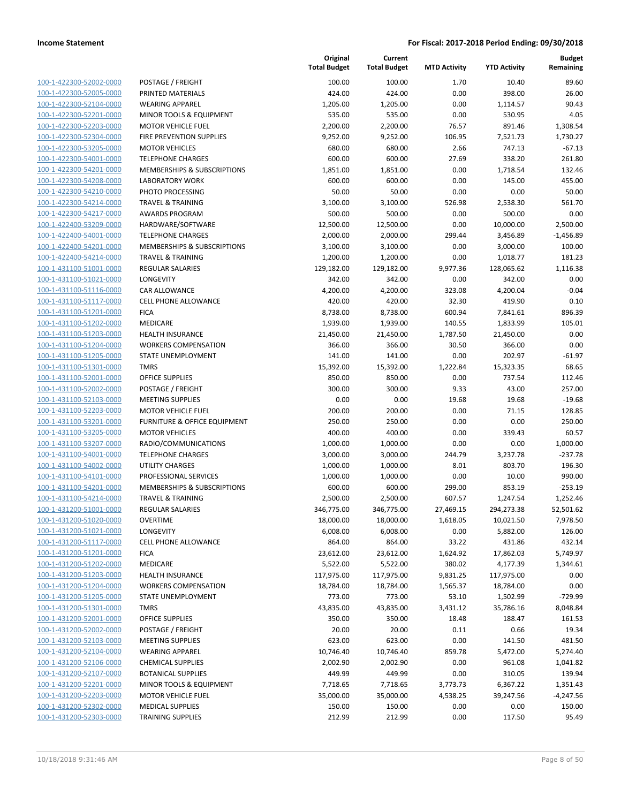| 100-1-422300-52002-0000<br>100-1-422300-52005-0000<br>100-1-422300-52104-0000<br>100-1-422300-52201-0000<br>100-1-422300-52203-0000<br>100-1-422300-52304-0000<br>100-1-422300-53205-0000<br>100-1-422300-54001-0000<br>100-1-422300-54201-0000<br>100-1-422300-54208-0000<br>100-1-422300-54210-0000<br>100-1-422300-54214-0000<br>100-1-422300-54217-0000<br>100-1-422400-53209-0000<br>100-1-422400-54001-0000<br>100-1-422400-54201-0000<br>100-1-422400-54214-0000<br>100-1-431100-51001-0000<br>100-1-431100-51021-0000<br>100-1-431100-51116-0000<br>100-1-431100-51117-0000<br>100-1-431100-51201-0000<br>100-1-431100-51202-0000<br>100-1-431100-51203-0000<br>100-1-431100-51204-0000<br>100-1-431100-51205-0000<br>100-1-431100-51301-0000<br>100-1-431100-52001-0000<br>100-1-431100-52002-0000<br>100-1-431100-52103-0000<br>100-1-431100-52203-0000<br>100-1-431100-53201-0000<br>100-1-431100-53205-0000<br>100-1-431100-53207-0000<br>100-1-431100-54001-<br>-0000<br>100-1-431100-54002-0000<br>100-1-431100-54101-0000<br>100-1-431100-54201-0000 |
|---------------------------------------------------------------------------------------------------------------------------------------------------------------------------------------------------------------------------------------------------------------------------------------------------------------------------------------------------------------------------------------------------------------------------------------------------------------------------------------------------------------------------------------------------------------------------------------------------------------------------------------------------------------------------------------------------------------------------------------------------------------------------------------------------------------------------------------------------------------------------------------------------------------------------------------------------------------------------------------------------------------------------------------------------------------------|
|                                                                                                                                                                                                                                                                                                                                                                                                                                                                                                                                                                                                                                                                                                                                                                                                                                                                                                                                                                                                                                                                     |
|                                                                                                                                                                                                                                                                                                                                                                                                                                                                                                                                                                                                                                                                                                                                                                                                                                                                                                                                                                                                                                                                     |
|                                                                                                                                                                                                                                                                                                                                                                                                                                                                                                                                                                                                                                                                                                                                                                                                                                                                                                                                                                                                                                                                     |
|                                                                                                                                                                                                                                                                                                                                                                                                                                                                                                                                                                                                                                                                                                                                                                                                                                                                                                                                                                                                                                                                     |
|                                                                                                                                                                                                                                                                                                                                                                                                                                                                                                                                                                                                                                                                                                                                                                                                                                                                                                                                                                                                                                                                     |
|                                                                                                                                                                                                                                                                                                                                                                                                                                                                                                                                                                                                                                                                                                                                                                                                                                                                                                                                                                                                                                                                     |
|                                                                                                                                                                                                                                                                                                                                                                                                                                                                                                                                                                                                                                                                                                                                                                                                                                                                                                                                                                                                                                                                     |
|                                                                                                                                                                                                                                                                                                                                                                                                                                                                                                                                                                                                                                                                                                                                                                                                                                                                                                                                                                                                                                                                     |
|                                                                                                                                                                                                                                                                                                                                                                                                                                                                                                                                                                                                                                                                                                                                                                                                                                                                                                                                                                                                                                                                     |
|                                                                                                                                                                                                                                                                                                                                                                                                                                                                                                                                                                                                                                                                                                                                                                                                                                                                                                                                                                                                                                                                     |
|                                                                                                                                                                                                                                                                                                                                                                                                                                                                                                                                                                                                                                                                                                                                                                                                                                                                                                                                                                                                                                                                     |
|                                                                                                                                                                                                                                                                                                                                                                                                                                                                                                                                                                                                                                                                                                                                                                                                                                                                                                                                                                                                                                                                     |
|                                                                                                                                                                                                                                                                                                                                                                                                                                                                                                                                                                                                                                                                                                                                                                                                                                                                                                                                                                                                                                                                     |
|                                                                                                                                                                                                                                                                                                                                                                                                                                                                                                                                                                                                                                                                                                                                                                                                                                                                                                                                                                                                                                                                     |
|                                                                                                                                                                                                                                                                                                                                                                                                                                                                                                                                                                                                                                                                                                                                                                                                                                                                                                                                                                                                                                                                     |
|                                                                                                                                                                                                                                                                                                                                                                                                                                                                                                                                                                                                                                                                                                                                                                                                                                                                                                                                                                                                                                                                     |
|                                                                                                                                                                                                                                                                                                                                                                                                                                                                                                                                                                                                                                                                                                                                                                                                                                                                                                                                                                                                                                                                     |
|                                                                                                                                                                                                                                                                                                                                                                                                                                                                                                                                                                                                                                                                                                                                                                                                                                                                                                                                                                                                                                                                     |
|                                                                                                                                                                                                                                                                                                                                                                                                                                                                                                                                                                                                                                                                                                                                                                                                                                                                                                                                                                                                                                                                     |
|                                                                                                                                                                                                                                                                                                                                                                                                                                                                                                                                                                                                                                                                                                                                                                                                                                                                                                                                                                                                                                                                     |
|                                                                                                                                                                                                                                                                                                                                                                                                                                                                                                                                                                                                                                                                                                                                                                                                                                                                                                                                                                                                                                                                     |
|                                                                                                                                                                                                                                                                                                                                                                                                                                                                                                                                                                                                                                                                                                                                                                                                                                                                                                                                                                                                                                                                     |
|                                                                                                                                                                                                                                                                                                                                                                                                                                                                                                                                                                                                                                                                                                                                                                                                                                                                                                                                                                                                                                                                     |
|                                                                                                                                                                                                                                                                                                                                                                                                                                                                                                                                                                                                                                                                                                                                                                                                                                                                                                                                                                                                                                                                     |
|                                                                                                                                                                                                                                                                                                                                                                                                                                                                                                                                                                                                                                                                                                                                                                                                                                                                                                                                                                                                                                                                     |
|                                                                                                                                                                                                                                                                                                                                                                                                                                                                                                                                                                                                                                                                                                                                                                                                                                                                                                                                                                                                                                                                     |
|                                                                                                                                                                                                                                                                                                                                                                                                                                                                                                                                                                                                                                                                                                                                                                                                                                                                                                                                                                                                                                                                     |
|                                                                                                                                                                                                                                                                                                                                                                                                                                                                                                                                                                                                                                                                                                                                                                                                                                                                                                                                                                                                                                                                     |
|                                                                                                                                                                                                                                                                                                                                                                                                                                                                                                                                                                                                                                                                                                                                                                                                                                                                                                                                                                                                                                                                     |
|                                                                                                                                                                                                                                                                                                                                                                                                                                                                                                                                                                                                                                                                                                                                                                                                                                                                                                                                                                                                                                                                     |
|                                                                                                                                                                                                                                                                                                                                                                                                                                                                                                                                                                                                                                                                                                                                                                                                                                                                                                                                                                                                                                                                     |
|                                                                                                                                                                                                                                                                                                                                                                                                                                                                                                                                                                                                                                                                                                                                                                                                                                                                                                                                                                                                                                                                     |
|                                                                                                                                                                                                                                                                                                                                                                                                                                                                                                                                                                                                                                                                                                                                                                                                                                                                                                                                                                                                                                                                     |
|                                                                                                                                                                                                                                                                                                                                                                                                                                                                                                                                                                                                                                                                                                                                                                                                                                                                                                                                                                                                                                                                     |
|                                                                                                                                                                                                                                                                                                                                                                                                                                                                                                                                                                                                                                                                                                                                                                                                                                                                                                                                                                                                                                                                     |
|                                                                                                                                                                                                                                                                                                                                                                                                                                                                                                                                                                                                                                                                                                                                                                                                                                                                                                                                                                                                                                                                     |
|                                                                                                                                                                                                                                                                                                                                                                                                                                                                                                                                                                                                                                                                                                                                                                                                                                                                                                                                                                                                                                                                     |
|                                                                                                                                                                                                                                                                                                                                                                                                                                                                                                                                                                                                                                                                                                                                                                                                                                                                                                                                                                                                                                                                     |
|                                                                                                                                                                                                                                                                                                                                                                                                                                                                                                                                                                                                                                                                                                                                                                                                                                                                                                                                                                                                                                                                     |
| 100-1-431100-54214-0000                                                                                                                                                                                                                                                                                                                                                                                                                                                                                                                                                                                                                                                                                                                                                                                                                                                                                                                                                                                                                                             |
| 100-1-431200-51001-0000                                                                                                                                                                                                                                                                                                                                                                                                                                                                                                                                                                                                                                                                                                                                                                                                                                                                                                                                                                                                                                             |
| 100-1-431200-51020-0000                                                                                                                                                                                                                                                                                                                                                                                                                                                                                                                                                                                                                                                                                                                                                                                                                                                                                                                                                                                                                                             |
| 100-1-431200-51021-0000                                                                                                                                                                                                                                                                                                                                                                                                                                                                                                                                                                                                                                                                                                                                                                                                                                                                                                                                                                                                                                             |
| <u>100-1-431200-51117-0000</u>                                                                                                                                                                                                                                                                                                                                                                                                                                                                                                                                                                                                                                                                                                                                                                                                                                                                                                                                                                                                                                      |
| 100-1-431200-51201-0000                                                                                                                                                                                                                                                                                                                                                                                                                                                                                                                                                                                                                                                                                                                                                                                                                                                                                                                                                                                                                                             |
| 100-1-431200-51202-0000                                                                                                                                                                                                                                                                                                                                                                                                                                                                                                                                                                                                                                                                                                                                                                                                                                                                                                                                                                                                                                             |
| 100-1-431200-51203-0000                                                                                                                                                                                                                                                                                                                                                                                                                                                                                                                                                                                                                                                                                                                                                                                                                                                                                                                                                                                                                                             |
|                                                                                                                                                                                                                                                                                                                                                                                                                                                                                                                                                                                                                                                                                                                                                                                                                                                                                                                                                                                                                                                                     |
| 100-1-431200-51204-0000                                                                                                                                                                                                                                                                                                                                                                                                                                                                                                                                                                                                                                                                                                                                                                                                                                                                                                                                                                                                                                             |
| 100-1-431200-51205-0000                                                                                                                                                                                                                                                                                                                                                                                                                                                                                                                                                                                                                                                                                                                                                                                                                                                                                                                                                                                                                                             |
| 100-1-431200-51301-0000                                                                                                                                                                                                                                                                                                                                                                                                                                                                                                                                                                                                                                                                                                                                                                                                                                                                                                                                                                                                                                             |
| 100-1-431200-52001-0000                                                                                                                                                                                                                                                                                                                                                                                                                                                                                                                                                                                                                                                                                                                                                                                                                                                                                                                                                                                                                                             |
|                                                                                                                                                                                                                                                                                                                                                                                                                                                                                                                                                                                                                                                                                                                                                                                                                                                                                                                                                                                                                                                                     |
| 100-1-431200-52002-0000                                                                                                                                                                                                                                                                                                                                                                                                                                                                                                                                                                                                                                                                                                                                                                                                                                                                                                                                                                                                                                             |
| 100-1-431200-52103-0000                                                                                                                                                                                                                                                                                                                                                                                                                                                                                                                                                                                                                                                                                                                                                                                                                                                                                                                                                                                                                                             |
| <u>100-1-431200-52104-0000</u>                                                                                                                                                                                                                                                                                                                                                                                                                                                                                                                                                                                                                                                                                                                                                                                                                                                                                                                                                                                                                                      |
| 100-1-431200-52106-0000                                                                                                                                                                                                                                                                                                                                                                                                                                                                                                                                                                                                                                                                                                                                                                                                                                                                                                                                                                                                                                             |
| 1-431200-52107-0000<br><u> 100-</u>                                                                                                                                                                                                                                                                                                                                                                                                                                                                                                                                                                                                                                                                                                                                                                                                                                                                                                                                                                                                                                 |
| 100-1-431200-52201-0000                                                                                                                                                                                                                                                                                                                                                                                                                                                                                                                                                                                                                                                                                                                                                                                                                                                                                                                                                                                                                                             |
| 100-1-431200-52203-0000                                                                                                                                                                                                                                                                                                                                                                                                                                                                                                                                                                                                                                                                                                                                                                                                                                                                                                                                                                                                                                             |
| <u>100-1-431200-52302-0000</u>                                                                                                                                                                                                                                                                                                                                                                                                                                                                                                                                                                                                                                                                                                                                                                                                                                                                                                                                                                                                                                      |

|                                                    |                                                  | Original<br><b>Total Budget</b> | Current<br><b>Total Budget</b> | <b>MTD Activity</b> | <b>YTD Activity</b> | <b>Budget</b><br>Remaining |
|----------------------------------------------------|--------------------------------------------------|---------------------------------|--------------------------------|---------------------|---------------------|----------------------------|
| 100-1-422300-52002-0000                            | POSTAGE / FREIGHT                                | 100.00                          | 100.00                         | 1.70                | 10.40               | 89.60                      |
| 100-1-422300-52005-0000                            | PRINTED MATERIALS                                | 424.00                          | 424.00                         | 0.00                | 398.00              | 26.00                      |
| 100-1-422300-52104-0000                            | <b>WEARING APPAREL</b>                           | 1,205.00                        | 1,205.00                       | 0.00                | 1,114.57            | 90.43                      |
| 100-1-422300-52201-0000                            | MINOR TOOLS & EQUIPMENT                          | 535.00                          | 535.00                         | 0.00                | 530.95              | 4.05                       |
| 100-1-422300-52203-0000                            | <b>MOTOR VEHICLE FUEL</b>                        | 2,200.00                        | 2,200.00                       | 76.57               | 891.46              | 1,308.54                   |
| 100-1-422300-52304-0000                            | FIRE PREVENTION SUPPLIES                         | 9,252.00                        | 9,252.00                       | 106.95              | 7,521.73            | 1,730.27                   |
| 100-1-422300-53205-0000                            | <b>MOTOR VEHICLES</b>                            | 680.00                          | 680.00                         | 2.66                | 747.13              | $-67.13$                   |
| 100-1-422300-54001-0000                            | <b>TELEPHONE CHARGES</b>                         | 600.00                          | 600.00                         | 27.69               | 338.20              | 261.80                     |
| 100-1-422300-54201-0000                            | <b>MEMBERSHIPS &amp; SUBSCRIPTIONS</b>           | 1,851.00                        | 1,851.00                       | 0.00                | 1,718.54            | 132.46                     |
| 100-1-422300-54208-0000                            | <b>LABORATORY WORK</b>                           | 600.00                          | 600.00                         | 0.00                | 145.00              | 455.00                     |
| 100-1-422300-54210-0000                            | PHOTO PROCESSING                                 | 50.00                           | 50.00                          | 0.00                | 0.00                | 50.00                      |
| 100-1-422300-54214-0000                            | <b>TRAVEL &amp; TRAINING</b>                     | 3,100.00                        | 3,100.00                       | 526.98              | 2,538.30            | 561.70                     |
| 100-1-422300-54217-0000                            | <b>AWARDS PROGRAM</b>                            | 500.00                          | 500.00                         | 0.00                | 500.00              | 0.00                       |
| 100-1-422400-53209-0000                            | HARDWARE/SOFTWARE                                | 12,500.00                       | 12,500.00                      | 0.00                | 10,000.00           | 2,500.00                   |
| 100-1-422400-54001-0000                            | <b>TELEPHONE CHARGES</b>                         | 2,000.00                        | 2,000.00                       | 299.44              | 3,456.89            | $-1,456.89$                |
| 100-1-422400-54201-0000                            | MEMBERSHIPS & SUBSCRIPTIONS                      | 3,100.00                        | 3,100.00                       | 0.00                | 3,000.00            | 100.00                     |
| 100-1-422400-54214-0000                            | <b>TRAVEL &amp; TRAINING</b>                     | 1,200.00                        | 1,200.00                       | 0.00                | 1,018.77            | 181.23                     |
| 100-1-431100-51001-0000                            | REGULAR SALARIES                                 | 129,182.00                      | 129,182.00                     | 9,977.36            | 128,065.62          | 1,116.38                   |
| 100-1-431100-51021-0000                            | LONGEVITY                                        | 342.00                          | 342.00                         | 0.00                | 342.00              | 0.00                       |
| 100-1-431100-51116-0000                            | <b>CAR ALLOWANCE</b>                             | 4,200.00                        | 4,200.00                       | 323.08              | 4,200.04            | $-0.04$                    |
| 100-1-431100-51117-0000                            | CELL PHONE ALLOWANCE                             | 420.00                          | 420.00                         | 32.30               | 419.90              | 0.10                       |
| 100-1-431100-51201-0000                            | <b>FICA</b>                                      | 8,738.00                        | 8,738.00                       | 600.94              | 7,841.61            | 896.39                     |
| 100-1-431100-51202-0000                            | MEDICARE                                         | 1,939.00                        | 1,939.00                       | 140.55              | 1,833.99            | 105.01                     |
| 100-1-431100-51203-0000                            | <b>HEALTH INSURANCE</b>                          | 21,450.00                       | 21,450.00                      | 1,787.50            | 21,450.00           | 0.00                       |
| 100-1-431100-51204-0000                            | <b>WORKERS COMPENSATION</b>                      | 366.00                          | 366.00                         | 30.50               | 366.00              | 0.00                       |
| 100-1-431100-51205-0000                            | STATE UNEMPLOYMENT                               | 141.00                          | 141.00                         | 0.00                | 202.97              | $-61.97$                   |
| 100-1-431100-51301-0000                            | <b>TMRS</b>                                      | 15,392.00                       | 15,392.00                      | 1,222.84            | 15,323.35           | 68.65                      |
| 100-1-431100-52001-0000                            | <b>OFFICE SUPPLIES</b>                           | 850.00                          | 850.00                         | 0.00                | 737.54              | 112.46                     |
| 100-1-431100-52002-0000                            | POSTAGE / FREIGHT                                | 300.00                          | 300.00                         | 9.33                | 43.00               | 257.00                     |
| 100-1-431100-52103-0000                            | <b>MEETING SUPPLIES</b>                          | 0.00                            | 0.00                           | 19.68               | 19.68               | $-19.68$                   |
| 100-1-431100-52203-0000                            | <b>MOTOR VEHICLE FUEL</b>                        | 200.00                          | 200.00                         | 0.00                | 71.15               | 128.85                     |
| 100-1-431100-53201-0000                            | FURNITURE & OFFICE EQUIPMENT                     | 250.00                          | 250.00                         | 0.00                | 0.00                | 250.00                     |
| 100-1-431100-53205-0000                            | <b>MOTOR VEHICLES</b>                            | 400.00                          | 400.00                         | 0.00                | 339.43              | 60.57                      |
| 100-1-431100-53207-0000                            | RADIO/COMMUNICATIONS<br><b>TELEPHONE CHARGES</b> | 1,000.00                        | 1,000.00                       | 0.00                | 0.00                | 1,000.00                   |
| 100-1-431100-54001-0000<br>100-1-431100-54002-0000 | <b>UTILITY CHARGES</b>                           | 3,000.00                        | 3,000.00                       | 244.79<br>8.01      | 3,237.78<br>803.70  | $-237.78$<br>196.30        |
| 100-1-431100-54101-0000                            | PROFESSIONAL SERVICES                            | 1,000.00<br>1,000.00            | 1,000.00                       | 0.00                | 10.00               | 990.00                     |
| 100-1-431100-54201-0000                            | MEMBERSHIPS & SUBSCRIPTIONS                      | 600.00                          | 1,000.00<br>600.00             | 299.00              | 853.19              | $-253.19$                  |
| 100-1-431100-54214-0000                            | <b>TRAVEL &amp; TRAINING</b>                     | 2,500.00                        | 2,500.00                       | 607.57              | 1,247.54            | 1,252.46                   |
| 100-1-431200-51001-0000                            | <b>REGULAR SALARIES</b>                          | 346,775.00                      | 346,775.00                     | 27,469.15           | 294,273.38          | 52,501.62                  |
| 100-1-431200-51020-0000                            | OVERTIME                                         | 18,000.00                       | 18,000.00                      | 1,618.05            | 10,021.50           | 7,978.50                   |
| 100-1-431200-51021-0000                            | LONGEVITY                                        | 6,008.00                        | 6,008.00                       | 0.00                | 5,882.00            | 126.00                     |
| 100-1-431200-51117-0000                            | CELL PHONE ALLOWANCE                             | 864.00                          | 864.00                         | 33.22               | 431.86              | 432.14                     |
| 100-1-431200-51201-0000                            | <b>FICA</b>                                      | 23,612.00                       | 23,612.00                      | 1,624.92            | 17,862.03           | 5,749.97                   |
| 100-1-431200-51202-0000                            | MEDICARE                                         | 5,522.00                        | 5,522.00                       | 380.02              | 4,177.39            | 1,344.61                   |
| 100-1-431200-51203-0000                            | <b>HEALTH INSURANCE</b>                          | 117,975.00                      | 117,975.00                     | 9,831.25            | 117,975.00          | 0.00                       |
| 100-1-431200-51204-0000                            | <b>WORKERS COMPENSATION</b>                      | 18,784.00                       | 18,784.00                      | 1,565.37            | 18,784.00           | 0.00                       |
| 100-1-431200-51205-0000                            | STATE UNEMPLOYMENT                               | 773.00                          | 773.00                         | 53.10               | 1,502.99            | -729.99                    |
| 100-1-431200-51301-0000                            | <b>TMRS</b>                                      | 43,835.00                       | 43,835.00                      | 3,431.12            | 35,786.16           | 8,048.84                   |
| 100-1-431200-52001-0000                            | <b>OFFICE SUPPLIES</b>                           | 350.00                          | 350.00                         | 18.48               | 188.47              | 161.53                     |
| 100-1-431200-52002-0000                            | POSTAGE / FREIGHT                                | 20.00                           | 20.00                          | 0.11                | 0.66                | 19.34                      |
| 100-1-431200-52103-0000                            | <b>MEETING SUPPLIES</b>                          | 623.00                          | 623.00                         | 0.00                | 141.50              | 481.50                     |
| 100-1-431200-52104-0000                            | <b>WEARING APPAREL</b>                           | 10,746.40                       | 10,746.40                      | 859.78              | 5,472.00            | 5,274.40                   |
| 100-1-431200-52106-0000                            | <b>CHEMICAL SUPPLIES</b>                         | 2,002.90                        | 2,002.90                       | 0.00                | 961.08              | 1,041.82                   |
| 100-1-431200-52107-0000                            | <b>BOTANICAL SUPPLIES</b>                        | 449.99                          | 449.99                         | 0.00                | 310.05              | 139.94                     |
| 100-1-431200-52201-0000                            | MINOR TOOLS & EQUIPMENT                          | 7,718.65                        | 7,718.65                       | 3,773.73            | 6,367.22            | 1,351.43                   |
| 100-1-431200-52203-0000                            | <b>MOTOR VEHICLE FUEL</b>                        | 35,000.00                       | 35,000.00                      | 4,538.25            | 39,247.56           | $-4,247.56$                |
| 100-1-431200-52302-0000                            | <b>MEDICAL SUPPLIES</b>                          | 150.00                          | 150.00                         | 0.00                | 0.00                | 150.00                     |
| 100-1-431200-52303-0000                            | <b>TRAINING SUPPLIES</b>                         | 212.99                          | 212.99                         | 0.00                | 117.50              | 95.49                      |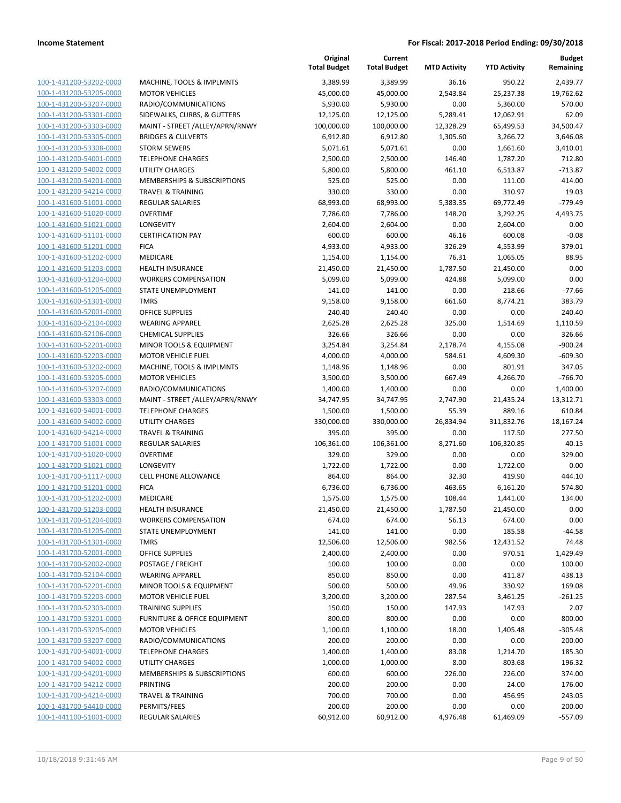| 100-1-431200-53202-0000        |
|--------------------------------|
| 100-1-431200-53205-0000        |
| 100-1-431200-53207-0000        |
| 100-1-431200-53301-0000        |
| 100-1-431200-53303-0000        |
| 100-1-431200-53305-0000        |
| 100-1-431200-53308-0000        |
| 100-1-431200-54001-0000        |
| 100-1-431200-54002-0000        |
| 100-1-431200-54201-0000        |
| 100-1-431200-54214-0000        |
|                                |
| 100-1-431600-51001-0000        |
| 100-1-431600-51020-0000        |
| 100-1-431600-51021-0000        |
| 100-1-431600-51101-0000        |
| 100-1-431600-51201-0000        |
| 100-1-431600-51202-0000        |
| 100-1-431600-51203-0000        |
| 100-1-431600-51204-0000        |
| 100-1-431600-51205-0000        |
| 100-1-431600-51301-0000        |
| 100-1-431600-52001-0000        |
| 100-1-431600-52104-0000        |
| 100-1-431600-52106-0000        |
| 100-1-431600-52201-0000        |
| 100-1-431600-52203-0000        |
|                                |
| 100-1-431600-53202-0000        |
| 100-1-431600-53205-0000        |
| 100-1-431600-53207-0000        |
| 100-1-431600-53303-0000        |
| 100-1-431600-54001-0000        |
| 100-1-431600-54002-0000        |
| 100-1-431600-54214-0000        |
| 100-1-431700-51001-0000        |
| 100-1-431700-51020-0000        |
| 100-1-431700-51021-0000        |
| 100-1-431700-51117-0000        |
| 100-1-431700-51201-0000        |
| 100-1-431700-51202-0000        |
| 100-1-431700-51203-0000        |
| 100-1-431700-51204-0000        |
| 100-1-431700-51205-0000        |
| 100-1-431700-51301-0000        |
|                                |
| <u>100-1-431700-52001-0000</u> |
| <u>100-1-431700-52002-0000</u> |
| 100-1-431700-52104-0000        |
| <u>100-1-431700-52201-0000</u> |
| <u>100-1-431700-52203-0000</u> |
| <u>100-1-431700-52303-0000</u> |
| <u>100-1-431700-53201-0000</u> |
| 100-1-431700-53205-0000        |
| 100-1-431700-53207-0000        |
| <u>100-1-431700-54001-0000</u> |
| <u>100-1-431700-54002-0000</u> |
| <u>100-1-431700-54201-0000</u> |
| 100-1-431700-54212-0000        |
| <u>100-1-431700-54214-0000</u> |
| <u>100-1-431700-54410-0000</u> |
|                                |
| <u>100-1-441100-51001-0000</u> |

|                         |                                         | Original<br><b>Total Budget</b> | Current<br><b>Total Budget</b> | <b>MTD Activity</b> | <b>YTD Activity</b> | <b>Budget</b><br>Remaining |
|-------------------------|-----------------------------------------|---------------------------------|--------------------------------|---------------------|---------------------|----------------------------|
| 100-1-431200-53202-0000 | MACHINE, TOOLS & IMPLMNTS               | 3,389.99                        | 3,389.99                       | 36.16               | 950.22              | 2,439.77                   |
| 100-1-431200-53205-0000 | <b>MOTOR VEHICLES</b>                   | 45,000.00                       | 45,000.00                      | 2,543.84            | 25,237.38           | 19,762.62                  |
| 100-1-431200-53207-0000 | RADIO/COMMUNICATIONS                    | 5,930.00                        | 5,930.00                       | 0.00                | 5,360.00            | 570.00                     |
| 100-1-431200-53301-0000 | SIDEWALKS, CURBS, & GUTTERS             | 12,125.00                       | 12,125.00                      | 5,289.41            | 12,062.91           | 62.09                      |
| 100-1-431200-53303-0000 | MAINT - STREET / ALLEY/APRN/RNWY        | 100,000.00                      | 100,000.00                     | 12,328.29           | 65,499.53           | 34,500.47                  |
| 100-1-431200-53305-0000 | <b>BRIDGES &amp; CULVERTS</b>           | 6,912.80                        | 6,912.80                       | 1,305.60            | 3,266.72            | 3,646.08                   |
| 100-1-431200-53308-0000 | <b>STORM SEWERS</b>                     | 5,071.61                        | 5,071.61                       | 0.00                | 1,661.60            | 3,410.01                   |
| 100-1-431200-54001-0000 | <b>TELEPHONE CHARGES</b>                | 2,500.00                        | 2,500.00                       | 146.40              | 1,787.20            | 712.80                     |
| 100-1-431200-54002-0000 | <b>UTILITY CHARGES</b>                  | 5,800.00                        | 5,800.00                       | 461.10              | 6,513.87            | $-713.87$                  |
| 100-1-431200-54201-0000 | MEMBERSHIPS & SUBSCRIPTIONS             | 525.00                          | 525.00                         | 0.00                | 111.00              | 414.00                     |
| 100-1-431200-54214-0000 | <b>TRAVEL &amp; TRAINING</b>            | 330.00                          | 330.00                         | 0.00                | 310.97              | 19.03                      |
| 100-1-431600-51001-0000 | REGULAR SALARIES                        | 68,993.00                       | 68,993.00                      | 5,383.35            | 69,772.49           | $-779.49$                  |
| 100-1-431600-51020-0000 | <b>OVERTIME</b>                         | 7,786.00                        | 7,786.00                       | 148.20              | 3,292.25            | 4,493.75                   |
| 100-1-431600-51021-0000 | LONGEVITY                               | 2,604.00                        | 2,604.00                       | 0.00                | 2,604.00            | 0.00                       |
| 100-1-431600-51101-0000 | <b>CERTIFICATION PAY</b>                | 600.00                          | 600.00                         | 46.16               | 600.08              | $-0.08$                    |
| 100-1-431600-51201-0000 | <b>FICA</b>                             | 4,933.00                        | 4,933.00                       | 326.29              | 4,553.99            | 379.01                     |
| 100-1-431600-51202-0000 | MEDICARE                                | 1,154.00                        | 1,154.00                       | 76.31               | 1,065.05            | 88.95                      |
| 100-1-431600-51203-0000 | <b>HEALTH INSURANCE</b>                 | 21,450.00                       | 21,450.00                      | 1,787.50            | 21,450.00           | 0.00                       |
| 100-1-431600-51204-0000 | <b>WORKERS COMPENSATION</b>             | 5,099.00                        | 5,099.00                       | 424.88              | 5,099.00            | 0.00                       |
| 100-1-431600-51205-0000 | <b>STATE UNEMPLOYMENT</b>               | 141.00                          | 141.00                         | 0.00                | 218.66              | $-77.66$                   |
| 100-1-431600-51301-0000 | <b>TMRS</b>                             | 9,158.00                        | 9,158.00                       | 661.60              | 8,774.21            | 383.79                     |
| 100-1-431600-52001-0000 | <b>OFFICE SUPPLIES</b>                  | 240.40                          | 240.40                         | 0.00                | 0.00                | 240.40                     |
| 100-1-431600-52104-0000 | <b>WEARING APPAREL</b>                  | 2,625.28                        | 2,625.28                       | 325.00              | 1,514.69            | 1,110.59                   |
| 100-1-431600-52106-0000 | <b>CHEMICAL SUPPLIES</b>                | 326.66                          | 326.66                         | 0.00                | 0.00                | 326.66                     |
| 100-1-431600-52201-0000 | MINOR TOOLS & EQUIPMENT                 | 3,254.84                        | 3,254.84                       | 2,178.74            | 4,155.08            | $-900.24$                  |
| 100-1-431600-52203-0000 | <b>MOTOR VEHICLE FUEL</b>               | 4,000.00                        | 4,000.00                       | 584.61              | 4,609.30            | $-609.30$                  |
| 100-1-431600-53202-0000 | MACHINE, TOOLS & IMPLMNTS               | 1,148.96                        | 1,148.96                       | 0.00                | 801.91              | 347.05                     |
| 100-1-431600-53205-0000 | <b>MOTOR VEHICLES</b>                   | 3,500.00                        | 3,500.00                       | 667.49              | 4,266.70            | $-766.70$                  |
| 100-1-431600-53207-0000 | RADIO/COMMUNICATIONS                    | 1,400.00                        | 1,400.00                       | 0.00                | 0.00                | 1,400.00                   |
| 100-1-431600-53303-0000 | MAINT - STREET /ALLEY/APRN/RNWY         | 34,747.95                       | 34,747.95                      | 2,747.90            | 21,435.24           | 13,312.71                  |
| 100-1-431600-54001-0000 | <b>TELEPHONE CHARGES</b>                | 1,500.00                        | 1,500.00                       | 55.39               | 889.16              | 610.84                     |
| 100-1-431600-54002-0000 | UTILITY CHARGES                         | 330,000.00                      | 330,000.00                     | 26,834.94           | 311,832.76          | 18,167.24                  |
| 100-1-431600-54214-0000 | <b>TRAVEL &amp; TRAINING</b>            | 395.00                          | 395.00                         | 0.00                | 117.50              | 277.50                     |
| 100-1-431700-51001-0000 | REGULAR SALARIES                        | 106,361.00                      | 106,361.00                     | 8,271.60            | 106,320.85          | 40.15                      |
| 100-1-431700-51020-0000 | <b>OVERTIME</b>                         | 329.00                          | 329.00                         | 0.00                | 0.00                | 329.00                     |
| 100-1-431700-51021-0000 | LONGEVITY                               | 1,722.00                        | 1,722.00                       | 0.00                | 1,722.00            | 0.00                       |
| 100-1-431700-51117-0000 | CELL PHONE ALLOWANCE                    | 864.00                          | 864.00                         | 32.30               | 419.90              | 444.10                     |
| 100-1-431700-51201-0000 | <b>FICA</b>                             | 6,736.00                        | 6,736.00                       | 463.65              | 6,161.20            | 574.80                     |
| 100-1-431700-51202-0000 | MEDICARE                                | 1,575.00                        | 1,575.00                       | 108.44              | 1,441.00            | 134.00                     |
| 100-1-431700-51203-0000 | <b>HEALTH INSURANCE</b>                 | 21,450.00                       | 21,450.00                      | 1,787.50            | 21,450.00           | 0.00                       |
| 100-1-431700-51204-0000 | <b>WORKERS COMPENSATION</b>             | 674.00                          | 674.00                         | 56.13               | 674.00              | 0.00                       |
| 100-1-431700-51205-0000 | STATE UNEMPLOYMENT                      | 141.00                          | 141.00                         | 0.00                | 185.58              | $-44.58$                   |
| 100-1-431700-51301-0000 | <b>TMRS</b>                             | 12,506.00                       | 12,506.00                      | 982.56              | 12,431.52           | 74.48                      |
| 100-1-431700-52001-0000 | <b>OFFICE SUPPLIES</b>                  | 2,400.00                        | 2,400.00                       | 0.00                | 970.51              | 1,429.49                   |
| 100-1-431700-52002-0000 | POSTAGE / FREIGHT                       | 100.00                          | 100.00                         | 0.00                | 0.00                | 100.00                     |
| 100-1-431700-52104-0000 | <b>WEARING APPAREL</b>                  | 850.00                          | 850.00                         | 0.00                | 411.87              | 438.13                     |
| 100-1-431700-52201-0000 | MINOR TOOLS & EQUIPMENT                 | 500.00                          | 500.00                         | 49.96               | 330.92              | 169.08                     |
| 100-1-431700-52203-0000 | <b>MOTOR VEHICLE FUEL</b>               | 3,200.00                        | 3,200.00                       | 287.54              | 3,461.25            | $-261.25$                  |
| 100-1-431700-52303-0000 | <b>TRAINING SUPPLIES</b>                | 150.00                          | 150.00                         | 147.93              | 147.93              | 2.07                       |
| 100-1-431700-53201-0000 | <b>FURNITURE &amp; OFFICE EQUIPMENT</b> | 800.00                          | 800.00                         | 0.00                | 0.00                | 800.00                     |
| 100-1-431700-53205-0000 | <b>MOTOR VEHICLES</b>                   | 1,100.00                        | 1,100.00                       | 18.00               | 1,405.48            | $-305.48$                  |
| 100-1-431700-53207-0000 | RADIO/COMMUNICATIONS                    | 200.00                          | 200.00                         | 0.00                | 0.00                | 200.00                     |
| 100-1-431700-54001-0000 | <b>TELEPHONE CHARGES</b>                | 1,400.00                        | 1,400.00                       | 83.08               | 1,214.70            | 185.30                     |
| 100-1-431700-54002-0000 | <b>UTILITY CHARGES</b>                  | 1,000.00                        | 1,000.00                       | 8.00                | 803.68              | 196.32                     |
| 100-1-431700-54201-0000 | MEMBERSHIPS & SUBSCRIPTIONS             | 600.00                          | 600.00                         | 226.00              | 226.00              | 374.00                     |
| 100-1-431700-54212-0000 | PRINTING                                | 200.00                          | 200.00                         | 0.00                | 24.00               | 176.00                     |
| 100-1-431700-54214-0000 | <b>TRAVEL &amp; TRAINING</b>            | 700.00                          | 700.00                         | 0.00                | 456.95              | 243.05                     |
| 100-1-431700-54410-0000 | PERMITS/FEES                            | 200.00                          | 200.00                         | 0.00                | 0.00                | 200.00                     |
| 100-1-441100-51001-0000 | <b>REGULAR SALARIES</b>                 | 60,912.00                       | 60,912.00                      | 4,976.48            | 61,469.09           | $-557.09$                  |
|                         |                                         |                                 |                                |                     |                     |                            |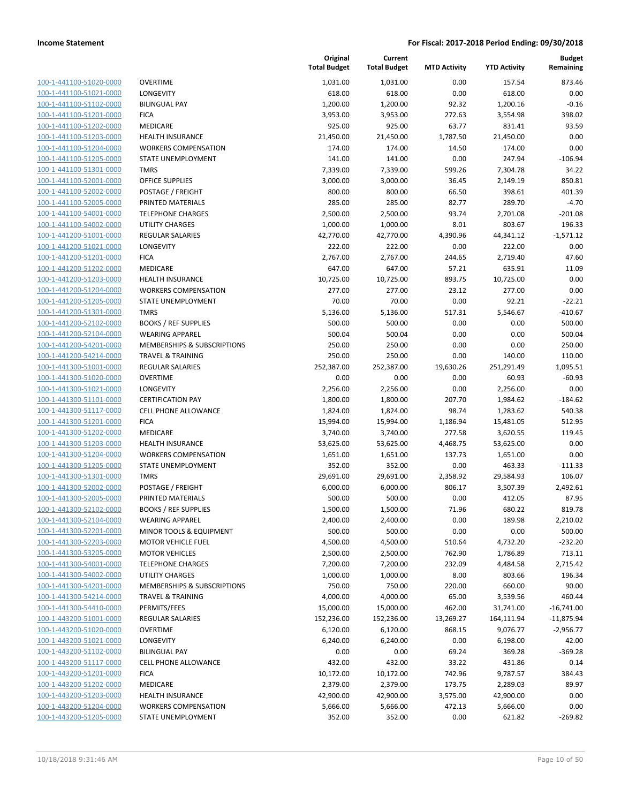| 100-1-441100-51020-0000        |
|--------------------------------|
| 100-1-441100-51021-0000        |
| 100-1-441100-51102-0000        |
| 100-1-441100-51201-0000        |
| <u>100-1-441100-51202-0000</u> |
| 100-1-441100-51203-0000        |
| 100-1-441100-51204-0000        |
| 100-1-441100-51205-0000        |
| 100-1-441100-51301-0000        |
| <u>100-1-441100-52001-0000</u> |
| 100-1-441100-52002-0000        |
| 100-1-441100-52005-0000        |
| 100-1-441100-54001-0000        |
| 100-1-441100-54002-0000        |
| <u>100-1-441200-51001-0000</u> |
| 100-1-441200-51021-0000        |
| 100-1-441200-51201-0000        |
| 100-1-441200-51202-0000        |
|                                |
| 100-1-441200-51203-0000        |
| 100-1-441200-51204-0000        |
| 100-1-441200-51205-0000        |
| 100-1-441200-51301-0000        |
| 100-1-441200-52102-0000        |
| 100-1-441200-52104-0000        |
| <u>100-1-441200-54201-0000</u> |
| 100-1-441200-54214-0000        |
| 100-1-441300-51001-0000        |
| 100-1-441300-51020-0000        |
| 100-1-441300-51021-0000        |
| <u>100-1-441300-51101-0000</u> |
| 100-1-441300-51117-0000        |
| 100-1-441300-51201-0000        |
| 100-1-441300-51202-0000        |
| <u>100-1-441300-51203-0000</u> |
| <u>100-1-441300-51204-0000</u> |
| 100-1-441300-51205-0000        |
| 100-1-441300-51301-0000        |
| 100-1-441300-52002-0000        |
| 100-1-441300-52005-0000        |
| 100-1-441300-52102-0000        |
| 100-1-441300-52104-0000        |
| 100-1-441300-52201-0000        |
| 100-1-441300-52203-0000        |
|                                |
| <u>100-1-441300-53205-0000</u> |
| <u>100-1-441300-54001-0000</u> |
| <u>100-1-441300-54002-0000</u> |
| 100-1-441300-54201-0000        |
| 100-1-441300-54214-0000        |
| 100-1-441300-54410-0000        |
| 100-1-443200-51001-0000        |
| <u>100-1-443200-51020-0000</u> |
| 100-1-443200-51021-0000        |
| 100-1-443200-51102-0000        |
| <u>100-1-443200-51117-0000</u> |
| <u>100-1-443200-51201-0000</u> |
| <u>100-1-443200-51202-0000</u> |
| 100-1-443200-51203-0000        |
| 100-1-443200-51204-0000        |
| <u>100-1-443200-51205-0000</u> |
|                                |

|                         |                              | Original<br><b>Total Budget</b> | Current<br><b>Total Budget</b> | <b>MTD Activity</b> | <b>YTD Activity</b> | <b>Budget</b><br>Remaining |
|-------------------------|------------------------------|---------------------------------|--------------------------------|---------------------|---------------------|----------------------------|
| 100-1-441100-51020-0000 | <b>OVERTIME</b>              | 1,031.00                        | 1,031.00                       | 0.00                | 157.54              | 873.46                     |
| 100-1-441100-51021-0000 | LONGEVITY                    | 618.00                          | 618.00                         | 0.00                | 618.00              | 0.00                       |
| 100-1-441100-51102-0000 | <b>BILINGUAL PAY</b>         | 1,200.00                        | 1,200.00                       | 92.32               | 1,200.16            | $-0.16$                    |
| 100-1-441100-51201-0000 | <b>FICA</b>                  | 3,953.00                        | 3,953.00                       | 272.63              | 3,554.98            | 398.02                     |
| 100-1-441100-51202-0000 | MEDICARE                     | 925.00                          | 925.00                         | 63.77               | 831.41              | 93.59                      |
| 100-1-441100-51203-0000 | HEALTH INSURANCE             | 21,450.00                       | 21,450.00                      | 1,787.50            | 21,450.00           | 0.00                       |
| 100-1-441100-51204-0000 | <b>WORKERS COMPENSATION</b>  | 174.00                          | 174.00                         | 14.50               | 174.00              | 0.00                       |
| 100-1-441100-51205-0000 | STATE UNEMPLOYMENT           | 141.00                          | 141.00                         | 0.00                | 247.94              | $-106.94$                  |
| 100-1-441100-51301-0000 | <b>TMRS</b>                  | 7,339.00                        | 7,339.00                       | 599.26              | 7,304.78            | 34.22                      |
| 100-1-441100-52001-0000 | <b>OFFICE SUPPLIES</b>       | 3,000.00                        | 3,000.00                       | 36.45               | 2,149.19            | 850.81                     |
| 100-1-441100-52002-0000 | POSTAGE / FREIGHT            | 800.00                          | 800.00                         | 66.50               | 398.61              | 401.39                     |
| 100-1-441100-52005-0000 | PRINTED MATERIALS            | 285.00                          | 285.00                         | 82.77               | 289.70              | $-4.70$                    |
| 100-1-441100-54001-0000 | <b>TELEPHONE CHARGES</b>     | 2,500.00                        | 2,500.00                       | 93.74               | 2,701.08            | $-201.08$                  |
| 100-1-441100-54002-0000 | UTILITY CHARGES              | 1,000.00                        | 1,000.00                       | 8.01                | 803.67              | 196.33                     |
| 100-1-441200-51001-0000 | <b>REGULAR SALARIES</b>      | 42,770.00                       | 42,770.00                      | 4,390.96            | 44,341.12           | $-1,571.12$                |
| 100-1-441200-51021-0000 | <b>LONGEVITY</b>             | 222.00                          | 222.00                         | 0.00                | 222.00              | 0.00                       |
| 100-1-441200-51201-0000 | <b>FICA</b>                  | 2,767.00                        | 2,767.00                       | 244.65              | 2,719.40            | 47.60                      |
| 100-1-441200-51202-0000 | MEDICARE                     | 647.00                          | 647.00                         | 57.21               | 635.91              | 11.09                      |
| 100-1-441200-51203-0000 | <b>HEALTH INSURANCE</b>      | 10,725.00                       | 10,725.00                      | 893.75              | 10,725.00           | 0.00                       |
| 100-1-441200-51204-0000 | <b>WORKERS COMPENSATION</b>  | 277.00                          | 277.00                         | 23.12               | 277.00              | 0.00                       |
| 100-1-441200-51205-0000 | STATE UNEMPLOYMENT           | 70.00                           | 70.00                          | 0.00                | 92.21               | $-22.21$                   |
| 100-1-441200-51301-0000 | <b>TMRS</b>                  | 5,136.00                        | 5,136.00                       | 517.31              | 5,546.67            | $-410.67$                  |
| 100-1-441200-52102-0000 | <b>BOOKS / REF SUPPLIES</b>  | 500.00                          | 500.00                         | 0.00                | 0.00                | 500.00                     |
| 100-1-441200-52104-0000 | <b>WEARING APPAREL</b>       | 500.04                          | 500.04                         | 0.00                | 0.00                | 500.04                     |
| 100-1-441200-54201-0000 | MEMBERSHIPS & SUBSCRIPTIONS  | 250.00                          | 250.00                         | 0.00                | 0.00                | 250.00                     |
| 100-1-441200-54214-0000 | <b>TRAVEL &amp; TRAINING</b> | 250.00                          | 250.00                         | 0.00                | 140.00              | 110.00                     |
| 100-1-441300-51001-0000 | <b>REGULAR SALARIES</b>      | 252,387.00                      | 252,387.00                     | 19,630.26           | 251,291.49          | 1,095.51                   |
| 100-1-441300-51020-0000 | <b>OVERTIME</b>              | 0.00                            | 0.00                           | 0.00                | 60.93               | $-60.93$                   |
| 100-1-441300-51021-0000 | LONGEVITY                    | 2,256.00                        | 2,256.00                       | 0.00                | 2,256.00            | 0.00                       |
| 100-1-441300-51101-0000 | <b>CERTIFICATION PAY</b>     | 1,800.00                        | 1,800.00                       | 207.70              | 1,984.62            | $-184.62$                  |
| 100-1-441300-51117-0000 | <b>CELL PHONE ALLOWANCE</b>  | 1,824.00                        | 1,824.00                       | 98.74               | 1,283.62            | 540.38                     |
| 100-1-441300-51201-0000 | <b>FICA</b>                  | 15,994.00                       | 15,994.00                      | 1,186.94            | 15,481.05           | 512.95                     |
| 100-1-441300-51202-0000 | MEDICARE                     | 3,740.00                        | 3,740.00                       | 277.58              | 3,620.55            | 119.45                     |
| 100-1-441300-51203-0000 | HEALTH INSURANCE             | 53,625.00                       | 53,625.00                      | 4,468.75            | 53,625.00           | 0.00                       |
| 100-1-441300-51204-0000 | <b>WORKERS COMPENSATION</b>  | 1,651.00                        | 1,651.00                       | 137.73              | 1,651.00            | 0.00                       |
| 100-1-441300-51205-0000 | STATE UNEMPLOYMENT           | 352.00                          | 352.00                         | 0.00                | 463.33              | $-111.33$                  |
| 100-1-441300-51301-0000 | <b>TMRS</b>                  | 29,691.00                       | 29,691.00                      | 2,358.92            | 29,584.93           | 106.07                     |
| 100-1-441300-52002-0000 | POSTAGE / FREIGHT            | 6,000.00                        | 6,000.00                       | 806.17              | 3,507.39            | 2,492.61                   |
| 100-1-441300-52005-0000 | PRINTED MATERIALS            | 500.00                          | 500.00                         | 0.00                | 412.05              | 87.95                      |
| 100-1-441300-52102-0000 | <b>BOOKS / REF SUPPLIES</b>  | 1,500.00                        | 1,500.00                       | 71.96               | 680.22              | 819.78                     |
| 100-1-441300-52104-0000 | <b>WEARING APPAREL</b>       | 2,400.00                        | 2,400.00                       | 0.00                | 189.98              | 2,210.02                   |
| 100-1-441300-52201-0000 | MINOR TOOLS & EQUIPMENT      | 500.00                          | 500.00                         | 0.00                | 0.00                | 500.00                     |
| 100-1-441300-52203-0000 | <b>MOTOR VEHICLE FUEL</b>    | 4,500.00                        | 4,500.00                       | 510.64              | 4,732.20            | $-232.20$                  |
| 100-1-441300-53205-0000 | <b>MOTOR VEHICLES</b>        | 2,500.00                        | 2,500.00                       | 762.90              | 1,786.89            | 713.11                     |
| 100-1-441300-54001-0000 | <b>TELEPHONE CHARGES</b>     | 7,200.00                        | 7,200.00                       | 232.09              | 4,484.58            | 2,715.42                   |
| 100-1-441300-54002-0000 | <b>UTILITY CHARGES</b>       | 1,000.00                        | 1,000.00                       | 8.00                | 803.66              | 196.34                     |
| 100-1-441300-54201-0000 | MEMBERSHIPS & SUBSCRIPTIONS  | 750.00                          | 750.00                         | 220.00              | 660.00              | 90.00                      |
| 100-1-441300-54214-0000 | <b>TRAVEL &amp; TRAINING</b> | 4,000.00                        | 4,000.00                       | 65.00               | 3,539.56            | 460.44                     |
| 100-1-441300-54410-0000 | PERMITS/FEES                 | 15,000.00                       | 15,000.00                      | 462.00              | 31,741.00           | $-16,741.00$               |
| 100-1-443200-51001-0000 | <b>REGULAR SALARIES</b>      | 152,236.00                      | 152,236.00                     | 13,269.27           | 164,111.94          | $-11,875.94$               |
| 100-1-443200-51020-0000 | <b>OVERTIME</b>              | 6,120.00                        | 6,120.00                       | 868.15              | 9,076.77            | $-2,956.77$                |
| 100-1-443200-51021-0000 | <b>LONGEVITY</b>             | 6,240.00                        | 6,240.00                       | 0.00                | 6,198.00            | 42.00                      |
| 100-1-443200-51102-0000 | <b>BILINGUAL PAY</b>         | 0.00                            | 0.00                           | 69.24               | 369.28              | $-369.28$                  |
| 100-1-443200-51117-0000 | CELL PHONE ALLOWANCE         | 432.00                          | 432.00                         | 33.22               | 431.86              | 0.14                       |
| 100-1-443200-51201-0000 | <b>FICA</b>                  | 10,172.00                       | 10,172.00                      | 742.96              | 9,787.57            | 384.43                     |
| 100-1-443200-51202-0000 | MEDICARE                     | 2,379.00                        | 2,379.00                       | 173.75              | 2,289.03            | 89.97                      |
| 100-1-443200-51203-0000 | <b>HEALTH INSURANCE</b>      | 42,900.00                       | 42,900.00                      | 3,575.00            | 42,900.00           | 0.00                       |
| 100-1-443200-51204-0000 | <b>WORKERS COMPENSATION</b>  | 5,666.00                        | 5,666.00                       | 472.13              | 5,666.00            | 0.00                       |
| 100-1-443200-51205-0000 | STATE UNEMPLOYMENT           | 352.00                          | 352.00                         | 0.00                | 621.82              | $-269.82$                  |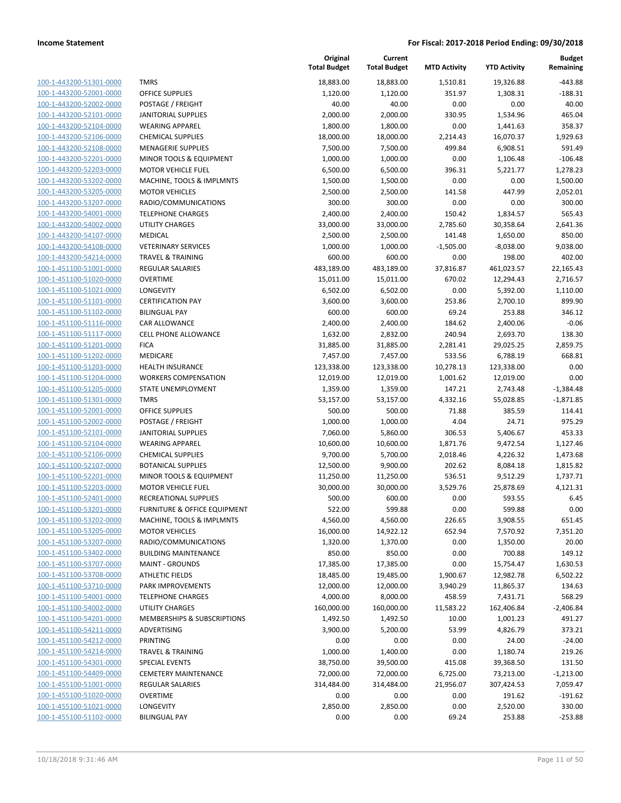| 100-1-443200-51301-0000        |
|--------------------------------|
| 100-1-443200-52001-0000        |
| 100-1-443200-52002-0000        |
| 100-1-443200-52101-0000        |
| 100-1-443200-52104-0000        |
| 100-1-443200-52106-0000        |
| 100-1-443200-52108-0000        |
| 100-1-443200-52201-0000        |
| 100-1-443200-52203-0000        |
| 100-1-443200-53202-0000        |
| 100-1-443200-53205-0000        |
| 100-1-443200-53207-0000        |
| 100-1-443200-54001-0000        |
|                                |
| 100-1-443200-54002-0000        |
| <u>100-1-443200-54107-0000</u> |
| 100-1-443200-54108-0000        |
| 100-1-443200-54214-0000        |
| 100-1-451100-51001-0000        |
| 100-1-451100-51020-0000        |
| 100-1-451100-51021-0000        |
| 100-1-451100-51101-0000        |
| 100-1-451100-51102-0000        |
| 100-1-451100-51116-0000        |
| 100-1-451100-51117-0000        |
| 100-1-451100-51201-0000        |
| 100-1-451100-51202-0000        |
| 100-1-451100-51203-0000        |
| 100-1-451100-51204-0000        |
| 100-1-451100-51205-0000        |
| 100-1-451100-51301-0000        |
| 100-1-451100-52001-0000        |
| 100-1-451100-52002-0000        |
| 100-1-451100-52101-0000        |
|                                |
| 100-1-451100-52104-0000        |
| 100-1-451100-52106-0000        |
| 100-1-451100-52107-0000        |
| 100-1-451100-52201-0000        |
| 100-1-451100-52203-0000        |
| 100-1-451100-52401-0000        |
| 100-1-451100-53201-0000        |
| 100-1-451100-53202-0000        |
| <u>100-1-451100-53205-0000</u> |
| 100-1-451100-53207-0000        |
| 100-1-451100-53402-0000        |
| <u>100-1-451100-53707-0000</u> |
| 100-1-451100-53708-0000        |
| 100-1-451100-53710-0000        |
| 100-1-451100-54001-0000        |
| 100-1-451100-54002-0000        |
| <u>100-1-451100-54201-0000</u> |
| <u>100-1-451100-54211-0000</u> |
| <u>100-1-451100-54212-0000</u> |
| 100-1-451100-54214-0000        |
| 100-1-451100-54301-0000        |
|                                |
| 100-1-451100-54409-0000        |
| 100-1-455100-51001-0000        |
| <u>100-1-455100-51020-0000</u> |
| 100-1-455100-51021-0000        |
| 100-1-455100-51102-0000        |
|                                |

|                         |                              | Original<br><b>Total Budget</b> | Current<br><b>Total Budget</b> | <b>MTD Activity</b> | <b>YTD Activity</b> | <b>Budget</b><br>Remaining |
|-------------------------|------------------------------|---------------------------------|--------------------------------|---------------------|---------------------|----------------------------|
| 100-1-443200-51301-0000 | <b>TMRS</b>                  | 18,883.00                       | 18,883.00                      | 1,510.81            | 19,326.88           | $-443.88$                  |
| 100-1-443200-52001-0000 | <b>OFFICE SUPPLIES</b>       | 1,120.00                        | 1,120.00                       | 351.97              | 1,308.31            | $-188.31$                  |
| 100-1-443200-52002-0000 | POSTAGE / FREIGHT            | 40.00                           | 40.00                          | 0.00                | 0.00                | 40.00                      |
| 100-1-443200-52101-0000 | <b>JANITORIAL SUPPLIES</b>   | 2,000.00                        | 2,000.00                       | 330.95              | 1,534.96            | 465.04                     |
| 100-1-443200-52104-0000 | <b>WEARING APPAREL</b>       | 1,800.00                        | 1,800.00                       | 0.00                | 1,441.63            | 358.37                     |
| 100-1-443200-52106-0000 | <b>CHEMICAL SUPPLIES</b>     | 18,000.00                       | 18,000.00                      | 2,214.43            | 16,070.37           | 1,929.63                   |
| 100-1-443200-52108-0000 | <b>MENAGERIE SUPPLIES</b>    | 7,500.00                        | 7,500.00                       | 499.84              | 6,908.51            | 591.49                     |
| 100-1-443200-52201-0000 | MINOR TOOLS & EQUIPMENT      | 1,000.00                        | 1,000.00                       | 0.00                | 1,106.48            | $-106.48$                  |
| 100-1-443200-52203-0000 | <b>MOTOR VEHICLE FUEL</b>    | 6,500.00                        | 6,500.00                       | 396.31              | 5,221.77            | 1,278.23                   |
| 100-1-443200-53202-0000 | MACHINE, TOOLS & IMPLMNTS    | 1,500.00                        | 1,500.00                       | 0.00                | 0.00                | 1,500.00                   |
| 100-1-443200-53205-0000 | <b>MOTOR VEHICLES</b>        | 2,500.00                        | 2,500.00                       | 141.58              | 447.99              | 2,052.01                   |
| 100-1-443200-53207-0000 | RADIO/COMMUNICATIONS         | 300.00                          | 300.00                         | 0.00                | 0.00                | 300.00                     |
| 100-1-443200-54001-0000 | <b>TELEPHONE CHARGES</b>     | 2,400.00                        | 2,400.00                       | 150.42              | 1,834.57            | 565.43                     |
| 100-1-443200-54002-0000 | <b>UTILITY CHARGES</b>       | 33,000.00                       | 33,000.00                      | 2,785.60            | 30,358.64           | 2,641.36                   |
| 100-1-443200-54107-0000 | MEDICAL                      | 2,500.00                        | 2,500.00                       | 141.48              | 1,650.00            | 850.00                     |
| 100-1-443200-54108-0000 | <b>VETERINARY SERVICES</b>   | 1,000.00                        | 1,000.00                       | $-1,505.00$         | $-8,038.00$         | 9,038.00                   |
| 100-1-443200-54214-0000 | <b>TRAVEL &amp; TRAINING</b> | 600.00                          | 600.00                         | 0.00                | 198.00              | 402.00                     |
| 100-1-451100-51001-0000 | <b>REGULAR SALARIES</b>      | 483,189.00                      | 483,189.00                     | 37,816.87           | 461,023.57          | 22,165.43                  |
| 100-1-451100-51020-0000 | <b>OVERTIME</b>              | 15,011.00                       | 15,011.00                      | 670.02              | 12,294.43           | 2,716.57                   |
| 100-1-451100-51021-0000 | <b>LONGEVITY</b>             | 6,502.00                        | 6,502.00                       | 0.00                | 5,392.00            | 1,110.00                   |
| 100-1-451100-51101-0000 | <b>CERTIFICATION PAY</b>     | 3,600.00                        | 3,600.00                       | 253.86              | 2,700.10            | 899.90                     |
| 100-1-451100-51102-0000 | <b>BILINGUAL PAY</b>         | 600.00                          | 600.00                         | 69.24               | 253.88              | 346.12                     |
| 100-1-451100-51116-0000 | CAR ALLOWANCE                | 2,400.00                        | 2,400.00                       | 184.62              | 2,400.06            | $-0.06$                    |
| 100-1-451100-51117-0000 | <b>CELL PHONE ALLOWANCE</b>  | 1,632.00                        | 2,832.00                       | 240.94              | 2,693.70            | 138.30                     |
| 100-1-451100-51201-0000 | <b>FICA</b>                  | 31,885.00                       | 31,885.00                      | 2,281.41            | 29,025.25           | 2,859.75                   |
| 100-1-451100-51202-0000 | MEDICARE                     | 7,457.00                        | 7,457.00                       | 533.56              | 6,788.19            | 668.81                     |
| 100-1-451100-51203-0000 | <b>HEALTH INSURANCE</b>      | 123,338.00                      | 123,338.00                     | 10,278.13           | 123,338.00          | 0.00                       |
| 100-1-451100-51204-0000 | <b>WORKERS COMPENSATION</b>  | 12,019.00                       | 12,019.00                      | 1,001.62            | 12,019.00           | 0.00                       |
| 100-1-451100-51205-0000 | STATE UNEMPLOYMENT           | 1,359.00                        | 1,359.00                       | 147.21              | 2,743.48            | $-1,384.48$                |
| 100-1-451100-51301-0000 | <b>TMRS</b>                  | 53,157.00                       | 53,157.00                      | 4,332.16            | 55,028.85           | $-1,871.85$                |
| 100-1-451100-52001-0000 | <b>OFFICE SUPPLIES</b>       | 500.00                          | 500.00                         | 71.88               | 385.59              | 114.41                     |
| 100-1-451100-52002-0000 | POSTAGE / FREIGHT            | 1,000.00                        | 1,000.00                       | 4.04                | 24.71               | 975.29                     |
| 100-1-451100-52101-0000 | <b>JANITORIAL SUPPLIES</b>   | 7,060.00                        | 5,860.00                       | 306.53              | 5,406.67            | 453.33                     |
| 100-1-451100-52104-0000 | <b>WEARING APPAREL</b>       | 10,600.00                       | 10,600.00                      | 1,871.76            | 9,472.54            | 1,127.46                   |
| 100-1-451100-52106-0000 | <b>CHEMICAL SUPPLIES</b>     | 9,700.00                        | 5,700.00                       | 2,018.46            | 4,226.32            | 1,473.68                   |
| 100-1-451100-52107-0000 | <b>BOTANICAL SUPPLIES</b>    | 12,500.00                       | 9,900.00                       | 202.62              | 8,084.18            | 1,815.82                   |
| 100-1-451100-52201-0000 | MINOR TOOLS & EQUIPMENT      | 11,250.00                       | 11,250.00                      | 536.51              | 9,512.29            | 1,737.71                   |
| 100-1-451100-52203-0000 | MOTOR VEHICLE FUEL           | 30,000.00                       | 30,000.00                      | 3,529.76            | 25,878.69           | 4,121.31                   |
| 100-1-451100-52401-0000 | RECREATIONAL SUPPLIES        | 500.00                          | 600.00                         | 0.00                | 593.55              | 6.45                       |
| 100-1-451100-53201-0000 | FURNITURE & OFFICE EQUIPMENT | 522.00                          | 599.88                         | 0.00                | 599.88              | 0.00                       |
| 100-1-451100-53202-0000 | MACHINE, TOOLS & IMPLMNTS    | 4,560.00                        | 4,560.00                       | 226.65              | 3,908.55            | 651.45                     |
| 100-1-451100-53205-0000 | <b>MOTOR VEHICLES</b>        | 16,000.00                       | 14,922.12                      | 652.94              | 7,570.92            | 7,351.20                   |
| 100-1-451100-53207-0000 | RADIO/COMMUNICATIONS         | 1,320.00                        | 1,370.00                       | 0.00                | 1,350.00            | 20.00                      |
| 100-1-451100-53402-0000 | <b>BUILDING MAINTENANCE</b>  | 850.00                          | 850.00                         | 0.00                | 700.88              | 149.12                     |
| 100-1-451100-53707-0000 | <b>MAINT - GROUNDS</b>       | 17,385.00                       | 17,385.00                      | 0.00                | 15,754.47           | 1,630.53                   |
| 100-1-451100-53708-0000 | <b>ATHLETIC FIELDS</b>       | 18,485.00                       | 19,485.00                      | 1,900.67            | 12,982.78           | 6,502.22                   |
| 100-1-451100-53710-0000 | PARK IMPROVEMENTS            | 12,000.00                       | 12,000.00                      | 3,940.29            | 11,865.37           | 134.63                     |
| 100-1-451100-54001-0000 | <b>TELEPHONE CHARGES</b>     | 4,000.00                        | 8,000.00                       | 458.59              | 7,431.71            | 568.29                     |
| 100-1-451100-54002-0000 | <b>UTILITY CHARGES</b>       | 160,000.00                      | 160,000.00                     | 11,583.22           | 162,406.84          | $-2,406.84$                |
| 100-1-451100-54201-0000 | MEMBERSHIPS & SUBSCRIPTIONS  | 1,492.50                        | 1,492.50                       | 10.00               | 1,001.23            | 491.27                     |
| 100-1-451100-54211-0000 | ADVERTISING                  | 3,900.00                        | 5,200.00                       | 53.99               | 4,826.79            | 373.21                     |
| 100-1-451100-54212-0000 | PRINTING                     | 0.00                            | 0.00                           | 0.00                | 24.00               | $-24.00$                   |
| 100-1-451100-54214-0000 | <b>TRAVEL &amp; TRAINING</b> | 1,000.00                        | 1,400.00                       | 0.00                | 1,180.74            | 219.26                     |
| 100-1-451100-54301-0000 | <b>SPECIAL EVENTS</b>        | 38,750.00                       | 39,500.00                      | 415.08              | 39,368.50           | 131.50                     |
| 100-1-451100-54409-0000 | <b>CEMETERY MAINTENANCE</b>  | 72,000.00                       | 72,000.00                      | 6,725.00            | 73,213.00           | $-1,213.00$                |
| 100-1-455100-51001-0000 | REGULAR SALARIES             | 314,484.00                      | 314,484.00                     | 21,956.07           | 307,424.53          | 7,059.47                   |
| 100-1-455100-51020-0000 | <b>OVERTIME</b>              | 0.00                            | 0.00                           | 0.00                | 191.62              | $-191.62$                  |
| 100-1-455100-51021-0000 | LONGEVITY                    | 2,850.00                        | 2,850.00                       | 0.00                | 2,520.00            | 330.00                     |
| 100-1-455100-51102-0000 | <b>BILINGUAL PAY</b>         | 0.00                            | 0.00                           | 69.24               | 253.88              | $-253.88$                  |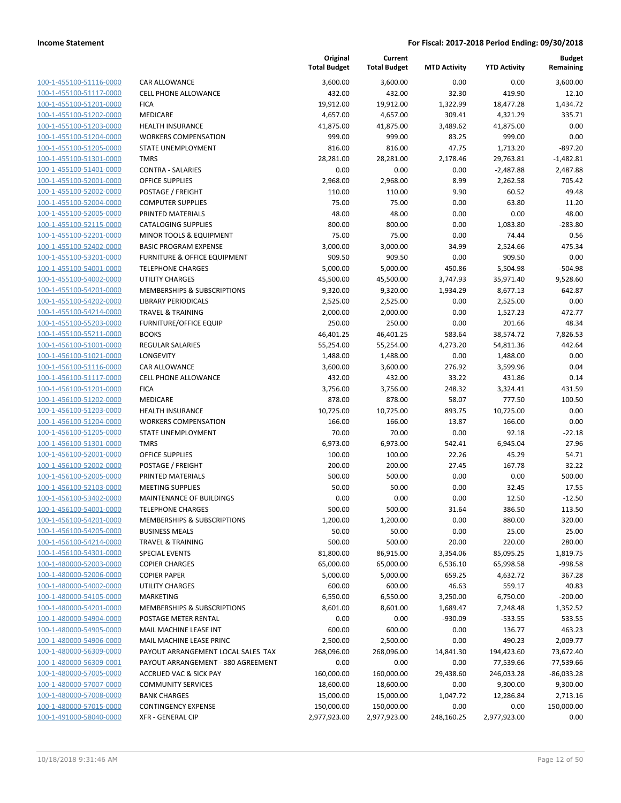| 100-1-455100-51116-0000        |
|--------------------------------|
| 100-1-455100-51117-0000        |
| 100-1-455100-51201-0000        |
| 100-1-455100-51202-0000        |
| 100-1-455100-51203-0000        |
| 100-1-455100-51204-0000        |
| 100-1-455100-51205-0000        |
| 100-1-455100-51301-0000        |
| 100-1-455100-51401-0000        |
| 100-1-455100-52001-0000        |
| 100-1-455100-52002-0000        |
| 100-1-455100-52004-0000        |
| 100-1-455100-52005-0000        |
| 100-1-455100-52115-0000        |
| <u>100-1-455100-52201-0000</u> |
| 100-1-455100-52402-0000        |
| 100-1-455100-53201-0000        |
| 100-1-455100-54001-0000        |
| 100-1-455100-54002-0000        |
| 100-1-455100-54201-0000        |
|                                |
| 100-1-455100-54202-0000        |
| 100-1-455100-54214-0000        |
| 100-1-455100-55203-0000        |
| 100-1-455100-55211-0000        |
| <u>100-1-456100-51001-0000</u> |
| 100-1-456100-51021-0000        |
| 100-1-456100-51116-0000        |
| 100-1-456100-51117-0000        |
| 100-1-456100-51201-0000        |
| 100-1-456100-51202-0000        |
| 100-1-456100-51203-0000        |
| 100-1-456100-51204-0000        |
| 100-1-456100-51205-0000        |
| 100-1-456100-51301-0000        |
| 100-1-456100-52001-0000        |
| 100-1-456100-52002-0000        |
| 100-1-456100-52005-0000        |
| 100-1-456100-52103-0000        |
| 100-1-456100-53402-0000        |
| 100-1-456100-54001-0000        |
| 100-1-456100-54201-0000        |
| 100-1-456100-54205-0000        |
| 100-1-456100-54214-0000        |
| <u>100-1-456100-54301-0000</u> |
| <u>100-1-480000-52003-0000</u> |
| 100-1-480000-52006-0000        |
| 100-1-480000-54002-0000        |
|                                |
| 100-1-480000-54105-0000        |
| <u>100-1-480000-54201-0000</u> |
| <u>100-1-480000-54904-0000</u> |
| <u>100-1-480000-54905-0000</u> |
| 100-1-480000-54906-0000        |
| 100-1-480000-56309-0000        |
| <u>100-1-480000-56309-0001</u> |
| <u>100-1-480000-57005-0000</u> |
| <u>100-1-480000-57007-0000</u> |
| 100-1-480000-57008-0000        |
| 100-1-480000-57015-0000        |
| 100-1-491000-58040-0000        |
|                                |

|                         |                                    | Original<br><b>Total Budget</b> | Current<br><b>Total Budget</b> | <b>MTD Activity</b> | <b>YTD Activity</b> | <b>Budget</b><br>Remaining |
|-------------------------|------------------------------------|---------------------------------|--------------------------------|---------------------|---------------------|----------------------------|
| 100-1-455100-51116-0000 | <b>CAR ALLOWANCE</b>               | 3,600.00                        | 3,600.00                       | 0.00                | 0.00                | 3,600.00                   |
| 100-1-455100-51117-0000 | <b>CELL PHONE ALLOWANCE</b>        | 432.00                          | 432.00                         | 32.30               | 419.90              | 12.10                      |
| 100-1-455100-51201-0000 | <b>FICA</b>                        | 19,912.00                       | 19,912.00                      | 1,322.99            | 18,477.28           | 1,434.72                   |
| 100-1-455100-51202-0000 | MEDICARE                           | 4,657.00                        | 4,657.00                       | 309.41              | 4,321.29            | 335.71                     |
| 100-1-455100-51203-0000 | <b>HEALTH INSURANCE</b>            | 41,875.00                       | 41,875.00                      | 3,489.62            | 41,875.00           | 0.00                       |
| 100-1-455100-51204-0000 | <b>WORKERS COMPENSATION</b>        | 999.00                          | 999.00                         | 83.25               | 999.00              | 0.00                       |
| 100-1-455100-51205-0000 | STATE UNEMPLOYMENT                 | 816.00                          | 816.00                         | 47.75               | 1,713.20            | $-897.20$                  |
| 100-1-455100-51301-0000 | <b>TMRS</b>                        | 28,281.00                       | 28,281.00                      | 2,178.46            | 29,763.81           | $-1,482.81$                |
| 100-1-455100-51401-0000 | <b>CONTRA - SALARIES</b>           | 0.00                            | 0.00                           | 0.00                | $-2,487.88$         | 2,487.88                   |
| 100-1-455100-52001-0000 | <b>OFFICE SUPPLIES</b>             | 2,968.00                        | 2,968.00                       | 8.99                | 2,262.58            | 705.42                     |
| 100-1-455100-52002-0000 | POSTAGE / FREIGHT                  | 110.00                          | 110.00                         | 9.90                | 60.52               | 49.48                      |
| 100-1-455100-52004-0000 | <b>COMPUTER SUPPLIES</b>           | 75.00                           | 75.00                          | 0.00                | 63.80               | 11.20                      |
| 100-1-455100-52005-0000 | PRINTED MATERIALS                  | 48.00                           | 48.00                          | 0.00                | 0.00                | 48.00                      |
| 100-1-455100-52115-0000 | <b>CATALOGING SUPPLIES</b>         | 800.00                          | 800.00                         | 0.00                | 1,083.80            | $-283.80$                  |
| 100-1-455100-52201-0000 | MINOR TOOLS & EQUIPMENT            | 75.00                           | 75.00                          | 0.00                | 74.44               | 0.56                       |
| 100-1-455100-52402-0000 | <b>BASIC PROGRAM EXPENSE</b>       | 3,000.00                        | 3,000.00                       | 34.99               | 2,524.66            | 475.34                     |
| 100-1-455100-53201-0000 | FURNITURE & OFFICE EQUIPMENT       | 909.50                          | 909.50                         | 0.00                | 909.50              | 0.00                       |
| 100-1-455100-54001-0000 | <b>TELEPHONE CHARGES</b>           | 5,000.00                        | 5,000.00                       | 450.86              | 5,504.98            | $-504.98$                  |
| 100-1-455100-54002-0000 | <b>UTILITY CHARGES</b>             | 45,500.00                       | 45,500.00                      | 3,747.93            | 35,971.40           | 9,528.60                   |
| 100-1-455100-54201-0000 | MEMBERSHIPS & SUBSCRIPTIONS        | 9,320.00                        | 9,320.00                       | 1,934.29            | 8,677.13            | 642.87                     |
| 100-1-455100-54202-0000 | <b>LIBRARY PERIODICALS</b>         | 2,525.00                        | 2,525.00                       | 0.00                | 2,525.00            | 0.00                       |
| 100-1-455100-54214-0000 | <b>TRAVEL &amp; TRAINING</b>       | 2,000.00                        | 2,000.00                       | 0.00                | 1,527.23            | 472.77                     |
| 100-1-455100-55203-0000 | <b>FURNITURE/OFFICE EQUIP</b>      | 250.00                          | 250.00                         | 0.00                | 201.66              | 48.34                      |
| 100-1-455100-55211-0000 | <b>BOOKS</b>                       | 46,401.25                       | 46,401.25                      | 583.64              | 38,574.72           | 7,826.53                   |
| 100-1-456100-51001-0000 | REGULAR SALARIES                   | 55,254.00                       | 55,254.00                      | 4,273.20            | 54,811.36           | 442.64                     |
| 100-1-456100-51021-0000 | LONGEVITY                          | 1,488.00                        | 1,488.00                       | 0.00                | 1,488.00            | 0.00                       |
| 100-1-456100-51116-0000 | CAR ALLOWANCE                      | 3,600.00                        | 3,600.00                       | 276.92              | 3,599.96            | 0.04                       |
| 100-1-456100-51117-0000 | <b>CELL PHONE ALLOWANCE</b>        | 432.00                          | 432.00                         | 33.22               | 431.86              | 0.14                       |
| 100-1-456100-51201-0000 | <b>FICA</b>                        | 3,756.00                        | 3,756.00                       | 248.32              | 3,324.41            | 431.59                     |
| 100-1-456100-51202-0000 | <b>MEDICARE</b>                    | 878.00                          | 878.00                         | 58.07               | 777.50              | 100.50                     |
| 100-1-456100-51203-0000 | <b>HEALTH INSURANCE</b>            | 10,725.00                       | 10,725.00                      | 893.75              | 10,725.00           | 0.00                       |
| 100-1-456100-51204-0000 | <b>WORKERS COMPENSATION</b>        | 166.00                          | 166.00                         | 13.87               | 166.00              | 0.00                       |
| 100-1-456100-51205-0000 | STATE UNEMPLOYMENT                 | 70.00                           | 70.00                          | 0.00                | 92.18               | $-22.18$                   |
| 100-1-456100-51301-0000 | <b>TMRS</b>                        | 6,973.00                        | 6,973.00                       | 542.41              | 6,945.04            | 27.96                      |
| 100-1-456100-52001-0000 | <b>OFFICE SUPPLIES</b>             | 100.00                          | 100.00                         | 22.26               | 45.29               | 54.71                      |
| 100-1-456100-52002-0000 | POSTAGE / FREIGHT                  | 200.00                          | 200.00                         | 27.45               | 167.78              | 32.22                      |
| 100-1-456100-52005-0000 | PRINTED MATERIALS                  | 500.00                          | 500.00                         | 0.00                | 0.00                | 500.00                     |
| 100-1-456100-52103-0000 | <b>MEETING SUPPLIES</b>            | 50.00                           | 50.00                          | 0.00                | 32.45               | 17.55                      |
| 100-1-456100-53402-0000 | <b>MAINTENANCE OF BUILDINGS</b>    | 0.00                            | 0.00                           | 0.00                | 12.50               | $-12.50$                   |
| 100-1-456100-54001-0000 | <b>TELEPHONE CHARGES</b>           | 500.00                          | 500.00                         | 31.64               | 386.50              | 113.50                     |
| 100-1-456100-54201-0000 | MEMBERSHIPS & SUBSCRIPTIONS        | 1,200.00                        | 1,200.00                       | 0.00                | 880.00              | 320.00                     |
| 100-1-456100-54205-0000 | <b>BUSINESS MEALS</b>              | 50.00                           | 50.00                          | 0.00                | 25.00               | 25.00                      |
| 100-1-456100-54214-0000 | <b>TRAVEL &amp; TRAINING</b>       | 500.00                          | 500.00                         | 20.00               | 220.00              | 280.00                     |
| 100-1-456100-54301-0000 | <b>SPECIAL EVENTS</b>              | 81,800.00                       | 86,915.00                      | 3,354.06            | 85,095.25           | 1,819.75                   |
| 100-1-480000-52003-0000 | <b>COPIER CHARGES</b>              | 65,000.00                       | 65,000.00                      | 6,536.10            | 65,998.58           | $-998.58$                  |
| 100-1-480000-52006-0000 | <b>COPIER PAPER</b>                | 5,000.00                        | 5,000.00                       | 659.25              | 4,632.72            | 367.28                     |
| 100-1-480000-54002-0000 | UTILITY CHARGES                    | 600.00                          | 600.00                         | 46.63               | 559.17              | 40.83                      |
| 100-1-480000-54105-0000 | MARKETING                          | 6,550.00                        | 6,550.00                       | 3,250.00            | 6,750.00            | $-200.00$                  |
| 100-1-480000-54201-0000 | MEMBERSHIPS & SUBSCRIPTIONS        | 8,601.00                        | 8,601.00                       | 1,689.47            | 7,248.48            | 1,352.52                   |
| 100-1-480000-54904-0000 | POSTAGE METER RENTAL               | 0.00                            | 0.00                           | $-930.09$           | $-533.55$           | 533.55                     |
| 100-1-480000-54905-0000 | MAIL MACHINE LEASE INT             | 600.00                          | 600.00                         | 0.00                | 136.77              | 463.23                     |
| 100-1-480000-54906-0000 | MAIL MACHINE LEASE PRINC           | 2,500.00                        | 2,500.00                       | 0.00                | 490.23              | 2,009.77                   |
| 100-1-480000-56309-0000 | PAYOUT ARRANGEMENT LOCAL SALES TAX | 268,096.00                      | 268,096.00                     | 14,841.30           | 194,423.60          | 73,672.40                  |
| 100-1-480000-56309-0001 | PAYOUT ARRANGEMENT - 380 AGREEMENT | 0.00                            | 0.00                           | 0.00                | 77,539.66           | $-77,539.66$               |
| 100-1-480000-57005-0000 | <b>ACCRUED VAC &amp; SICK PAY</b>  | 160,000.00                      | 160,000.00                     | 29,438.60           | 246,033.28          | $-86,033.28$               |
| 100-1-480000-57007-0000 | <b>COMMUNITY SERVICES</b>          | 18,600.00                       | 18,600.00                      | 0.00                | 9,300.00            | 9,300.00                   |
| 100-1-480000-57008-0000 | <b>BANK CHARGES</b>                | 15,000.00                       | 15,000.00                      | 1,047.72            | 12,286.84           | 2,713.16                   |
| 100-1-480000-57015-0000 | <b>CONTINGENCY EXPENSE</b>         | 150,000.00                      | 150,000.00                     | 0.00                | 0.00                | 150,000.00                 |
| 100-1-491000-58040-0000 | <b>XFR - GENERAL CIP</b>           | 2,977,923.00                    | 2,977,923.00                   | 248,160.25          | 2,977,923.00        | 0.00                       |
|                         |                                    |                                 |                                |                     |                     |                            |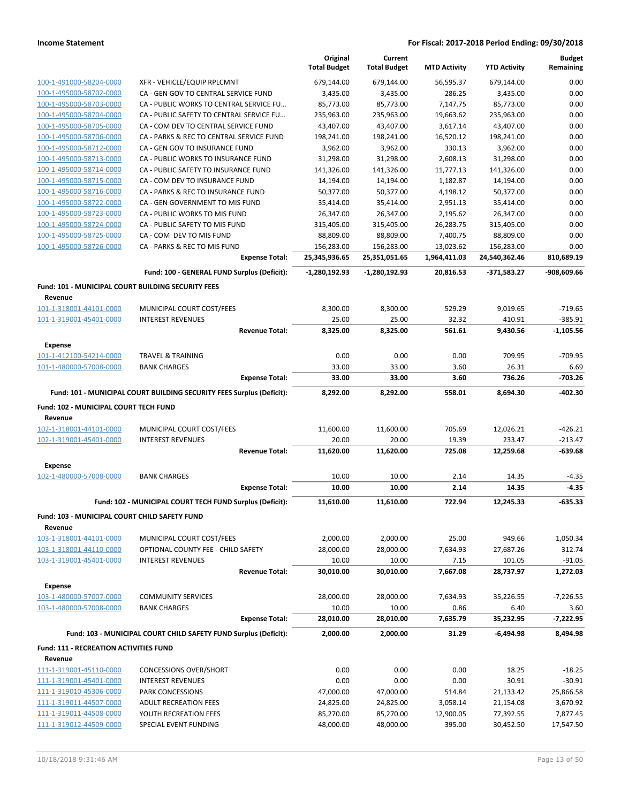|                                                    |                                                                       | Original<br><b>Total Budget</b> | Current<br><b>Total Budget</b> | <b>MTD Activity</b> | <b>YTD Activity</b> | <b>Budget</b><br>Remaining |
|----------------------------------------------------|-----------------------------------------------------------------------|---------------------------------|--------------------------------|---------------------|---------------------|----------------------------|
| 100-1-491000-58204-0000                            | XFR - VEHICLE/EQUIP RPLCMNT                                           | 679,144.00                      | 679,144.00                     | 56,595.37           | 679,144.00          | 0.00                       |
| 100-1-495000-58702-0000                            | CA - GEN GOV TO CENTRAL SERVICE FUND                                  | 3,435.00                        | 3,435.00                       | 286.25              | 3,435.00            | 0.00                       |
| 100-1-495000-58703-0000                            | CA - PUBLIC WORKS TO CENTRAL SERVICE FU                               | 85,773.00                       | 85,773.00                      | 7,147.75            | 85,773.00           | 0.00                       |
| 100-1-495000-58704-0000                            | CA - PUBLIC SAFETY TO CENTRAL SERVICE FU                              | 235,963.00                      | 235,963.00                     | 19,663.62           | 235,963.00          | 0.00                       |
| 100-1-495000-58705-0000                            | CA - COM DEV TO CENTRAL SERVICE FUND                                  | 43,407.00                       | 43,407.00                      | 3,617.14            | 43,407.00           | 0.00                       |
| 100-1-495000-58706-0000                            | CA - PARKS & REC TO CENTRAL SERVICE FUND                              | 198,241.00                      | 198,241.00                     | 16,520.12           | 198,241.00          | 0.00                       |
| 100-1-495000-58712-0000                            | CA - GEN GOV TO INSURANCE FUND                                        | 3,962.00                        | 3,962.00                       | 330.13              | 3,962.00            | 0.00                       |
| 100-1-495000-58713-0000                            | CA - PUBLIC WORKS TO INSURANCE FUND                                   | 31,298.00                       | 31,298.00                      | 2,608.13            | 31,298.00           | 0.00                       |
| 100-1-495000-58714-0000                            | CA - PUBLIC SAFETY TO INSURANCE FUND                                  | 141,326.00                      | 141,326.00                     | 11,777.13           | 141,326.00          | 0.00                       |
| 100-1-495000-58715-0000                            | CA - COM DEV TO INSURANCE FUND                                        | 14,194.00                       | 14,194.00                      | 1,182.87            | 14,194.00           | 0.00                       |
| 100-1-495000-58716-0000                            | CA - PARKS & REC TO INSURANCE FUND                                    | 50,377.00                       | 50,377.00                      | 4,198.12            | 50,377.00           | 0.00                       |
| 100-1-495000-58722-0000                            | CA - GEN GOVERNMENT TO MIS FUND                                       | 35,414.00                       | 35,414.00                      | 2,951.13            | 35,414.00           | 0.00                       |
| 100-1-495000-58723-0000                            | CA - PUBLIC WORKS TO MIS FUND                                         | 26,347.00                       | 26,347.00                      | 2,195.62            | 26,347.00           | 0.00                       |
| 100-1-495000-58724-0000                            | CA - PUBLIC SAFETY TO MIS FUND                                        | 315,405.00                      | 315,405.00                     | 26,283.75           | 315,405.00          | 0.00                       |
| 100-1-495000-58725-0000                            | CA - COM DEV TO MIS FUND                                              | 88,809.00                       | 88,809.00                      | 7,400.75            | 88,809.00           | 0.00                       |
| 100-1-495000-58726-0000                            | CA - PARKS & REC TO MIS FUND                                          | 156,283.00                      | 156,283.00                     | 13,023.62           | 156,283.00          | 0.00                       |
|                                                    | <b>Expense Total:</b>                                                 | 25,345,936.65                   | 25,351,051.65                  | 1,964,411.03        | 24,540,362.46       | 810,689.19                 |
|                                                    | Fund: 100 - GENERAL FUND Surplus (Deficit):                           | $-1,280,192.93$                 | $-1,280,192.93$                | 20,816.53           | -371,583.27         | -908,609.66                |
| Fund: 101 - MUNICIPAL COURT BUILDING SECURITY FEES |                                                                       |                                 |                                |                     |                     |                            |
| Revenue                                            |                                                                       |                                 |                                |                     |                     |                            |
| 101-1-318001-44101-0000                            | MUNICIPAL COURT COST/FEES                                             | 8,300.00                        | 8,300.00                       | 529.29              | 9,019.65            | $-719.65$                  |
| 101-1-319001-45401-0000                            | <b>INTEREST REVENUES</b>                                              | 25.00                           | 25.00                          | 32.32               | 410.91              | $-385.91$                  |
|                                                    | <b>Revenue Total:</b>                                                 | 8,325.00                        | 8,325.00                       | 561.61              | 9,430.56            | $-1.105.56$                |
| Expense                                            |                                                                       |                                 |                                |                     |                     |                            |
| 101-1-412100-54214-0000                            | TRAVEL & TRAINING                                                     | 0.00                            | 0.00                           | 0.00                | 709.95              | -709.95                    |
| 101-1-480000-57008-0000                            | <b>BANK CHARGES</b>                                                   | 33.00                           | 33.00                          | 3.60                | 26.31               | 6.69                       |
|                                                    | <b>Expense Total:</b>                                                 | 33.00                           | 33.00                          | 3.60                | 736.26              | $-703.26$                  |
|                                                    | Fund: 101 - MUNICIPAL COURT BUILDING SECURITY FEES Surplus (Deficit): | 8,292.00                        | 8,292.00                       | 558.01              | 8,694.30            | $-402.30$                  |
| Fund: 102 - MUNICIPAL COURT TECH FUND              |                                                                       |                                 |                                |                     |                     |                            |
| Revenue                                            |                                                                       |                                 |                                |                     |                     |                            |
| 102-1-318001-44101-0000                            | MUNICIPAL COURT COST/FEES                                             | 11,600.00                       | 11,600.00                      | 705.69              | 12,026.21           | $-426.21$                  |
| 102-1-319001-45401-0000                            | <b>INTEREST REVENUES</b>                                              | 20.00                           | 20.00                          | 19.39               | 233.47              | $-213.47$                  |
|                                                    | <b>Revenue Total:</b>                                                 | 11,620.00                       | 11,620.00                      | 725.08              | 12,259.68           | $-639.68$                  |
| Expense                                            |                                                                       |                                 |                                |                     |                     |                            |
| 102-1-480000-57008-0000                            | <b>BANK CHARGES</b>                                                   | 10.00                           | 10.00                          | 2.14                | 14.35               | $-4.35$                    |
|                                                    | <b>Expense Total:</b>                                                 | 10.00                           | 10.00                          | 2.14                | 14.35               | $-4.35$                    |
|                                                    | Fund: 102 - MUNICIPAL COURT TECH FUND Surplus (Deficit):              | 11,610.00                       | 11,610.00                      | 722.94              | 12,245.33           | -635.33                    |
| Fund: 103 - MUNICIPAL COURT CHILD SAFETY FUND      |                                                                       |                                 |                                |                     |                     |                            |
| Revenue                                            |                                                                       |                                 |                                |                     |                     |                            |
| 103-1-318001-44101-0000                            | MUNICIPAL COURT COST/FEES                                             | 2,000.00                        | 2,000.00                       | 25.00               | 949.66              | 1,050.34                   |
| 103-1-318001-44110-0000                            | OPTIONAL COUNTY FEE - CHILD SAFETY                                    | 28,000.00                       | 28,000.00                      | 7,634.93            | 27,687.26           | 312.74                     |
| 103-1-319001-45401-0000                            | <b>INTEREST REVENUES</b>                                              | 10.00                           | 10.00                          | 7.15                | 101.05              | $-91.05$                   |
|                                                    | <b>Revenue Total:</b>                                                 | 30,010.00                       | 30,010.00                      | 7,667.08            | 28,737.97           | 1,272.03                   |
|                                                    |                                                                       |                                 |                                |                     |                     |                            |
| <b>Expense</b><br>103-1-480000-57007-0000          | <b>COMMUNITY SERVICES</b>                                             | 28,000.00                       | 28,000.00                      | 7,634.93            | 35,226.55           | $-7,226.55$                |
| 103-1-480000-57008-0000                            | <b>BANK CHARGES</b>                                                   | 10.00                           | 10.00                          | 0.86                | 6.40                | 3.60                       |
|                                                    | <b>Expense Total:</b>                                                 | 28,010.00                       | 28,010.00                      | 7,635.79            | 35,232.95           | $-7,222.95$                |
|                                                    |                                                                       |                                 |                                |                     | $-6,494.98$         |                            |
|                                                    | Fund: 103 - MUNICIPAL COURT CHILD SAFETY FUND Surplus (Deficit):      | 2,000.00                        | 2,000.00                       | 31.29               |                     | 8,494.98                   |
| <b>Fund: 111 - RECREATION ACTIVITIES FUND</b>      |                                                                       |                                 |                                |                     |                     |                            |
| Revenue                                            |                                                                       |                                 |                                |                     |                     |                            |
| 111-1-319001-45110-0000<br>111-1-319001-45401-0000 | <b>CONCESSIONS OVER/SHORT</b>                                         | 0.00<br>0.00                    | 0.00<br>0.00                   | 0.00                | 18.25               | $-18.25$<br>$-30.91$       |
| 111-1-319010-45306-0000                            | <b>INTEREST REVENUES</b><br>PARK CONCESSIONS                          | 47,000.00                       | 47,000.00                      | 0.00<br>514.84      | 30.91<br>21,133.42  | 25,866.58                  |
| 111-1-319011-44507-0000                            | <b>ADULT RECREATION FEES</b>                                          | 24,825.00                       | 24,825.00                      | 3,058.14            | 21,154.08           | 3,670.92                   |
| 111-1-319011-44508-0000                            | YOUTH RECREATION FEES                                                 | 85,270.00                       | 85,270.00                      | 12,900.05           | 77,392.55           | 7,877.45                   |
| 111-1-319012-44509-0000                            | SPECIAL EVENT FUNDING                                                 | 48,000.00                       | 48,000.00                      | 395.00              | 30,452.50           | 17,547.50                  |
|                                                    |                                                                       |                                 |                                |                     |                     |                            |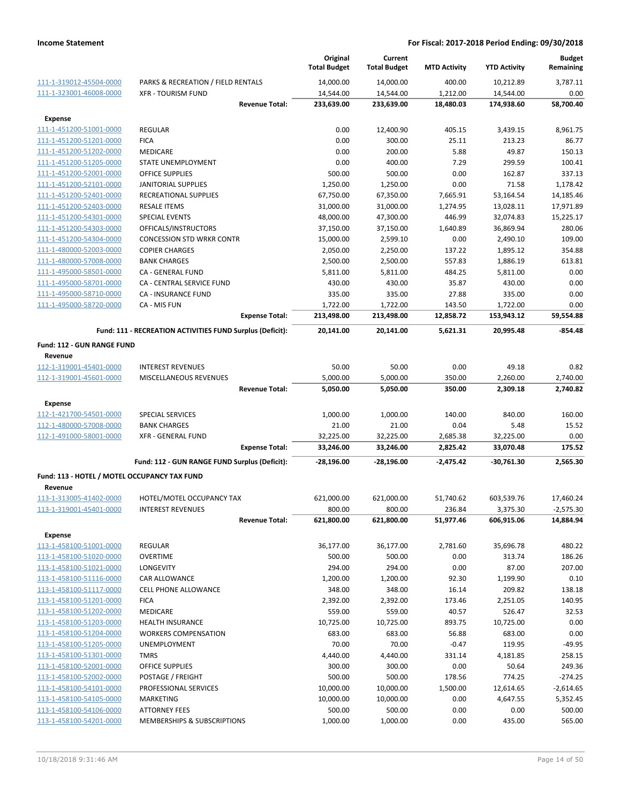|                                                    |                                                           | Original<br><b>Total Budget</b> | Current<br><b>Total Budget</b> | <b>MTD Activity</b> | <b>YTD Activity</b> | <b>Budget</b><br>Remaining |
|----------------------------------------------------|-----------------------------------------------------------|---------------------------------|--------------------------------|---------------------|---------------------|----------------------------|
| 111-1-319012-45504-0000                            | PARKS & RECREATION / FIELD RENTALS                        | 14,000.00                       | 14,000.00                      | 400.00              | 10,212.89           | 3,787.11                   |
| 111-1-323001-46008-0000                            | <b>XFR - TOURISM FUND</b>                                 | 14,544.00                       | 14,544.00                      | 1,212.00            | 14,544.00           | 0.00                       |
|                                                    | <b>Revenue Total:</b>                                     | 233,639.00                      | 233,639.00                     | 18,480.03           | 174,938.60          | 58,700.40                  |
| <b>Expense</b>                                     |                                                           |                                 |                                |                     |                     |                            |
| 111-1-451200-51001-0000                            | <b>REGULAR</b>                                            | 0.00                            | 12,400.90                      | 405.15              | 3,439.15            | 8,961.75                   |
| 111-1-451200-51201-0000                            | <b>FICA</b>                                               | 0.00                            | 300.00                         | 25.11               | 213.23              | 86.77                      |
| 111-1-451200-51202-0000                            | MEDICARE                                                  | 0.00                            | 200.00                         | 5.88                | 49.87               | 150.13                     |
| 111-1-451200-51205-0000                            | STATE UNEMPLOYMENT                                        | 0.00                            | 400.00                         | 7.29                | 299.59              | 100.41                     |
| 111-1-451200-52001-0000                            | <b>OFFICE SUPPLIES</b>                                    | 500.00                          | 500.00                         | 0.00                | 162.87              | 337.13                     |
| 111-1-451200-52101-0000                            | <b>JANITORIAL SUPPLIES</b>                                | 1,250.00                        | 1,250.00                       | 0.00                | 71.58               | 1,178.42                   |
| 111-1-451200-52401-0000                            | <b>RECREATIONAL SUPPLIES</b>                              | 67,750.00                       | 67,350.00                      | 7,665.91            | 53,164.54           | 14,185.46                  |
| 111-1-451200-52403-0000                            | <b>RESALE ITEMS</b>                                       | 31,000.00                       | 31,000.00                      | 1,274.95            | 13,028.11           | 17,971.89                  |
| 111-1-451200-54301-0000                            | <b>SPECIAL EVENTS</b>                                     | 48,000.00                       | 47,300.00                      | 446.99              | 32,074.83           | 15,225.17                  |
| 111-1-451200-54303-0000                            | OFFICALS/INSTRUCTORS                                      | 37,150.00                       | 37,150.00                      | 1,640.89            | 36,869.94           | 280.06                     |
| 111-1-451200-54304-0000                            | <b>CONCESSION STD WRKR CONTR</b>                          | 15,000.00                       | 2,599.10                       | 0.00                | 2,490.10            | 109.00                     |
| 111-1-480000-52003-0000<br>111-1-480000-57008-0000 | <b>COPIER CHARGES</b>                                     | 2,050.00                        | 2,250.00                       | 137.22              | 1,895.12            | 354.88                     |
| 111-1-495000-58501-0000                            | <b>BANK CHARGES</b><br>CA - GENERAL FUND                  | 2,500.00                        | 2,500.00                       | 557.83<br>484.25    | 1,886.19            | 613.81<br>0.00             |
| 111-1-495000-58701-0000                            | CA - CENTRAL SERVICE FUND                                 | 5,811.00<br>430.00              | 5,811.00<br>430.00             | 35.87               | 5,811.00<br>430.00  | 0.00                       |
| 111-1-495000-58710-0000                            | <b>CA - INSURANCE FUND</b>                                | 335.00                          | 335.00                         | 27.88               | 335.00              | 0.00                       |
| 111-1-495000-58720-0000                            | CA - MIS FUN                                              | 1,722.00                        | 1,722.00                       | 143.50              | 1,722.00            | 0.00                       |
|                                                    | <b>Expense Total:</b>                                     | 213,498.00                      | 213,498.00                     | 12,858.72           | 153,943.12          | 59,554.88                  |
|                                                    | Fund: 111 - RECREATION ACTIVITIES FUND Surplus (Deficit): | 20,141.00                       | 20,141.00                      | 5,621.31            | 20,995.48           | -854.48                    |
| <b>Fund: 112 - GUN RANGE FUND</b><br>Revenue       |                                                           |                                 |                                |                     |                     |                            |
| 112-1-319001-45401-0000                            | <b>INTEREST REVENUES</b>                                  | 50.00                           | 50.00                          | 0.00                | 49.18               | 0.82                       |
| 112-1-319001-45601-0000                            | MISCELLANEOUS REVENUES                                    | 5,000.00                        | 5,000.00                       | 350.00              | 2,260.00            | 2,740.00                   |
|                                                    | <b>Revenue Total:</b>                                     | 5,050.00                        | 5,050.00                       | 350.00              | 2,309.18            | 2,740.82                   |
| <b>Expense</b>                                     |                                                           |                                 |                                |                     |                     |                            |
| 112-1-421700-54501-0000                            | SPECIAL SERVICES                                          | 1,000.00                        | 1,000.00                       | 140.00              | 840.00              | 160.00                     |
| 112-1-480000-57008-0000                            | <b>BANK CHARGES</b>                                       | 21.00                           | 21.00                          | 0.04                | 5.48                | 15.52                      |
| 112-1-491000-58001-0000                            | <b>XFR - GENERAL FUND</b>                                 | 32,225.00                       | 32,225.00                      | 2,685.38            | 32,225.00           | 0.00                       |
|                                                    | <b>Expense Total:</b>                                     | 33,246.00                       | 33,246.00                      | 2,825.42            | 33,070.48           | 175.52                     |
|                                                    | Fund: 112 - GUN RANGE FUND Surplus (Deficit):             | -28,196.00                      | -28,196.00                     | -2,475.42           | -30,761.30          | 2,565.30                   |
| Fund: 113 - HOTEL / MOTEL OCCUPANCY TAX FUND       |                                                           |                                 |                                |                     |                     |                            |
| Revenue                                            |                                                           |                                 |                                |                     |                     |                            |
| 113-1-313005-41402-0000                            | HOTEL/MOTEL OCCUPANCY TAX                                 | 621,000.00                      | 621,000.00                     | 51,740.62           | 603,539.76          | 17,460.24                  |
| 113-1-319001-45401-0000                            | <b>INTEREST REVENUES</b>                                  | 800.00                          | 800.00                         | 236.84              | 3,375.30            | $-2,575.30$                |
|                                                    | <b>Revenue Total:</b>                                     | 621,800.00                      | 621,800.00                     | 51,977.46           | 606,915.06          | 14,884.94                  |
| <b>Expense</b>                                     |                                                           |                                 |                                |                     |                     |                            |
| 113-1-458100-51001-0000                            | REGULAR                                                   | 36,177.00                       | 36,177.00                      | 2,781.60            | 35,696.78           | 480.22                     |
| 113-1-458100-51020-0000                            | <b>OVERTIME</b>                                           | 500.00                          | 500.00                         | 0.00                | 313.74              | 186.26                     |
| 113-1-458100-51021-0000                            | LONGEVITY                                                 | 294.00                          | 294.00                         | 0.00                | 87.00               | 207.00                     |
| 113-1-458100-51116-0000                            | CAR ALLOWANCE                                             | 1,200.00                        | 1,200.00                       | 92.30               | 1,199.90            | 0.10                       |
| 113-1-458100-51117-0000                            | <b>CELL PHONE ALLOWANCE</b>                               | 348.00                          | 348.00                         | 16.14               | 209.82              | 138.18                     |
| 113-1-458100-51201-0000                            | <b>FICA</b>                                               | 2,392.00                        | 2,392.00                       | 173.46              | 2,251.05            | 140.95                     |
| 113-1-458100-51202-0000                            | MEDICARE                                                  | 559.00                          | 559.00                         | 40.57               | 526.47              | 32.53                      |
| 113-1-458100-51203-0000                            | <b>HEALTH INSURANCE</b>                                   | 10,725.00                       | 10,725.00                      | 893.75              | 10,725.00           | 0.00                       |
| 113-1-458100-51204-0000                            | <b>WORKERS COMPENSATION</b>                               | 683.00                          | 683.00                         | 56.88               | 683.00              | 0.00                       |
| 113-1-458100-51205-0000                            | UNEMPLOYMENT                                              | 70.00                           | 70.00<br>4,440.00              | $-0.47$             | 119.95              | $-49.95$                   |
| 113-1-458100-51301-0000                            | <b>TMRS</b><br><b>OFFICE SUPPLIES</b>                     | 4,440.00<br>300.00              | 300.00                         | 331.14<br>0.00      | 4,181.85<br>50.64   | 258.15<br>249.36           |
| 113-1-458100-52001-0000<br>113-1-458100-52002-0000 | POSTAGE / FREIGHT                                         | 500.00                          | 500.00                         | 178.56              | 774.25              | $-274.25$                  |
| 113-1-458100-54101-0000                            | PROFESSIONAL SERVICES                                     | 10,000.00                       | 10,000.00                      | 1,500.00            | 12,614.65           | $-2,614.65$                |
| 113-1-458100-54105-0000                            | <b>MARKETING</b>                                          | 10,000.00                       | 10,000.00                      | 0.00                | 4,647.55            | 5,352.45                   |
| 113-1-458100-54106-0000                            | <b>ATTORNEY FEES</b>                                      | 500.00                          | 500.00                         | 0.00                | 0.00                | 500.00                     |
| 113-1-458100-54201-0000                            | MEMBERSHIPS & SUBSCRIPTIONS                               | 1,000.00                        | 1,000.00                       | 0.00                | 435.00              | 565.00                     |
|                                                    |                                                           |                                 |                                |                     |                     |                            |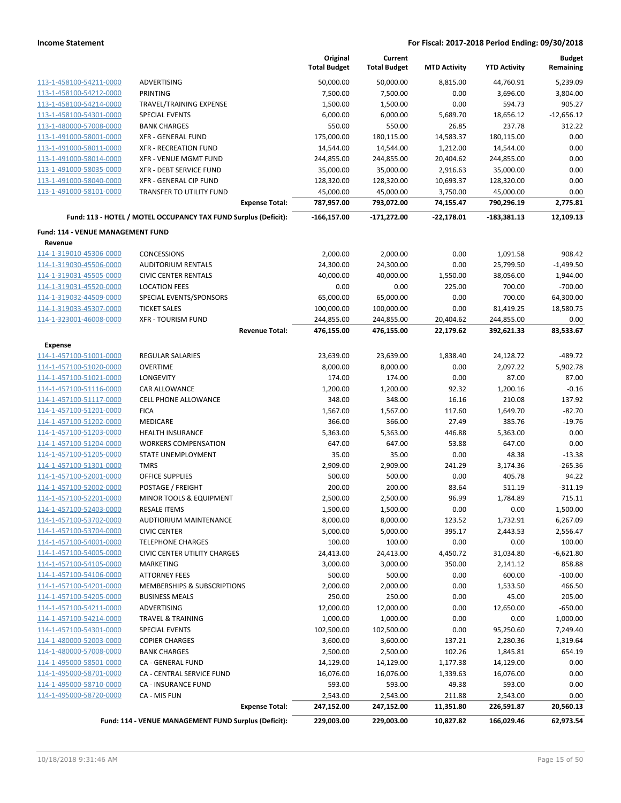|                                   |                                                                 | Original<br><b>Total Budget</b> | Current<br><b>Total Budget</b> | <b>MTD Activity</b>    | <b>YTD Activity</b>      | <b>Budget</b><br>Remaining |
|-----------------------------------|-----------------------------------------------------------------|---------------------------------|--------------------------------|------------------------|--------------------------|----------------------------|
| 113-1-458100-54211-0000           | ADVERTISING                                                     | 50,000.00                       | 50,000.00                      | 8,815.00               | 44,760.91                | 5,239.09                   |
| 113-1-458100-54212-0000           | PRINTING                                                        | 7,500.00                        | 7,500.00                       | 0.00                   | 3,696.00                 | 3,804.00                   |
| 113-1-458100-54214-0000           | TRAVEL/TRAINING EXPENSE                                         | 1,500.00                        | 1,500.00                       | 0.00                   | 594.73                   | 905.27                     |
| 113-1-458100-54301-0000           | <b>SPECIAL EVENTS</b>                                           | 6,000.00                        | 6,000.00                       | 5,689.70               | 18,656.12                | $-12,656.12$               |
| 113-1-480000-57008-0000           | <b>BANK CHARGES</b>                                             | 550.00                          | 550.00                         | 26.85                  | 237.78                   | 312.22                     |
| 113-1-491000-58001-0000           | XFR - GENERAL FUND                                              | 175,000.00                      | 180,115.00                     | 14,583.37              | 180,115.00               | 0.00                       |
| 113-1-491000-58011-0000           | <b>XFR - RECREATION FUND</b>                                    | 14,544.00                       | 14,544.00                      | 1,212.00               | 14,544.00                | 0.00                       |
| 113-1-491000-58014-0000           | <b>XFR - VENUE MGMT FUND</b>                                    | 244,855.00                      | 244,855.00                     | 20,404.62              | 244,855.00               | 0.00                       |
| 113-1-491000-58035-0000           | XFR - DEBT SERVICE FUND                                         | 35,000.00                       | 35,000.00                      | 2,916.63               | 35,000.00                | 0.00                       |
| 113-1-491000-58040-0000           | XFR - GENERAL CIP FUND                                          | 128,320.00                      | 128,320.00                     | 10,693.37              | 128,320.00               | 0.00                       |
| 113-1-491000-58101-0000           | TRANSFER TO UTILITY FUND                                        | 45,000.00                       | 45,000.00                      | 3,750.00               | 45,000.00                | 0.00                       |
|                                   | <b>Expense Total:</b>                                           | 787,957.00                      | 793,072.00                     | 74,155.47              | 790,296.19               | 2,775.81                   |
|                                   | Fund: 113 - HOTEL / MOTEL OCCUPANCY TAX FUND Surplus (Deficit): | $-166, 157.00$                  | $-171,272.00$                  | $-22,178.01$           | $-183,381.13$            | 12,109.13                  |
| Fund: 114 - VENUE MANAGEMENT FUND |                                                                 |                                 |                                |                        |                          |                            |
| Revenue                           |                                                                 |                                 |                                |                        |                          |                            |
| 114-1-319010-45306-0000           | <b>CONCESSIONS</b>                                              | 2,000.00                        | 2,000.00                       | 0.00                   | 1,091.58                 | 908.42                     |
| 114-1-319030-45506-0000           | <b>AUDITORIUM RENTALS</b>                                       | 24,300.00                       | 24,300.00                      | 0.00                   | 25,799.50                | $-1,499.50$                |
| 114-1-319031-45505-0000           | <b>CIVIC CENTER RENTALS</b>                                     | 40,000.00                       | 40,000.00                      | 1,550.00               | 38,056.00                | 1,944.00                   |
| 114-1-319031-45520-0000           | <b>LOCATION FEES</b>                                            | 0.00                            | 0.00                           | 225.00                 | 700.00                   | $-700.00$                  |
| 114-1-319032-44509-0000           | SPECIAL EVENTS/SPONSORS<br><b>TICKET SALES</b>                  | 65,000.00<br>100,000.00         | 65,000.00                      | 0.00                   | 700.00                   | 64,300.00                  |
| 114-1-319033-45307-0000           |                                                                 |                                 | 100,000.00                     | 0.00                   | 81,419.25                | 18,580.75                  |
| 114-1-323001-46008-0000           | <b>XFR - TOURISM FUND</b><br><b>Revenue Total:</b>              | 244,855.00<br>476,155.00        | 244,855.00<br>476,155.00       | 20,404.62<br>22,179.62 | 244,855.00<br>392,621.33 | 0.00<br>83,533.67          |
| <b>Expense</b>                    |                                                                 |                                 |                                |                        |                          |                            |
| 114-1-457100-51001-0000           | <b>REGULAR SALARIES</b>                                         | 23,639.00                       | 23,639.00                      | 1,838.40               | 24,128.72                | -489.72                    |
| 114-1-457100-51020-0000           | <b>OVERTIME</b>                                                 | 8,000.00                        | 8,000.00                       | 0.00                   | 2,097.22                 | 5,902.78                   |
| 114-1-457100-51021-0000           | LONGEVITY                                                       | 174.00                          | 174.00                         | 0.00                   | 87.00                    | 87.00                      |
| 114-1-457100-51116-0000           | CAR ALLOWANCE                                                   | 1,200.00                        | 1,200.00                       | 92.32                  | 1,200.16                 | $-0.16$                    |
| 114-1-457100-51117-0000           | <b>CELL PHONE ALLOWANCE</b>                                     | 348.00                          | 348.00                         | 16.16                  | 210.08                   | 137.92                     |
| 114-1-457100-51201-0000           | <b>FICA</b>                                                     | 1,567.00                        | 1,567.00                       | 117.60                 | 1,649.70                 | $-82.70$                   |
| 114-1-457100-51202-0000           | MEDICARE                                                        | 366.00                          | 366.00                         | 27.49                  | 385.76                   | $-19.76$                   |
| 114-1-457100-51203-0000           | HEALTH INSURANCE                                                | 5,363.00                        | 5,363.00                       | 446.88                 | 5,363.00                 | 0.00                       |
| 114-1-457100-51204-0000           | <b>WORKERS COMPENSATION</b>                                     | 647.00                          | 647.00                         | 53.88                  | 647.00                   | 0.00                       |
| 114-1-457100-51205-0000           | <b>STATE UNEMPLOYMENT</b>                                       | 35.00                           | 35.00                          | 0.00                   | 48.38                    | $-13.38$                   |
| 114-1-457100-51301-0000           | <b>TMRS</b>                                                     | 2,909.00                        | 2,909.00                       | 241.29                 | 3,174.36                 | $-265.36$                  |
| 114-1-457100-52001-0000           | <b>OFFICE SUPPLIES</b>                                          | 500.00                          | 500.00                         | 0.00                   | 405.78                   | 94.22                      |
| 114-1-457100-52002-0000           | POSTAGE / FREIGHT                                               | 200.00                          | 200.00                         | 83.64                  | 511.19                   | $-311.19$                  |
| 114-1-457100-52201-0000           | <b>MINOR TOOLS &amp; EQUIPMENT</b>                              | 2,500.00                        | 2,500.00                       | 96.99                  | 1,784.89                 | 715.11                     |
| 114-1-457100-52403-0000           | <b>RESALE ITEMS</b>                                             | 1,500.00                        | 1,500.00                       | 0.00                   | 0.00                     | 1,500.00                   |
| 114-1-457100-53702-0000           | AUDTIORIUM MAINTENANCE                                          | 8,000.00                        | 8,000.00                       | 123.52                 | 1,732.91                 | 6,267.09                   |
| 114-1-457100-53704-0000           | <b>CIVIC CENTER</b>                                             | 5,000.00                        | 5,000.00                       | 395.17                 | 2,443.53                 | 2,556.47                   |
| 114-1-457100-54001-0000           | <b>TELEPHONE CHARGES</b>                                        | 100.00                          | 100.00                         | 0.00                   | 0.00                     | 100.00                     |
| 114-1-457100-54005-0000           | CIVIC CENTER UTILITY CHARGES                                    | 24,413.00                       | 24,413.00                      | 4,450.72               | 31,034.80                | $-6,621.80$                |
| 114-1-457100-54105-0000           | <b>MARKETING</b>                                                | 3,000.00                        | 3,000.00                       | 350.00                 | 2,141.12                 | 858.88                     |
| 114-1-457100-54106-0000           | <b>ATTORNEY FEES</b>                                            | 500.00                          | 500.00                         | 0.00                   | 600.00                   | $-100.00$                  |
| 114-1-457100-54201-0000           | MEMBERSHIPS & SUBSCRIPTIONS                                     | 2,000.00                        | 2,000.00                       | 0.00                   | 1,533.50                 | 466.50                     |
| 114-1-457100-54205-0000           | <b>BUSINESS MEALS</b>                                           | 250.00                          | 250.00                         | 0.00                   | 45.00                    | 205.00                     |
| 114-1-457100-54211-0000           | <b>ADVERTISING</b>                                              | 12,000.00                       | 12,000.00                      | 0.00                   | 12,650.00                | $-650.00$                  |
| 114-1-457100-54214-0000           | TRAVEL & TRAINING                                               | 1,000.00                        | 1,000.00                       | 0.00                   | 0.00                     | 1,000.00                   |
| 114-1-457100-54301-0000           | SPECIAL EVENTS                                                  | 102,500.00                      | 102,500.00                     | 0.00                   | 95,250.60                | 7,249.40                   |
| 114-1-480000-52003-0000           | <b>COPIER CHARGES</b>                                           | 3,600.00                        | 3,600.00                       | 137.21                 | 2,280.36                 | 1,319.64                   |
| 114-1-480000-57008-0000           | <b>BANK CHARGES</b>                                             | 2,500.00                        | 2,500.00                       | 102.26                 | 1,845.81                 | 654.19                     |
| 114-1-495000-58501-0000           | CA - GENERAL FUND                                               | 14,129.00                       | 14,129.00                      | 1,177.38               | 14,129.00                | 0.00                       |
| 114-1-495000-58701-0000           | CA - CENTRAL SERVICE FUND                                       | 16,076.00                       | 16,076.00                      | 1,339.63               | 16,076.00                | 0.00                       |
| 114-1-495000-58710-0000           | CA - INSURANCE FUND                                             | 593.00                          | 593.00                         | 49.38                  | 593.00                   | 0.00                       |
| 114-1-495000-58720-0000           | CA - MIS FUN                                                    | 2,543.00                        | 2,543.00                       | 211.88                 | 2,543.00                 | 0.00                       |
|                                   | <b>Expense Total:</b>                                           | 247,152.00                      | 247,152.00                     | 11,351.80              | 226,591.87               | 20,560.13                  |
|                                   | Fund: 114 - VENUE MANAGEMENT FUND Surplus (Deficit):            | 229,003.00                      | 229,003.00                     | 10,827.82              | 166,029.46               | 62,973.54                  |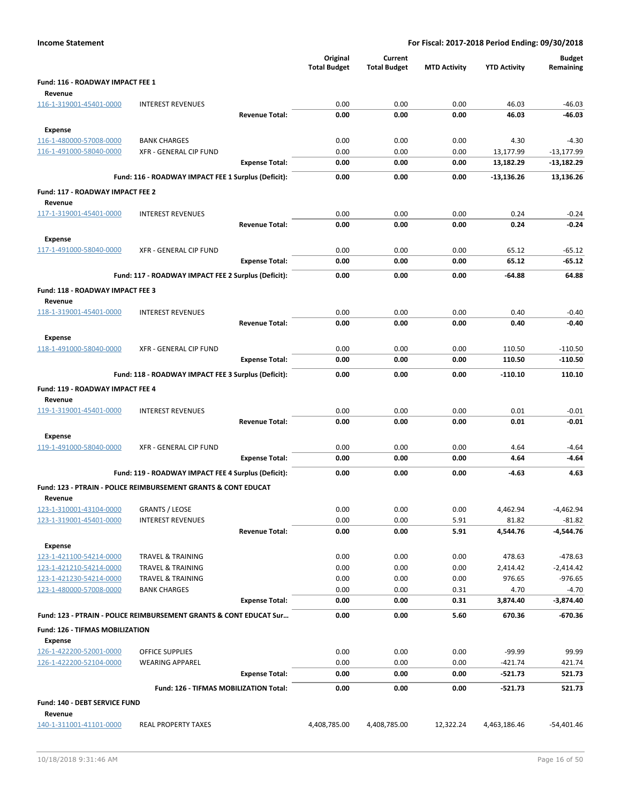|                                             |                                                                    |                       | Original<br><b>Total Budget</b> | Current<br><b>Total Budget</b> | <b>MTD Activity</b> | <b>YTD Activity</b> | <b>Budget</b><br>Remaining |
|---------------------------------------------|--------------------------------------------------------------------|-----------------------|---------------------------------|--------------------------------|---------------------|---------------------|----------------------------|
| Fund: 116 - ROADWAY IMPACT FEE 1<br>Revenue |                                                                    |                       |                                 |                                |                     |                     |                            |
| 116-1-319001-45401-0000                     | <b>INTEREST REVENUES</b>                                           |                       | 0.00                            | 0.00                           | 0.00                | 46.03               | $-46.03$                   |
|                                             |                                                                    | <b>Revenue Total:</b> | 0.00                            | 0.00                           | 0.00                | 46.03               | $-46.03$                   |
| Expense                                     |                                                                    |                       |                                 |                                |                     |                     |                            |
| 116-1-480000-57008-0000                     | <b>BANK CHARGES</b>                                                |                       | 0.00                            | 0.00                           | 0.00                | 4.30                | $-4.30$                    |
| 116-1-491000-58040-0000                     | XFR - GENERAL CIP FUND                                             |                       | 0.00                            | 0.00                           | 0.00                | 13,177.99           | $-13,177.99$               |
|                                             |                                                                    | <b>Expense Total:</b> | 0.00                            | 0.00                           | 0.00                | 13,182.29           | $-13,182.29$               |
|                                             | Fund: 116 - ROADWAY IMPACT FEE 1 Surplus (Deficit):                |                       | 0.00                            | 0.00                           | 0.00                | -13,136.26          | 13,136.26                  |
| Fund: 117 - ROADWAY IMPACT FEE 2<br>Revenue |                                                                    |                       |                                 |                                |                     |                     |                            |
| 117-1-319001-45401-0000                     | <b>INTEREST REVENUES</b>                                           |                       | 0.00                            | 0.00                           | 0.00                | 0.24                | $-0.24$                    |
|                                             |                                                                    | <b>Revenue Total:</b> | 0.00                            | 0.00                           | 0.00                | 0.24                | $-0.24$                    |
| <b>Expense</b>                              |                                                                    |                       |                                 |                                |                     |                     |                            |
| 117-1-491000-58040-0000                     | XFR - GENERAL CIP FUND                                             |                       | 0.00                            | 0.00                           | 0.00                | 65.12               | $-65.12$                   |
|                                             |                                                                    | <b>Expense Total:</b> | 0.00                            | 0.00                           | 0.00                | 65.12               | $-65.12$                   |
|                                             | Fund: 117 - ROADWAY IMPACT FEE 2 Surplus (Deficit):                |                       | 0.00                            | 0.00                           | 0.00                | $-64.88$            | 64.88                      |
| Fund: 118 - ROADWAY IMPACT FEE 3<br>Revenue |                                                                    |                       |                                 |                                |                     |                     |                            |
| 118-1-319001-45401-0000                     | <b>INTEREST REVENUES</b>                                           |                       | 0.00                            | 0.00                           | 0.00                | 0.40                | $-0.40$                    |
|                                             |                                                                    | <b>Revenue Total:</b> | 0.00                            | 0.00                           | 0.00                | 0.40                | $-0.40$                    |
| Expense                                     |                                                                    |                       |                                 |                                |                     |                     |                            |
| 118-1-491000-58040-0000                     | XFR - GENERAL CIP FUND                                             |                       | 0.00<br>0.00                    | 0.00<br>0.00                   | 0.00<br>0.00        | 110.50              | $-110.50$<br>$-110.50$     |
|                                             |                                                                    | <b>Expense Total:</b> |                                 |                                |                     | 110.50              |                            |
|                                             | Fund: 118 - ROADWAY IMPACT FEE 3 Surplus (Deficit):                |                       | 0.00                            | 0.00                           | 0.00                | $-110.10$           | 110.10                     |
| Fund: 119 - ROADWAY IMPACT FEE 4            |                                                                    |                       |                                 |                                |                     |                     |                            |
| Revenue<br>119-1-319001-45401-0000          | <b>INTEREST REVENUES</b>                                           |                       | 0.00                            | 0.00                           | 0.00                | 0.01                | $-0.01$                    |
|                                             |                                                                    | <b>Revenue Total:</b> | 0.00                            | 0.00                           | 0.00                | 0.01                | $-0.01$                    |
| Expense                                     |                                                                    |                       |                                 |                                |                     |                     |                            |
| 119-1-491000-58040-0000                     | XFR - GENERAL CIP FUND                                             |                       | 0.00                            | 0.00                           | 0.00                | 4.64                | $-4.64$                    |
|                                             |                                                                    | <b>Expense Total:</b> | 0.00                            | 0.00                           | 0.00                | 4.64                | $-4.64$                    |
|                                             | Fund: 119 - ROADWAY IMPACT FEE 4 Surplus (Deficit):                |                       | 0.00                            | 0.00                           | 0.00                | $-4.63$             | 4.63                       |
|                                             | Fund: 123 - PTRAIN - POLICE REIMBURSEMENT GRANTS & CONT EDUCAT     |                       |                                 |                                |                     |                     |                            |
| Revenue                                     |                                                                    |                       |                                 |                                |                     |                     |                            |
| 123-1-310001-43104-0000                     | <b>GRANTS / LEOSE</b>                                              |                       | 0.00                            | 0.00                           | 0.00                | 4,462.94            | -4,462.94                  |
| 123-1-319001-45401-0000                     | <b>INTEREST REVENUES</b>                                           | <b>Revenue Total:</b> | 0.00                            | 0.00                           | 5.91<br>5.91        | 81.82               | $-81.82$                   |
|                                             |                                                                    |                       | 0.00                            | 0.00                           |                     | 4,544.76            | -4,544.76                  |
| <b>Expense</b><br>123-1-421100-54214-0000   | <b>TRAVEL &amp; TRAINING</b>                                       |                       | 0.00                            | 0.00                           | 0.00                | 478.63              | $-478.63$                  |
| 123-1-421210-54214-0000                     | <b>TRAVEL &amp; TRAINING</b>                                       |                       | 0.00                            | 0.00                           | 0.00                | 2,414.42            | $-2,414.42$                |
| 123-1-421230-54214-0000                     | <b>TRAVEL &amp; TRAINING</b>                                       |                       | 0.00                            | 0.00                           | 0.00                | 976.65              | $-976.65$                  |
| 123-1-480000-57008-0000                     | <b>BANK CHARGES</b>                                                |                       | 0.00                            | 0.00                           | 0.31                | 4.70                | $-4.70$                    |
|                                             |                                                                    | <b>Expense Total:</b> | 0.00                            | 0.00                           | 0.31                | 3,874.40            | $-3,874.40$                |
|                                             | Fund: 123 - PTRAIN - POLICE REIMBURSEMENT GRANTS & CONT EDUCAT Sur |                       | 0.00                            | 0.00                           | 5.60                | 670.36              | $-670.36$                  |
| Fund: 126 - TIFMAS MOBILIZATION             |                                                                    |                       |                                 |                                |                     |                     |                            |
| Expense<br>126-1-422200-52001-0000          | <b>OFFICE SUPPLIES</b>                                             |                       | 0.00                            | 0.00                           | 0.00                | $-99.99$            | 99.99                      |
| 126-1-422200-52104-0000                     | <b>WEARING APPAREL</b>                                             |                       | 0.00                            | 0.00                           | 0.00                | $-421.74$           | 421.74                     |
|                                             |                                                                    | <b>Expense Total:</b> | 0.00                            | 0.00                           | 0.00                | -521.73             | 521.73                     |
|                                             | Fund: 126 - TIFMAS MOBILIZATION Total:                             |                       | 0.00                            | 0.00                           | 0.00                | $-521.73$           | 521.73                     |
| Fund: 140 - DEBT SERVICE FUND<br>Revenue    |                                                                    |                       |                                 |                                |                     |                     |                            |
| 140-1-311001-41101-0000                     | <b>REAL PROPERTY TAXES</b>                                         |                       | 4,408,785.00                    | 4,408,785.00                   | 12,322.24           | 4,463,186.46        | $-54,401.46$               |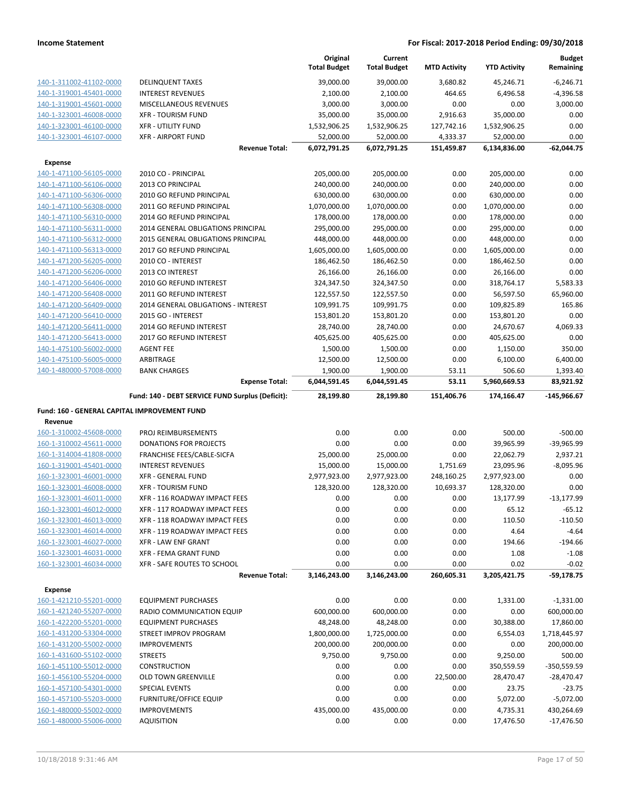|                                                    |                                                     | Original<br><b>Total Budget</b> | Current<br><b>Total Budget</b> | <b>MTD Activity</b> | <b>YTD Activity</b>     | <b>Budget</b><br>Remaining |
|----------------------------------------------------|-----------------------------------------------------|---------------------------------|--------------------------------|---------------------|-------------------------|----------------------------|
| 140-1-311002-41102-0000                            | <b>DELINQUENT TAXES</b>                             | 39,000.00                       | 39,000.00                      | 3,680.82            | 45,246.71               | $-6,246.71$                |
| 140-1-319001-45401-0000                            | <b>INTEREST REVENUES</b>                            | 2,100.00                        | 2,100.00                       | 464.65              | 6,496.58                | $-4,396.58$                |
| 140-1-319001-45601-0000                            | MISCELLANEOUS REVENUES                              | 3,000.00                        | 3,000.00                       | 0.00                | 0.00                    | 3,000.00                   |
| 140-1-323001-46008-0000                            | <b>XFR - TOURISM FUND</b>                           | 35,000.00                       | 35,000.00                      | 2,916.63            | 35,000.00               | 0.00                       |
| 140-1-323001-46100-0000                            | <b>XFR - UTILITY FUND</b>                           | 1,532,906.25                    | 1,532,906.25                   | 127,742.16          | 1,532,906.25            | 0.00                       |
| 140-1-323001-46107-0000                            | <b>XFR - AIRPORT FUND</b>                           | 52,000.00                       | 52,000.00                      | 4,333.37            | 52,000.00               | 0.00                       |
|                                                    | <b>Revenue Total:</b>                               | 6,072,791.25                    | 6,072,791.25                   | 151,459.87          | 6,134,836.00            | $-62,044.75$               |
| <b>Expense</b>                                     |                                                     |                                 |                                |                     |                         |                            |
| 140-1-471100-56105-0000                            | 2010 CO - PRINCIPAL                                 | 205,000.00                      | 205,000.00                     | 0.00                | 205,000.00              | 0.00                       |
| 140-1-471100-56106-0000                            | 2013 CO PRINCIPAL                                   | 240,000.00                      | 240,000.00                     | 0.00                | 240,000.00              | 0.00                       |
| 140-1-471100-56306-0000                            | 2010 GO REFUND PRINCIPAL                            | 630,000.00                      | 630,000.00                     | 0.00                | 630,000.00              | 0.00                       |
| 140-1-471100-56308-0000                            | 2011 GO REFUND PRINCIPAL                            | 1,070,000.00                    | 1,070,000.00                   | 0.00                | 1,070,000.00            | 0.00                       |
| 140-1-471100-56310-0000                            | 2014 GO REFUND PRINCIPAL                            | 178,000.00                      | 178,000.00                     | 0.00                | 178,000.00              | 0.00                       |
| 140-1-471100-56311-0000                            | 2014 GENERAL OBLIGATIONS PRINCIPAL                  | 295,000.00                      | 295,000.00                     | 0.00                | 295,000.00              | 0.00                       |
| 140-1-471100-56312-0000                            | 2015 GENERAL OBLIGATIONS PRINCIPAL                  | 448,000.00                      | 448,000.00                     | 0.00                | 448,000.00              | 0.00                       |
| 140-1-471100-56313-0000                            | 2017 GO REFUND PRINCIPAL                            | 1,605,000.00                    | 1,605,000.00                   | 0.00                | 1,605,000.00            | 0.00                       |
| 140-1-471200-56205-0000                            | 2010 CO - INTEREST                                  | 186,462.50                      | 186,462.50                     | 0.00                | 186,462.50              | 0.00                       |
| 140-1-471200-56206-0000                            | 2013 CO INTEREST                                    | 26,166.00                       | 26,166.00                      | 0.00                | 26,166.00               | 0.00                       |
| 140-1-471200-56406-0000                            | 2010 GO REFUND INTEREST                             | 324,347.50                      | 324,347.50                     | 0.00                | 318,764.17              | 5,583.33                   |
| 140-1-471200-56408-0000                            | 2011 GO REFUND INTEREST                             | 122,557.50                      | 122,557.50                     | 0.00                | 56,597.50               | 65,960.00                  |
| 140-1-471200-56409-0000                            | 2014 GENERAL OBLIGATIONS - INTEREST                 | 109,991.75                      | 109,991.75                     | 0.00                | 109,825.89              | 165.86                     |
| 140-1-471200-56410-0000                            | 2015 GO - INTEREST                                  | 153,801.20                      | 153,801.20                     | 0.00                | 153,801.20              | 0.00                       |
| 140-1-471200-56411-0000<br>140-1-471200-56413-0000 | 2014 GO REFUND INTEREST<br>2017 GO REFUND INTEREST  | 28,740.00<br>405,625.00         | 28,740.00<br>405,625.00        | 0.00<br>0.00        | 24,670.67<br>405,625.00 | 4,069.33<br>0.00           |
| 140-1-475100-56002-0000                            | <b>AGENT FEE</b>                                    | 1,500.00                        | 1,500.00                       | 0.00                | 1,150.00                | 350.00                     |
| 140-1-475100-56005-0000                            | ARBITRAGE                                           | 12,500.00                       | 12,500.00                      | 0.00                | 6,100.00                | 6,400.00                   |
| 140-1-480000-57008-0000                            | <b>BANK CHARGES</b>                                 | 1,900.00                        | 1,900.00                       | 53.11               | 506.60                  | 1,393.40                   |
|                                                    | <b>Expense Total:</b>                               | 6,044,591.45                    | 6,044,591.45                   | 53.11               | 5,960,669.53            | 83,921.92                  |
|                                                    | Fund: 140 - DEBT SERVICE FUND Surplus (Deficit):    | 28,199.80                       | 28,199.80                      | 151,406.76          | 174,166.47              |                            |
|                                                    |                                                     |                                 |                                |                     |                         | $-145,966.67$              |
|                                                    |                                                     |                                 |                                |                     |                         |                            |
| Fund: 160 - GENERAL CAPITAL IMPROVEMENT FUND       |                                                     |                                 |                                |                     |                         |                            |
| Revenue<br>160-1-310002-45608-0000                 | PROJ REIMBURSEMENTS                                 | 0.00                            | 0.00                           | 0.00                | 500.00                  | $-500.00$                  |
| 160-1-310002-45611-0000                            | DONATIONS FOR PROJECTS                              | 0.00                            | 0.00                           | 0.00                | 39,965.99               | -39,965.99                 |
| 160-1-314004-41808-0000                            | FRANCHISE FEES/CABLE-SICFA                          | 25,000.00                       | 25,000.00                      | 0.00                | 22,062.79               | 2,937.21                   |
| 160-1-319001-45401-0000                            | <b>INTEREST REVENUES</b>                            | 15,000.00                       | 15,000.00                      | 1,751.69            | 23,095.96               | $-8,095.96$                |
| 160-1-323001-46001-0000                            | <b>XFR - GENERAL FUND</b>                           | 2,977,923.00                    | 2,977,923.00                   | 248,160.25          | 2,977,923.00            | 0.00                       |
| 160-1-323001-46008-0000                            | <b>XFR - TOURISM FUND</b>                           | 128,320.00                      | 128,320.00                     | 10,693.37           | 128,320.00              | 0.00                       |
| 160-1-323001-46011-0000                            | XFR - 116 ROADWAY IMPACT FEES                       | 0.00                            | 0.00                           | 0.00                | 13,177.99               | $-13,177.99$               |
| 160-1-323001-46012-0000                            | XFR - 117 ROADWAY IMPACT FEES                       | 0.00                            | 0.00                           | 0.00                | 65.12                   | $-65.12$                   |
| 160-1-323001-46013-0000                            | XFR - 118 ROADWAY IMPACT FEES                       | 0.00                            | 0.00                           | 0.00                | 110.50                  | $-110.50$                  |
| 160-1-323001-46014-0000                            | XFR - 119 ROADWAY IMPACT FEES                       | 0.00                            | 0.00                           | 0.00                | 4.64                    | $-4.64$                    |
| 160-1-323001-46027-0000                            | <b>XFR - LAW ENF GRANT</b>                          | 0.00                            | 0.00                           | 0.00                | 194.66                  | $-194.66$                  |
| 160-1-323001-46031-0000                            | <b>XFR - FEMA GRANT FUND</b>                        | 0.00                            | 0.00                           | 0.00                | 1.08                    | $-1.08$                    |
| 160-1-323001-46034-0000                            | XFR - SAFE ROUTES TO SCHOOL                         | 0.00                            | 0.00                           | 0.00                | 0.02                    | $-0.02$                    |
|                                                    | <b>Revenue Total:</b>                               | 3,146,243.00                    | 3,146,243.00                   | 260,605.31          | 3,205,421.75            | $-59,178.75$               |
| Expense                                            |                                                     |                                 |                                |                     |                         |                            |
| 160-1-421210-55201-0000                            | <b>EQUIPMENT PURCHASES</b>                          | 0.00                            | 0.00                           | 0.00                | 1,331.00                | $-1,331.00$                |
| 160-1-421240-55207-0000                            | RADIO COMMUNICATION EQUIP                           | 600,000.00                      | 600,000.00                     | 0.00                | 0.00                    | 600,000.00                 |
| 160-1-422200-55201-0000                            | <b>EQUIPMENT PURCHASES</b>                          | 48,248.00                       | 48,248.00                      | 0.00                | 30,388.00               | 17,860.00                  |
| 160-1-431200-53304-0000                            | <b>STREET IMPROV PROGRAM</b>                        | 1,800,000.00                    | 1,725,000.00                   | 0.00                | 6,554.03                | 1,718,445.97               |
| 160-1-431200-55002-0000                            | <b>IMPROVEMENTS</b>                                 | 200,000.00                      | 200,000.00                     | 0.00                | 0.00                    | 200,000.00                 |
| 160-1-431600-55102-0000                            | <b>STREETS</b>                                      | 9,750.00                        | 9,750.00                       | 0.00                | 9,250.00                | 500.00                     |
| 160-1-451100-55012-0000                            | CONSTRUCTION                                        | 0.00                            | 0.00                           | 0.00                | 350,559.59              | -350,559.59                |
| 160-1-456100-55204-0000                            | <b>OLD TOWN GREENVILLE</b><br><b>SPECIAL EVENTS</b> | 0.00                            | 0.00                           | 22,500.00           | 28,470.47               | $-28,470.47$               |
| 160-1-457100-54301-0000<br>160-1-457100-55203-0000 | <b>FURNITURE/OFFICE EQUIP</b>                       | 0.00<br>0.00                    | 0.00<br>0.00                   | 0.00<br>0.00        | 23.75                   | $-23.75$                   |
| 160-1-480000-55002-0000                            | <b>IMPROVEMENTS</b>                                 | 435,000.00                      | 435,000.00                     | 0.00                | 5,072.00<br>4,735.31    | $-5,072.00$<br>430,264.69  |
| 160-1-480000-55006-0000                            | <b>AQUISITION</b>                                   | 0.00                            | 0.00                           | 0.00                | 17,476.50               | $-17,476.50$               |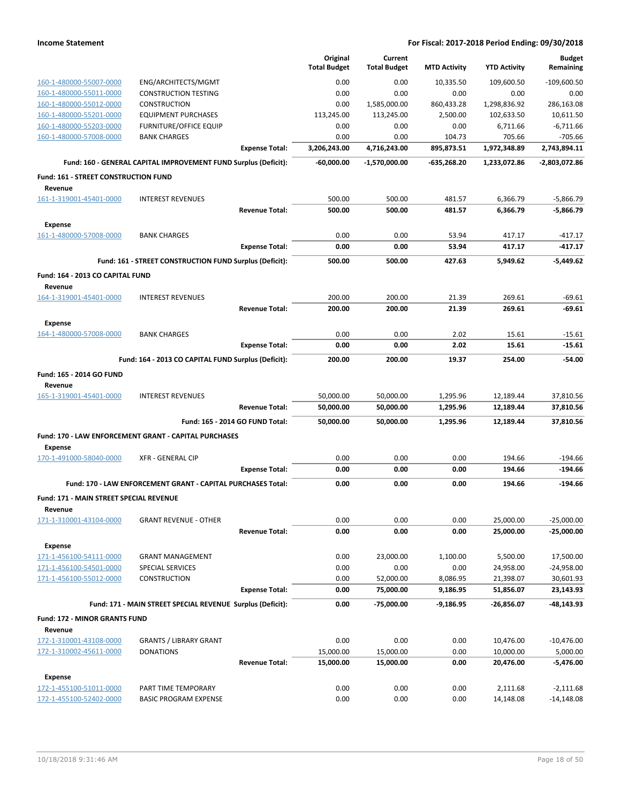|                                                 |                                                                     |                                 | Original            | Current             |                     |                     | <b>Budget</b>            |
|-------------------------------------------------|---------------------------------------------------------------------|---------------------------------|---------------------|---------------------|---------------------|---------------------|--------------------------|
|                                                 |                                                                     |                                 | <b>Total Budget</b> | <b>Total Budget</b> | <b>MTD Activity</b> | <b>YTD Activity</b> | Remaining                |
| 160-1-480000-55007-0000                         | ENG/ARCHITECTS/MGMT                                                 |                                 | 0.00                | 0.00                | 10,335.50           | 109,600.50          | $-109,600.50$            |
| 160-1-480000-55011-0000                         | <b>CONSTRUCTION TESTING</b>                                         |                                 | 0.00                | 0.00                | 0.00                | 0.00                | 0.00                     |
| 160-1-480000-55012-0000                         | <b>CONSTRUCTION</b>                                                 |                                 | 0.00                | 1,585,000.00        | 860,433.28          | 1,298,836.92        | 286,163.08               |
| 160-1-480000-55201-0000                         | <b>EQUIPMENT PURCHASES</b>                                          |                                 | 113,245.00          | 113,245.00          | 2,500.00            | 102.633.50          | 10,611.50                |
| 160-1-480000-55203-0000                         | <b>FURNITURE/OFFICE EQUIP</b><br><b>BANK CHARGES</b>                |                                 | 0.00<br>0.00        | 0.00<br>0.00        | 0.00<br>104.73      | 6,711.66<br>705.66  | $-6,711.66$<br>$-705.66$ |
| 160-1-480000-57008-0000                         |                                                                     | <b>Expense Total:</b>           | 3,206,243.00        | 4,716,243.00        | 895,873.51          | 1,972,348.89        | 2,743,894.11             |
|                                                 |                                                                     |                                 |                     |                     |                     |                     |                          |
|                                                 | Fund: 160 - GENERAL CAPITAL IMPROVEMENT FUND Surplus (Deficit):     |                                 | -60,000.00          | -1,570,000.00       | -635,268.20         | 1,233,072.86        | -2,803,072.86            |
| Fund: 161 - STREET CONSTRUCTION FUND            |                                                                     |                                 |                     |                     |                     |                     |                          |
| Revenue                                         |                                                                     |                                 |                     |                     |                     |                     |                          |
| 161-1-319001-45401-0000                         | <b>INTEREST REVENUES</b>                                            |                                 | 500.00              | 500.00              | 481.57              | 6,366.79            | $-5,866.79$              |
|                                                 |                                                                     | <b>Revenue Total:</b>           | 500.00              | 500.00              | 481.57              | 6,366.79            | $-5,866.79$              |
| <b>Expense</b>                                  |                                                                     |                                 |                     |                     |                     |                     |                          |
| 161-1-480000-57008-0000                         | <b>BANK CHARGES</b>                                                 |                                 | 0.00                | 0.00                | 53.94               | 417.17              | $-417.17$                |
|                                                 |                                                                     | <b>Expense Total:</b>           | 0.00                | 0.00                | 53.94               | 417.17              | $-417.17$                |
|                                                 | Fund: 161 - STREET CONSTRUCTION FUND Surplus (Deficit):             |                                 | 500.00              | 500.00              | 427.63              | 5,949.62            | $-5.449.62$              |
| Fund: 164 - 2013 CO CAPITAL FUND                |                                                                     |                                 |                     |                     |                     |                     |                          |
| Revenue                                         |                                                                     |                                 |                     |                     |                     |                     |                          |
| 164-1-319001-45401-0000                         | <b>INTEREST REVENUES</b>                                            |                                 | 200.00              | 200.00              | 21.39               | 269.61              | $-69.61$                 |
|                                                 |                                                                     | <b>Revenue Total:</b>           | 200.00              | 200.00              | 21.39               | 269.61              | $-69.61$                 |
| <b>Expense</b>                                  |                                                                     |                                 |                     |                     |                     |                     |                          |
| 164-1-480000-57008-0000                         | <b>BANK CHARGES</b>                                                 |                                 | 0.00                | 0.00                | 2.02                | 15.61               | $-15.61$                 |
|                                                 |                                                                     | <b>Expense Total:</b>           | 0.00                | 0.00                | 2.02                | 15.61               | $-15.61$                 |
|                                                 |                                                                     |                                 | 200.00              | 200.00              | 19.37               | 254.00              | $-54.00$                 |
|                                                 | Fund: 164 - 2013 CO CAPITAL FUND Surplus (Deficit):                 |                                 |                     |                     |                     |                     |                          |
| Fund: 165 - 2014 GO FUND                        |                                                                     |                                 |                     |                     |                     |                     |                          |
| Revenue                                         |                                                                     |                                 |                     |                     |                     |                     |                          |
| 165-1-319001-45401-0000                         | <b>INTEREST REVENUES</b>                                            |                                 | 50,000.00           | 50,000.00           | 1,295.96            | 12,189.44           | 37,810.56                |
|                                                 |                                                                     | <b>Revenue Total:</b>           | 50,000.00           | 50,000.00           | 1,295.96            | 12,189.44           | 37,810.56                |
|                                                 |                                                                     | Fund: 165 - 2014 GO FUND Total: | 50,000.00           | 50,000.00           | 1,295.96            | 12,189.44           | 37,810.56                |
|                                                 | <b>Fund: 170 - LAW ENFORCEMENT GRANT - CAPITAL PURCHASES</b>        |                                 |                     |                     |                     |                     |                          |
| <b>Expense</b>                                  |                                                                     |                                 |                     |                     |                     |                     |                          |
| 170-1-491000-58040-0000                         | <b>XFR - GENERAL CIP</b>                                            |                                 | 0.00                | 0.00                | 0.00                | 194.66              | $-194.66$                |
|                                                 |                                                                     | <b>Expense Total:</b>           | 0.00                | 0.00                | 0.00                | 194.66              | $-194.66$                |
|                                                 | <b>Fund: 170 - LAW ENFORCEMENT GRANT - CAPITAL PURCHASES Total:</b> |                                 | 0.00                | 0.00                | 0.00                | 194.66              | $-194.66$                |
| <b>Fund: 171 - MAIN STREET SPECIAL REVENUE</b>  |                                                                     |                                 |                     |                     |                     |                     |                          |
| Revenue                                         |                                                                     |                                 |                     |                     |                     |                     |                          |
| 171-1-310001-43104-0000                         | <b>GRANT REVENUE - OTHER</b>                                        |                                 | 0.00                | 0.00                | 0.00                | 25,000.00           | $-25,000.00$             |
|                                                 |                                                                     | <b>Revenue Total:</b>           | 0.00                | 0.00                | 0.00                | 25,000.00           | $-25,000.00$             |
| <b>Expense</b>                                  |                                                                     |                                 |                     |                     |                     |                     |                          |
| 171-1-456100-54111-0000                         | <b>GRANT MANAGEMENT</b>                                             |                                 | 0.00                | 23,000.00           | 1,100.00            | 5,500.00            | 17,500.00                |
| 171-1-456100-54501-0000                         | <b>SPECIAL SERVICES</b>                                             |                                 | 0.00                | 0.00                | 0.00                | 24,958.00           | $-24,958.00$             |
| 171-1-456100-55012-0000                         | <b>CONSTRUCTION</b>                                                 |                                 | 0.00                | 52,000.00           | 8,086.95            | 21,398.07           | 30,601.93                |
|                                                 |                                                                     | <b>Expense Total:</b>           | 0.00                | 75,000.00           | 9,186.95            | 51,856.07           | 23,143.93                |
|                                                 | Fund: 171 - MAIN STREET SPECIAL REVENUE Surplus (Deficit):          |                                 | 0.00                | $-75,000.00$        | $-9,186.95$         | -26,856.07          | -48,143.93               |
|                                                 |                                                                     |                                 |                     |                     |                     |                     |                          |
| <b>Fund: 172 - MINOR GRANTS FUND</b><br>Revenue |                                                                     |                                 |                     |                     |                     |                     |                          |
| 172-1-310001-43108-0000                         | <b>GRANTS / LIBRARY GRANT</b>                                       |                                 | 0.00                | 0.00                | 0.00                | 10,476.00           | $-10,476.00$             |
| 172-1-310002-45611-0000                         | <b>DONATIONS</b>                                                    |                                 | 15,000.00           | 15,000.00           | 0.00                | 10,000.00           | 5,000.00                 |
|                                                 |                                                                     | <b>Revenue Total:</b>           | 15,000.00           | 15,000.00           | 0.00                | 20,476.00           | $-5,476.00$              |
|                                                 |                                                                     |                                 |                     |                     |                     |                     |                          |
| <b>Expense</b><br>172-1-455100-51011-0000       | PART TIME TEMPORARY                                                 |                                 | 0.00                | 0.00                | 0.00                | 2,111.68            | $-2,111.68$              |
| 172-1-455100-52402-0000                         | <b>BASIC PROGRAM EXPENSE</b>                                        |                                 | 0.00                | 0.00                | 0.00                | 14,148.08           | $-14,148.08$             |
|                                                 |                                                                     |                                 |                     |                     |                     |                     |                          |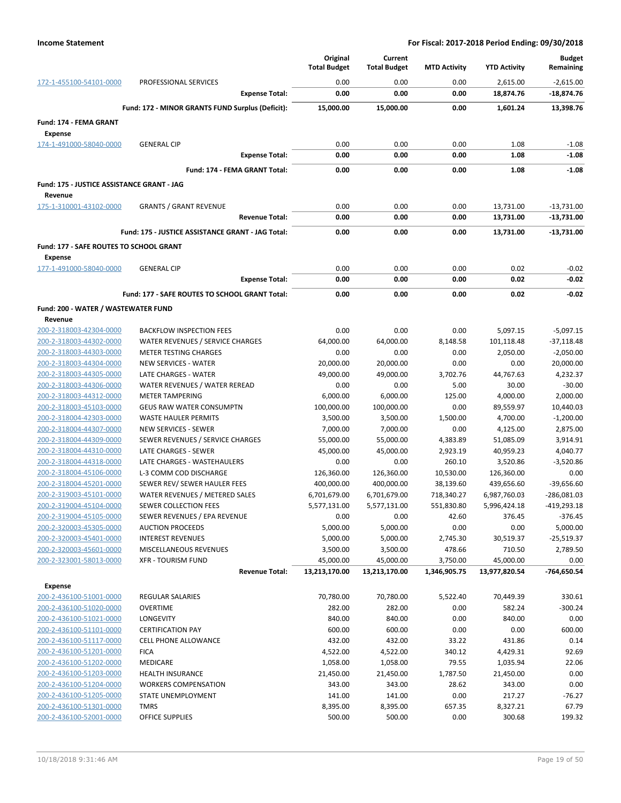|                                                    |                                                          | Original<br><b>Total Budget</b> | Current<br><b>Total Budget</b> | <b>MTD Activity</b>  | <b>YTD Activity</b>    | <b>Budget</b><br>Remaining |
|----------------------------------------------------|----------------------------------------------------------|---------------------------------|--------------------------------|----------------------|------------------------|----------------------------|
| 172-1-455100-54101-0000                            | PROFESSIONAL SERVICES                                    | 0.00                            | 0.00                           | 0.00                 | 2,615.00               | $-2,615.00$                |
|                                                    | <b>Expense Total:</b>                                    | 0.00                            | 0.00                           | 0.00                 | 18,874.76              | -18,874.76                 |
|                                                    | Fund: 172 - MINOR GRANTS FUND Surplus (Deficit):         | 15,000.00                       | 15,000.00                      | 0.00                 | 1,601.24               | 13,398.76                  |
| Fund: 174 - FEMA GRANT                             |                                                          |                                 |                                |                      |                        |                            |
| <b>Expense</b>                                     |                                                          |                                 |                                |                      |                        |                            |
| 174-1-491000-58040-0000                            | <b>GENERAL CIP</b>                                       | 0.00                            | 0.00                           | 0.00                 | 1.08                   | $-1.08$                    |
|                                                    | <b>Expense Total:</b>                                    | 0.00                            | 0.00                           | 0.00                 | 1.08                   | $-1.08$                    |
|                                                    | Fund: 174 - FEMA GRANT Total:                            | 0.00                            | 0.00                           | 0.00                 | 1.08                   | $-1.08$                    |
| Fund: 175 - JUSTICE ASSISTANCE GRANT - JAG         |                                                          |                                 |                                |                      |                        |                            |
| Revenue                                            |                                                          |                                 |                                |                      |                        |                            |
| 175-1-310001-43102-0000                            | <b>GRANTS / GRANT REVENUE</b>                            | 0.00                            | 0.00                           | 0.00                 | 13,731.00              | $-13,731.00$               |
|                                                    | <b>Revenue Total:</b>                                    | 0.00                            | 0.00                           | 0.00                 | 13,731.00              | -13,731.00                 |
|                                                    | Fund: 175 - JUSTICE ASSISTANCE GRANT - JAG Total:        | 0.00                            | 0.00                           | 0.00                 | 13,731.00              | -13,731.00                 |
| Fund: 177 - SAFE ROUTES TO SCHOOL GRANT            |                                                          |                                 |                                |                      |                        |                            |
| <b>Expense</b>                                     |                                                          |                                 |                                |                      |                        |                            |
| 177-1-491000-58040-0000                            | <b>GENERAL CIP</b>                                       | 0.00                            | 0.00                           | 0.00                 | 0.02                   | $-0.02$                    |
|                                                    | <b>Expense Total:</b>                                    | 0.00                            | 0.00                           | 0.00                 | 0.02                   | $-0.02$                    |
|                                                    | Fund: 177 - SAFE ROUTES TO SCHOOL GRANT Total:           | 0.00                            | 0.00                           | 0.00                 | 0.02                   | $-0.02$                    |
| Fund: 200 - WATER / WASTEWATER FUND                |                                                          |                                 |                                |                      |                        |                            |
| Revenue                                            |                                                          |                                 |                                |                      |                        |                            |
| 200-2-318003-42304-0000                            | <b>BACKFLOW INSPECTION FEES</b>                          | 0.00                            | 0.00                           | 0.00                 | 5,097.15               | $-5,097.15$                |
| 200-2-318003-44302-0000                            | WATER REVENUES / SERVICE CHARGES                         | 64,000.00                       | 64,000.00                      | 8,148.58             | 101,118.48             | $-37,118.48$               |
| 200-2-318003-44303-0000                            | <b>METER TESTING CHARGES</b>                             | 0.00                            | 0.00                           | 0.00                 | 2,050.00               | $-2,050.00$                |
| 200-2-318003-44304-0000                            | <b>NEW SERVICES - WATER</b>                              | 20,000.00                       | 20,000.00                      | 0.00                 | 0.00                   | 20,000.00                  |
| 200-2-318003-44305-0000                            | LATE CHARGES - WATER                                     | 49,000.00                       | 49,000.00                      | 3,702.76             | 44,767.63              | 4,232.37                   |
| 200-2-318003-44306-0000                            | WATER REVENUES / WATER REREAD                            | 0.00                            | 0.00                           | 5.00                 | 30.00                  | $-30.00$                   |
| 200-2-318003-44312-0000                            | <b>METER TAMPERING</b>                                   | 6,000.00                        | 6,000.00                       | 125.00               | 4,000.00               | 2,000.00                   |
| 200-2-318003-45103-0000                            | <b>GEUS RAW WATER CONSUMPTN</b>                          | 100,000.00                      | 100,000.00                     | 0.00                 | 89,559.97              | 10,440.03                  |
| 200-2-318004-42303-0000                            | <b>WASTE HAULER PERMITS</b>                              | 3,500.00                        | 3,500.00                       | 1,500.00             | 4,700.00               | $-1,200.00$                |
| 200-2-318004-44307-0000                            | <b>NEW SERVICES - SEWER</b>                              | 7,000.00                        | 7,000.00                       | 0.00                 | 4,125.00               | 2,875.00                   |
| 200-2-318004-44309-0000<br>200-2-318004-44310-0000 | SEWER REVENUES / SERVICE CHARGES<br>LATE CHARGES - SEWER | 55,000.00<br>45,000.00          | 55,000.00<br>45,000.00         | 4,383.89<br>2,923.19 | 51,085.09<br>40,959.23 | 3,914.91<br>4,040.77       |
| 200-2-318004-44318-0000                            | LATE CHARGES - WASTEHAULERS                              | 0.00                            | 0.00                           | 260.10               | 3,520.86               | $-3,520.86$                |
| 200-2-318004-45106-0000                            | L-3 COMM COD DISCHARGE                                   | 126,360.00                      | 126,360.00                     | 10,530.00            | 126,360.00             | 0.00                       |
| 200-2-318004-45201-0000                            | SEWER REV/ SEWER HAULER FEES                             | 400,000.00                      | 400,000.00                     | 38,139.60            | 439,656.60             | $-39,656.60$               |
| 200-2-319003-45101-0000                            | WATER REVENUES / METERED SALES                           | 6,701,679.00                    | 6,701,679.00                   | 718,340.27           | 6,987,760.03           | -286,081.03                |
| 200-2-319004-45104-0000                            | SEWER COLLECTION FEES                                    | 5,577,131.00                    | 5,577,131.00                   | 551,830.80           | 5,996,424.18           | -419,293.18                |
| 200-2-319004-45105-0000                            | SEWER REVENUES / EPA REVENUE                             | 0.00                            | 0.00                           | 42.60                | 376.45                 | $-376.45$                  |
| 200-2-320003-45305-0000                            | <b>AUCTION PROCEEDS</b>                                  | 5,000.00                        | 5,000.00                       | 0.00                 | 0.00                   | 5,000.00                   |
| 200-2-320003-45401-0000                            | <b>INTEREST REVENUES</b>                                 | 5,000.00                        | 5,000.00                       | 2,745.30             | 30,519.37              | $-25,519.37$               |
| 200-2-320003-45601-0000                            | MISCELLANEOUS REVENUES                                   | 3,500.00                        | 3,500.00                       | 478.66               | 710.50                 | 2,789.50                   |
| 200-2-323001-58013-0000                            | <b>XFR - TOURISM FUND</b>                                | 45,000.00                       | 45,000.00                      | 3,750.00             | 45,000.00              | 0.00                       |
|                                                    | <b>Revenue Total:</b>                                    | 13,213,170.00                   | 13,213,170.00                  | 1,346,905.75         | 13,977,820.54          | -764,650.54                |
| <b>Expense</b>                                     |                                                          |                                 |                                |                      |                        |                            |
| 200-2-436100-51001-0000                            | REGULAR SALARIES                                         | 70,780.00                       | 70,780.00                      | 5,522.40             | 70,449.39              | 330.61                     |
| 200-2-436100-51020-0000<br>200-2-436100-51021-0000 | <b>OVERTIME</b><br><b>LONGEVITY</b>                      | 282.00<br>840.00                | 282.00<br>840.00               | 0.00<br>0.00         | 582.24<br>840.00       | $-300.24$<br>0.00          |
| 200-2-436100-51101-0000                            | <b>CERTIFICATION PAY</b>                                 | 600.00                          | 600.00                         | 0.00                 | 0.00                   | 600.00                     |
| 200-2-436100-51117-0000                            | <b>CELL PHONE ALLOWANCE</b>                              | 432.00                          | 432.00                         | 33.22                | 431.86                 | 0.14                       |
| 200-2-436100-51201-0000                            | <b>FICA</b>                                              | 4,522.00                        | 4,522.00                       | 340.12               | 4,429.31               | 92.69                      |
| 200-2-436100-51202-0000                            | MEDICARE                                                 | 1,058.00                        | 1,058.00                       | 79.55                | 1,035.94               | 22.06                      |
| 200-2-436100-51203-0000                            | HEALTH INSURANCE                                         | 21,450.00                       | 21,450.00                      | 1,787.50             | 21,450.00              | 0.00                       |
| 200-2-436100-51204-0000                            | <b>WORKERS COMPENSATION</b>                              | 343.00                          | 343.00                         | 28.62                | 343.00                 | 0.00                       |
| 200-2-436100-51205-0000                            | STATE UNEMPLOYMENT                                       | 141.00                          | 141.00                         | 0.00                 | 217.27                 | $-76.27$                   |
| 200-2-436100-51301-0000                            | <b>TMRS</b>                                              | 8,395.00                        | 8,395.00                       | 657.35               | 8,327.21               | 67.79                      |
| 200-2-436100-52001-0000                            | <b>OFFICE SUPPLIES</b>                                   | 500.00                          | 500.00                         | 0.00                 | 300.68                 | 199.32                     |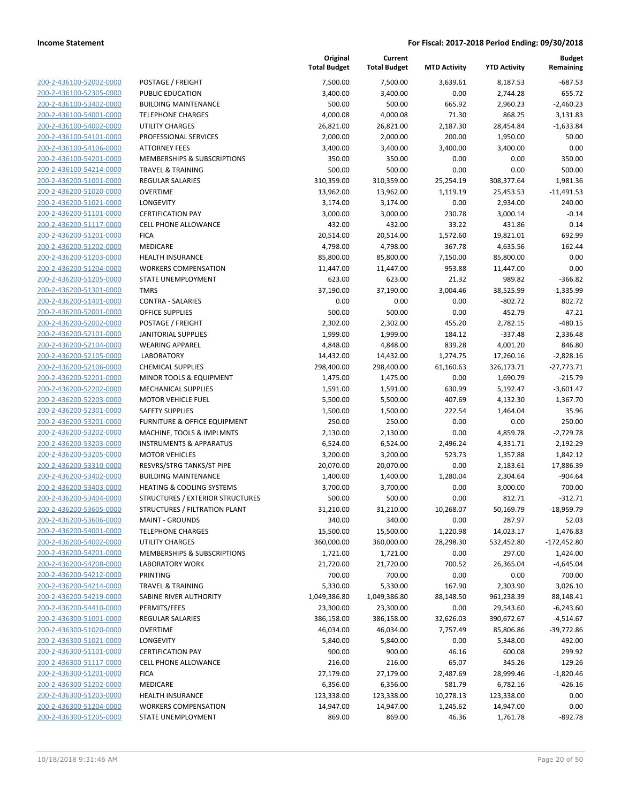| 200-2-436100-52002-0000        |
|--------------------------------|
| 200-2-436100-52305-0000        |
| 200-2-436100-53402-0000        |
| 200-2-436100-54001-0000        |
| 200-2-436100-54002-0000        |
| 200-2-436100-54101-0000        |
|                                |
| 200-2-436100-54106-0000        |
| 200-2-436100-54201-0000        |
| 200-2-436100-54214-0000        |
| 200-2-436200-51001-0000        |
| 200-2-436200-51020-0000        |
| 200-2-436200-51021-0000        |
| 200-2-436200-51101-0000        |
| 200-2-436200-51117-0000        |
| 200-2-436200-51201-0000        |
| 200-2-436200-51202-0000        |
|                                |
| 200-2-436200-51203-0000        |
| 200-2-436200-51204-0000        |
| 200-2-436200-51205-0000        |
| 200-2-436200-51301-0000        |
| 200-2-436200-51401-0000        |
| 200-2-436200-52001-0000        |
| 200-2-436200-52002-0000        |
| 200-2-436200-52101-0000        |
| 200-2-436200-52104-0000        |
| 200-2-436200-52105-0000        |
|                                |
| 200-2-436200-52106-0000        |
| 200-2-436200-52201-0000        |
| 200-2-436200-52202-0000        |
| 200-2-436200-52203-0000        |
| 200-2-436200-52301-0000        |
| 200-2-436200-53201-0000        |
| 200-2-436200-53202-0000        |
| 200-2-436200-53203-0000        |
| 200-2-436200-53205-0000        |
| 200-2-436200-53310-0000        |
|                                |
| 200-2-436200-53402-0000        |
| 200-2-436200-53403-0000        |
| 200-2-436200-53404-0000        |
| 200-2-436200-53605-0000        |
| 200-2-436200-53606-0000        |
| 200-2-436200-54001-0000        |
| 200-2-436200-54002-0000        |
| 200-2-436200-54201-0000        |
| 200-2-436200-54208-0000        |
| 200-2-436200-54212-0000        |
|                                |
| 200-2-436200-54214-0000        |
| 200-2-436200-54219-0000        |
| <u>200-2-436200-54410-0000</u> |
| 200-2-436300-51001-0000        |
| 200-2-436300-51020-0000        |
| 200-2-436300-51021-0000        |
| <u>200-2-436300-51101-0000</u> |
| 200-2-436300-51117-0000        |
| 200-2-436300-51201-0000        |
| 200-2-436300-51202-0000        |
|                                |
| 200-2-436300-51203-0000        |
| 200-2-436300-51204-0000        |
| 200-2-436300-51205-0000        |
|                                |

|                                                    |                                             | Original<br><b>Total Budget</b> | Current<br><b>Total Budget</b> | <b>MTD Activity</b> | <b>YTD Activity</b>  | <b>Budget</b><br>Remaining |
|----------------------------------------------------|---------------------------------------------|---------------------------------|--------------------------------|---------------------|----------------------|----------------------------|
| 200-2-436100-52002-0000                            | POSTAGE / FREIGHT                           | 7,500.00                        | 7,500.00                       | 3,639.61            | 8,187.53             | $-687.53$                  |
| 200-2-436100-52305-0000                            | PUBLIC EDUCATION                            | 3,400.00                        | 3,400.00                       | 0.00                | 2,744.28             | 655.72                     |
| 200-2-436100-53402-0000                            | <b>BUILDING MAINTENANCE</b>                 | 500.00                          | 500.00                         | 665.92              | 2,960.23             | $-2,460.23$                |
| 200-2-436100-54001-0000                            | <b>TELEPHONE CHARGES</b>                    | 4,000.08                        | 4,000.08                       | 71.30               | 868.25               | 3,131.83                   |
| 200-2-436100-54002-0000                            | <b>UTILITY CHARGES</b>                      | 26,821.00                       | 26,821.00                      | 2,187.30            | 28,454.84            | $-1,633.84$                |
| 200-2-436100-54101-0000                            | PROFESSIONAL SERVICES                       | 2,000.00                        | 2,000.00                       | 200.00              | 1,950.00             | 50.00                      |
| 200-2-436100-54106-0000                            | <b>ATTORNEY FEES</b>                        | 3,400.00                        | 3,400.00                       | 3,400.00            | 3,400.00             | 0.00                       |
| 200-2-436100-54201-0000                            | <b>MEMBERSHIPS &amp; SUBSCRIPTIONS</b>      | 350.00                          | 350.00                         | 0.00                | 0.00                 | 350.00                     |
| 200-2-436100-54214-0000                            | <b>TRAVEL &amp; TRAINING</b>                | 500.00                          | 500.00                         | 0.00                | 0.00                 | 500.00                     |
| 200-2-436200-51001-0000                            | REGULAR SALARIES                            | 310,359.00                      | 310,359.00                     | 25,254.19           | 308,377.64           | 1,981.36                   |
| 200-2-436200-51020-0000                            | <b>OVERTIME</b>                             | 13,962.00                       | 13,962.00                      | 1,119.19            | 25,453.53            | $-11,491.53$               |
| 200-2-436200-51021-0000                            | LONGEVITY                                   | 3,174.00                        | 3,174.00                       | 0.00                | 2,934.00             | 240.00                     |
| 200-2-436200-51101-0000                            | <b>CERTIFICATION PAY</b>                    | 3,000.00                        | 3,000.00                       | 230.78              | 3,000.14             | $-0.14$                    |
| 200-2-436200-51117-0000                            | <b>CELL PHONE ALLOWANCE</b>                 | 432.00                          | 432.00                         | 33.22               | 431.86               | 0.14                       |
| 200-2-436200-51201-0000                            | <b>FICA</b>                                 | 20,514.00                       | 20,514.00                      | 1,572.60            | 19,821.01            | 692.99                     |
| 200-2-436200-51202-0000                            | MEDICARE                                    | 4,798.00                        | 4,798.00                       | 367.78              | 4,635.56             | 162.44                     |
| 200-2-436200-51203-0000                            | <b>HEALTH INSURANCE</b>                     | 85,800.00                       | 85,800.00                      | 7,150.00            | 85,800.00            | 0.00                       |
| 200-2-436200-51204-0000                            | <b>WORKERS COMPENSATION</b>                 | 11,447.00                       | 11,447.00                      | 953.88              | 11,447.00            | 0.00                       |
| 200-2-436200-51205-0000                            | STATE UNEMPLOYMENT                          | 623.00                          | 623.00                         | 21.32               | 989.82               | $-366.82$                  |
| 200-2-436200-51301-0000                            | <b>TMRS</b>                                 | 37,190.00                       | 37,190.00                      | 3,004.46            | 38,525.99            | $-1,335.99$                |
| 200-2-436200-51401-0000                            | <b>CONTRA - SALARIES</b>                    | 0.00                            | 0.00                           | 0.00                | $-802.72$            | 802.72                     |
| 200-2-436200-52001-0000                            | <b>OFFICE SUPPLIES</b>                      | 500.00                          | 500.00                         | 0.00                | 452.79               | 47.21                      |
| 200-2-436200-52002-0000                            | POSTAGE / FREIGHT                           | 2,302.00                        | 2,302.00                       | 455.20              | 2,782.15             | $-480.15$                  |
| 200-2-436200-52101-0000                            | <b>JANITORIAL SUPPLIES</b>                  | 1,999.00                        | 1,999.00                       | 184.12              | $-337.48$            | 2,336.48                   |
| 200-2-436200-52104-0000                            | <b>WEARING APPAREL</b>                      | 4,848.00                        | 4,848.00                       | 839.28              | 4,001.20             | 846.80                     |
| 200-2-436200-52105-0000                            | <b>LABORATORY</b>                           | 14,432.00                       | 14,432.00                      | 1,274.75            | 17,260.16            | $-2,828.16$                |
| 200-2-436200-52106-0000                            | <b>CHEMICAL SUPPLIES</b>                    | 298,400.00                      | 298,400.00                     | 61,160.63           | 326,173.71           | $-27,773.71$               |
| 200-2-436200-52201-0000                            | MINOR TOOLS & EQUIPMENT                     | 1,475.00                        | 1,475.00                       | 0.00                | 1,690.79             | $-215.79$                  |
| 200-2-436200-52202-0000                            | <b>MECHANICAL SUPPLIES</b>                  | 1,591.00                        | 1,591.00                       | 630.99              | 5,192.47             | $-3,601.47$                |
| 200-2-436200-52203-0000                            | <b>MOTOR VEHICLE FUEL</b>                   | 5,500.00                        | 5,500.00                       | 407.69              | 4,132.30             | 1,367.70                   |
| 200-2-436200-52301-0000                            | <b>SAFETY SUPPLIES</b>                      | 1,500.00                        | 1,500.00                       | 222.54              | 1,464.04             | 35.96                      |
| 200-2-436200-53201-0000                            | FURNITURE & OFFICE EQUIPMENT                | 250.00                          | 250.00                         | 0.00                | 0.00                 | 250.00                     |
| 200-2-436200-53202-0000                            | MACHINE, TOOLS & IMPLMNTS                   | 2,130.00                        | 2,130.00                       | 0.00                | 4,859.78             | $-2,729.78$                |
| 200-2-436200-53203-0000                            | <b>INSTRUMENTS &amp; APPARATUS</b>          | 6,524.00                        | 6,524.00                       | 2,496.24            | 4,331.71             | 2,192.29                   |
| 200-2-436200-53205-0000                            | <b>MOTOR VEHICLES</b>                       | 3,200.00                        | 3,200.00                       | 523.73              | 1,357.88             | 1,842.12                   |
| 200-2-436200-53310-0000                            | RESVRS/STRG TANKS/ST PIPE                   | 20,070.00                       | 20,070.00                      | 0.00                | 2,183.61             | 17,886.39                  |
| 200-2-436200-53402-0000                            | <b>BUILDING MAINTENANCE</b>                 | 1,400.00                        | 1,400.00                       | 1,280.04            | 2,304.64             | $-904.64$                  |
| 200-2-436200-53403-0000                            | <b>HEATING &amp; COOLING SYSTEMS</b>        | 3,700.00                        | 3,700.00                       | 0.00                | 3,000.00             | 700.00                     |
| 200-2-436200-53404-0000                            | <b>STRUCTURES / EXTERIOR STRUCTURES</b>     | 500.00                          | 500.00                         | 0.00                | 812.71               | $-312.71$                  |
| 200-2-436200-53605-0000                            | STRUCTURES / FILTRATION PLANT               | 31,210.00                       | 31,210.00                      | 10,268.07           | 50,169.79            | $-18,959.79$               |
| 200-2-436200-53606-0000<br>200-2-436200-54001-0000 | <b>MAINT - GROUNDS</b>                      | 340.00<br>15,500.00             | 340.00<br>15,500.00            | 0.00<br>1,220.98    | 287.97               | 52.03                      |
| 200-2-436200-54002-0000                            | <b>TELEPHONE CHARGES</b><br>UTILITY CHARGES | 360,000.00                      | 360,000.00                     | 28,298.30           | 14,023.17            | 1,476.83                   |
| 200-2-436200-54201-0000                            | MEMBERSHIPS & SUBSCRIPTIONS                 | 1,721.00                        | 1,721.00                       | 0.00                | 532,452.80<br>297.00 | $-172,452.80$<br>1,424.00  |
| 200-2-436200-54208-0000                            | LABORATORY WORK                             | 21,720.00                       | 21,720.00                      | 700.52              | 26,365.04            | $-4,645.04$                |
| 200-2-436200-54212-0000                            | PRINTING                                    | 700.00                          | 700.00                         | 0.00                | 0.00                 | 700.00                     |
| 200-2-436200-54214-0000                            | <b>TRAVEL &amp; TRAINING</b>                | 5,330.00                        | 5,330.00                       | 167.90              | 2,303.90             | 3,026.10                   |
| 200-2-436200-54219-0000                            | SABINE RIVER AUTHORITY                      | 1,049,386.80                    | 1,049,386.80                   | 88,148.50           | 961,238.39           | 88,148.41                  |
| 200-2-436200-54410-0000                            | PERMITS/FEES                                | 23,300.00                       | 23,300.00                      | 0.00                | 29,543.60            | $-6,243.60$                |
| 200-2-436300-51001-0000                            | REGULAR SALARIES                            | 386,158.00                      | 386,158.00                     | 32,626.03           | 390,672.67           | $-4,514.67$                |
| 200-2-436300-51020-0000                            | <b>OVERTIME</b>                             | 46,034.00                       | 46,034.00                      | 7,757.49            | 85,806.86            | $-39,772.86$               |
| 200-2-436300-51021-0000                            | <b>LONGEVITY</b>                            | 5,840.00                        | 5,840.00                       | 0.00                | 5,348.00             | 492.00                     |
| 200-2-436300-51101-0000                            | <b>CERTIFICATION PAY</b>                    | 900.00                          | 900.00                         | 46.16               | 600.08               | 299.92                     |
| 200-2-436300-51117-0000                            | <b>CELL PHONE ALLOWANCE</b>                 | 216.00                          | 216.00                         | 65.07               | 345.26               | $-129.26$                  |
| 200-2-436300-51201-0000                            | <b>FICA</b>                                 | 27,179.00                       | 27,179.00                      | 2,487.69            | 28,999.46            | $-1,820.46$                |
| 200-2-436300-51202-0000                            | MEDICARE                                    | 6,356.00                        | 6,356.00                       | 581.79              | 6,782.16             | $-426.16$                  |
| 200-2-436300-51203-0000                            | <b>HEALTH INSURANCE</b>                     | 123,338.00                      | 123,338.00                     | 10,278.13           | 123,338.00           | 0.00                       |
| 200-2-436300-51204-0000                            | <b>WORKERS COMPENSATION</b>                 | 14,947.00                       | 14,947.00                      | 1,245.62            | 14,947.00            | 0.00                       |
| 200-2-436300-51205-0000                            | STATE UNEMPLOYMENT                          | 869.00                          | 869.00                         | 46.36               | 1,761.78             | $-892.78$                  |
|                                                    |                                             |                                 |                                |                     |                      |                            |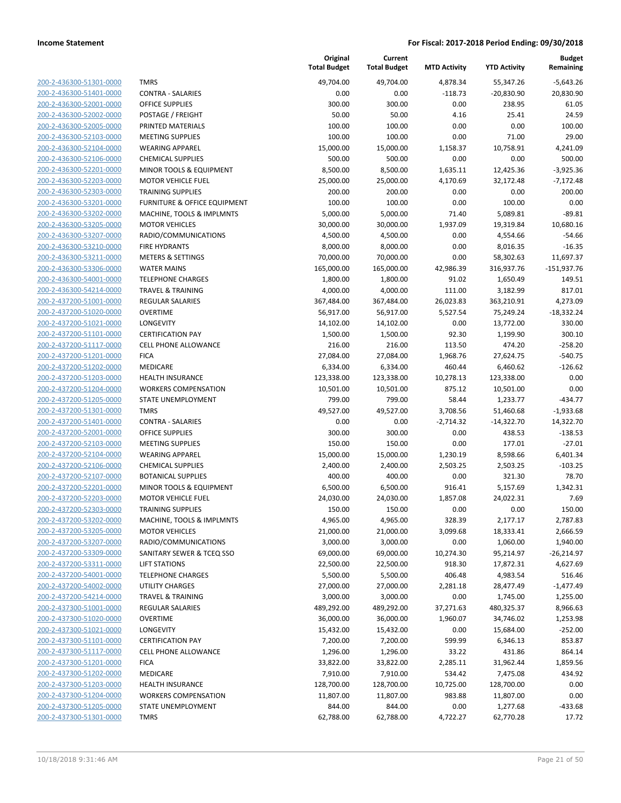| 200-2-436300-51301-0000        |
|--------------------------------|
| 200-2-436300-51401-0000        |
| 200-2-436300-52001-0000        |
| 200-2-436300-52002-0000        |
| 200-2-436300-52005-0000        |
| 200-2-436300-52103-0000        |
| 200-2-436300-52104-0000        |
| 200-2-436300-52106-0000        |
| 200-2-436300-52201-0000        |
| 200-2-436300-52203-0000        |
| 200-2-436300-52303-0000        |
| 200-2-436300-53201-0000        |
| 200-2-436300-53202-0000        |
| 200-2-436300-53205-0000        |
| 200-2-436300-53207-0000        |
| 200-2-436300-53210-0000        |
| 200-2-436300-53211-0000        |
| 200-2-436300-53306-0000        |
|                                |
| 200-2-436300-54001-0000        |
| 200-2-436300-54214-0000        |
| 200-2-437200-51001-0000        |
| 200-2-437200-51020-0000        |
| 200-2-437200-51021-0000        |
| 200-2-437200-51101-0000        |
| 200-2-437200-51117-0000        |
| 200-2-437200-51201-0000        |
| 200-2-437200-51202-0000        |
| 200-2-437200-51203-0000        |
| 200-2-437200-51204-0000        |
| 200-2-437200-51205-0000        |
| 200-2-437200-51301-0000        |
| 200-2-437200-51401-0000        |
| 200-2-437200-52001-0000        |
| 200-2-437200-52103-0000        |
| 200-2-437200-52104-0000        |
| 200-2-437200-52106-0000        |
| 200-2-437200-52107-0000        |
| 200-2-437200-52201-0000        |
|                                |
| 200-2-437200-52203-0000        |
| 200-2-437200-52303-0000        |
| 200-2-437200-53202-0000        |
| <u>200-2-437200-53205-0000</u> |
| 200-2-437200-53207-0000        |
| <u>200-2-437200-53309-0000</u> |
| <u>200-2-437200-53311-0000</u> |
| <u>200-2-437200-54001-0000</u> |
| 200-2-437200-54002-0000        |
| 200-2-437200-54214-0000        |
| 200-2-437300-51001-0000        |
| <u>200-2-437300-51020-0000</u> |
| 200-2-437300-51021-0000        |
| 200-2-437300-51101-0000        |
| 200-2-437300-51117-0000        |
| <u>200-2-437300-51201-0000</u> |
| <u>200-2-437300-51202-0000</u> |
| 200-2-437300-51203-0000        |
| 200-2-437300-51204-0000        |
|                                |
| 200-2-437300-51205-0000        |
| 200-2-437300-51301-0000        |
|                                |

|                         |                              | Original<br><b>Total Budget</b> | Current<br><b>Total Budget</b> | <b>MTD Activity</b> | <b>YTD Activity</b> | <b>Budget</b><br>Remaining |
|-------------------------|------------------------------|---------------------------------|--------------------------------|---------------------|---------------------|----------------------------|
| 200-2-436300-51301-0000 | <b>TMRS</b>                  | 49,704.00                       | 49,704.00                      | 4,878.34            | 55,347.26           | $-5,643.26$                |
| 200-2-436300-51401-0000 | <b>CONTRA - SALARIES</b>     | 0.00                            | 0.00                           | $-118.73$           | $-20,830.90$        | 20,830.90                  |
| 200-2-436300-52001-0000 | <b>OFFICE SUPPLIES</b>       | 300.00                          | 300.00                         | 0.00                | 238.95              | 61.05                      |
| 200-2-436300-52002-0000 | POSTAGE / FREIGHT            | 50.00                           | 50.00                          | 4.16                | 25.41               | 24.59                      |
| 200-2-436300-52005-0000 | PRINTED MATERIALS            | 100.00                          | 100.00                         | 0.00                | 0.00                | 100.00                     |
| 200-2-436300-52103-0000 | <b>MEETING SUPPLIES</b>      | 100.00                          | 100.00                         | 0.00                | 71.00               | 29.00                      |
| 200-2-436300-52104-0000 | <b>WEARING APPAREL</b>       | 15,000.00                       | 15,000.00                      | 1,158.37            | 10,758.91           | 4,241.09                   |
| 200-2-436300-52106-0000 | <b>CHEMICAL SUPPLIES</b>     | 500.00                          | 500.00                         | 0.00                | 0.00                | 500.00                     |
| 200-2-436300-52201-0000 | MINOR TOOLS & EQUIPMENT      | 8,500.00                        | 8,500.00                       | 1,635.11            | 12,425.36           | $-3,925.36$                |
| 200-2-436300-52203-0000 | <b>MOTOR VEHICLE FUEL</b>    | 25,000.00                       | 25,000.00                      | 4,170.69            | 32,172.48           | $-7,172.48$                |
| 200-2-436300-52303-0000 | <b>TRAINING SUPPLIES</b>     | 200.00                          | 200.00                         | 0.00                | 0.00                | 200.00                     |
| 200-2-436300-53201-0000 | FURNITURE & OFFICE EQUIPMENT | 100.00                          | 100.00                         | 0.00                | 100.00              | 0.00                       |
| 200-2-436300-53202-0000 | MACHINE, TOOLS & IMPLMNTS    | 5,000.00                        | 5,000.00                       | 71.40               | 5,089.81            | $-89.81$                   |
| 200-2-436300-53205-0000 | <b>MOTOR VEHICLES</b>        | 30,000.00                       | 30,000.00                      | 1,937.09            | 19,319.84           | 10,680.16                  |
| 200-2-436300-53207-0000 | RADIO/COMMUNICATIONS         | 4,500.00                        | 4,500.00                       | 0.00                | 4,554.66            | $-54.66$                   |
| 200-2-436300-53210-0000 | FIRE HYDRANTS                | 8,000.00                        | 8,000.00                       | 0.00                | 8,016.35            | $-16.35$                   |
| 200-2-436300-53211-0000 | <b>METERS &amp; SETTINGS</b> | 70,000.00                       | 70,000.00                      | 0.00                | 58,302.63           | 11,697.37                  |
| 200-2-436300-53306-0000 | <b>WATER MAINS</b>           | 165,000.00                      | 165,000.00                     | 42,986.39           | 316,937.76          | $-151,937.76$              |
| 200-2-436300-54001-0000 | <b>TELEPHONE CHARGES</b>     | 1,800.00                        | 1,800.00                       | 91.02               | 1,650.49            | 149.51                     |
| 200-2-436300-54214-0000 | <b>TRAVEL &amp; TRAINING</b> | 4,000.00                        | 4,000.00                       | 111.00              | 3,182.99            | 817.01                     |
| 200-2-437200-51001-0000 | <b>REGULAR SALARIES</b>      | 367,484.00                      | 367,484.00                     | 26,023.83           | 363,210.91          | 4,273.09                   |
| 200-2-437200-51020-0000 | <b>OVERTIME</b>              | 56,917.00                       | 56,917.00                      | 5,527.54            | 75,249.24           | $-18,332.24$               |
| 200-2-437200-51021-0000 | <b>LONGEVITY</b>             | 14,102.00                       | 14,102.00                      | 0.00                | 13,772.00           | 330.00                     |
| 200-2-437200-51101-0000 | <b>CERTIFICATION PAY</b>     | 1,500.00                        | 1,500.00                       | 92.30               | 1,199.90            | 300.10                     |
| 200-2-437200-51117-0000 | <b>CELL PHONE ALLOWANCE</b>  | 216.00                          | 216.00                         | 113.50              | 474.20              | $-258.20$                  |
| 200-2-437200-51201-0000 | <b>FICA</b>                  | 27,084.00                       | 27,084.00                      | 1,968.76            | 27,624.75           | $-540.75$                  |
| 200-2-437200-51202-0000 | MEDICARE                     | 6,334.00                        | 6,334.00                       | 460.44              | 6,460.62            | $-126.62$                  |
| 200-2-437200-51203-0000 | HEALTH INSURANCE             | 123,338.00                      | 123,338.00                     | 10,278.13           | 123,338.00          | 0.00                       |
| 200-2-437200-51204-0000 | <b>WORKERS COMPENSATION</b>  | 10,501.00                       | 10,501.00                      | 875.12              | 10,501.00           | 0.00                       |
| 200-2-437200-51205-0000 | STATE UNEMPLOYMENT           | 799.00                          | 799.00                         | 58.44               | 1,233.77            | $-434.77$                  |
| 200-2-437200-51301-0000 | <b>TMRS</b>                  | 49,527.00                       | 49,527.00                      | 3,708.56            | 51,460.68           | $-1,933.68$                |
| 200-2-437200-51401-0000 | <b>CONTRA - SALARIES</b>     | 0.00                            | 0.00                           | $-2,714.32$         | $-14,322.70$        | 14,322.70                  |
| 200-2-437200-52001-0000 | <b>OFFICE SUPPLIES</b>       | 300.00                          | 300.00                         | 0.00                | 438.53              | $-138.53$                  |
| 200-2-437200-52103-0000 | <b>MEETING SUPPLIES</b>      | 150.00                          | 150.00                         | 0.00                | 177.01              | $-27.01$                   |
| 200-2-437200-52104-0000 | <b>WEARING APPAREL</b>       | 15,000.00                       | 15,000.00                      | 1,230.19            | 8,598.66            | 6,401.34                   |
| 200-2-437200-52106-0000 | <b>CHEMICAL SUPPLIES</b>     | 2,400.00                        | 2,400.00                       | 2,503.25            | 2,503.25            | $-103.25$                  |
| 200-2-437200-52107-0000 | <b>BOTANICAL SUPPLIES</b>    | 400.00                          | 400.00                         | 0.00                | 321.30              | 78.70                      |
| 200-2-437200-52201-0000 | MINOR TOOLS & EQUIPMENT      | 6,500.00                        | 6,500.00                       | 916.41              | 5,157.69            | 1,342.31                   |
| 200-2-437200-52203-0000 | <b>MOTOR VEHICLE FUEL</b>    | 24,030.00                       | 24,030.00                      | 1,857.08            | 24,022.31           | 7.69                       |
| 200-2-437200-52303-0000 | <b>TRAINING SUPPLIES</b>     | 150.00                          | 150.00                         | 0.00                | 0.00                | 150.00                     |
| 200-2-437200-53202-0000 | MACHINE, TOOLS & IMPLMNTS    | 4,965.00                        | 4,965.00                       | 328.39              | 2,177.17            | 2,787.83                   |
| 200-2-437200-53205-0000 | <b>MOTOR VEHICLES</b>        | 21,000.00                       | 21,000.00                      | 3,099.68            | 18,333.41           | 2,666.59                   |
| 200-2-437200-53207-0000 | RADIO/COMMUNICATIONS         | 3,000.00                        | 3,000.00                       | 0.00                | 1,060.00            | 1,940.00                   |
| 200-2-437200-53309-0000 | SANITARY SEWER & TCEQ SSO    | 69,000.00                       | 69,000.00                      | 10,274.30           | 95,214.97           | $-26,214.97$               |
| 200-2-437200-53311-0000 | <b>LIFT STATIONS</b>         | 22,500.00                       | 22,500.00                      | 918.30              | 17,872.31           | 4,627.69                   |
| 200-2-437200-54001-0000 | <b>TELEPHONE CHARGES</b>     | 5,500.00                        | 5,500.00                       | 406.48              | 4,983.54            | 516.46                     |
| 200-2-437200-54002-0000 | UTILITY CHARGES              | 27,000.00                       | 27,000.00                      | 2,281.18            | 28,477.49           | $-1,477.49$                |
| 200-2-437200-54214-0000 | <b>TRAVEL &amp; TRAINING</b> | 3,000.00                        | 3,000.00                       | 0.00                | 1,745.00            | 1,255.00                   |
| 200-2-437300-51001-0000 | <b>REGULAR SALARIES</b>      | 489,292.00                      | 489,292.00                     | 37,271.63           | 480,325.37          | 8,966.63                   |
| 200-2-437300-51020-0000 | <b>OVERTIME</b>              | 36,000.00                       | 36,000.00                      | 1,960.07            | 34,746.02           | 1,253.98                   |
| 200-2-437300-51021-0000 | LONGEVITY                    | 15,432.00                       | 15,432.00                      | 0.00                | 15,684.00           | $-252.00$                  |
| 200-2-437300-51101-0000 | <b>CERTIFICATION PAY</b>     | 7,200.00                        | 7,200.00                       | 599.99              | 6,346.13            | 853.87                     |
| 200-2-437300-51117-0000 | CELL PHONE ALLOWANCE         | 1,296.00                        | 1,296.00                       | 33.22               | 431.86              | 864.14                     |
| 200-2-437300-51201-0000 | <b>FICA</b>                  | 33,822.00                       | 33,822.00                      | 2,285.11            | 31,962.44           | 1,859.56                   |
| 200-2-437300-51202-0000 | MEDICARE                     | 7,910.00                        | 7,910.00                       | 534.42              | 7,475.08            | 434.92                     |
| 200-2-437300-51203-0000 | <b>HEALTH INSURANCE</b>      | 128,700.00                      | 128,700.00                     | 10,725.00           | 128,700.00          | 0.00                       |
| 200-2-437300-51204-0000 | <b>WORKERS COMPENSATION</b>  | 11,807.00                       | 11,807.00                      | 983.88              | 11,807.00           | 0.00                       |
| 200-2-437300-51205-0000 | STATE UNEMPLOYMENT           | 844.00                          | 844.00                         | 0.00                | 1,277.68            | $-433.68$                  |
| 200-2-437300-51301-0000 | <b>TMRS</b>                  | 62,788.00                       | 62,788.00                      | 4,722.27            | 62,770.28           | 17.72                      |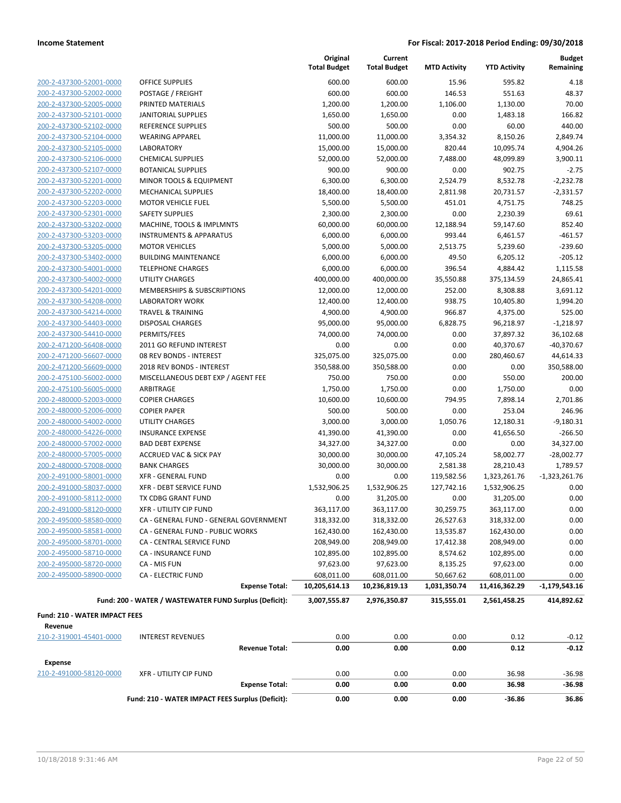|                                                    |                                                        | Original<br><b>Total Budget</b> | Current<br><b>Total Budget</b> | <b>MTD Activity</b> | <b>YTD Activity</b> | <b>Budget</b><br>Remaining |
|----------------------------------------------------|--------------------------------------------------------|---------------------------------|--------------------------------|---------------------|---------------------|----------------------------|
| 200-2-437300-52001-0000                            | <b>OFFICE SUPPLIES</b>                                 | 600.00                          | 600.00                         | 15.96               | 595.82              | 4.18                       |
| 200-2-437300-52002-0000                            | POSTAGE / FREIGHT                                      | 600.00                          | 600.00                         | 146.53              | 551.63              | 48.37                      |
| 200-2-437300-52005-0000                            | PRINTED MATERIALS                                      | 1,200.00                        | 1,200.00                       | 1,106.00            | 1,130.00            | 70.00                      |
| 200-2-437300-52101-0000                            | <b>JANITORIAL SUPPLIES</b>                             | 1,650.00                        | 1,650.00                       | 0.00                | 1,483.18            | 166.82                     |
| 200-2-437300-52102-0000                            | REFERENCE SUPPLIES                                     | 500.00                          | 500.00                         | 0.00                | 60.00               | 440.00                     |
| 200-2-437300-52104-0000                            | <b>WEARING APPAREL</b>                                 | 11,000.00                       | 11,000.00                      | 3,354.32            | 8,150.26            | 2,849.74                   |
| 200-2-437300-52105-0000                            | <b>LABORATORY</b>                                      | 15,000.00                       | 15,000.00                      | 820.44              | 10,095.74           | 4,904.26                   |
| 200-2-437300-52106-0000                            | <b>CHEMICAL SUPPLIES</b>                               | 52,000.00                       | 52,000.00                      | 7,488.00            | 48,099.89           | 3,900.11                   |
| 200-2-437300-52107-0000                            | <b>BOTANICAL SUPPLIES</b>                              | 900.00                          | 900.00                         | 0.00                | 902.75              | $-2.75$                    |
| 200-2-437300-52201-0000                            | MINOR TOOLS & EQUIPMENT                                | 6,300.00                        | 6,300.00                       | 2,524.79            | 8,532.78            | $-2,232.78$                |
| 200-2-437300-52202-0000                            | <b>MECHANICAL SUPPLIES</b>                             | 18,400.00                       | 18,400.00                      | 2,811.98            | 20,731.57           | $-2,331.57$                |
| 200-2-437300-52203-0000                            | <b>MOTOR VEHICLE FUEL</b>                              | 5,500.00                        | 5,500.00                       | 451.01              | 4,751.75            | 748.25                     |
| 200-2-437300-52301-0000                            | <b>SAFETY SUPPLIES</b>                                 | 2,300.00                        | 2,300.00                       | 0.00                | 2,230.39            | 69.61                      |
| 200-2-437300-53202-0000                            | MACHINE, TOOLS & IMPLMNTS                              | 60,000.00                       | 60,000.00                      | 12,188.94           | 59,147.60           | 852.40                     |
| 200-2-437300-53203-0000                            | <b>INSTRUMENTS &amp; APPARATUS</b>                     | 6,000.00                        | 6,000.00                       | 993.44              | 6,461.57            | $-461.57$                  |
| 200-2-437300-53205-0000                            | <b>MOTOR VEHICLES</b>                                  | 5,000.00                        | 5,000.00                       | 2,513.75            | 5,239.60            | $-239.60$                  |
| 200-2-437300-53402-0000                            | <b>BUILDING MAINTENANCE</b>                            | 6,000.00                        | 6,000.00                       | 49.50               | 6,205.12            | $-205.12$                  |
| 200-2-437300-54001-0000                            | <b>TELEPHONE CHARGES</b>                               | 6,000.00                        | 6,000.00                       | 396.54              | 4,884.42            | 1,115.58                   |
| 200-2-437300-54002-0000                            | <b>UTILITY CHARGES</b>                                 | 400,000.00                      | 400,000.00                     | 35,550.88           | 375,134.59          | 24,865.41                  |
| 200-2-437300-54201-0000                            | MEMBERSHIPS & SUBSCRIPTIONS                            | 12,000.00                       | 12,000.00                      | 252.00              | 8,308.88            | 3,691.12                   |
| 200-2-437300-54208-0000                            | <b>LABORATORY WORK</b>                                 | 12,400.00                       | 12,400.00                      | 938.75              | 10,405.80           | 1,994.20                   |
| 200-2-437300-54214-0000                            | <b>TRAVEL &amp; TRAINING</b>                           | 4,900.00                        | 4,900.00                       | 966.87              | 4,375.00            | 525.00                     |
| 200-2-437300-54403-0000                            | <b>DISPOSAL CHARGES</b>                                | 95,000.00                       | 95,000.00                      | 6,828.75            | 96,218.97           | $-1,218.97$                |
| 200-2-437300-54410-0000                            | PERMITS/FEES                                           | 74,000.00                       | 74,000.00                      | 0.00                | 37,897.32           | 36,102.68                  |
| 200-2-471200-56408-0000                            | 2011 GO REFUND INTEREST                                | 0.00                            | 0.00                           | 0.00                | 40,370.67           | $-40,370.67$               |
| 200-2-471200-56607-0000                            | 08 REV BONDS - INTEREST                                | 325,075.00                      | 325,075.00                     | 0.00                | 280,460.67          | 44,614.33                  |
| 200-2-471200-56609-0000                            | 2018 REV BONDS - INTEREST                              | 350,588.00                      | 350,588.00                     | 0.00                | 0.00                | 350,588.00                 |
| 200-2-475100-56002-0000                            | MISCELLANEOUS DEBT EXP / AGENT FEE                     | 750.00                          | 750.00                         | 0.00                | 550.00              | 200.00                     |
| 200-2-475100-56005-0000                            | ARBITRAGE                                              | 1,750.00                        | 1,750.00                       | 0.00                | 1,750.00            | 0.00                       |
| 200-2-480000-52003-0000                            | <b>COPIER CHARGES</b>                                  | 10,600.00                       | 10,600.00                      | 794.95              | 7,898.14            | 2,701.86                   |
| 200-2-480000-52006-0000                            | <b>COPIER PAPER</b>                                    | 500.00                          | 500.00                         | 0.00                | 253.04              | 246.96                     |
| 200-2-480000-54002-0000                            | <b>UTILITY CHARGES</b>                                 | 3,000.00                        | 3,000.00                       | 1,050.76            | 12,180.31           | $-9,180.31$                |
| 200-2-480000-54226-0000<br>200-2-480000-57002-0000 | <b>INSURANCE EXPENSE</b><br><b>BAD DEBT EXPENSE</b>    | 41,390.00                       | 41,390.00                      | 0.00<br>0.00        | 41,656.50<br>0.00   | $-266.50$                  |
| 200-2-480000-57005-0000                            | <b>ACCRUED VAC &amp; SICK PAY</b>                      | 34,327.00<br>30,000.00          | 34,327.00<br>30,000.00         | 47,105.24           | 58,002.77           | 34,327.00<br>$-28,002.77$  |
| 200-2-480000-57008-0000                            | <b>BANK CHARGES</b>                                    | 30,000.00                       | 30,000.00                      | 2,581.38            | 28,210.43           | 1,789.57                   |
| 200-2-491000-58001-0000                            | <b>XFR - GENERAL FUND</b>                              | 0.00                            | 0.00                           | 119,582.56          | 1,323,261.76        | $-1,323,261.76$            |
| 200-2-491000-58037-0000                            | <b>XFR - DEBT SERVICE FUND</b>                         | 1,532,906.25                    | 1,532,906.25                   | 127,742.16          | 1,532,906.25        | 0.00                       |
| 200-2-491000-58112-0000                            | TX CDBG GRANT FUND                                     | 0.00                            | 31,205.00                      | 0.00                | 31,205.00           | 0.00                       |
| 200-2-491000-58120-0000                            | <b>XFR - UTILITY CIP FUND</b>                          | 363,117.00                      | 363,117.00                     | 30,259.75           | 363,117.00          | 0.00                       |
| 200-2-495000-58580-0000                            | CA - GENERAL FUND - GENERAL GOVERNMENT                 | 318,332.00                      | 318,332.00                     | 26,527.63           | 318,332.00          | 0.00                       |
| 200-2-495000-58581-0000                            | CA - GENERAL FUND - PUBLIC WORKS                       | 162,430.00                      | 162,430.00                     | 13,535.87           | 162,430.00          | 0.00                       |
| 200-2-495000-58701-0000                            | CA - CENTRAL SERVICE FUND                              | 208,949.00                      | 208,949.00                     | 17,412.38           | 208,949.00          | 0.00                       |
| 200-2-495000-58710-0000                            | <b>CA - INSURANCE FUND</b>                             | 102,895.00                      | 102,895.00                     | 8,574.62            | 102,895.00          | 0.00                       |
| 200-2-495000-58720-0000                            | CA - MIS FUN                                           | 97,623.00                       | 97,623.00                      | 8,135.25            | 97,623.00           | 0.00                       |
| 200-2-495000-58900-0000                            | <b>CA - ELECTRIC FUND</b>                              | 608,011.00                      | 608,011.00                     | 50,667.62           | 608,011.00          | 0.00                       |
|                                                    | <b>Expense Total:</b>                                  | 10,205,614.13                   | 10,236,819.13                  | 1,031,350.74        | 11,416,362.29       | $-1,179,543.16$            |
|                                                    | Fund: 200 - WATER / WASTEWATER FUND Surplus (Deficit): | 3,007,555.87                    | 2,976,350.87                   | 315,555.01          | 2,561,458.25        | 414,892.62                 |
| <b>Fund: 210 - WATER IMPACT FEES</b>               |                                                        |                                 |                                |                     |                     |                            |
| Revenue                                            |                                                        |                                 |                                |                     |                     |                            |
| 210-2-319001-45401-0000                            | <b>INTEREST REVENUES</b>                               | 0.00                            | 0.00                           | 0.00                | 0.12                | $-0.12$                    |
|                                                    | <b>Revenue Total:</b>                                  | 0.00                            | 0.00                           | 0.00                | 0.12                | $-0.12$                    |
| <b>Expense</b>                                     |                                                        |                                 |                                |                     |                     |                            |
| 210-2-491000-58120-0000                            | <b>XFR - UTILITY CIP FUND</b>                          | 0.00                            | 0.00                           | 0.00                | 36.98               | $-36.98$                   |
|                                                    | <b>Expense Total:</b>                                  | 0.00                            | 0.00                           | 0.00                | 36.98               | $-36.98$                   |
|                                                    | Fund: 210 - WATER IMPACT FEES Surplus (Deficit):       | 0.00                            | 0.00                           | 0.00                | -36.86              | 36.86                      |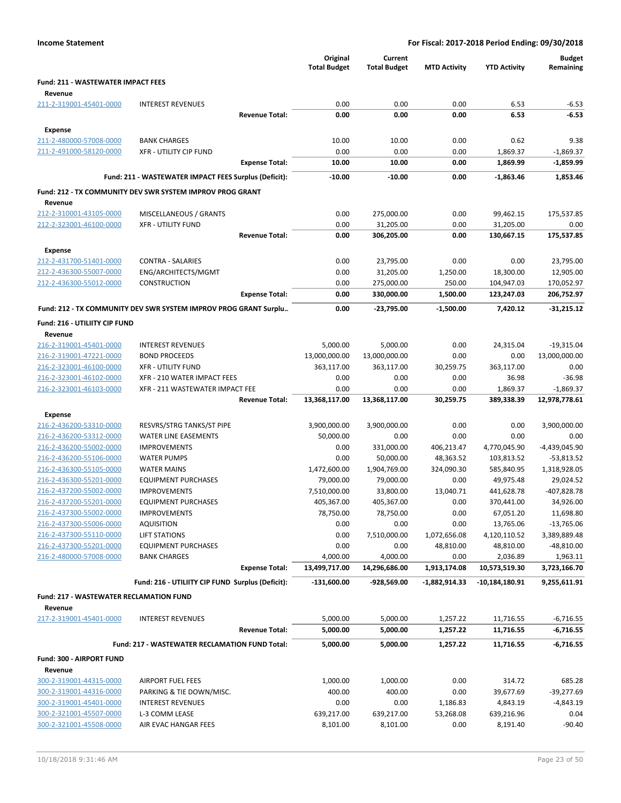|                                                    |                                                                  |                       | Original<br><b>Total Budget</b> | Current<br><b>Total Budget</b> | <b>MTD Activity</b> | <b>YTD Activity</b>     | <b>Budget</b><br>Remaining |
|----------------------------------------------------|------------------------------------------------------------------|-----------------------|---------------------------------|--------------------------------|---------------------|-------------------------|----------------------------|
| <b>Fund: 211 - WASTEWATER IMPACT FEES</b>          |                                                                  |                       |                                 |                                |                     |                         |                            |
| Revenue                                            |                                                                  |                       |                                 |                                |                     |                         |                            |
| 211-2-319001-45401-0000                            | <b>INTEREST REVENUES</b>                                         |                       | 0.00                            | 0.00                           | 0.00                | 6.53                    | $-6.53$                    |
|                                                    |                                                                  | <b>Revenue Total:</b> | 0.00                            | 0.00                           | 0.00                | 6.53                    | $-6.53$                    |
| Expense                                            |                                                                  |                       |                                 |                                |                     |                         |                            |
| 211-2-480000-57008-0000                            | <b>BANK CHARGES</b>                                              |                       | 10.00                           | 10.00                          | 0.00                | 0.62                    | 9.38                       |
| 211-2-491000-58120-0000                            | <b>XFR - UTILITY CIP FUND</b>                                    |                       | 0.00                            | 0.00                           | 0.00                | 1,869.37                | $-1,869.37$                |
|                                                    |                                                                  | <b>Expense Total:</b> | 10.00                           | 10.00                          | 0.00                | 1,869.99                | $-1,859.99$                |
|                                                    | Fund: 211 - WASTEWATER IMPACT FEES Surplus (Deficit):            |                       | $-10.00$                        | $-10.00$                       | 0.00                | $-1,863.46$             | 1,853.46                   |
|                                                    |                                                                  |                       |                                 |                                |                     |                         |                            |
|                                                    | Fund: 212 - TX COMMUNITY DEV SWR SYSTEM IMPROV PROG GRANT        |                       |                                 |                                |                     |                         |                            |
| Revenue<br>212-2-310001-43105-0000                 | MISCELLANEOUS / GRANTS                                           |                       | 0.00                            | 275,000.00                     | 0.00                | 99,462.15               |                            |
| 212-2-323001-46100-0000                            | <b>XFR - UTILITY FUND</b>                                        |                       | 0.00                            | 31,205.00                      | 0.00                | 31,205.00               | 175,537.85<br>0.00         |
|                                                    |                                                                  | <b>Revenue Total:</b> | 0.00                            | 306,205.00                     | 0.00                | 130,667.15              | 175,537.85                 |
|                                                    |                                                                  |                       |                                 |                                |                     |                         |                            |
| <b>Expense</b>                                     |                                                                  |                       |                                 |                                |                     |                         |                            |
| 212-2-431700-51401-0000                            | <b>CONTRA - SALARIES</b>                                         |                       | 0.00                            | 23,795.00                      | 0.00                | 0.00                    | 23,795.00                  |
| 212-2-436300-55007-0000<br>212-2-436300-55012-0000 | ENG/ARCHITECTS/MGMT<br><b>CONSTRUCTION</b>                       |                       | 0.00<br>0.00                    | 31,205.00<br>275,000.00        | 1,250.00<br>250.00  | 18,300.00<br>104,947.03 | 12,905.00<br>170,052.97    |
|                                                    |                                                                  | <b>Expense Total:</b> | 0.00                            | 330,000.00                     | 1,500.00            | 123,247.03              | 206,752.97                 |
|                                                    |                                                                  |                       |                                 |                                |                     |                         |                            |
|                                                    | Fund: 212 - TX COMMUNITY DEV SWR SYSTEM IMPROV PROG GRANT Surplu |                       | 0.00                            | -23,795.00                     | $-1,500.00$         | 7,420.12                | $-31,215.12$               |
| Fund: 216 - UTILIITY CIP FUND                      |                                                                  |                       |                                 |                                |                     |                         |                            |
| Revenue                                            |                                                                  |                       |                                 |                                |                     |                         |                            |
| 216-2-319001-45401-0000                            | <b>INTEREST REVENUES</b>                                         |                       | 5,000.00                        | 5,000.00                       | 0.00                | 24,315.04               | $-19,315.04$               |
| 216-2-319001-47221-0000                            | <b>BOND PROCEEDS</b>                                             |                       | 13,000,000.00                   | 13,000,000.00                  | 0.00                | 0.00                    | 13,000,000.00              |
| 216-2-323001-46100-0000                            | <b>XFR - UTILITY FUND</b>                                        |                       | 363,117.00                      | 363,117.00                     | 30,259.75           | 363,117.00              | 0.00                       |
| 216-2-323001-46102-0000                            | XFR - 210 WATER IMPACT FEES                                      |                       | 0.00                            | 0.00                           | 0.00                | 36.98                   | $-36.98$                   |
| 216-2-323001-46103-0000                            | XFR - 211 WASTEWATER IMPACT FEE                                  |                       | 0.00                            | 0.00                           | 0.00                | 1,869.37                | $-1,869.37$                |
|                                                    |                                                                  | <b>Revenue Total:</b> | 13,368,117.00                   | 13,368,117.00                  | 30,259.75           | 389,338.39              | 12,978,778.61              |
| <b>Expense</b>                                     |                                                                  |                       |                                 |                                |                     |                         |                            |
| 216-2-436200-53310-0000                            | RESVRS/STRG TANKS/ST PIPE                                        |                       | 3,900,000.00                    | 3,900,000.00                   | 0.00                | 0.00                    | 3,900,000.00               |
| 216-2-436200-53312-0000                            | <b>WATER LINE EASEMENTS</b>                                      |                       | 50,000.00                       | 0.00                           | 0.00                | 0.00                    | 0.00                       |
| 216-2-436200-55002-0000                            | <b>IMPROVEMENTS</b>                                              |                       | 0.00                            | 331,000.00                     | 406,213.47          | 4,770,045.90            | $-4,439,045.90$            |
| 216-2-436200-55106-0000                            | <b>WATER PUMPS</b>                                               |                       | 0.00                            | 50,000.00                      | 48,363.52           | 103,813.52              | $-53,813.52$               |
| 216-2-436300-55105-0000                            | <b>WATER MAINS</b>                                               |                       | 1,472,600.00                    | 1,904,769.00                   | 324,090.30          | 585,840.95              | 1,318,928.05               |
| 216-2-436300-55201-0000                            | <b>EQUIPMENT PURCHASES</b>                                       |                       | 79,000.00                       | 79,000.00                      | 0.00                | 49,975.48               | 29,024.52                  |
| 216-2-437200-55002-0000                            | <b>IMPROVEMENTS</b>                                              |                       | 7,510,000.00                    | 33,800.00                      | 13,040.71           | 441,628.78              | -407,828.78                |
| 216-2-437200-55201-0000<br>216-2-437300-55002-0000 | <b>EQUIPMENT PURCHASES</b><br><b>IMPROVEMENTS</b>                |                       | 405,367.00<br>78,750.00         | 405,367.00<br>78,750.00        | 0.00<br>0.00        | 370,441.00<br>67,051.20 | 34,926.00<br>11,698.80     |
| 216-2-437300-55006-0000                            | <b>AQUISITION</b>                                                |                       | 0.00                            | 0.00                           | 0.00                | 13,765.06               | $-13,765.06$               |
| 216-2-437300-55110-0000                            | <b>LIFT STATIONS</b>                                             |                       | 0.00                            | 7,510,000.00                   | 1,072,656.08        | 4,120,110.52            | 3,389,889.48               |
| 216-2-437300-55201-0000                            | <b>EQUIPMENT PURCHASES</b>                                       |                       | 0.00                            | 0.00                           | 48,810.00           | 48,810.00               | $-48,810.00$               |
| 216-2-480000-57008-0000                            | <b>BANK CHARGES</b>                                              |                       | 4,000.00                        | 4,000.00                       | 0.00                | 2,036.89                | 1,963.11                   |
|                                                    |                                                                  | <b>Expense Total:</b> | 13,499,717.00                   | 14,296,686.00                  | 1,913,174.08        | 10,573,519.30           | 3,723,166.70               |
|                                                    | Fund: 216 - UTILIITY CIP FUND Surplus (Deficit):                 |                       | $-131,600.00$                   | -928,569.00                    | -1,882,914.33       | $-10,184,180.91$        | 9,255,611.91               |
|                                                    |                                                                  |                       |                                 |                                |                     |                         |                            |
| <b>Fund: 217 - WASTEWATER RECLAMATION FUND</b>     |                                                                  |                       |                                 |                                |                     |                         |                            |
| Revenue                                            |                                                                  |                       |                                 |                                |                     |                         |                            |
| 217-2-319001-45401-0000                            | <b>INTEREST REVENUES</b>                                         |                       | 5,000.00                        | 5,000.00                       | 1,257.22            | 11,716.55               | $-6,716.55$                |
|                                                    |                                                                  | <b>Revenue Total:</b> | 5,000.00                        | 5,000.00                       | 1,257.22            | 11,716.55               | -6,716.55                  |
|                                                    | Fund: 217 - WASTEWATER RECLAMATION FUND Total:                   |                       | 5,000.00                        | 5,000.00                       | 1,257.22            | 11,716.55               | $-6,716.55$                |
| Fund: 300 - AIRPORT FUND                           |                                                                  |                       |                                 |                                |                     |                         |                            |
| Revenue                                            |                                                                  |                       |                                 |                                |                     |                         |                            |
| 300-2-319001-44315-0000                            | <b>AIRPORT FUEL FEES</b>                                         |                       | 1,000.00                        | 1,000.00                       | 0.00                | 314.72                  | 685.28                     |
| 300-2-319001-44316-0000                            | PARKING & TIE DOWN/MISC.                                         |                       | 400.00                          | 400.00                         | 0.00                | 39,677.69               | $-39,277.69$               |
| 300-2-319001-45401-0000                            | <b>INTEREST REVENUES</b>                                         |                       | 0.00                            | 0.00                           | 1,186.83            | 4,843.19                | $-4,843.19$                |
| 300-2-321001-45507-0000                            | L-3 COMM LEASE                                                   |                       | 639,217.00                      | 639,217.00                     | 53,268.08           | 639,216.96              | 0.04                       |
| 300-2-321001-45508-0000                            | AIR EVAC HANGAR FEES                                             |                       | 8,101.00                        | 8,101.00                       | 0.00                | 8,191.40                | $-90.40$                   |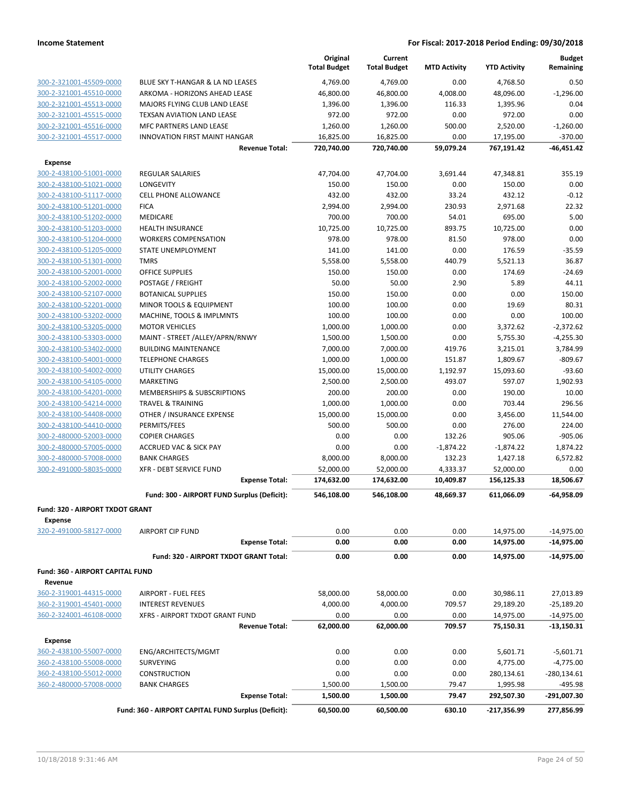|                                                    |                                                     | Original<br><b>Total Budget</b> | Current<br><b>Total Budget</b> | <b>MTD Activity</b> | <b>YTD Activity</b> | <b>Budget</b><br>Remaining |
|----------------------------------------------------|-----------------------------------------------------|---------------------------------|--------------------------------|---------------------|---------------------|----------------------------|
| 300-2-321001-45509-0000                            | BLUE SKY T-HANGAR & LA ND LEASES                    | 4,769.00                        | 4,769.00                       | 0.00                | 4,768.50            | 0.50                       |
| 300-2-321001-45510-0000                            | ARKOMA - HORIZONS AHEAD LEASE                       | 46,800.00                       | 46,800.00                      | 4,008.00            | 48,096.00           | $-1,296.00$                |
| 300-2-321001-45513-0000                            | MAJORS FLYING CLUB LAND LEASE                       | 1,396.00                        | 1,396.00                       | 116.33              | 1,395.96            | 0.04                       |
| 300-2-321001-45515-0000                            | TEXSAN AVIATION LAND LEASE                          | 972.00                          | 972.00                         | 0.00                | 972.00              | 0.00                       |
| 300-2-321001-45516-0000                            | MFC PARTNERS LAND LEASE                             | 1,260.00                        | 1,260.00                       | 500.00              | 2,520.00            | $-1,260.00$                |
| 300-2-321001-45517-0000                            | <b>INNOVATION FIRST MAINT HANGAR</b>                | 16,825.00                       | 16,825.00                      | 0.00                | 17,195.00           | $-370.00$                  |
|                                                    | <b>Revenue Total:</b>                               | 720,740.00                      | 720,740.00                     | 59,079.24           | 767,191.42          | $-46,451.42$               |
| <b>Expense</b>                                     |                                                     |                                 |                                |                     |                     |                            |
| 300-2-438100-51001-0000                            | <b>REGULAR SALARIES</b>                             | 47,704.00                       | 47,704.00                      | 3,691.44            | 47,348.81           | 355.19                     |
| 300-2-438100-51021-0000<br>300-2-438100-51117-0000 | LONGEVITY                                           | 150.00<br>432.00                | 150.00<br>432.00               | 0.00                | 150.00<br>432.12    | 0.00<br>$-0.12$            |
| 300-2-438100-51201-0000                            | CELL PHONE ALLOWANCE                                |                                 |                                | 33.24               |                     | 22.32                      |
| 300-2-438100-51202-0000                            | <b>FICA</b><br>MEDICARE                             | 2,994.00<br>700.00              | 2,994.00<br>700.00             | 230.93<br>54.01     | 2,971.68<br>695.00  | 5.00                       |
| 300-2-438100-51203-0000                            | <b>HEALTH INSURANCE</b>                             | 10,725.00                       | 10,725.00                      | 893.75              | 10,725.00           | 0.00                       |
| 300-2-438100-51204-0000                            | <b>WORKERS COMPENSATION</b>                         | 978.00                          | 978.00                         | 81.50               | 978.00              | 0.00                       |
| 300-2-438100-51205-0000                            | STATE UNEMPLOYMENT                                  | 141.00                          | 141.00                         | 0.00                | 176.59              | $-35.59$                   |
| 300-2-438100-51301-0000                            | TMRS                                                | 5,558.00                        | 5,558.00                       | 440.79              | 5,521.13            | 36.87                      |
| 300-2-438100-52001-0000                            | <b>OFFICE SUPPLIES</b>                              | 150.00                          | 150.00                         | 0.00                | 174.69              | $-24.69$                   |
| 300-2-438100-52002-0000                            | POSTAGE / FREIGHT                                   | 50.00                           | 50.00                          | 2.90                | 5.89                | 44.11                      |
| 300-2-438100-52107-0000                            | <b>BOTANICAL SUPPLIES</b>                           | 150.00                          | 150.00                         | 0.00                | 0.00                | 150.00                     |
| 300-2-438100-52201-0000                            | <b>MINOR TOOLS &amp; EQUIPMENT</b>                  | 100.00                          | 100.00                         | 0.00                | 19.69               | 80.31                      |
| 300-2-438100-53202-0000                            | MACHINE, TOOLS & IMPLMNTS                           | 100.00                          | 100.00                         | 0.00                | 0.00                | 100.00                     |
| 300-2-438100-53205-0000                            | <b>MOTOR VEHICLES</b>                               | 1,000.00                        | 1,000.00                       | 0.00                | 3,372.62            | $-2,372.62$                |
| 300-2-438100-53303-0000                            | MAINT - STREET /ALLEY/APRN/RNWY                     | 1,500.00                        | 1,500.00                       | 0.00                | 5,755.30            | $-4,255.30$                |
| 300-2-438100-53402-0000                            | <b>BUILDING MAINTENANCE</b>                         | 7,000.00                        | 7,000.00                       | 419.76              | 3,215.01            | 3,784.99                   |
| 300-2-438100-54001-0000                            | <b>TELEPHONE CHARGES</b>                            | 1,000.00                        | 1,000.00                       | 151.87              | 1,809.67            | $-809.67$                  |
| 300-2-438100-54002-0000                            | <b>UTILITY CHARGES</b>                              | 15,000.00                       | 15,000.00                      | 1,192.97            | 15,093.60           | $-93.60$                   |
| 300-2-438100-54105-0000                            | <b>MARKETING</b>                                    | 2,500.00                        | 2,500.00                       | 493.07              | 597.07              | 1,902.93                   |
| 300-2-438100-54201-0000                            | MEMBERSHIPS & SUBSCRIPTIONS                         | 200.00                          | 200.00                         | 0.00                | 190.00              | 10.00                      |
| 300-2-438100-54214-0000                            | <b>TRAVEL &amp; TRAINING</b>                        | 1,000.00                        | 1,000.00                       | 0.00                | 703.44              | 296.56                     |
| 300-2-438100-54408-0000                            | OTHER / INSURANCE EXPENSE                           | 15,000.00                       | 15,000.00                      | 0.00                | 3,456.00            | 11,544.00                  |
| 300-2-438100-54410-0000                            | PERMITS/FEES                                        | 500.00                          | 500.00                         | 0.00                | 276.00              | 224.00                     |
| 300-2-480000-52003-0000                            | <b>COPIER CHARGES</b>                               | 0.00                            | 0.00                           | 132.26              | 905.06              | $-905.06$                  |
| 300-2-480000-57005-0000                            | <b>ACCRUED VAC &amp; SICK PAY</b>                   | 0.00                            | 0.00                           | $-1,874.22$         | $-1,874.22$         | 1,874.22                   |
| 300-2-480000-57008-0000                            | <b>BANK CHARGES</b>                                 | 8,000.00                        | 8,000.00                       | 132.23              | 1,427.18            | 6,572.82                   |
| 300-2-491000-58035-0000                            | XFR - DEBT SERVICE FUND                             | 52,000.00                       | 52,000.00                      | 4,333.37            | 52,000.00           | 0.00                       |
|                                                    | <b>Expense Total:</b>                               | 174,632.00                      | 174,632.00                     | 10,409.87           | 156,125.33          | 18,506.67                  |
|                                                    | Fund: 300 - AIRPORT FUND Surplus (Deficit):         | 546,108.00                      | 546,108.00                     | 48,669.37           | 611,066.09          | -64,958.09                 |
| Fund: 320 - AIRPORT TXDOT GRANT<br><b>Expense</b>  |                                                     |                                 |                                |                     |                     |                            |
| 320-2-491000-58127-0000                            | <b>AIRPORT CIP FUND</b>                             | 0.00                            | 0.00                           | 0.00                | 14,975.00           | $-14,975.00$               |
|                                                    | <b>Expense Total:</b>                               | 0.00                            | 0.00                           | 0.00                | 14,975.00           | $-14,975.00$               |
|                                                    | Fund: 320 - AIRPORT TXDOT GRANT Total:              | 0.00                            | 0.00                           | 0.00                | 14,975.00           | $-14,975.00$               |
| Fund: 360 - AIRPORT CAPITAL FUND<br>Revenue        |                                                     |                                 |                                |                     |                     |                            |
| 360-2-319001-44315-0000                            | <b>AIRPORT - FUEL FEES</b>                          | 58,000.00                       | 58,000.00                      | 0.00                | 30,986.11           | 27,013.89                  |
| 360-2-319001-45401-0000                            | <b>INTEREST REVENUES</b>                            | 4,000.00                        | 4,000.00                       | 709.57              | 29,189.20           | $-25,189.20$               |
| 360-2-324001-46108-0000                            | XFRS - AIRPORT TXDOT GRANT FUND                     | 0.00                            | 0.00                           | 0.00                | 14,975.00           | $-14,975.00$               |
|                                                    | <b>Revenue Total:</b>                               | 62,000.00                       | 62,000.00                      | 709.57              | 75,150.31           | -13,150.31                 |
| <b>Expense</b>                                     |                                                     |                                 |                                |                     |                     |                            |
| 360-2-438100-55007-0000                            | ENG/ARCHITECTS/MGMT                                 | 0.00                            | 0.00                           | 0.00                | 5,601.71            | $-5,601.71$                |
| 360-2-438100-55008-0000                            | <b>SURVEYING</b>                                    | 0.00                            | 0.00                           | 0.00                | 4,775.00            | $-4,775.00$                |
| 360-2-438100-55012-0000                            | CONSTRUCTION                                        | 0.00                            | 0.00                           | 0.00                | 280,134.61          | $-280,134.61$              |
| 360-2-480000-57008-0000                            | <b>BANK CHARGES</b>                                 | 1,500.00                        | 1,500.00                       | 79.47               | 1,995.98            | -495.98                    |
|                                                    | <b>Expense Total:</b>                               | 1,500.00                        | 1,500.00                       | 79.47               | 292,507.30          | -291,007.30                |
|                                                    | Fund: 360 - AIRPORT CAPITAL FUND Surplus (Deficit): | 60,500.00                       | 60,500.00                      | 630.10              | $-217,356.99$       | 277,856.99                 |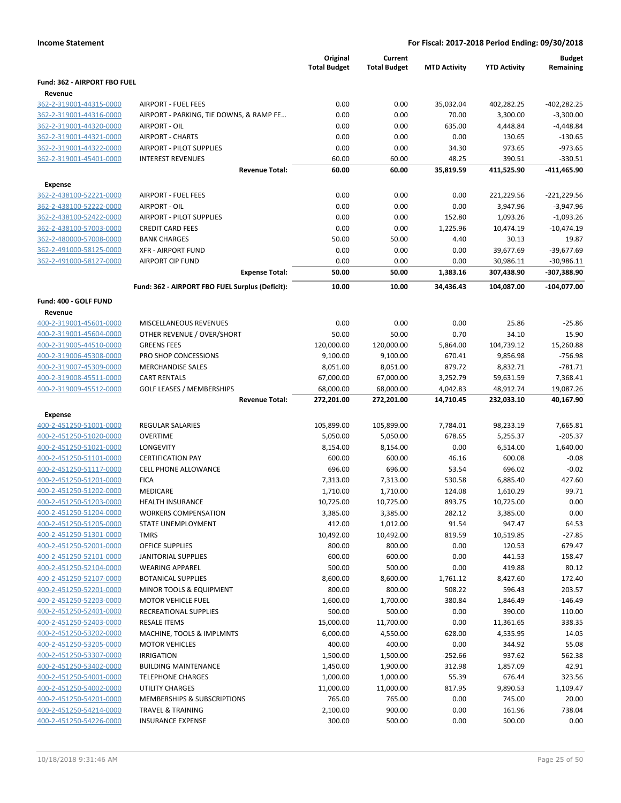|                              |                                                 | Original<br><b>Total Budget</b> | Current<br><b>Total Budget</b> | <b>MTD Activity</b> | <b>YTD Activity</b> | <b>Budget</b><br>Remaining |
|------------------------------|-------------------------------------------------|---------------------------------|--------------------------------|---------------------|---------------------|----------------------------|
| Fund: 362 - AIRPORT FBO FUEL |                                                 |                                 |                                |                     |                     |                            |
| Revenue                      |                                                 |                                 |                                |                     |                     |                            |
| 362-2-319001-44315-0000      | <b>AIRPORT - FUEL FEES</b>                      | 0.00                            | 0.00                           | 35,032.04           | 402,282.25          | $-402,282.25$              |
| 362-2-319001-44316-0000      | AIRPORT - PARKING, TIE DOWNS, & RAMP FE         | 0.00                            | 0.00                           | 70.00               | 3,300.00            | $-3,300.00$                |
| 362-2-319001-44320-0000      | <b>AIRPORT - OIL</b>                            | 0.00                            | 0.00                           | 635.00              | 4,448.84            | $-4,448.84$                |
| 362-2-319001-44321-0000      | <b>AIRPORT - CHARTS</b>                         | 0.00                            | 0.00                           | 0.00                | 130.65              | $-130.65$                  |
| 362-2-319001-44322-0000      | AIRPORT - PILOT SUPPLIES                        | 0.00                            | 0.00                           | 34.30               | 973.65              | $-973.65$                  |
| 362-2-319001-45401-0000      | <b>INTEREST REVENUES</b>                        | 60.00                           | 60.00                          | 48.25               | 390.51              | $-330.51$                  |
|                              | <b>Revenue Total:</b>                           | 60.00                           | 60.00                          | 35,819.59           | 411,525.90          | -411,465.90                |
| <b>Expense</b>               |                                                 |                                 |                                |                     |                     |                            |
| 362-2-438100-52221-0000      | <b>AIRPORT - FUEL FEES</b>                      | 0.00                            | 0.00                           | 0.00                | 221,229.56          | $-221,229.56$              |
| 362-2-438100-52222-0000      | AIRPORT - OIL                                   | 0.00                            | 0.00                           | 0.00                | 3,947.96            | $-3,947.96$                |
| 362-2-438100-52422-0000      | <b>AIRPORT - PILOT SUPPLIES</b>                 | 0.00                            | 0.00                           | 152.80              | 1,093.26            | $-1,093.26$                |
| 362-2-438100-57003-0000      | <b>CREDIT CARD FEES</b>                         | 0.00                            | 0.00                           | 1,225.96            | 10,474.19           | $-10,474.19$               |
| 362-2-480000-57008-0000      | <b>BANK CHARGES</b>                             | 50.00                           | 50.00                          | 4.40                | 30.13               | 19.87                      |
| 362-2-491000-58125-0000      | <b>XFR - AIRPORT FUND</b>                       | 0.00                            | 0.00                           | 0.00                | 39,677.69           | $-39,677.69$               |
| 362-2-491000-58127-0000      | <b>AIRPORT CIP FUND</b>                         | 0.00                            | 0.00                           | 0.00                | 30,986.11           | $-30,986.11$               |
|                              | <b>Expense Total:</b>                           | 50.00                           | 50.00                          | 1,383.16            | 307,438.90          | -307,388.90                |
|                              | Fund: 362 - AIRPORT FBO FUEL Surplus (Deficit): | 10.00                           | 10.00                          | 34,436.43           | 104,087.00          | $-104,077.00$              |
| Fund: 400 - GOLF FUND        |                                                 |                                 |                                |                     |                     |                            |
| Revenue                      |                                                 |                                 |                                |                     |                     |                            |
| 400-2-319001-45601-0000      | MISCELLANEOUS REVENUES                          | 0.00                            | 0.00                           | 0.00                | 25.86               | $-25.86$                   |
| 400-2-319001-45604-0000      | OTHER REVENUE / OVER/SHORT                      | 50.00                           | 50.00                          | 0.70                | 34.10               | 15.90                      |
| 400-2-319005-44510-0000      | <b>GREENS FEES</b>                              | 120,000.00                      | 120,000.00                     | 5,864.00            | 104,739.12          | 15,260.88                  |
| 400-2-319006-45308-0000      | PRO SHOP CONCESSIONS                            | 9,100.00                        | 9,100.00                       | 670.41              | 9,856.98            | $-756.98$                  |
| 400-2-319007-45309-0000      | <b>MERCHANDISE SALES</b>                        | 8,051.00                        | 8,051.00                       | 879.72              | 8,832.71            | $-781.71$                  |
| 400-2-319008-45511-0000      | <b>CART RENTALS</b>                             | 67,000.00                       | 67,000.00                      | 3,252.79            | 59,631.59           | 7,368.41                   |
| 400-2-319009-45512-0000      | <b>GOLF LEASES / MEMBERSHIPS</b>                | 68,000.00                       | 68,000.00                      | 4,042.83            | 48,912.74           | 19,087.26                  |
|                              | <b>Revenue Total:</b>                           | 272,201.00                      | 272,201.00                     | 14,710.45           | 232,033.10          | 40,167.90                  |
| <b>Expense</b>               |                                                 |                                 |                                |                     |                     |                            |
| 400-2-451250-51001-0000      | <b>REGULAR SALARIES</b>                         | 105,899.00                      | 105,899.00                     | 7,784.01            | 98,233.19           | 7,665.81                   |
| 400-2-451250-51020-0000      | <b>OVERTIME</b>                                 | 5,050.00                        | 5,050.00                       | 678.65              | 5,255.37            | $-205.37$                  |
| 400-2-451250-51021-0000      | LONGEVITY                                       | 8,154.00                        | 8,154.00                       | 0.00                | 6,514.00            | 1,640.00                   |
| 400-2-451250-51101-0000      | <b>CERTIFICATION PAY</b>                        | 600.00                          | 600.00                         | 46.16               | 600.08              | $-0.08$                    |
| 400-2-451250-51117-0000      | CELL PHONE ALLOWANCE                            | 696.00                          | 696.00                         | 53.54               | 696.02              | $-0.02$                    |
| 400-2-451250-51201-0000      | <b>FICA</b>                                     | 7,313.00                        | 7,313.00                       | 530.58              | 6,885.40            | 427.60                     |
| 400-2-451250-51202-0000      | MEDICARE                                        | 1,710.00                        | 1,710.00                       | 124.08              | 1,610.29            | 99.71                      |
| 400-2-451250-51203-0000      | <b>HEALTH INSURANCE</b>                         | 10,725.00                       | 10,725.00                      | 893.75              | 10,725.00           | 0.00                       |
| 400-2-451250-51204-0000      | <b>WORKERS COMPENSATION</b>                     | 3,385.00                        | 3,385.00                       | 282.12              | 3,385.00            | 0.00                       |
| 400-2-451250-51205-0000      | STATE UNEMPLOYMENT                              | 412.00                          | 1,012.00                       | 91.54               | 947.47              | 64.53                      |
| 400-2-451250-51301-0000      | <b>TMRS</b>                                     | 10,492.00                       | 10,492.00                      | 819.59              | 10,519.85           | $-27.85$                   |
| 400-2-451250-52001-0000      | OFFICE SUPPLIES                                 | 800.00                          | 800.00                         | 0.00                | 120.53              | 679.47                     |
| 400-2-451250-52101-0000      | <b>JANITORIAL SUPPLIES</b>                      | 600.00                          | 600.00                         | 0.00                | 441.53              | 158.47                     |
| 400-2-451250-52104-0000      | <b>WEARING APPAREL</b>                          | 500.00                          | 500.00                         | 0.00                | 419.88              | 80.12                      |
| 400-2-451250-52107-0000      | <b>BOTANICAL SUPPLIES</b>                       | 8,600.00                        | 8,600.00                       | 1,761.12            | 8,427.60            | 172.40                     |
| 400-2-451250-52201-0000      | MINOR TOOLS & EQUIPMENT                         | 800.00                          | 800.00                         | 508.22              | 596.43              | 203.57                     |
| 400-2-451250-52203-0000      | <b>MOTOR VEHICLE FUEL</b>                       | 1,600.00                        | 1,700.00                       | 380.84              | 1,846.49            | $-146.49$                  |
| 400-2-451250-52401-0000      | RECREATIONAL SUPPLIES                           | 500.00                          | 500.00                         | 0.00                | 390.00              | 110.00                     |
| 400-2-451250-52403-0000      | <b>RESALE ITEMS</b>                             | 15,000.00                       | 11,700.00                      | 0.00                | 11,361.65           | 338.35                     |
| 400-2-451250-53202-0000      | MACHINE, TOOLS & IMPLMNTS                       | 6,000.00                        | 4,550.00                       | 628.00              | 4,535.95            | 14.05                      |
| 400-2-451250-53205-0000      | <b>MOTOR VEHICLES</b>                           | 400.00                          | 400.00                         | 0.00                | 344.92              | 55.08                      |
| 400-2-451250-53307-0000      | <b>IRRIGATION</b>                               | 1,500.00                        | 1,500.00                       | $-252.66$           | 937.62              | 562.38                     |
| 400-2-451250-53402-0000      | <b>BUILDING MAINTENANCE</b>                     | 1,450.00                        | 1,900.00                       | 312.98              | 1,857.09            | 42.91                      |
| 400-2-451250-54001-0000      | <b>TELEPHONE CHARGES</b>                        | 1,000.00                        | 1,000.00                       | 55.39               | 676.44              | 323.56                     |
| 400-2-451250-54002-0000      | UTILITY CHARGES                                 | 11,000.00                       | 11,000.00                      | 817.95              | 9,890.53            | 1,109.47                   |
| 400-2-451250-54201-0000      | MEMBERSHIPS & SUBSCRIPTIONS                     | 765.00                          | 765.00                         | 0.00                | 745.00              | 20.00                      |
| 400-2-451250-54214-0000      | <b>TRAVEL &amp; TRAINING</b>                    | 2,100.00                        | 900.00                         | 0.00                | 161.96              | 738.04                     |
| 400-2-451250-54226-0000      | <b>INSURANCE EXPENSE</b>                        | 300.00                          | 500.00                         | 0.00                | 500.00              | 0.00                       |
|                              |                                                 |                                 |                                |                     |                     |                            |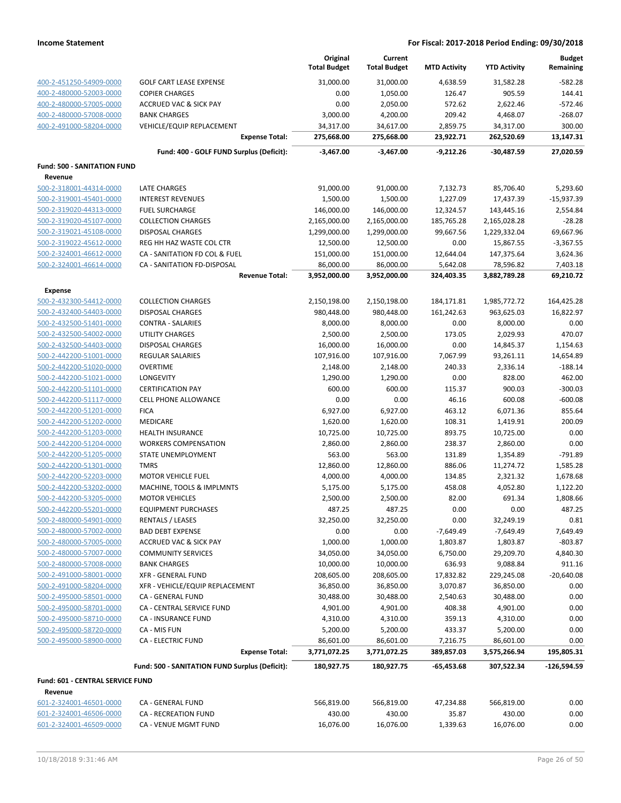|                                    |                                                      | Original<br><b>Total Budget</b> | Current<br><b>Total Budget</b> | <b>MTD Activity</b> | <b>YTD Activity</b> | <b>Budget</b><br>Remaining |
|------------------------------------|------------------------------------------------------|---------------------------------|--------------------------------|---------------------|---------------------|----------------------------|
| 400-2-451250-54909-0000            | <b>GOLF CART LEASE EXPENSE</b>                       | 31,000.00                       | 31,000.00                      | 4,638.59            | 31,582.28           | $-582.28$                  |
| 400-2-480000-52003-0000            | <b>COPIER CHARGES</b>                                | 0.00                            | 1,050.00                       | 126.47              | 905.59              | 144.41                     |
| 400-2-480000-57005-0000            | <b>ACCRUED VAC &amp; SICK PAY</b>                    | 0.00                            | 2,050.00                       | 572.62              | 2,622.46            | $-572.46$                  |
| 400-2-480000-57008-0000            | <b>BANK CHARGES</b>                                  | 3,000.00                        | 4,200.00                       | 209.42              | 4,468.07            | $-268.07$                  |
| 400-2-491000-58204-0000            | <b>VEHICLE/EQUIP REPLACEMENT</b>                     | 34,317.00                       | 34,617.00                      | 2,859.75            | 34,317.00           | 300.00                     |
|                                    | <b>Expense Total:</b>                                | 275,668.00                      | 275,668.00                     | 23,922.71           | 262,520.69          | 13,147.31                  |
|                                    | Fund: 400 - GOLF FUND Surplus (Deficit):             | $-3,467.00$                     | $-3,467.00$                    | -9,212.26           | $-30,487.59$        | 27,020.59                  |
| <b>Fund: 500 - SANITATION FUND</b> |                                                      |                                 |                                |                     |                     |                            |
| Revenue                            |                                                      |                                 |                                |                     |                     |                            |
| 500-2-318001-44314-0000            | <b>LATE CHARGES</b>                                  | 91,000.00                       | 91,000.00                      | 7,132.73            | 85,706.40           | 5,293.60                   |
| 500-2-319001-45401-0000            | <b>INTEREST REVENUES</b>                             | 1,500.00                        | 1,500.00                       | 1,227.09            | 17,437.39           | $-15,937.39$               |
| 500-2-319020-44313-0000            | <b>FUEL SURCHARGE</b>                                | 146,000.00                      | 146,000.00                     | 12,324.57           | 143,445.16          | 2,554.84                   |
| 500-2-319020-45107-0000            | <b>COLLECTION CHARGES</b>                            | 2,165,000.00                    | 2,165,000.00                   | 185,765.28          | 2,165,028.28        | $-28.28$                   |
| 500-2-319021-45108-0000            | <b>DISPOSAL CHARGES</b>                              | 1,299,000.00                    | 1,299,000.00                   | 99,667.56           | 1,229,332.04        | 69,667.96                  |
| 500-2-319022-45612-0000            | REG HH HAZ WASTE COL CTR                             | 12,500.00                       | 12,500.00                      | 0.00                | 15,867.55           | $-3,367.55$                |
| 500-2-324001-46612-0000            | CA - SANITATION FD COL & FUEL                        | 151,000.00                      | 151,000.00                     | 12,644.04           | 147,375.64          | 3,624.36                   |
| 500-2-324001-46614-0000            | CA - SANITATION FD-DISPOSAL<br><b>Revenue Total:</b> | 86,000.00                       | 86,000.00                      | 5,642.08            | 78,596.82           | 7,403.18                   |
|                                    |                                                      | 3,952,000.00                    | 3,952,000.00                   | 324,403.35          | 3,882,789.28        | 69,210.72                  |
| Expense                            |                                                      |                                 |                                |                     |                     |                            |
| 500-2-432300-54412-0000            | <b>COLLECTION CHARGES</b>                            | 2,150,198.00                    | 2,150,198.00                   | 184,171.81          | 1,985,772.72        | 164,425.28                 |
| 500-2-432400-54403-0000            | <b>DISPOSAL CHARGES</b>                              | 980,448.00                      | 980,448.00                     | 161,242.63          | 963,625.03          | 16,822.97                  |
| 500-2-432500-51401-0000            | <b>CONTRA - SALARIES</b>                             | 8,000.00                        | 8,000.00                       | 0.00                | 8,000.00            | 0.00                       |
| 500-2-432500-54002-0000            | <b>UTILITY CHARGES</b>                               | 2,500.00                        | 2,500.00                       | 173.05              | 2,029.93            | 470.07                     |
| 500-2-432500-54403-0000            | <b>DISPOSAL CHARGES</b>                              | 16,000.00                       | 16,000.00                      | 0.00                | 14,845.37           | 1,154.63                   |
| 500-2-442200-51001-0000            | REGULAR SALARIES                                     | 107,916.00                      | 107,916.00                     | 7,067.99            | 93,261.11           | 14,654.89                  |
| 500-2-442200-51020-0000            | <b>OVERTIME</b>                                      | 2,148.00                        | 2,148.00                       | 240.33              | 2,336.14            | $-188.14$                  |
| 500-2-442200-51021-0000            | LONGEVITY                                            | 1,290.00                        | 1,290.00                       | 0.00                | 828.00              | 462.00                     |
| 500-2-442200-51101-0000            | <b>CERTIFICATION PAY</b>                             | 600.00                          | 600.00                         | 115.37              | 900.03              | $-300.03$                  |
| 500-2-442200-51117-0000            | CELL PHONE ALLOWANCE                                 | 0.00                            | 0.00                           | 46.16               | 600.08              | $-600.08$                  |
| 500-2-442200-51201-0000            | <b>FICA</b>                                          | 6,927.00                        | 6,927.00                       | 463.12              | 6,071.36            | 855.64                     |
| 500-2-442200-51202-0000            | MEDICARE                                             | 1,620.00                        | 1,620.00                       | 108.31              | 1,419.91            | 200.09                     |
| 500-2-442200-51203-0000            | <b>HEALTH INSURANCE</b>                              | 10,725.00                       | 10,725.00                      | 893.75              | 10,725.00           | 0.00                       |
| 500-2-442200-51204-0000            | <b>WORKERS COMPENSATION</b>                          | 2,860.00                        | 2,860.00                       | 238.37              | 2,860.00            | 0.00                       |
| 500-2-442200-51205-0000            | STATE UNEMPLOYMENT                                   | 563.00                          | 563.00                         | 131.89              | 1,354.89            | $-791.89$                  |
| 500-2-442200-51301-0000            | <b>TMRS</b>                                          | 12,860.00                       | 12,860.00                      | 886.06              | 11,274.72           | 1,585.28                   |
| 500-2-442200-52203-0000            | <b>MOTOR VEHICLE FUEL</b>                            | 4,000.00                        | 4,000.00                       | 134.85              | 2,321.32            | 1,678.68                   |
| 500-2-442200-53202-0000            | MACHINE, TOOLS & IMPLMNTS                            | 5,175.00                        | 5,175.00                       | 458.08              | 4,052.80            | 1,122.20                   |
| 500-2-442200-53205-0000            | <b>MOTOR VEHICLES</b>                                | 2,500.00                        | 2,500.00                       | 82.00               | 691.34              | 1,808.66                   |
| 500-2-442200-55201-0000            | <b>EQUIPMENT PURCHASES</b>                           | 487.25                          | 487.25                         | 0.00                | 0.00                | 487.25                     |
| 500-2-480000-54901-0000            | RENTALS / LEASES                                     | 32,250.00                       | 32,250.00                      | 0.00                | 32,249.19           | 0.81                       |
| 500-2-480000-57002-0000            | <b>BAD DEBT EXPENSE</b>                              | 0.00                            | 0.00                           | $-7,649.49$         | $-7,649.49$         | 7,649.49                   |
| 500-2-480000-57005-0000            | <b>ACCRUED VAC &amp; SICK PAY</b>                    | 1,000.00                        | 1,000.00                       | 1,803.87            | 1,803.87            | $-803.87$                  |
| 500-2-480000-57007-0000            | <b>COMMUNITY SERVICES</b>                            | 34,050.00                       | 34,050.00                      | 6,750.00            | 29,209.70           | 4,840.30                   |
| 500-2-480000-57008-0000            | <b>BANK CHARGES</b>                                  | 10,000.00                       | 10,000.00                      | 636.93              | 9,088.84            | 911.16                     |
| 500-2-491000-58001-0000            | <b>XFR - GENERAL FUND</b>                            | 208,605.00                      | 208,605.00                     | 17,832.82           | 229,245.08          | $-20,640.08$               |
| 500-2-491000-58204-0000            | XFR - VEHICLE/EQUIP REPLACEMENT                      | 36,850.00                       | 36,850.00                      | 3,070.87            | 36,850.00           | 0.00                       |
| 500-2-495000-58501-0000            | CA - GENERAL FUND                                    | 30,488.00                       | 30,488.00                      | 2,540.63            | 30,488.00           | 0.00                       |
| 500-2-495000-58701-0000            | CA - CENTRAL SERVICE FUND                            | 4,901.00                        | 4,901.00                       | 408.38              | 4,901.00            | 0.00                       |
| 500-2-495000-58710-0000            | CA - INSURANCE FUND                                  | 4,310.00                        | 4,310.00                       | 359.13              | 4,310.00            | 0.00                       |
| 500-2-495000-58720-0000            | CA - MIS FUN                                         | 5,200.00                        | 5,200.00                       | 433.37              | 5,200.00            | 0.00                       |
| 500-2-495000-58900-0000            | <b>CA - ELECTRIC FUND</b>                            | 86,601.00                       | 86,601.00                      | 7,216.75            | 86,601.00           | 0.00                       |
|                                    | <b>Expense Total:</b>                                | 3,771,072.25                    | 3,771,072.25                   | 389,857.03          | 3,575,266.94        | 195,805.31                 |
|                                    | Fund: 500 - SANITATION FUND Surplus (Deficit):       | 180,927.75                      | 180,927.75                     | -65,453.68          | 307,522.34          | -126,594.59                |
| Fund: 601 - CENTRAL SERVICE FUND   |                                                      |                                 |                                |                     |                     |                            |
| Revenue                            |                                                      |                                 |                                |                     |                     |                            |
| 601-2-324001-46501-0000            | CA - GENERAL FUND                                    | 566,819.00                      | 566,819.00                     | 47,234.88           | 566,819.00          | 0.00                       |
| 601-2-324001-46506-0000            | CA - RECREATION FUND                                 | 430.00                          | 430.00                         | 35.87               | 430.00              | 0.00                       |
| 601-2-324001-46509-0000            | CA - VENUE MGMT FUND                                 | 16,076.00                       | 16,076.00                      | 1,339.63            | 16,076.00           | 0.00                       |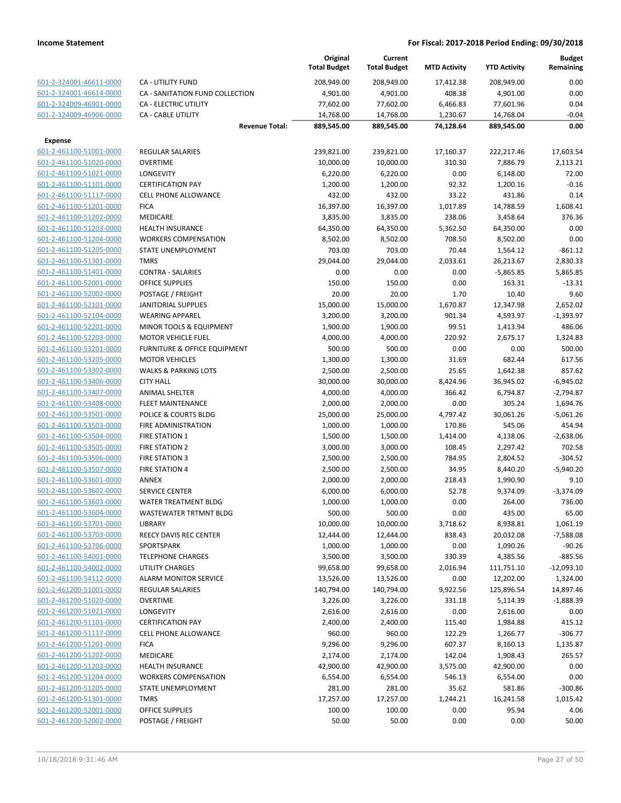|                         |                                    | Original<br><b>Total Budget</b> | Current<br><b>Total Budget</b> | <b>MTD Activity</b> | <b>YTD Activity</b> | <b>Budget</b><br>Remaining |
|-------------------------|------------------------------------|---------------------------------|--------------------------------|---------------------|---------------------|----------------------------|
| 601-2-324001-46611-0000 | <b>CA - UTILITY FUND</b>           | 208,949.00                      | 208,949.00                     | 17,412.38           | 208,949.00          | 0.00                       |
| 601-2-324001-46614-0000 | CA - SANITATION FUND COLLECTION    | 4,901.00                        | 4,901.00                       | 408.38              | 4,901.00            | 0.00                       |
| 601-2-324009-46901-0000 | CA - ELECTRIC UTILITY              | 77,602.00                       | 77,602.00                      | 6,466.83            | 77,601.96           | 0.04                       |
| 601-2-324009-46906-0000 | <b>CA - CABLE UTILITY</b>          | 14,768.00                       | 14,768.00                      | 1,230.67            | 14,768.04           | $-0.04$                    |
|                         | <b>Revenue Total:</b>              | 889,545.00                      | 889,545.00                     | 74,128.64           | 889,545.00          | 0.00                       |
| <b>Expense</b>          |                                    |                                 |                                |                     |                     |                            |
| 601-2-461100-51001-0000 | <b>REGULAR SALARIES</b>            | 239,821.00                      | 239,821.00                     | 17,160.37           | 222,217.46          | 17,603.54                  |
| 601-2-461100-51020-0000 | <b>OVERTIME</b>                    | 10,000.00                       | 10,000.00                      | 310.30              | 7,886.79            | 2,113.21                   |
| 601-2-461100-51021-0000 | <b>LONGEVITY</b>                   | 6,220.00                        | 6,220.00                       | 0.00                | 6,148.00            | 72.00                      |
| 601-2-461100-51101-0000 | <b>CERTIFICATION PAY</b>           | 1,200.00                        | 1,200.00                       | 92.32               | 1,200.16            | $-0.16$                    |
| 601-2-461100-51117-0000 | <b>CELL PHONE ALLOWANCE</b>        | 432.00                          | 432.00                         | 33.22               | 431.86              | 0.14                       |
| 601-2-461100-51201-0000 | <b>FICA</b>                        | 16,397.00                       | 16,397.00                      | 1,017.89            | 14,788.59           | 1,608.41                   |
| 601-2-461100-51202-0000 | <b>MEDICARE</b>                    | 3,835.00                        | 3,835.00                       | 238.06              | 3,458.64            | 376.36                     |
| 601-2-461100-51203-0000 | <b>HEALTH INSURANCE</b>            | 64,350.00                       | 64,350.00                      | 5,362.50            | 64,350.00           | 0.00                       |
| 601-2-461100-51204-0000 | <b>WORKERS COMPENSATION</b>        | 8,502.00                        | 8,502.00                       | 708.50              | 8,502.00            | 0.00                       |
| 601-2-461100-51205-0000 | STATE UNEMPLOYMENT                 | 703.00                          | 703.00                         | 70.44               | 1,564.12            | $-861.12$                  |
| 601-2-461100-51301-0000 | <b>TMRS</b>                        | 29,044.00                       | 29,044.00                      | 2,033.61            | 26,213.67           | 2,830.33                   |
| 601-2-461100-51401-0000 | <b>CONTRA - SALARIES</b>           | 0.00                            | 0.00                           | 0.00                | $-5,865.85$         | 5,865.85                   |
| 601-2-461100-52001-0000 | OFFICE SUPPLIES                    | 150.00                          | 150.00                         | 0.00                | 163.31              | $-13.31$                   |
| 601-2-461100-52002-0000 | POSTAGE / FREIGHT                  | 20.00                           | 20.00                          | 1.70                | 10.40               | 9.60                       |
| 601-2-461100-52101-0000 | <b>JANITORIAL SUPPLIES</b>         | 15,000.00                       | 15,000.00                      | 1,670.87            | 12,347.98           | 2,652.02                   |
| 601-2-461100-52104-0000 | <b>WEARING APPAREL</b>             | 3,200.00                        | 3,200.00                       | 901.34              | 4,593.97            | $-1,393.97$                |
| 601-2-461100-52201-0000 | <b>MINOR TOOLS &amp; EQUIPMENT</b> | 1,900.00                        | 1,900.00                       | 99.51               | 1,413.94            | 486.06                     |
| 601-2-461100-52203-0000 | <b>MOTOR VEHICLE FUEL</b>          | 4,000.00                        | 4,000.00                       | 220.92              | 2,675.17            | 1,324.83                   |
| 601-2-461100-53201-0000 | FURNITURE & OFFICE EQUIPMENT       | 500.00                          | 500.00                         | 0.00                | 0.00                | 500.00                     |
| 601-2-461100-53205-0000 | <b>MOTOR VEHICLES</b>              | 1,300.00                        | 1,300.00                       | 31.69               | 682.44              | 617.56                     |
| 601-2-461100-53302-0000 | <b>WALKS &amp; PARKING LOTS</b>    | 2,500.00                        | 2,500.00                       | 25.65               | 1,642.38            | 857.62                     |
| 601-2-461100-53406-0000 | <b>CITY HALL</b>                   | 30,000.00                       | 30,000.00                      | 8,424.96            | 36,945.02           | $-6,945.02$                |
| 601-2-461100-53407-0000 | <b>ANIMAL SHELTER</b>              | 4,000.00                        | 4,000.00                       | 366.42              | 6,794.87            | $-2,794.87$                |
| 601-2-461100-53408-0000 | <b>FLEET MAINTENANCE</b>           | 2,000.00                        | 2,000.00                       | 0.00                | 305.24              | 1,694.76                   |
| 601-2-461100-53501-0000 | POLICE & COURTS BLDG               | 25,000.00                       | 25,000.00                      | 4,797.42            | 30,061.26           | $-5,061.26$                |
| 601-2-461100-53503-0000 | FIRE ADMINISTRATION                | 1,000.00                        | 1,000.00                       | 170.86              | 545.06              | 454.94                     |
| 601-2-461100-53504-0000 | <b>FIRE STATION 1</b>              | 1,500.00                        | 1,500.00                       | 1,414.00            | 4,138.06            | $-2,638.06$                |
| 601-2-461100-53505-0000 | <b>FIRE STATION 2</b>              | 3,000.00                        | 3,000.00                       | 108.45              | 2,297.42            | 702.58                     |
| 601-2-461100-53506-0000 | <b>FIRE STATION 3</b>              | 2,500.00                        | 2,500.00                       | 784.95              | 2,804.52            | $-304.52$                  |
| 601-2-461100-53507-0000 | <b>FIRE STATION 4</b>              | 2,500.00                        | 2,500.00                       | 34.95               | 8,440.20            | $-5,940.20$                |
| 601-2-461100-53601-0000 | <b>ANNEX</b>                       | 2,000.00                        | 2,000.00                       | 218.43              | 1,990.90            | 9.10                       |
| 601-2-461100-53602-0000 | <b>SERVICE CENTER</b>              | 6,000.00                        | 6,000.00                       | 52.78               | 9,374.09            | $-3,374.09$                |
| 601-2-461100-53603-0000 | <b>WATER TREATMENT BLDG</b>        | 1,000.00                        | 1,000.00                       | 0.00                | 264.00              | 736.00                     |
| 601-2-461100-53604-0000 | <b>WASTEWATER TRTMNT BLDG</b>      | 500.00                          | 500.00                         | 0.00                | 435.00              | 65.00                      |
| 601-2-461100-53701-0000 | LIBRARY                            | 10,000.00                       | 10,000.00                      | 3,718.62            | 8,938.81            | 1,061.19                   |
| 601-2-461100-53703-0000 | REECY DAVIS REC CENTER             | 12,444.00                       | 12,444.00                      | 838.43              | 20,032.08           | $-7,588.08$                |
| 601-2-461100-53706-0000 | SPORTSPARK                         | 1,000.00                        | 1,000.00                       | 0.00                | 1,090.26            | $-90.26$                   |
| 601-2-461100-54001-0000 | <b>TELEPHONE CHARGES</b>           | 3,500.00                        | 3,500.00                       | 330.39              | 4,385.56            | $-885.56$                  |
| 601-2-461100-54002-0000 | <b>UTILITY CHARGES</b>             | 99,658.00                       | 99,658.00                      | 2,016.94            | 111,751.10          | $-12,093.10$               |
| 601-2-461100-54112-0000 | <b>ALARM MONITOR SERVICE</b>       | 13,526.00                       | 13,526.00                      | 0.00                | 12,202.00           | 1,324.00                   |
| 601-2-461200-51001-0000 | <b>REGULAR SALARIES</b>            | 140,794.00                      | 140,794.00                     | 9,922.56            | 125,896.54          | 14,897.46                  |
| 601-2-461200-51020-0000 | <b>OVERTIME</b>                    | 3,226.00                        | 3,226.00                       | 331.18              | 5,114.39            | $-1,888.39$                |
| 601-2-461200-51021-0000 | <b>LONGEVITY</b>                   | 2,616.00                        | 2,616.00                       | 0.00                | 2,616.00            | 0.00                       |
| 601-2-461200-51101-0000 | <b>CERTIFICATION PAY</b>           | 2,400.00                        | 2,400.00                       | 115.40              | 1,984.88            | 415.12                     |
| 601-2-461200-51117-0000 | <b>CELL PHONE ALLOWANCE</b>        | 960.00                          | 960.00                         | 122.29              | 1,266.77            | $-306.77$                  |
| 601-2-461200-51201-0000 | <b>FICA</b>                        | 9,296.00                        | 9,296.00                       | 607.37              | 8,160.13            | 1,135.87                   |
| 601-2-461200-51202-0000 | <b>MEDICARE</b>                    | 2,174.00                        | 2,174.00                       | 142.04              | 1,908.43            | 265.57                     |
| 601-2-461200-51203-0000 | <b>HEALTH INSURANCE</b>            | 42,900.00                       | 42,900.00                      | 3,575.00            | 42,900.00           | 0.00                       |
| 601-2-461200-51204-0000 | <b>WORKERS COMPENSATION</b>        | 6,554.00                        | 6,554.00                       | 546.13              | 6,554.00            | 0.00                       |
| 601-2-461200-51205-0000 | STATE UNEMPLOYMENT                 | 281.00                          | 281.00                         | 35.62               | 581.86              | $-300.86$                  |
| 601-2-461200-51301-0000 | <b>TMRS</b>                        | 17,257.00                       | 17,257.00                      | 1,244.21            | 16,241.58           | 1,015.42                   |
| 601-2-461200-52001-0000 | OFFICE SUPPLIES                    | 100.00                          | 100.00                         | 0.00                | 95.94               | 4.06                       |
| 601-2-461200-52002-0000 | POSTAGE / FREIGHT                  | 50.00                           | 50.00                          | 0.00                | 0.00                | 50.00                      |
|                         |                                    |                                 |                                |                     |                     |                            |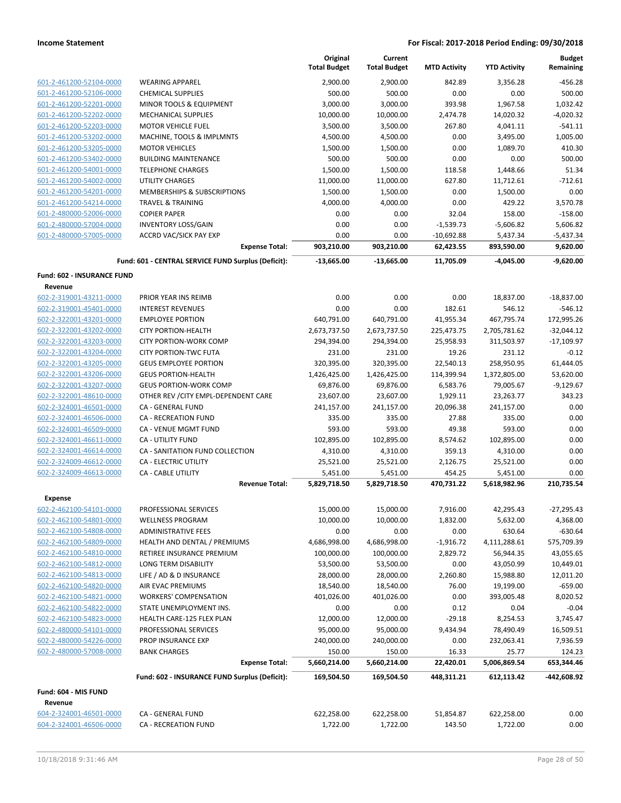|                                                    |                                                            | Original<br><b>Total Budget</b> | Current<br><b>Total Budget</b> | <b>MTD Activity</b>    | <b>YTD Activity</b>       | <b>Budget</b><br>Remaining |
|----------------------------------------------------|------------------------------------------------------------|---------------------------------|--------------------------------|------------------------|---------------------------|----------------------------|
| 601-2-461200-52104-0000                            | <b>WEARING APPAREL</b>                                     | 2,900.00                        | 2,900.00                       | 842.89                 | 3,356.28                  | -456.28                    |
| 601-2-461200-52106-0000                            | <b>CHEMICAL SUPPLIES</b>                                   | 500.00                          | 500.00                         | 0.00                   | 0.00                      | 500.00                     |
| 601-2-461200-52201-0000                            | MINOR TOOLS & EQUIPMENT                                    | 3,000.00                        | 3,000.00                       | 393.98                 | 1,967.58                  | 1,032.42                   |
| 601-2-461200-52202-0000                            | <b>MECHANICAL SUPPLIES</b>                                 | 10,000.00                       | 10,000.00                      | 2,474.78               | 14,020.32                 | $-4,020.32$                |
| 601-2-461200-52203-0000                            | <b>MOTOR VEHICLE FUEL</b>                                  | 3,500.00                        | 3,500.00                       | 267.80                 | 4,041.11                  | $-541.11$                  |
| 601-2-461200-53202-0000                            | MACHINE, TOOLS & IMPLMNTS                                  | 4,500.00                        | 4,500.00                       | 0.00                   | 3,495.00                  | 1,005.00                   |
| 601-2-461200-53205-0000                            | <b>MOTOR VEHICLES</b>                                      | 1,500.00                        | 1,500.00                       | 0.00                   | 1,089.70                  | 410.30                     |
| 601-2-461200-53402-0000                            | <b>BUILDING MAINTENANCE</b>                                | 500.00                          | 500.00                         | 0.00                   | 0.00                      | 500.00                     |
| 601-2-461200-54001-0000                            | <b>TELEPHONE CHARGES</b>                                   | 1,500.00                        | 1,500.00                       | 118.58                 | 1,448.66                  | 51.34                      |
| 601-2-461200-54002-0000                            | UTILITY CHARGES                                            | 11,000.00                       | 11,000.00                      | 627.80                 | 11,712.61                 | $-712.61$                  |
| 601-2-461200-54201-0000                            | <b>MEMBERSHIPS &amp; SUBSCRIPTIONS</b>                     | 1,500.00                        | 1,500.00                       | 0.00                   | 1,500.00                  | 0.00                       |
| 601-2-461200-54214-0000                            | <b>TRAVEL &amp; TRAINING</b>                               | 4,000.00                        | 4,000.00                       | 0.00                   | 429.22                    | 3,570.78                   |
| 601-2-480000-52006-0000                            | <b>COPIER PAPER</b>                                        | 0.00                            | 0.00                           | 32.04                  | 158.00                    | $-158.00$                  |
| 601-2-480000-57004-0000                            | <b>INVENTORY LOSS/GAIN</b>                                 | 0.00                            | 0.00                           | $-1,539.73$            | $-5,606.82$               | 5,606.82                   |
| 601-2-480000-57005-0000                            | <b>ACCRD VAC/SICK PAY EXP</b>                              | 0.00                            | 0.00                           | $-10,692.88$           | 5,437.34                  | $-5,437.34$                |
|                                                    | <b>Expense Total:</b>                                      | 903,210.00                      | 903,210.00                     | 62,423.55              | 893,590.00                | 9,620.00                   |
|                                                    | Fund: 601 - CENTRAL SERVICE FUND Surplus (Deficit):        | $-13,665.00$                    | $-13,665.00$                   | 11,705.09              | $-4,045.00$               | $-9.620.00$                |
| Fund: 602 - INSURANCE FUND                         |                                                            |                                 |                                |                        |                           |                            |
| Revenue                                            |                                                            |                                 |                                |                        |                           |                            |
| 602-2-319001-43211-0000                            | PRIOR YEAR INS REIMB                                       | 0.00                            | 0.00                           | 0.00                   | 18,837.00                 | $-18,837.00$               |
| 602-2-319001-45401-0000                            | <b>INTEREST REVENUES</b>                                   | 0.00                            | 0.00                           | 182.61                 | 546.12                    | $-546.12$                  |
| 602-2-322001-43201-0000                            | <b>EMPLOYEE PORTION</b>                                    | 640,791.00                      | 640,791.00                     | 41,955.34              | 467,795.74                | 172,995.26                 |
| 602-2-322001-43202-0000                            | <b>CITY PORTION-HEALTH</b>                                 | 2,673,737.50                    | 2,673,737.50                   | 225,473.75             | 2,705,781.62              | $-32,044.12$               |
| 602-2-322001-43203-0000                            | <b>CITY PORTION-WORK COMP</b>                              | 294,394.00                      | 294,394.00                     | 25,958.93              | 311,503.97                | $-17,109.97$               |
| 602-2-322001-43204-0000                            | <b>CITY PORTION-TWC FUTA</b>                               | 231.00                          | 231.00                         | 19.26                  | 231.12                    | $-0.12$                    |
| 602-2-322001-43205-0000                            | <b>GEUS EMPLOYEE PORTION</b><br><b>GEUS PORTION-HEALTH</b> | 320,395.00                      | 320,395.00                     | 22,540.13              | 258,950.95                | 61,444.05                  |
| 602-2-322001-43206-0000<br>602-2-322001-43207-0000 | <b>GEUS PORTION-WORK COMP</b>                              | 1,426,425.00<br>69,876.00       | 1,426,425.00<br>69,876.00      | 114,399.94<br>6,583.76 | 1,372,805.00<br>79,005.67 | 53,620.00<br>$-9,129.67$   |
| 602-2-322001-48610-0000                            | OTHER REV / CITY EMPL-DEPENDENT CARE                       | 23,607.00                       | 23,607.00                      | 1,929.11               | 23,263.77                 | 343.23                     |
| 602-2-324001-46501-0000                            | <b>CA - GENERAL FUND</b>                                   | 241,157.00                      | 241,157.00                     | 20,096.38              | 241,157.00                | 0.00                       |
| 602-2-324001-46506-0000                            | <b>CA - RECREATION FUND</b>                                | 335.00                          | 335.00                         | 27.88                  | 335.00                    | 0.00                       |
| 602-2-324001-46509-0000                            | CA - VENUE MGMT FUND                                       | 593.00                          | 593.00                         | 49.38                  | 593.00                    | 0.00                       |
| 602-2-324001-46611-0000                            | <b>CA - UTILITY FUND</b>                                   | 102,895.00                      | 102,895.00                     | 8,574.62               | 102,895.00                | 0.00                       |
| 602-2-324001-46614-0000                            | CA - SANITATION FUND COLLECTION                            | 4,310.00                        | 4,310.00                       | 359.13                 | 4,310.00                  | 0.00                       |
| 602-2-324009-46612-0000                            | CA - ELECTRIC UTILITY                                      | 25,521.00                       | 25,521.00                      | 2,126.75               | 25,521.00                 | 0.00                       |
| 602-2-324009-46613-0000                            | <b>CA - CABLE UTILITY</b>                                  | 5,451.00                        | 5,451.00                       | 454.25                 | 5,451.00                  | 0.00                       |
|                                                    | <b>Revenue Total:</b>                                      | 5,829,718.50                    | 5,829,718.50                   | 470,731.22             | 5,618,982.96              | 210,735.54                 |
| <b>Expense</b>                                     |                                                            |                                 |                                |                        |                           |                            |
| <u>602-2-462100-54101-0000</u>                     | PROFESSIONAL SERVICES                                      | 15,000.00                       | 15,000.00                      | 7,916.00               | 42,295.43                 | -27,295.43                 |
| 602-2-462100-54801-0000                            | <b>WELLNESS PROGRAM</b>                                    | 10,000.00                       | 10,000.00                      | 1,832.00               | 5,632.00                  | 4,368.00                   |
| 602-2-462100-54808-0000                            | <b>ADMINISTRATIVE FEES</b>                                 | 0.00                            | 0.00                           | 0.00                   | 630.64                    | $-630.64$                  |
| 602-2-462100-54809-0000                            | HEALTH AND DENTAL / PREMIUMS                               | 4,686,998.00                    | 4,686,998.00                   | $-1,916.72$            | 4,111,288.61              | 575,709.39                 |
| 602-2-462100-54810-0000                            | RETIREE INSURANCE PREMIUM                                  | 100,000.00                      | 100,000.00                     | 2,829.72               | 56,944.35                 | 43,055.65                  |
| 602-2-462100-54812-0000                            | <b>LONG TERM DISABILITY</b>                                | 53,500.00                       | 53,500.00                      | 0.00                   | 43,050.99                 | 10,449.01                  |
| 602-2-462100-54813-0000                            | LIFE / AD & D INSURANCE                                    | 28,000.00                       | 28,000.00                      | 2,260.80               | 15,988.80                 | 12,011.20                  |
| 602-2-462100-54820-0000                            | AIR EVAC PREMIUMS                                          | 18,540.00                       | 18,540.00                      | 76.00                  | 19,199.00                 | $-659.00$                  |
| 602-2-462100-54821-0000                            | <b>WORKERS' COMPENSATION</b>                               | 401,026.00                      | 401,026.00                     | 0.00                   | 393,005.48                | 8,020.52                   |
| 602-2-462100-54822-0000                            | STATE UNEMPLOYMENT INS.                                    | 0.00                            | 0.00                           | 0.12                   | 0.04                      | $-0.04$                    |
| 602-2-462100-54823-0000                            | HEALTH CARE-125 FLEX PLAN                                  | 12,000.00                       | 12,000.00                      | $-29.18$               | 8,254.53                  | 3,745.47                   |
| 602-2-480000-54101-0000                            | PROFESSIONAL SERVICES                                      | 95,000.00                       | 95,000.00                      | 9,434.94               | 78,490.49                 | 16,509.51                  |
| 602-2-480000-54226-0000                            | PROP INSURANCE EXP                                         | 240,000.00                      | 240,000.00                     | 0.00                   | 232,063.41                | 7,936.59                   |
| 602-2-480000-57008-0000                            | <b>BANK CHARGES</b><br><b>Expense Total:</b>               | 150.00<br>5,660,214.00          | 150.00                         | 16.33<br>22,420.01     | 25.77<br>5,006,869.54     | 124.23<br>653,344.46       |
|                                                    | Fund: 602 - INSURANCE FUND Surplus (Deficit):              | 169,504.50                      | 5,660,214.00<br>169,504.50     | 448,311.21             | 612,113.42                | -442,608.92                |
| Fund: 604 - MIS FUND                               |                                                            |                                 |                                |                        |                           |                            |
| Revenue                                            |                                                            |                                 |                                |                        |                           |                            |
| 604-2-324001-46501-0000                            | CA - GENERAL FUND                                          | 622,258.00                      | 622,258.00                     | 51,854.87              | 622,258.00                | 0.00                       |
| 604-2-324001-46506-0000                            | CA - RECREATION FUND                                       | 1,722.00                        | 1,722.00                       | 143.50                 | 1,722.00                  | 0.00                       |
|                                                    |                                                            |                                 |                                |                        |                           |                            |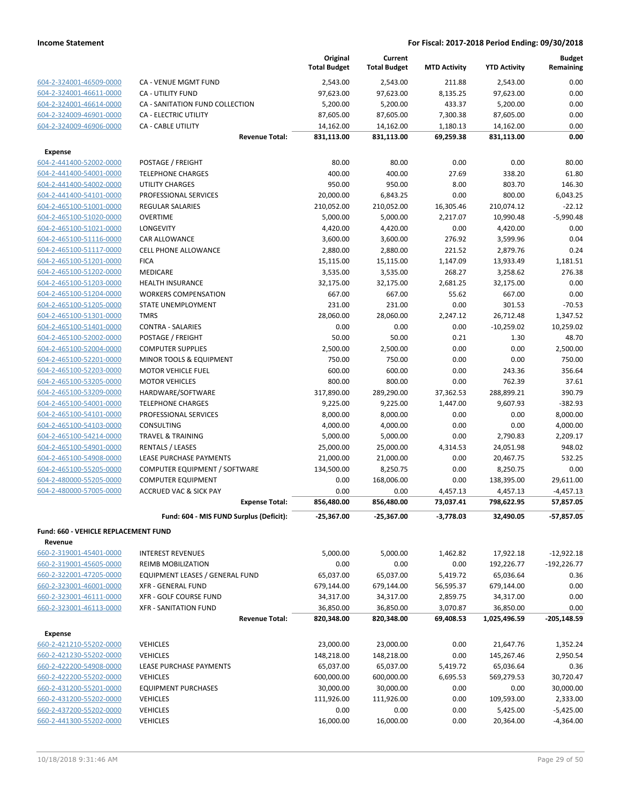|                                                    |                                                    | Original<br><b>Total Budget</b> | Current<br><b>Total Budget</b> | <b>MTD Activity</b> | <b>YTD Activity</b>    | <b>Budget</b><br>Remaining |
|----------------------------------------------------|----------------------------------------------------|---------------------------------|--------------------------------|---------------------|------------------------|----------------------------|
| 604-2-324001-46509-0000                            | CA - VENUE MGMT FUND                               | 2,543.00                        | 2,543.00                       | 211.88              | 2,543.00               | 0.00                       |
| 604-2-324001-46611-0000                            | CA - UTILITY FUND                                  | 97,623.00                       | 97,623.00                      | 8,135.25            | 97,623.00              | 0.00                       |
| 604-2-324001-46614-0000                            | CA - SANITATION FUND COLLECTION                    | 5,200.00                        | 5,200.00                       | 433.37              | 5,200.00               | 0.00                       |
| 604-2-324009-46901-0000                            | CA - ELECTRIC UTILITY                              | 87,605.00                       | 87,605.00                      | 7,300.38            | 87,605.00              | 0.00                       |
| 604-2-324009-46906-0000                            | <b>CA - CABLE UTILITY</b>                          | 14,162.00                       | 14,162.00                      | 1,180.13            | 14,162.00              | 0.00                       |
|                                                    | <b>Revenue Total:</b>                              | 831,113.00                      | 831,113.00                     | 69,259.38           | 831,113.00             | 0.00                       |
| <b>Expense</b>                                     |                                                    |                                 |                                |                     |                        |                            |
| 604-2-441400-52002-0000                            | POSTAGE / FREIGHT                                  | 80.00                           | 80.00                          | 0.00                | 0.00                   | 80.00                      |
| 604-2-441400-54001-0000                            | <b>TELEPHONE CHARGES</b>                           | 400.00                          | 400.00                         | 27.69               | 338.20                 | 61.80                      |
| 604-2-441400-54002-0000                            | <b>UTILITY CHARGES</b>                             | 950.00                          | 950.00                         | 8.00                | 803.70                 | 146.30                     |
| 604-2-441400-54101-0000                            | PROFESSIONAL SERVICES                              | 20,000.00                       | 6,843.25                       | 0.00                | 800.00                 | 6,043.25                   |
| 604-2-465100-51001-0000                            | <b>REGULAR SALARIES</b>                            | 210,052.00                      | 210,052.00                     | 16,305.46           | 210,074.12             | $-22.12$                   |
| 604-2-465100-51020-0000                            | <b>OVERTIME</b>                                    | 5,000.00                        | 5,000.00                       | 2,217.07            | 10,990.48              | $-5,990.48$                |
| 604-2-465100-51021-0000                            | LONGEVITY                                          | 4,420.00                        | 4,420.00                       | 0.00                | 4,420.00               | 0.00                       |
| 604-2-465100-51116-0000                            | <b>CAR ALLOWANCE</b>                               | 3,600.00                        | 3,600.00                       | 276.92              | 3,599.96               | 0.04                       |
| 604-2-465100-51117-0000                            | CELL PHONE ALLOWANCE                               | 2,880.00                        | 2,880.00                       | 221.52              | 2,879.76               | 0.24                       |
| 604-2-465100-51201-0000                            | <b>FICA</b>                                        | 15,115.00                       | 15,115.00                      | 1,147.09            | 13,933.49              | 1,181.51                   |
| 604-2-465100-51202-0000                            | MEDICARE                                           | 3,535.00                        | 3,535.00                       | 268.27              | 3,258.62               | 276.38                     |
| 604-2-465100-51203-0000                            | <b>HEALTH INSURANCE</b>                            | 32,175.00                       | 32,175.00                      | 2,681.25            | 32,175.00              | 0.00                       |
| 604-2-465100-51204-0000                            | <b>WORKERS COMPENSATION</b>                        | 667.00                          | 667.00                         | 55.62               | 667.00                 | 0.00                       |
| 604-2-465100-51205-0000                            | <b>STATE UNEMPLOYMENT</b>                          | 231.00                          | 231.00                         | 0.00                | 301.53                 | $-70.53$                   |
| 604-2-465100-51301-0000                            | <b>TMRS</b>                                        | 28,060.00                       | 28,060.00                      | 2,247.12            | 26,712.48              | 1,347.52                   |
| 604-2-465100-51401-0000                            | <b>CONTRA - SALARIES</b>                           | 0.00                            | 0.00                           | 0.00                | $-10,259.02$           | 10,259.02                  |
| 604-2-465100-52002-0000                            | POSTAGE / FREIGHT                                  | 50.00                           | 50.00                          | 0.21                | 1.30                   | 48.70                      |
| 604-2-465100-52004-0000                            | <b>COMPUTER SUPPLIES</b>                           | 2,500.00                        | 2,500.00                       | 0.00                | 0.00                   | 2,500.00                   |
| 604-2-465100-52201-0000                            | MINOR TOOLS & EQUIPMENT                            | 750.00                          | 750.00                         | 0.00                | 0.00                   | 750.00                     |
| 604-2-465100-52203-0000                            | <b>MOTOR VEHICLE FUEL</b>                          | 600.00                          | 600.00                         | 0.00                | 243.36                 | 356.64                     |
| 604-2-465100-53205-0000                            | <b>MOTOR VEHICLES</b>                              | 800.00                          | 800.00                         | 0.00                | 762.39                 | 37.61                      |
| 604-2-465100-53209-0000                            | HARDWARE/SOFTWARE                                  | 317,890.00                      | 289,290.00                     | 37,362.53           | 288,899.21             | 390.79                     |
| 604-2-465100-54001-0000                            | <b>TELEPHONE CHARGES</b>                           | 9,225.00                        | 9,225.00                       | 1,447.00            | 9,607.93               | $-382.93$                  |
| 604-2-465100-54101-0000                            | PROFESSIONAL SERVICES                              | 8,000.00                        | 8,000.00                       | 0.00                | 0.00                   | 8,000.00                   |
| 604-2-465100-54103-0000                            | <b>CONSULTING</b>                                  | 4,000.00                        | 4,000.00                       | 0.00                | 0.00                   | 4,000.00                   |
| 604-2-465100-54214-0000                            | <b>TRAVEL &amp; TRAINING</b>                       | 5,000.00                        | 5,000.00                       | 0.00                | 2,790.83               | 2,209.17<br>948.02         |
| 604-2-465100-54901-0000<br>604-2-465100-54908-0000 | <b>RENTALS / LEASES</b><br>LEASE PURCHASE PAYMENTS | 25,000.00<br>21,000.00          | 25,000.00                      | 4,314.53<br>0.00    | 24,051.98<br>20,467.75 | 532.25                     |
| 604-2-465100-55205-0000                            | COMPUTER EQUIPMENT / SOFTWARE                      | 134,500.00                      | 21,000.00<br>8,250.75          | 0.00                | 8,250.75               | 0.00                       |
| 604-2-480000-55205-0000                            | <b>COMPUTER EQUIPMENT</b>                          | 0.00                            | 168,006.00                     | 0.00                | 138,395.00             | 29,611.00                  |
| 604-2-480000-57005-0000                            | <b>ACCRUED VAC &amp; SICK PAY</b>                  | 0.00                            | 0.00                           | 4,457.13            | 4,457.13               | $-4,457.13$                |
|                                                    | <b>Expense Total:</b>                              | 856,480.00                      | 856,480.00                     | 73,037.41           | 798,622.95             | 57,857.05                  |
|                                                    | Fund: 604 - MIS FUND Surplus (Deficit):            | -25,367.00                      | $-25,367.00$                   | $-3,778.03$         | 32,490.05              | -57,857.05                 |
| <b>Fund: 660 - VEHICLE REPLACEMENT FUND</b>        |                                                    |                                 |                                |                     |                        |                            |
| Revenue                                            |                                                    |                                 |                                |                     |                        |                            |
| 660-2-319001-45401-0000                            | <b>INTEREST REVENUES</b>                           | 5,000.00                        | 5,000.00                       | 1,462.82            | 17,922.18              | $-12,922.18$               |
| 660-2-319001-45605-0000                            | <b>REIMB MOBILIZATION</b>                          | 0.00                            | 0.00                           | 0.00                | 192,226.77             | $-192,226.77$              |
| 660-2-322001-47205-0000                            | EQUIPMENT LEASES / GENERAL FUND                    | 65,037.00                       | 65,037.00                      | 5,419.72            | 65,036.64              | 0.36                       |
| 660-2-323001-46001-0000                            | <b>XFR - GENERAL FUND</b>                          | 679,144.00                      | 679,144.00                     | 56,595.37           | 679,144.00             | 0.00                       |
| 660-2-323001-46111-0000                            | XFR - GOLF COURSE FUND                             | 34,317.00                       | 34,317.00                      | 2,859.75            | 34,317.00              | 0.00                       |
| 660-2-323001-46113-0000                            | <b>XFR - SANITATION FUND</b>                       | 36,850.00                       | 36,850.00                      | 3,070.87            | 36,850.00              | 0.00                       |
|                                                    | <b>Revenue Total:</b>                              | 820,348.00                      | 820,348.00                     | 69,408.53           | 1,025,496.59           | $-205,148.59$              |
| <b>Expense</b>                                     |                                                    |                                 |                                |                     |                        |                            |
| 660-2-421210-55202-0000                            | <b>VEHICLES</b>                                    | 23,000.00                       | 23,000.00                      | 0.00                | 21,647.76              | 1,352.24                   |
| 660-2-421230-55202-0000                            | <b>VEHICLES</b>                                    | 148,218.00                      | 148,218.00                     | 0.00                | 145,267.46             | 2,950.54                   |
| 660-2-422200-54908-0000                            | LEASE PURCHASE PAYMENTS                            | 65,037.00                       | 65,037.00                      | 5,419.72            | 65,036.64              | 0.36                       |
| 660-2-422200-55202-0000                            | <b>VEHICLES</b>                                    | 600,000.00                      | 600,000.00                     | 6,695.53            | 569,279.53             | 30,720.47                  |
| 660-2-431200-55201-0000                            | <b>EQUIPMENT PURCHASES</b>                         | 30,000.00                       | 30,000.00                      | 0.00                | 0.00                   | 30,000.00                  |
| 660-2-431200-55202-0000                            | <b>VEHICLES</b>                                    | 111,926.00                      | 111,926.00                     | 0.00                | 109,593.00             | 2,333.00                   |
| 660-2-437200-55202-0000                            | <b>VEHICLES</b>                                    | 0.00                            | 0.00                           | 0.00                | 5,425.00               | $-5,425.00$                |
| 660-2-441300-55202-0000                            | <b>VEHICLES</b>                                    | 16,000.00                       | 16,000.00                      | 0.00                | 20,364.00              | $-4,364.00$                |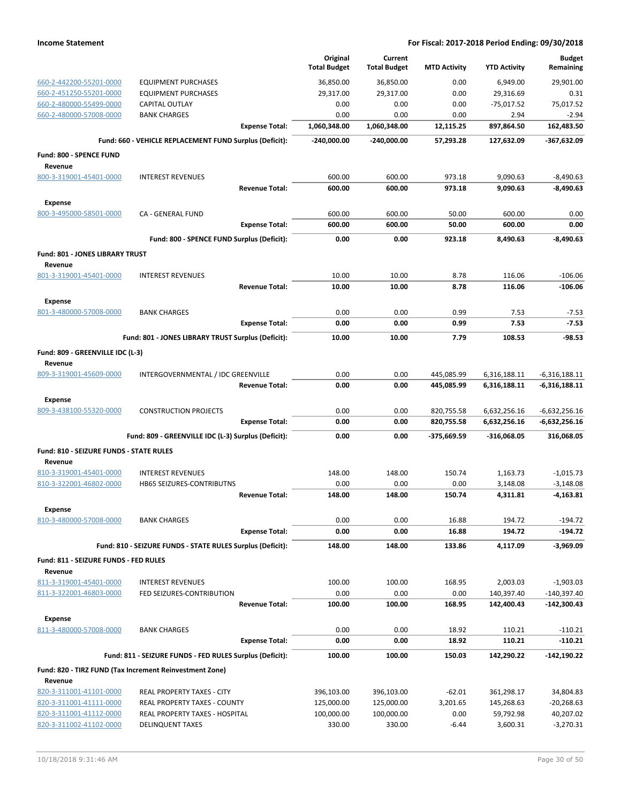|                                         |                                                            | Original<br><b>Total Budget</b> | Current<br><b>Total Budget</b> | <b>MTD Activity</b> | <b>YTD Activity</b> | <b>Budget</b><br>Remaining |
|-----------------------------------------|------------------------------------------------------------|---------------------------------|--------------------------------|---------------------|---------------------|----------------------------|
| 660-2-442200-55201-0000                 | <b>EQUIPMENT PURCHASES</b>                                 | 36,850.00                       | 36,850.00                      | 0.00                | 6,949.00            | 29.901.00                  |
| 660-2-451250-55201-0000                 | <b>EQUIPMENT PURCHASES</b>                                 | 29,317.00                       | 29,317.00                      | 0.00                | 29,316.69           | 0.31                       |
| 660-2-480000-55499-0000                 | <b>CAPITAL OUTLAY</b>                                      | 0.00                            | 0.00                           | 0.00                | $-75,017.52$        | 75.017.52                  |
| 660-2-480000-57008-0000                 | <b>BANK CHARGES</b>                                        | 0.00                            | 0.00                           | 0.00                | 2.94                | $-2.94$                    |
|                                         | <b>Expense Total:</b>                                      | 1,060,348.00                    | 1,060,348.00                   | 12,115.25           | 897,864.50          | 162,483.50                 |
|                                         | Fund: 660 - VEHICLE REPLACEMENT FUND Surplus (Deficit):    | $-240,000.00$                   | $-240,000.00$                  | 57,293.28           | 127,632.09          | $-367,632.09$              |
| Fund: 800 - SPENCE FUND                 |                                                            |                                 |                                |                     |                     |                            |
| Revenue                                 |                                                            |                                 |                                |                     |                     |                            |
| 800-3-319001-45401-0000                 | <b>INTEREST REVENUES</b>                                   | 600.00                          | 600.00                         | 973.18              | 9,090.63            | $-8,490.63$                |
|                                         | <b>Revenue Total:</b>                                      | 600.00                          | 600.00                         | 973.18              | 9,090.63            | $-8,490.63$                |
| <b>Expense</b>                          |                                                            |                                 |                                |                     |                     |                            |
| 800-3-495000-58501-0000                 | <b>CA - GENERAL FUND</b>                                   | 600.00<br>600.00                | 600.00<br>600.00               | 50.00<br>50.00      | 600.00<br>600.00    | 0.00<br>0.00               |
|                                         | <b>Expense Total:</b>                                      |                                 |                                |                     |                     |                            |
|                                         | Fund: 800 - SPENCE FUND Surplus (Deficit):                 | 0.00                            | 0.00                           | 923.18              | 8,490.63            | $-8,490.63$                |
| Fund: 801 - JONES LIBRARY TRUST         |                                                            |                                 |                                |                     |                     |                            |
| Revenue<br>801-3-319001-45401-0000      | <b>INTEREST REVENUES</b>                                   | 10.00                           | 10.00                          | 8.78                | 116.06              | $-106.06$                  |
|                                         | <b>Revenue Total:</b>                                      | 10.00                           | 10.00                          | 8.78                | 116.06              | $-106.06$                  |
| <b>Expense</b>                          |                                                            |                                 |                                |                     |                     |                            |
| 801-3-480000-57008-0000                 | <b>BANK CHARGES</b>                                        | 0.00                            | 0.00                           | 0.99                | 7.53                | $-7.53$                    |
|                                         | <b>Expense Total:</b>                                      | 0.00                            | 0.00                           | 0.99                | 7.53                | $-7.53$                    |
|                                         | Fund: 801 - JONES LIBRARY TRUST Surplus (Deficit):         | 10.00                           | 10.00                          | 7.79                | 108.53              | -98.53                     |
| Fund: 809 - GREENVILLE IDC (L-3)        |                                                            |                                 |                                |                     |                     |                            |
| Revenue                                 |                                                            |                                 |                                |                     |                     |                            |
| 809-3-319001-45609-0000                 | INTERGOVERNMENTAL / IDC GREENVILLE                         | 0.00                            | 0.00                           | 445,085.99          | 6,316,188.11        | $-6,316,188.11$            |
|                                         | <b>Revenue Total:</b>                                      | 0.00                            | 0.00                           | 445,085.99          | 6,316,188.11        | $-6,316,188.11$            |
| <b>Expense</b>                          |                                                            |                                 |                                |                     |                     |                            |
| 809-3-438100-55320-0000                 | <b>CONSTRUCTION PROJECTS</b>                               | 0.00                            | 0.00                           | 820,755.58          | 6,632,256.16        | $-6,632,256.16$            |
|                                         | <b>Expense Total:</b>                                      | 0.00                            | 0.00                           | 820,755.58          | 6,632,256.16        | $-6,632,256.16$            |
|                                         | Fund: 809 - GREENVILLE IDC (L-3) Surplus (Deficit):        | 0.00                            | 0.00                           | -375,669.59         | $-316,068.05$       | 316,068.05                 |
| Fund: 810 - SEIZURE FUNDS - STATE RULES |                                                            |                                 |                                |                     |                     |                            |
| Revenue<br>810-3-319001-45401-0000      | <b>INTEREST REVENUES</b>                                   | 148.00                          | 148.00                         | 150.74              | 1,163.73            | $-1,015.73$                |
| 810-3-322001-46802-0000                 | <b>HB65 SEIZURES-CONTRIBUTNS</b>                           | 0.00                            | 0.00                           | 0.00                | 3,148.08            | $-3,148.08$                |
|                                         | <b>Revenue Total:</b>                                      | 148.00                          | 148.00                         | 150.74              | 4,311.81            | $-4,163.81$                |
| <b>Expense</b>                          |                                                            |                                 |                                |                     |                     |                            |
| 810-3-480000-57008-0000                 | <b>BANK CHARGES</b>                                        | 0.00                            | 0.00                           | 16.88               | 194.72              | $-194.72$                  |
|                                         | <b>Expense Total:</b>                                      | 0.00                            | 0.00                           | 16.88               | 194.72              | -194.72                    |
|                                         | Fund: 810 - SEIZURE FUNDS - STATE RULES Surplus (Deficit): | 148.00                          | 148.00                         | 133.86              | 4,117.09            | $-3,969.09$                |
| Fund: 811 - SEIZURE FUNDS - FED RULES   |                                                            |                                 |                                |                     |                     |                            |
| Revenue                                 |                                                            |                                 |                                |                     |                     |                            |
| 811-3-319001-45401-0000                 | <b>INTEREST REVENUES</b>                                   | 100.00                          | 100.00                         | 168.95              | 2,003.03            | $-1,903.03$                |
| 811-3-322001-46803-0000                 | FED SEIZURES-CONTRIBUTION                                  | 0.00                            | 0.00                           | 0.00                | 140,397.40          | $-140,397.40$              |
|                                         | <b>Revenue Total:</b>                                      | 100.00                          | 100.00                         | 168.95              | 142,400.43          | $-142,300.43$              |
| <b>Expense</b>                          |                                                            |                                 |                                |                     |                     |                            |
| 811-3-480000-57008-0000                 | <b>BANK CHARGES</b>                                        | 0.00                            | 0.00                           | 18.92               | 110.21              | $-110.21$                  |
|                                         | <b>Expense Total:</b>                                      | 0.00                            | 0.00                           | 18.92               | 110.21              | -110.21                    |
|                                         | Fund: 811 - SEIZURE FUNDS - FED RULES Surplus (Deficit):   | 100.00                          | 100.00                         | 150.03              | 142,290.22          | -142,190.22                |
| Revenue                                 | Fund: 820 - TIRZ FUND (Tax Increment Reinvestment Zone)    |                                 |                                |                     |                     |                            |
| 820-3-311001-41101-0000                 | REAL PROPERTY TAXES - CITY                                 | 396,103.00                      | 396,103.00                     | $-62.01$            | 361,298.17          | 34,804.83                  |
| 820-3-311001-41111-0000                 | REAL PROPERTY TAXES - COUNTY                               | 125,000.00                      | 125,000.00                     | 3,201.65            | 145,268.63          | $-20,268.63$               |
| 820-3-311001-41112-0000                 | REAL PROPERTY TAXES - HOSPITAL                             | 100,000.00                      | 100,000.00                     | 0.00                | 59,792.98           | 40,207.02                  |
| 820-3-311002-41102-0000                 | <b>DELINQUENT TAXES</b>                                    | 330.00                          | 330.00                         | $-6.44$             | 3,600.31            | $-3,270.31$                |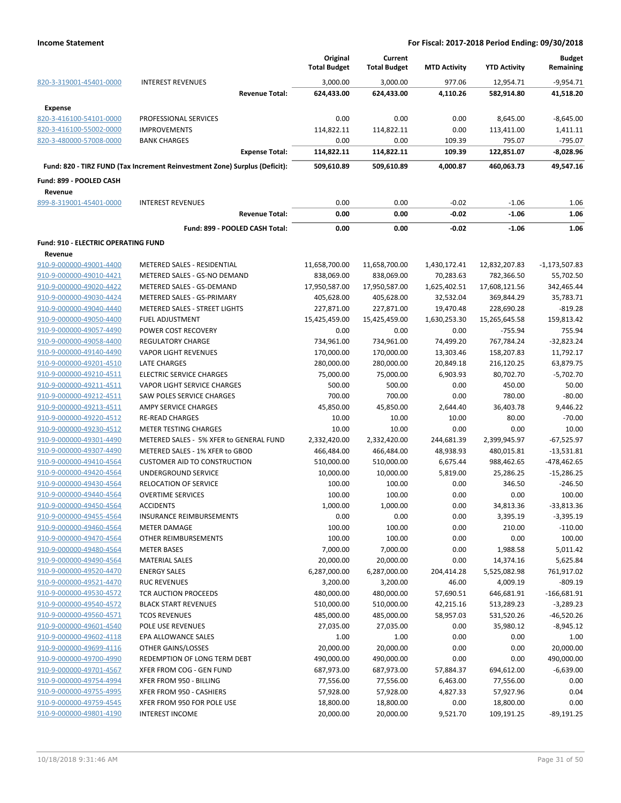|                                            |                                                                            | Original<br><b>Total Budget</b> | Current<br><b>Total Budget</b> | <b>MTD Activity</b> | <b>YTD Activity</b> | <b>Budget</b><br>Remaining |
|--------------------------------------------|----------------------------------------------------------------------------|---------------------------------|--------------------------------|---------------------|---------------------|----------------------------|
| 820-3-319001-45401-0000                    | <b>INTEREST REVENUES</b>                                                   | 3,000.00                        | 3,000.00                       | 977.06              | 12,954.71           | $-9,954.71$                |
|                                            | <b>Revenue Total:</b>                                                      | 624,433.00                      | 624,433.00                     | 4,110.26            | 582,914.80          | 41,518.20                  |
| <b>Expense</b>                             |                                                                            |                                 |                                |                     |                     |                            |
| 820-3-416100-54101-0000                    | PROFESSIONAL SERVICES                                                      | 0.00                            | 0.00                           | 0.00                | 8,645.00            | $-8,645.00$                |
| 820-3-416100-55002-0000                    | <b>IMPROVEMENTS</b>                                                        | 114,822.11                      | 114,822.11                     | 0.00                | 113,411.00          | 1,411.11                   |
| 820-3-480000-57008-0000                    | <b>BANK CHARGES</b>                                                        | 0.00                            | 0.00                           | 109.39              | 795.07              | $-795.07$                  |
|                                            | <b>Expense Total:</b>                                                      | 114,822.11                      | 114,822.11                     | 109.39              | 122,851.07          | $-8,028.96$                |
|                                            | Fund: 820 - TIRZ FUND (Tax Increment Reinvestment Zone) Surplus (Deficit): | 509,610.89                      | 509,610.89                     | 4,000.87            | 460,063.73          | 49,547.16                  |
| Fund: 899 - POOLED CASH                    |                                                                            |                                 |                                |                     |                     |                            |
| Revenue                                    |                                                                            |                                 |                                |                     |                     |                            |
| 899-8-319001-45401-0000                    | <b>INTEREST REVENUES</b>                                                   | 0.00                            | 0.00                           | $-0.02$             | $-1.06$             | 1.06                       |
|                                            | <b>Revenue Total:</b>                                                      | 0.00                            | 0.00                           | $-0.02$             | $-1.06$             | 1.06                       |
|                                            | Fund: 899 - POOLED CASH Total:                                             | 0.00                            | 0.00                           | $-0.02$             | $-1.06$             | 1.06                       |
| <b>Fund: 910 - ELECTRIC OPERATING FUND</b> |                                                                            |                                 |                                |                     |                     |                            |
| Revenue                                    |                                                                            |                                 |                                |                     |                     |                            |
| 910-9-000000-49001-4400                    | METERED SALES - RESIDENTIAL                                                | 11,658,700.00                   | 11,658,700.00                  | 1,430,172.41        | 12,832,207.83       | -1,173,507.83              |
| 910-9-000000-49010-4421                    | METERED SALES - GS-NO DEMAND                                               | 838,069.00                      | 838,069.00                     | 70,283.63           | 782,366.50          | 55,702.50                  |
| 910-9-000000-49020-4422                    | METERED SALES - GS-DEMAND                                                  | 17,950,587.00                   | 17,950,587.00                  | 1,625,402.51        | 17,608,121.56       | 342,465.44                 |
| 910-9-000000-49030-4424                    | METERED SALES - GS-PRIMARY                                                 | 405,628.00                      | 405,628.00                     | 32,532.04           | 369,844.29          | 35,783.71                  |
| 910-9-000000-49040-4440                    | METERED SALES - STREET LIGHTS                                              | 227,871.00                      | 227,871.00                     | 19,470.48           | 228,690.28          | $-819.28$                  |
| 910-9-000000-49050-4400                    | <b>FUEL ADJUSTMENT</b>                                                     | 15,425,459.00                   | 15,425,459.00                  | 1,630,253.30        | 15,265,645.58       | 159,813.42                 |
| 910-9-000000-49057-4490                    | POWER COST RECOVERY                                                        | 0.00                            | 0.00                           | 0.00                | $-755.94$           | 755.94                     |
| 910-9-000000-49058-4400                    | <b>REGULATORY CHARGE</b>                                                   | 734,961.00                      | 734,961.00                     | 74,499.20           | 767,784.24          | $-32,823.24$               |
| 910-9-000000-49140-4490                    | <b>VAPOR LIGHT REVENUES</b>                                                | 170,000.00                      | 170,000.00                     | 13,303.46           | 158,207.83          | 11,792.17                  |
| 910-9-000000-49201-4510                    | <b>LATE CHARGES</b>                                                        | 280,000.00                      | 280,000.00                     | 20,849.18           | 216,120.25          | 63,879.75                  |
| 910-9-000000-49210-4511                    | ELECTRIC SERVICE CHARGES                                                   | 75,000.00                       | 75,000.00                      | 6,903.93            | 80,702.70           | $-5,702.70$                |
| 910-9-000000-49211-4511                    | VAPOR LIGHT SERVICE CHARGES                                                | 500.00                          | 500.00                         | 0.00                | 450.00              | 50.00                      |
| 910-9-000000-49212-4511                    | SAW POLES SERVICE CHARGES                                                  | 700.00                          | 700.00                         | 0.00                | 780.00              | $-80.00$                   |
| 910-9-000000-49213-4511                    | AMPY SERVICE CHARGES                                                       | 45,850.00                       | 45,850.00                      | 2,644.40            | 36,403.78           | 9,446.22                   |
| 910-9-000000-49220-4512                    | <b>RE-READ CHARGES</b>                                                     | 10.00                           | 10.00                          | 10.00               | 80.00               | $-70.00$                   |
| 910-9-000000-49230-4512                    | <b>METER TESTING CHARGES</b>                                               | 10.00                           | 10.00                          | 0.00                | 0.00                | 10.00                      |
| 910-9-000000-49301-4490                    | METERED SALES - 5% XFER to GENERAL FUND                                    | 2,332,420.00                    | 2,332,420.00                   | 244,681.39          | 2,399,945.97        | $-67,525.97$               |
| 910-9-000000-49307-4490                    | METERED SALES - 1% XFER to GBOD                                            | 466,484.00                      | 466,484.00                     | 48,938.93           | 480,015.81          | $-13,531.81$               |
| 910-9-000000-49410-4564                    | <b>CUSTOMER AID TO CONSTRUCTION</b>                                        | 510,000.00                      | 510,000.00                     | 6,675.44            | 988,462.65          | -478,462.65                |
| 910-9-000000-49420-4564                    | UNDERGROUND SERVICE                                                        | 10,000.00                       | 10,000.00                      | 5,819.00            | 25,286.25           | $-15,286.25$               |
| 910-9-000000-49430-4564                    | RELOCATION OF SERVICE                                                      | 100.00                          | 100.00                         | 0.00                | 346.50              | $-246.50$                  |
| 910-9-000000-49440-4564                    | <b>OVERTIME SERVICES</b>                                                   | 100.00                          | 100.00                         | 0.00                | 0.00                | 100.00                     |
| 910-9-000000-49450-4564                    | <b>ACCIDENTS</b>                                                           | 1,000.00                        | 1,000.00                       | 0.00                | 34,813.36           | $-33,813.36$               |
| 910-9-000000-49455-4564                    | INSURANCE REIMBURSEMENTS                                                   | 0.00                            | 0.00                           | 0.00                | 3,395.19            | $-3,395.19$                |
| 910-9-000000-49460-4564                    | <b>METER DAMAGE</b>                                                        | 100.00                          | 100.00                         | 0.00                | 210.00              | $-110.00$                  |
| 910-9-000000-49470-4564                    | OTHER REIMBURSEMENTS                                                       | 100.00                          | 100.00                         | 0.00                | 0.00                | 100.00                     |
| 910-9-000000-49480-4564                    | <b>METER BASES</b>                                                         | 7,000.00                        | 7,000.00                       | 0.00                | 1,988.58            | 5,011.42                   |
| 910-9-000000-49490-4564                    | <b>MATERIAL SALES</b>                                                      | 20,000.00                       | 20,000.00                      | 0.00                | 14,374.16           | 5,625.84                   |
| 910-9-000000-49520-4470                    | <b>ENERGY SALES</b>                                                        | 6,287,000.00                    | 6,287,000.00                   | 204,414.28          | 5,525,082.98        | 761,917.02                 |
| 910-9-000000-49521-4470                    | <b>RUC REVENUES</b>                                                        | 3,200.00                        | 3,200.00                       | 46.00               | 4,009.19            | $-809.19$                  |
| 910-9-000000-49530-4572                    | TCR AUCTION PROCEEDS                                                       | 480,000.00                      | 480,000.00                     | 57,690.51           | 646,681.91          | $-166,681.91$              |
| 910-9-000000-49540-4572                    | <b>BLACK START REVENUES</b>                                                | 510,000.00                      | 510,000.00                     | 42,215.16           | 513,289.23          | $-3,289.23$                |
| 910-9-000000-49560-4571                    | <b>TCOS REVENUES</b>                                                       | 485,000.00                      | 485,000.00                     | 58,957.03           | 531,520.26          | $-46,520.26$               |
| 910-9-000000-49601-4540                    | <b>POLE USE REVENUES</b>                                                   | 27,035.00                       | 27,035.00                      | 0.00                | 35,980.12           | $-8,945.12$                |
| 910-9-000000-49602-4118                    | EPA ALLOWANCE SALES                                                        | 1.00                            | 1.00                           | 0.00                | 0.00                | 1.00                       |
| 910-9-000000-49699-4116                    | OTHER GAINS/LOSSES                                                         | 20,000.00                       | 20,000.00                      | 0.00                | 0.00                | 20,000.00                  |
| 910-9-000000-49700-4990                    | REDEMPTION OF LONG TERM DEBT                                               | 490,000.00                      | 490,000.00                     | 0.00                | 0.00                | 490,000.00                 |
| 910-9-000000-49701-4567                    | XFER FROM COG - GEN FUND                                                   | 687,973.00                      | 687,973.00                     | 57,884.37           | 694,612.00          | $-6,639.00$                |
| 910-9-000000-49754-4994                    | XFER FROM 950 - BILLING                                                    | 77,556.00                       | 77,556.00                      | 6,463.00            | 77,556.00           | 0.00                       |
| 910-9-000000-49755-4995                    | XFER FROM 950 - CASHIERS                                                   | 57,928.00                       | 57,928.00                      | 4,827.33            | 57,927.96           | 0.04                       |
| 910-9-000000-49759-4545                    | XFER FROM 950 FOR POLE USE                                                 | 18,800.00                       | 18,800.00                      | 0.00                | 18,800.00           | 0.00                       |
| 910-9-000000-49801-4190                    | <b>INTEREST INCOME</b>                                                     | 20,000.00                       | 20,000.00                      | 9,521.70            | 109,191.25          | $-89,191.25$               |
|                                            |                                                                            |                                 |                                |                     |                     |                            |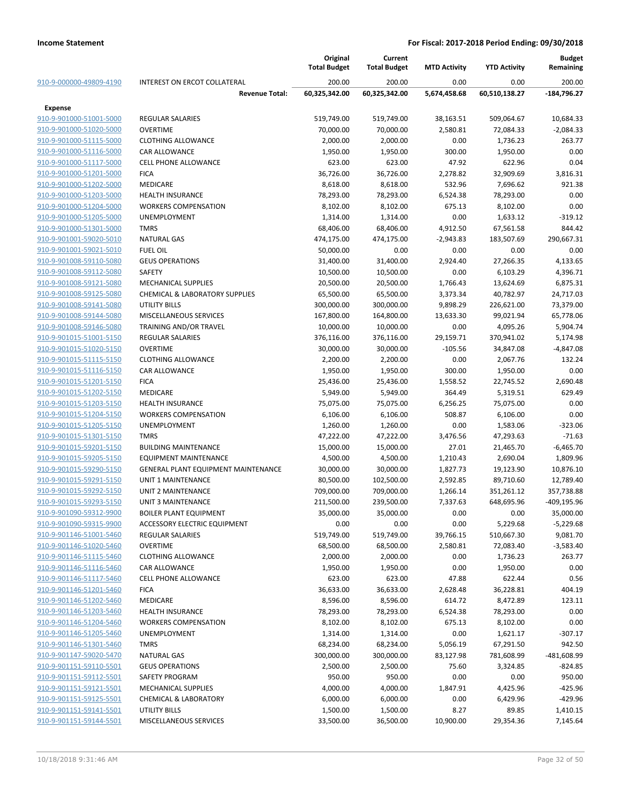|                         |                                           | Original<br><b>Total Budget</b> | Current<br><b>Total Budget</b> | <b>MTD Activity</b> | <b>YTD Activity</b> | <b>Budget</b><br>Remaining |
|-------------------------|-------------------------------------------|---------------------------------|--------------------------------|---------------------|---------------------|----------------------------|
| 910-9-000000-49809-4190 | INTEREST ON ERCOT COLLATERAL              | 200.00                          | 200.00                         | 0.00                | 0.00                | 200.00                     |
|                         | <b>Revenue Total:</b>                     | 60,325,342.00                   | 60,325,342.00                  | 5,674,458.68        | 60,510,138.27       | $-184,796.27$              |
| Expense                 |                                           |                                 |                                |                     |                     |                            |
| 910-9-901000-51001-5000 | <b>REGULAR SALARIES</b>                   | 519,749.00                      | 519,749.00                     | 38,163.51           | 509,064.67          | 10,684.33                  |
| 910-9-901000-51020-5000 | <b>OVERTIME</b>                           | 70,000.00                       | 70,000.00                      | 2,580.81            | 72,084.33           | $-2,084.33$                |
| 910-9-901000-51115-5000 | <b>CLOTHING ALLOWANCE</b>                 | 2,000.00                        | 2,000.00                       | 0.00                | 1,736.23            | 263.77                     |
| 910-9-901000-51116-5000 | CAR ALLOWANCE                             | 1,950.00                        | 1,950.00                       | 300.00              | 1,950.00            | 0.00                       |
| 910-9-901000-51117-5000 | <b>CELL PHONE ALLOWANCE</b>               | 623.00                          | 623.00                         | 47.92               | 622.96              | 0.04                       |
| 910-9-901000-51201-5000 | <b>FICA</b>                               | 36,726.00                       | 36,726.00                      | 2,278.82            | 32,909.69           | 3,816.31                   |
| 910-9-901000-51202-5000 | <b>MEDICARE</b>                           | 8,618.00                        | 8,618.00                       | 532.96              | 7,696.62            | 921.38                     |
| 910-9-901000-51203-5000 | <b>HEALTH INSURANCE</b>                   | 78,293.00                       | 78,293.00                      | 6,524.38            | 78,293.00           | 0.00                       |
| 910-9-901000-51204-5000 | <b>WORKERS COMPENSATION</b>               | 8,102.00                        | 8,102.00                       | 675.13              | 8,102.00            | 0.00                       |
| 910-9-901000-51205-5000 | <b>UNEMPLOYMENT</b>                       | 1,314.00                        | 1,314.00                       | 0.00                | 1,633.12            | $-319.12$                  |
| 910-9-901000-51301-5000 | <b>TMRS</b>                               | 68,406.00                       | 68,406.00                      | 4,912.50            | 67,561.58           | 844.42                     |
| 910-9-901001-59020-5010 | <b>NATURAL GAS</b>                        | 474,175.00                      | 474,175.00                     | $-2,943.83$         | 183,507.69          | 290,667.31                 |
| 910-9-901001-59021-5010 | <b>FUEL OIL</b>                           | 50,000.00                       | 0.00                           | 0.00                | 0.00                | 0.00                       |
| 910-9-901008-59110-5080 | <b>GEUS OPERATIONS</b>                    | 31,400.00                       | 31,400.00                      | 2,924.40            | 27,266.35           | 4,133.65                   |
| 910-9-901008-59112-5080 | SAFETY                                    | 10,500.00                       | 10,500.00                      | 0.00                | 6,103.29            | 4,396.71                   |
| 910-9-901008-59121-5080 | MECHANICAL SUPPLIES                       | 20,500.00                       | 20,500.00                      | 1,766.43            | 13,624.69           | 6,875.31                   |
| 910-9-901008-59125-5080 | <b>CHEMICAL &amp; LABORATORY SUPPLIES</b> | 65,500.00                       | 65,500.00                      | 3,373.34            | 40,782.97           | 24,717.03                  |
| 910-9-901008-59141-5080 | <b>UTILITY BILLS</b>                      | 300,000.00                      | 300,000.00                     | 9,898.29            | 226,621.00          | 73,379.00                  |
| 910-9-901008-59144-5080 | MISCELLANEOUS SERVICES                    | 167,800.00                      | 164,800.00                     | 13,633.30           | 99,021.94           | 65,778.06                  |
| 910-9-901008-59146-5080 | <b>TRAINING AND/OR TRAVEL</b>             | 10,000.00                       | 10,000.00                      | 0.00                | 4,095.26            | 5,904.74                   |
| 910-9-901015-51001-5150 | <b>REGULAR SALARIES</b>                   | 376,116.00                      | 376,116.00                     | 29,159.71           | 370,941.02          | 5,174.98                   |
| 910-9-901015-51020-5150 | <b>OVERTIME</b>                           | 30,000.00                       | 30,000.00                      | $-105.56$           | 34,847.08           | $-4,847.08$                |
| 910-9-901015-51115-5150 | <b>CLOTHING ALLOWANCE</b>                 | 2,200.00                        | 2,200.00                       | 0.00                | 2,067.76            | 132.24                     |
| 910-9-901015-51116-5150 | <b>CAR ALLOWANCE</b>                      | 1,950.00                        | 1,950.00                       | 300.00              | 1,950.00            | 0.00                       |
| 910-9-901015-51201-5150 | <b>FICA</b>                               | 25,436.00                       | 25,436.00                      | 1,558.52            | 22,745.52           | 2,690.48                   |
| 910-9-901015-51202-5150 | <b>MEDICARE</b>                           | 5,949.00                        | 5,949.00                       | 364.49              | 5,319.51            | 629.49                     |
| 910-9-901015-51203-5150 | <b>HEALTH INSURANCE</b>                   | 75,075.00                       | 75,075.00                      | 6,256.25            | 75,075.00           | 0.00                       |
| 910-9-901015-51204-5150 | <b>WORKERS COMPENSATION</b>               | 6,106.00                        | 6,106.00                       | 508.87              | 6,106.00            | 0.00                       |
| 910-9-901015-51205-5150 | <b>UNEMPLOYMENT</b>                       | 1,260.00                        | 1,260.00                       | 0.00                | 1,583.06            | $-323.06$                  |
| 910-9-901015-51301-5150 | <b>TMRS</b>                               | 47,222.00                       | 47,222.00                      | 3,476.56            | 47,293.63           | $-71.63$                   |
| 910-9-901015-59201-5150 | <b>BUILDING MAINTENANCE</b>               | 15,000.00                       | 15,000.00                      | 27.01               | 21,465.70           | $-6,465.70$                |
| 910-9-901015-59205-5150 | <b>EQUIPMENT MAINTENANCE</b>              | 4,500.00                        | 4,500.00                       | 1,210.43            | 2,690.04            | 1,809.96                   |
| 910-9-901015-59290-5150 | GENERAL PLANT EQUIPMENT MAINTENANCE       | 30,000.00                       | 30,000.00                      | 1,827.73            | 19,123.90           | 10,876.10                  |
| 910-9-901015-59291-5150 | UNIT 1 MAINTENANCE                        | 80,500.00                       | 102,500.00                     | 2,592.85            | 89,710.60           | 12,789.40                  |
| 910-9-901015-59292-5150 | <b>UNIT 2 MAINTENANCE</b>                 | 709,000.00                      | 709,000.00                     | 1,266.14            | 351,261.12          | 357,738.88                 |
| 910-9-901015-59293-5150 | UNIT 3 MAINTENANCE                        | 211,500.00                      | 239,500.00                     | 7,337.63            | 648,695.96          | -409,195.96                |
| 910-9-901090-59312-9900 | <b>BOILER PLANT EQUIPMENT</b>             | 35,000.00                       | 35,000.00                      | 0.00                | 0.00                | 35,000.00                  |
| 910-9-901090-59315-9900 | <b>ACCESSORY ELECTRIC EQUIPMENT</b>       | 0.00                            | 0.00                           | 0.00                | 5,229.68            | $-5,229.68$                |
| 910-9-901146-51001-5460 | <b>REGULAR SALARIES</b>                   | 519,749.00                      | 519,749.00                     | 39,766.15           | 510,667.30          | 9,081.70                   |
| 910-9-901146-51020-5460 | <b>OVERTIME</b>                           | 68,500.00                       | 68,500.00                      | 2,580.81            | 72,083.40           | $-3,583.40$                |
| 910-9-901146-51115-5460 | <b>CLOTHING ALLOWANCE</b>                 | 2,000.00                        | 2,000.00                       | 0.00                | 1,736.23            | 263.77                     |
| 910-9-901146-51116-5460 | <b>CAR ALLOWANCE</b>                      | 1,950.00                        | 1,950.00                       | 0.00                | 1,950.00            | 0.00                       |
| 910-9-901146-51117-5460 | <b>CELL PHONE ALLOWANCE</b>               | 623.00                          | 623.00                         | 47.88               | 622.44              | 0.56                       |
| 910-9-901146-51201-5460 | <b>FICA</b>                               | 36,633.00                       | 36,633.00                      | 2,628.48            | 36,228.81           | 404.19                     |
| 910-9-901146-51202-5460 | <b>MEDICARE</b>                           | 8,596.00                        | 8,596.00                       | 614.72              | 8,472.89            | 123.11                     |
| 910-9-901146-51203-5460 | <b>HEALTH INSURANCE</b>                   | 78,293.00                       | 78,293.00                      | 6,524.38            | 78,293.00           | 0.00                       |
| 910-9-901146-51204-5460 | <b>WORKERS COMPENSATION</b>               | 8,102.00                        | 8,102.00                       | 675.13              | 8,102.00            | 0.00                       |
| 910-9-901146-51205-5460 | UNEMPLOYMENT                              | 1,314.00                        | 1,314.00                       | 0.00                | 1,621.17            | $-307.17$                  |
| 910-9-901146-51301-5460 | <b>TMRS</b>                               | 68,234.00                       | 68,234.00                      | 5,056.19            | 67,291.50           | 942.50                     |
| 910-9-901147-59020-5470 | <b>NATURAL GAS</b>                        | 300,000.00                      | 300,000.00                     | 83,127.98           | 781,608.99          | -481,608.99                |
| 910-9-901151-59110-5501 | <b>GEUS OPERATIONS</b>                    | 2,500.00                        | 2,500.00                       | 75.60               | 3,324.85            | $-824.85$                  |
| 910-9-901151-59112-5501 | SAFETY PROGRAM                            | 950.00                          | 950.00                         | 0.00                | 0.00                | 950.00                     |
| 910-9-901151-59121-5501 | <b>MECHANICAL SUPPLIES</b>                | 4,000.00                        | 4,000.00                       | 1,847.91            | 4,425.96            | $-425.96$                  |
| 910-9-901151-59125-5501 | <b>CHEMICAL &amp; LABORATORY</b>          | 6,000.00                        | 6,000.00                       | 0.00                | 6,429.96            | $-429.96$                  |
| 910-9-901151-59141-5501 | UTILITY BILLS                             | 1,500.00                        | 1,500.00                       | 8.27                | 89.85               | 1,410.15                   |
| 910-9-901151-59144-5501 | MISCELLANEOUS SERVICES                    | 33,500.00                       | 36,500.00                      | 10,900.00           | 29,354.36           | 7,145.64                   |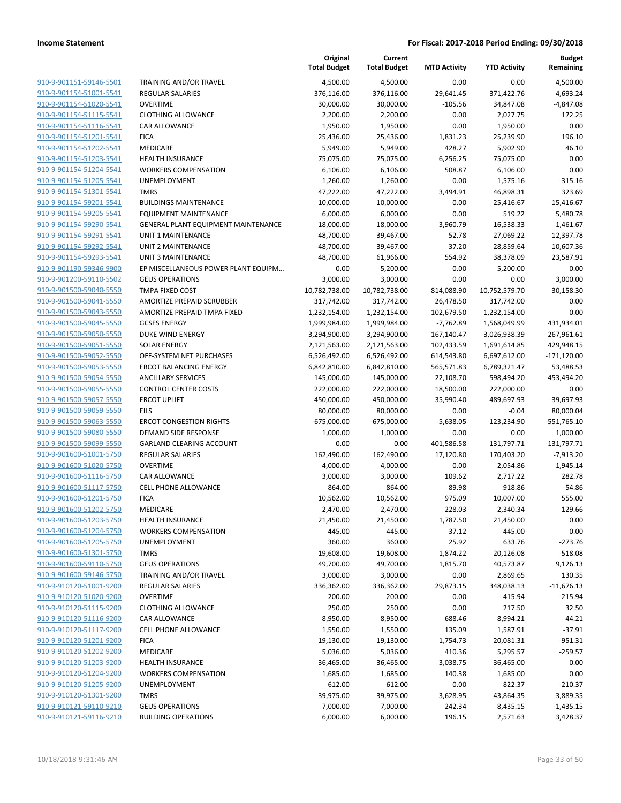**Current**

**Original**

**Budget Remaining**

|                                                    |                                            | <b>Total Budget</b> | <b>Total Budget</b>   | <b>MTD Activity</b> | <b>YTD Activity</b> | Remaining          |
|----------------------------------------------------|--------------------------------------------|---------------------|-----------------------|---------------------|---------------------|--------------------|
| 910-9-901151-59146-5501                            | <b>TRAINING AND/OR TRAVEL</b>              | 4,500.00            | 4,500.00              | 0.00                | 0.00                | 4,500.00           |
| 910-9-901154-51001-5541                            | <b>REGULAR SALARIES</b>                    | 376,116.00          | 376,116.00            | 29,641.45           | 371,422.76          | 4,693.24           |
| 910-9-901154-51020-5541                            | <b>OVERTIME</b>                            | 30,000.00           | 30,000.00             | $-105.56$           | 34,847.08           | $-4,847.08$        |
| 910-9-901154-51115-5541                            | <b>CLOTHING ALLOWANCE</b>                  | 2,200.00            | 2,200.00              | 0.00                | 2,027.75            | 172.25             |
| 910-9-901154-51116-5541                            | CAR ALLOWANCE                              | 1,950.00            | 1,950.00              | 0.00                | 1,950.00            | 0.00               |
| 910-9-901154-51201-5541                            | <b>FICA</b>                                | 25,436.00           | 25,436.00             | 1,831.23            | 25,239.90           | 196.10             |
| 910-9-901154-51202-5541                            | MEDICARE                                   | 5,949.00            | 5,949.00              | 428.27              | 5,902.90            | 46.10              |
| 910-9-901154-51203-5541                            | <b>HEALTH INSURANCE</b>                    | 75,075.00           | 75,075.00             | 6,256.25            | 75,075.00           | 0.00               |
| 910-9-901154-51204-5541                            | <b>WORKERS COMPENSATION</b>                | 6,106.00            | 6,106.00              | 508.87              | 6,106.00            | 0.00               |
| 910-9-901154-51205-5541                            | UNEMPLOYMENT                               | 1,260.00            | 1,260.00              | 0.00                | 1,575.16            | $-315.16$          |
| 910-9-901154-51301-5541                            | <b>TMRS</b>                                | 47,222.00           | 47,222.00             | 3,494.91            | 46,898.31           | 323.69             |
| 910-9-901154-59201-5541                            | <b>BUILDINGS MAINTENANCE</b>               | 10,000.00           | 10,000.00             | 0.00                | 25,416.67           | $-15,416.67$       |
| 910-9-901154-59205-5541                            | <b>EQUIPMENT MAINTENANCE</b>               | 6,000.00            | 6,000.00              | 0.00                | 519.22              | 5,480.78           |
| 910-9-901154-59290-5541                            | GENERAL PLANT EQUIPMENT MAINTENANCE        | 18,000.00           | 18,000.00             | 3,960.79            | 16,538.33           | 1,461.67           |
| 910-9-901154-59291-5541                            | UNIT 1 MAINTENANCE                         | 48,700.00           | 39,467.00             | 52.78               | 27,069.22           | 12,397.78          |
| 910-9-901154-59292-5541                            | UNIT 2 MAINTENANCE                         | 48,700.00           | 39,467.00             | 37.20               | 28,859.64           | 10,607.36          |
| 910-9-901154-59293-5541                            | UNIT 3 MAINTENANCE                         | 48,700.00           | 61,966.00             | 554.92              | 38,378.09           | 23,587.91          |
| 910-9-901190-59346-9900                            | EP MISCELLANEOUS POWER PLANT EQUIPM        | 0.00                | 5,200.00              | 0.00                | 5,200.00            | 0.00               |
| 910-9-901200-59110-5502                            | <b>GEUS OPERATIONS</b>                     | 3,000.00            | 3,000.00              | 0.00                | 0.00                | 3,000.00           |
| 910-9-901500-59040-5550                            | TMPA FIXED COST                            | 10,782,738.00       | 10,782,738.00         | 814,088.90          | 10,752,579.70       | 30,158.30          |
| 910-9-901500-59041-5550                            | AMORTIZE PREPAID SCRUBBER                  | 317,742.00          | 317,742.00            | 26,478.50           | 317,742.00          | 0.00               |
| 910-9-901500-59043-5550                            | AMORTIZE PREPAID TMPA FIXED                | 1,232,154.00        | 1,232,154.00          | 102,679.50          | 1,232,154.00        | 0.00               |
| 910-9-901500-59045-5550                            | <b>GCSES ENERGY</b>                        | 1,999,984.00        | 1,999,984.00          | $-7,762.89$         | 1,568,049.99        | 431,934.01         |
| 910-9-901500-59050-5550                            | DUKE WIND ENERGY                           | 3,294,900.00        | 3,294,900.00          | 167,140.47          | 3,026,938.39        | 267,961.61         |
| 910-9-901500-59051-5550                            | <b>SOLAR ENERGY</b>                        | 2,121,563.00        | 2,121,563.00          | 102,433.59          | 1,691,614.85        | 429,948.15         |
| 910-9-901500-59052-5550                            | OFF-SYSTEM NET PURCHASES                   | 6,526,492.00        | 6,526,492.00          | 614,543.80          | 6,697,612.00        | $-171,120.00$      |
| 910-9-901500-59053-5550                            | <b>ERCOT BALANCING ENERGY</b>              | 6,842,810.00        | 6,842,810.00          | 565,571.83          | 6,789,321.47        | 53,488.53          |
| 910-9-901500-59054-5550                            | <b>ANCILLARY SERVICES</b>                  | 145,000.00          | 145,000.00            | 22,108.70           | 598,494.20          | -453,494.20        |
| 910-9-901500-59055-5550                            | <b>CONTROL CENTER COSTS</b>                | 222,000.00          | 222,000.00            | 18,500.00           | 222,000.00          | 0.00               |
| 910-9-901500-59057-5550                            | <b>ERCOT UPLIFT</b>                        | 450,000.00          | 450,000.00            | 35,990.40           | 489,697.93          | $-39,697.93$       |
| 910-9-901500-59059-5550                            | EILS                                       | 80,000.00           | 80,000.00             | 0.00                | $-0.04$             | 80,000.04          |
| 910-9-901500-59063-5550                            | <b>ERCOT CONGESTION RIGHTS</b>             | $-675,000.00$       | $-675,000.00$         | $-5,638.05$         | $-123,234.90$       | $-551,765.10$      |
| 910-9-901500-59080-5550<br>910-9-901500-59099-5550 | DEMAND SIDE RESPONSE                       | 1,000.00            | 1,000.00              | 0.00                | 0.00                | 1,000.00           |
| 910-9-901600-51001-5750                            | <b>GARLAND CLEARING ACCOUNT</b>            | 0.00                | 0.00                  | $-401,586.58$       | 131,797.71          | $-131,797.71$      |
| 910-9-901600-51020-5750                            | <b>REGULAR SALARIES</b><br><b>OVERTIME</b> | 162,490.00          | 162,490.00            | 17,120.80           | 170,403.20          | $-7,913.20$        |
| 910-9-901600-51116-5750                            | <b>CAR ALLOWANCE</b>                       | 4,000.00            | 4,000.00              | 0.00                | 2,054.86            | 1,945.14<br>282.78 |
| 910-9-901600-51117-5750                            | <b>CELL PHONE ALLOWANCE</b>                | 3,000.00<br>864.00  | 3,000.00<br>864.00    | 109.62<br>89.98     | 2,717.22<br>918.86  | $-54.86$           |
| 910-9-901600-51201-5750                            | <b>FICA</b>                                | 10,562.00           |                       | 975.09              | 10,007.00           | 555.00             |
| 910-9-901600-51202-5750                            | MEDICARE                                   | 2,470.00            | 10,562.00<br>2,470.00 | 228.03              | 2,340.34            | 129.66             |
| 910-9-901600-51203-5750                            | <b>HEALTH INSURANCE</b>                    |                     |                       |                     |                     | 0.00               |
| 910-9-901600-51204-5750                            | WORKERS COMPENSATION                       | 21,450.00<br>445.00 | 21,450.00<br>445.00   | 1,787.50<br>37.12   | 21,450.00<br>445.00 | 0.00               |
| 910-9-901600-51205-5750                            | UNEMPLOYMENT                               | 360.00              | 360.00                | 25.92               | 633.76              | $-273.76$          |
| 910-9-901600-51301-5750                            | <b>TMRS</b>                                | 19,608.00           | 19,608.00             | 1,874.22            | 20,126.08           | $-518.08$          |
| 910-9-901600-59110-5750                            | <b>GEUS OPERATIONS</b>                     | 49,700.00           | 49,700.00             | 1,815.70            | 40,573.87           | 9,126.13           |
| 910-9-901600-59146-5750                            | <b>TRAINING AND/OR TRAVEL</b>              | 3,000.00            | 3,000.00              | 0.00                | 2,869.65            | 130.35             |
| 910-9-910120-51001-9200                            | <b>REGULAR SALARIES</b>                    | 336,362.00          | 336,362.00            | 29,873.15           | 348,038.13          | $-11,676.13$       |
| 910-9-910120-51020-9200                            | <b>OVERTIME</b>                            | 200.00              | 200.00                | 0.00                | 415.94              | $-215.94$          |
| 910-9-910120-51115-9200                            | <b>CLOTHING ALLOWANCE</b>                  | 250.00              | 250.00                | 0.00                | 217.50              | 32.50              |
| 910-9-910120-51116-9200                            | CAR ALLOWANCE                              | 8,950.00            | 8,950.00              | 688.46              | 8,994.21            | $-44.21$           |
| 910-9-910120-51117-9200                            | <b>CELL PHONE ALLOWANCE</b>                | 1,550.00            | 1,550.00              | 135.09              | 1,587.91            | $-37.91$           |
| 910-9-910120-51201-9200                            | <b>FICA</b>                                | 19,130.00           | 19,130.00             | 1,754.73            | 20,081.31           | $-951.31$          |
| 910-9-910120-51202-9200                            | MEDICARE                                   | 5,036.00            | 5,036.00              | 410.36              | 5,295.57            | $-259.57$          |
| 910-9-910120-51203-9200                            | <b>HEALTH INSURANCE</b>                    | 36,465.00           | 36,465.00             | 3,038.75            | 36,465.00           | 0.00               |
| 910-9-910120-51204-9200                            | <b>WORKERS COMPENSATION</b>                | 1,685.00            | 1,685.00              | 140.38              | 1,685.00            | 0.00               |
| 910-9-910120-51205-9200                            | <b>UNEMPLOYMENT</b>                        | 612.00              | 612.00                | 0.00                | 822.37              | $-210.37$          |
| 910-9-910120-51301-9200                            | <b>TMRS</b>                                | 39,975.00           | 39,975.00             | 3,628.95            | 43,864.35           | $-3,889.35$        |
| 910-9-910121-59110-9210                            | <b>GEUS OPERATIONS</b>                     | 7,000.00            | 7,000.00              | 242.34              | 8,435.15            | $-1,435.15$        |
| 910-9-910121-59116-9210                            | <b>BUILDING OPERATIONS</b>                 | 6,000.00            | 6,000.00              | 196.15              | 2,571.63            | 3,428.37           |
|                                                    |                                            |                     |                       |                     |                     |                    |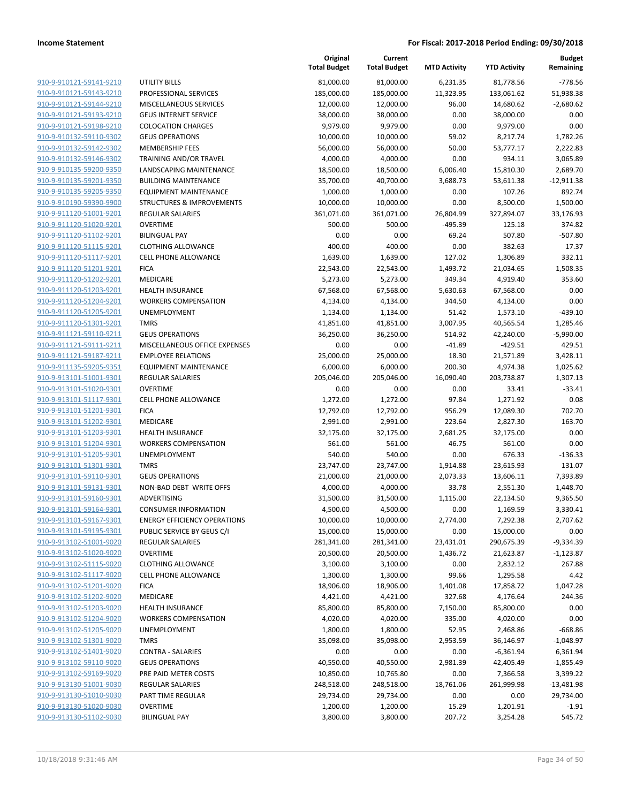|                         |                                      | Original<br><b>Total Budget</b> | Current<br><b>Total Budget</b> | <b>MTD Activity</b> | <b>YTD Activity</b> | <b>Budget</b><br>Remaining |
|-------------------------|--------------------------------------|---------------------------------|--------------------------------|---------------------|---------------------|----------------------------|
| 910-9-910121-59141-9210 | <b>UTILITY BILLS</b>                 | 81,000.00                       | 81,000.00                      | 6,231.35            | 81,778.56           | $-778.56$                  |
| 910-9-910121-59143-9210 | PROFESSIONAL SERVICES                | 185,000.00                      | 185,000.00                     | 11,323.95           | 133,061.62          | 51,938.38                  |
| 910-9-910121-59144-9210 | MISCELLANEOUS SERVICES               | 12,000.00                       | 12,000.00                      | 96.00               | 14,680.62           | $-2,680.62$                |
| 910-9-910121-59193-9210 | <b>GEUS INTERNET SERVICE</b>         | 38,000.00                       | 38,000.00                      | 0.00                | 38,000.00           | 0.00                       |
| 910-9-910121-59198-9210 | <b>COLOCATION CHARGES</b>            | 9,979.00                        | 9,979.00                       | 0.00                | 9,979.00            | 0.00                       |
| 910-9-910132-59110-9302 | <b>GEUS OPERATIONS</b>               | 10,000.00                       | 10,000.00                      | 59.02               | 8,217.74            | 1,782.26                   |
| 910-9-910132-59142-9302 | <b>MEMBERSHIP FEES</b>               | 56,000.00                       | 56,000.00                      | 50.00               | 53,777.17           | 2,222.83                   |
| 910-9-910132-59146-9302 | TRAINING AND/OR TRAVEL               | 4,000.00                        | 4,000.00                       | 0.00                | 934.11              | 3,065.89                   |
| 910-9-910135-59200-9350 | LANDSCAPING MAINTENANCE              | 18,500.00                       | 18,500.00                      | 6,006.40            | 15,810.30           | 2,689.70                   |
| 910-9-910135-59201-9350 | <b>BUILDING MAINTENANCE</b>          | 35,700.00                       | 40,700.00                      | 3,688.73            | 53,611.38           | $-12,911.38$               |
| 910-9-910135-59205-9350 | <b>EQUIPMENT MAINTENANCE</b>         | 1,000.00                        | 1,000.00                       | 0.00                | 107.26              | 892.74                     |
| 910-9-910190-59390-9900 | <b>STRUCTURES &amp; IMPROVEMENTS</b> | 10,000.00                       | 10,000.00                      | 0.00                | 8,500.00            | 1,500.00                   |
| 910-9-911120-51001-9201 | <b>REGULAR SALARIES</b>              | 361,071.00                      | 361,071.00                     | 26,804.99           | 327,894.07          | 33,176.93                  |
| 910-9-911120-51020-9201 | <b>OVERTIME</b>                      | 500.00                          | 500.00                         | $-495.39$           | 125.18              | 374.82                     |
| 910-9-911120-51102-9201 | <b>BILINGUAL PAY</b>                 | 0.00                            | 0.00                           | 69.24               | 507.80              | $-507.80$                  |
| 910-9-911120-51115-9201 | <b>CLOTHING ALLOWANCE</b>            | 400.00                          | 400.00                         | 0.00                | 382.63              | 17.37                      |
| 910-9-911120-51117-9201 | <b>CELL PHONE ALLOWANCE</b>          | 1,639.00                        | 1,639.00                       | 127.02              | 1,306.89            | 332.11                     |
| 910-9-911120-51201-9201 | <b>FICA</b>                          | 22,543.00                       | 22,543.00                      | 1,493.72            | 21,034.65           | 1,508.35                   |
| 910-9-911120-51202-9201 | MEDICARE                             | 5,273.00                        | 5,273.00                       | 349.34              | 4,919.40            | 353.60                     |
| 910-9-911120-51203-9201 | <b>HEALTH INSURANCE</b>              | 67,568.00                       | 67,568.00                      | 5,630.63            | 67,568.00           | 0.00                       |
| 910-9-911120-51204-9201 | <b>WORKERS COMPENSATION</b>          | 4,134.00                        | 4,134.00                       | 344.50              | 4,134.00            | 0.00                       |
| 910-9-911120-51205-9201 | UNEMPLOYMENT                         | 1,134.00                        | 1,134.00                       | 51.42               | 1,573.10            | $-439.10$                  |
| 910-9-911120-51301-9201 | <b>TMRS</b>                          | 41,851.00                       | 41,851.00                      | 3,007.95            | 40,565.54           | 1,285.46                   |
| 910-9-911121-59110-9211 | <b>GEUS OPERATIONS</b>               | 36,250.00                       | 36,250.00                      | 514.92              | 42,240.00           | $-5,990.00$                |
| 910-9-911121-59111-9211 | MISCELLANEOUS OFFICE EXPENSES        | 0.00                            | 0.00                           | $-41.89$            | $-429.51$           | 429.51                     |
| 910-9-911121-59187-9211 | <b>EMPLOYEE RELATIONS</b>            | 25,000.00                       | 25,000.00                      | 18.30               | 21,571.89           | 3,428.11                   |
| 910-9-911135-59205-9351 | <b>EQUIPMENT MAINTENANCE</b>         | 6,000.00                        | 6,000.00                       | 200.30              | 4,974.38            | 1,025.62                   |
| 910-9-913101-51001-9301 | <b>REGULAR SALARIES</b>              | 205,046.00                      | 205,046.00                     | 16,090.40           | 203,738.87          | 1,307.13                   |
| 910-9-913101-51020-9301 | <b>OVERTIME</b>                      | 0.00                            | 0.00                           | 0.00                | 33.41               | $-33.41$                   |
| 910-9-913101-51117-9301 | <b>CELL PHONE ALLOWANCE</b>          | 1,272.00                        | 1,272.00                       | 97.84               | 1,271.92            | 0.08                       |
| 910-9-913101-51201-9301 | <b>FICA</b>                          | 12,792.00                       | 12,792.00                      | 956.29              | 12,089.30           | 702.70                     |
| 910-9-913101-51202-9301 | MEDICARE                             | 2,991.00                        | 2,991.00                       | 223.64              | 2,827.30            | 163.70                     |
| 910-9-913101-51203-9301 | <b>HEALTH INSURANCE</b>              | 32,175.00                       | 32,175.00                      | 2,681.25            | 32,175.00           | 0.00                       |
| 910-9-913101-51204-9301 | <b>WORKERS COMPENSATION</b>          | 561.00                          | 561.00                         | 46.75               | 561.00              | 0.00                       |
| 910-9-913101-51205-9301 | UNEMPLOYMENT                         | 540.00                          | 540.00                         | 0.00                | 676.33              | $-136.33$                  |
| 910-9-913101-51301-9301 | <b>TMRS</b>                          | 23,747.00                       | 23,747.00                      | 1,914.88            | 23,615.93           | 131.07                     |
| 910-9-913101-59110-9301 | <b>GEUS OPERATIONS</b>               | 21,000.00                       | 21,000.00                      | 2,073.33            | 13,606.11           | 7,393.89                   |
| 910-9-913101-59131-9301 | NON-BAD DEBT WRITE OFFS              | 4,000.00                        | 4,000.00                       | 33.78               | 2,551.30            | 1,448.70                   |
| 910-9-913101-59160-9301 | ADVERTISING                          | 31,500.00                       | 31,500.00                      | 1,115.00            | 22,134.50           | 9,365.50                   |
| 910-9-913101-59164-9301 | <b>CONSUMER INFORMATION</b>          | 4,500.00                        | 4,500.00                       | 0.00                | 1,169.59            | 3,330.41                   |
| 910-9-913101-59167-9301 | <b>ENERGY EFFICIENCY OPERATIONS</b>  | 10,000.00                       | 10,000.00                      | 2,774.00            | 7,292.38            | 2,707.62                   |
| 910-9-913101-59195-9301 | PUBLIC SERVICE BY GEUS C/I           | 15,000.00                       | 15,000.00                      | 0.00                | 15,000.00           | 0.00                       |
| 910-9-913102-51001-9020 | <b>REGULAR SALARIES</b>              | 281,341.00                      | 281,341.00                     | 23,431.01           | 290,675.39          | $-9,334.39$                |
| 910-9-913102-51020-9020 | <b>OVERTIME</b>                      | 20,500.00                       | 20,500.00                      | 1,436.72            | 21,623.87           | $-1,123.87$                |
| 910-9-913102-51115-9020 | <b>CLOTHING ALLOWANCE</b>            | 3,100.00                        | 3,100.00                       | 0.00                | 2,832.12            | 267.88                     |
| 910-9-913102-51117-9020 | <b>CELL PHONE ALLOWANCE</b>          | 1,300.00                        | 1,300.00                       | 99.66               | 1,295.58            | 4.42                       |
| 910-9-913102-51201-9020 | <b>FICA</b>                          | 18,906.00                       | 18,906.00                      | 1,401.08            | 17,858.72           | 1,047.28                   |
| 910-9-913102-51202-9020 | MEDICARE                             | 4,421.00                        | 4,421.00                       | 327.68              | 4,176.64            | 244.36                     |
| 910-9-913102-51203-9020 | <b>HEALTH INSURANCE</b>              | 85,800.00                       | 85,800.00                      | 7,150.00            | 85,800.00           | 0.00                       |
| 910-9-913102-51204-9020 | <b>WORKERS COMPENSATION</b>          | 4,020.00                        | 4,020.00                       | 335.00              | 4,020.00            | 0.00                       |
| 910-9-913102-51205-9020 | UNEMPLOYMENT                         | 1,800.00                        | 1,800.00                       | 52.95               | 2,468.86            | $-668.86$                  |
| 910-9-913102-51301-9020 | <b>TMRS</b>                          | 35,098.00                       | 35,098.00                      | 2,953.59            | 36,146.97           | $-1,048.97$                |
| 910-9-913102-51401-9020 | <b>CONTRA - SALARIES</b>             | 0.00                            | 0.00                           | 0.00                | $-6,361.94$         | 6,361.94                   |
| 910-9-913102-59110-9020 | <b>GEUS OPERATIONS</b>               | 40,550.00                       | 40,550.00                      | 2,981.39            | 42,405.49           | $-1,855.49$                |
| 910-9-913102-59169-9020 | PRE PAID METER COSTS                 | 10,850.00                       | 10,765.80                      | 0.00                | 7,366.58            | 3,399.22                   |
| 910-9-913130-51001-9030 | <b>REGULAR SALARIES</b>              | 248,518.00                      | 248,518.00                     | 18,761.06           | 261,999.98          | $-13,481.98$               |
| 910-9-913130-51010-9030 | PART TIME REGULAR                    | 29,734.00                       | 29,734.00                      | 0.00                | 0.00                | 29,734.00                  |
| 910-9-913130-51020-9030 | <b>OVERTIME</b>                      | 1,200.00                        | 1,200.00                       | 15.29               | 1,201.91            | $-1.91$                    |
| 910-9-913130-51102-9030 | <b>BILINGUAL PAY</b>                 | 3,800.00                        | 3,800.00                       | 207.72              | 3,254.28            | 545.72                     |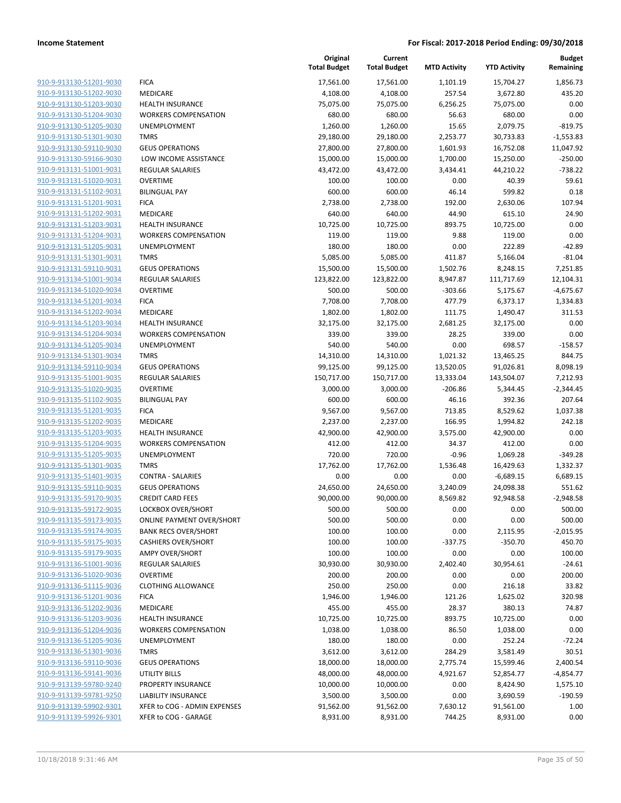|                         |                                  | Original<br><b>Total Budget</b> | Current<br><b>Total Budget</b> | <b>MTD Activity</b> | <b>YTD Activity</b> | <b>Budget</b><br>Remaining |
|-------------------------|----------------------------------|---------------------------------|--------------------------------|---------------------|---------------------|----------------------------|
| 910-9-913130-51201-9030 | <b>FICA</b>                      | 17,561.00                       | 17,561.00                      | 1,101.19            | 15,704.27           | 1,856.73                   |
| 910-9-913130-51202-9030 | MEDICARE                         | 4,108.00                        | 4,108.00                       | 257.54              | 3,672.80            | 435.20                     |
| 910-9-913130-51203-9030 | <b>HEALTH INSURANCE</b>          | 75,075.00                       | 75,075.00                      | 6,256.25            | 75,075.00           | 0.00                       |
| 910-9-913130-51204-9030 | <b>WORKERS COMPENSATION</b>      | 680.00                          | 680.00                         | 56.63               | 680.00              | 0.00                       |
| 910-9-913130-51205-9030 | <b>UNEMPLOYMENT</b>              | 1,260.00                        | 1,260.00                       | 15.65               | 2,079.75            | $-819.75$                  |
| 910-9-913130-51301-9030 | <b>TMRS</b>                      | 29,180.00                       | 29,180.00                      | 2,253.77            | 30,733.83           | $-1,553.83$                |
| 910-9-913130-59110-9030 | <b>GEUS OPERATIONS</b>           | 27,800.00                       | 27,800.00                      | 1,601.93            | 16,752.08           | 11,047.92                  |
| 910-9-913130-59166-9030 | LOW INCOME ASSISTANCE            | 15,000.00                       | 15,000.00                      | 1,700.00            | 15,250.00           | $-250.00$                  |
| 910-9-913131-51001-9031 | <b>REGULAR SALARIES</b>          | 43,472.00                       | 43,472.00                      | 3,434.41            | 44,210.22           | $-738.22$                  |
| 910-9-913131-51020-9031 | <b>OVERTIME</b>                  | 100.00                          | 100.00                         | 0.00                | 40.39               | 59.61                      |
| 910-9-913131-51102-9031 | <b>BILINGUAL PAY</b>             | 600.00                          | 600.00                         | 46.14               | 599.82              | 0.18                       |
| 910-9-913131-51201-9031 | <b>FICA</b>                      | 2,738.00                        | 2,738.00                       | 192.00              | 2,630.06            | 107.94                     |
| 910-9-913131-51202-9031 | MEDICARE                         | 640.00                          | 640.00                         | 44.90               | 615.10              | 24.90                      |
| 910-9-913131-51203-9031 | <b>HEALTH INSURANCE</b>          | 10,725.00                       | 10,725.00                      | 893.75              | 10,725.00           | 0.00                       |
| 910-9-913131-51204-9031 | <b>WORKERS COMPENSATION</b>      | 119.00                          | 119.00                         | 9.88                | 119.00              | 0.00                       |
| 910-9-913131-51205-9031 | UNEMPLOYMENT                     | 180.00                          | 180.00                         | 0.00                | 222.89              | $-42.89$                   |
| 910-9-913131-51301-9031 | <b>TMRS</b>                      | 5,085.00                        | 5,085.00                       | 411.87              | 5,166.04            | $-81.04$                   |
| 910-9-913131-59110-9031 | <b>GEUS OPERATIONS</b>           | 15,500.00                       | 15,500.00                      | 1,502.76            | 8,248.15            | 7,251.85                   |
| 910-9-913134-51001-9034 | <b>REGULAR SALARIES</b>          | 123,822.00                      | 123,822.00                     | 8,947.87            | 111,717.69          | 12,104.31                  |
| 910-9-913134-51020-9034 | <b>OVERTIME</b>                  | 500.00                          | 500.00                         | $-303.66$           | 5,175.67            | $-4,675.67$                |
| 910-9-913134-51201-9034 | <b>FICA</b>                      | 7,708.00                        | 7,708.00                       | 477.79              | 6,373.17            | 1,334.83                   |
| 910-9-913134-51202-9034 | MEDICARE                         | 1,802.00                        | 1,802.00                       | 111.75              | 1,490.47            | 311.53                     |
| 910-9-913134-51203-9034 | <b>HEALTH INSURANCE</b>          | 32,175.00                       | 32,175.00                      | 2,681.25            | 32,175.00           | 0.00                       |
| 910-9-913134-51204-9034 | <b>WORKERS COMPENSATION</b>      | 339.00                          | 339.00                         | 28.25               | 339.00              | 0.00                       |
| 910-9-913134-51205-9034 | <b>UNEMPLOYMENT</b>              | 540.00                          | 540.00                         | 0.00                | 698.57              | $-158.57$                  |
| 910-9-913134-51301-9034 | <b>TMRS</b>                      | 14,310.00                       | 14,310.00                      | 1,021.32            | 13,465.25           | 844.75                     |
| 910-9-913134-59110-9034 | <b>GEUS OPERATIONS</b>           | 99,125.00                       | 99,125.00                      | 13,520.05           | 91,026.81           | 8,098.19                   |
| 910-9-913135-51001-9035 | <b>REGULAR SALARIES</b>          | 150,717.00                      | 150,717.00                     | 13,333.04           | 143,504.07          | 7,212.93                   |
| 910-9-913135-51020-9035 | <b>OVERTIME</b>                  | 3,000.00                        | 3,000.00                       | $-206.86$           | 5,344.45            | $-2,344.45$                |
| 910-9-913135-51102-9035 | <b>BILINGUAL PAY</b>             | 600.00                          | 600.00                         | 46.16               | 392.36              | 207.64                     |
| 910-9-913135-51201-9035 | <b>FICA</b>                      | 9,567.00                        | 9,567.00                       | 713.85              | 8,529.62            | 1,037.38                   |
| 910-9-913135-51202-9035 | MEDICARE                         | 2,237.00                        | 2,237.00                       | 166.95              | 1,994.82            | 242.18                     |
| 910-9-913135-51203-9035 | <b>HEALTH INSURANCE</b>          | 42,900.00                       | 42,900.00                      | 3,575.00            | 42,900.00           | 0.00                       |
| 910-9-913135-51204-9035 | <b>WORKERS COMPENSATION</b>      | 412.00                          | 412.00                         | 34.37               | 412.00              | 0.00                       |
| 910-9-913135-51205-9035 | UNEMPLOYMENT                     | 720.00                          | 720.00                         | $-0.96$             | 1,069.28            | $-349.28$                  |
| 910-9-913135-51301-9035 | <b>TMRS</b>                      | 17,762.00                       | 17,762.00                      | 1,536.48            | 16,429.63           | 1,332.37                   |
| 910-9-913135-51401-9035 | <b>CONTRA - SALARIES</b>         | 0.00                            | 0.00                           | 0.00                | $-6,689.15$         | 6,689.15                   |
| 910-9-913135-59110-9035 | <b>GEUS OPERATIONS</b>           | 24,650.00                       | 24,650.00                      | 3,240.09            | 24,098.38           | 551.62                     |
| 910-9-913135-59170-9035 | <b>CREDIT CARD FEES</b>          | 90,000.00                       | 90,000.00                      | 8,569.82            | 92,948.58           | $-2,948.58$                |
| 910-9-913135-59172-9035 | <b>LOCKBOX OVER/SHORT</b>        | 500.00                          | 500.00                         | 0.00                | 0.00                | 500.00                     |
| 910-9-913135-59173-9035 | <b>ONLINE PAYMENT OVER/SHORT</b> | 500.00                          | 500.00                         | 0.00                | 0.00                | 500.00                     |
| 910-9-913135-59174-9035 | <b>BANK RECS OVER/SHORT</b>      | 100.00                          | 100.00                         | 0.00                | 2,115.95            | $-2,015.95$                |
| 910-9-913135-59175-9035 | <b>CASHIERS OVER/SHORT</b>       | 100.00                          | 100.00                         | $-337.75$           | $-350.70$           | 450.70                     |
| 910-9-913135-59179-9035 | <b>AMPY OVER/SHORT</b>           | 100.00                          | 100.00                         | 0.00                | 0.00                | 100.00                     |
| 910-9-913136-51001-9036 | REGULAR SALARIES                 | 30,930.00                       | 30,930.00                      | 2,402.40            | 30,954.61           | $-24.61$                   |
| 910-9-913136-51020-9036 | <b>OVERTIME</b>                  | 200.00                          | 200.00                         | 0.00                | 0.00                | 200.00                     |
| 910-9-913136-51115-9036 | <b>CLOTHING ALLOWANCE</b>        | 250.00                          | 250.00                         | 0.00                | 216.18              | 33.82                      |
| 910-9-913136-51201-9036 | <b>FICA</b>                      | 1,946.00                        | 1,946.00                       | 121.26              | 1,625.02            | 320.98                     |
| 910-9-913136-51202-9036 | MEDICARE                         | 455.00                          | 455.00                         | 28.37               | 380.13              | 74.87                      |
| 910-9-913136-51203-9036 | <b>HEALTH INSURANCE</b>          | 10,725.00                       | 10,725.00                      | 893.75              | 10,725.00           | 0.00                       |
| 910-9-913136-51204-9036 | <b>WORKERS COMPENSATION</b>      | 1,038.00                        | 1,038.00                       | 86.50               | 1,038.00            | 0.00                       |
| 910-9-913136-51205-9036 | UNEMPLOYMENT                     | 180.00                          | 180.00                         | 0.00                | 252.24              | $-72.24$                   |
| 910-9-913136-51301-9036 | <b>TMRS</b>                      | 3,612.00                        | 3,612.00                       | 284.29              | 3,581.49            | 30.51                      |
| 910-9-913136-59110-9036 | <b>GEUS OPERATIONS</b>           | 18,000.00                       | 18,000.00                      | 2,775.74            | 15,599.46           | 2,400.54                   |
| 910-9-913136-59141-9036 | UTILITY BILLS                    | 48,000.00                       | 48,000.00                      | 4,921.67            | 52,854.77           | -4,854.77                  |
| 910-9-913139-59780-9240 | PROPERTY INSURANCE               | 10,000.00                       | 10,000.00                      | 0.00                | 8,424.90            | 1,575.10                   |
| 910-9-913139-59781-9250 | <b>LIABILITY INSURANCE</b>       | 3,500.00                        | 3,500.00                       | 0.00                | 3,690.59            | $-190.59$                  |
| 910-9-913139-59902-9301 | XFER to COG - ADMIN EXPENSES     | 91,562.00                       | 91,562.00                      | 7,630.12            | 91,561.00           | 1.00                       |
| 910-9-913139-59926-9301 | XFER to COG - GARAGE             | 8,931.00                        | 8,931.00                       | 744.25              | 8,931.00            | 0.00                       |
|                         |                                  |                                 |                                |                     |                     |                            |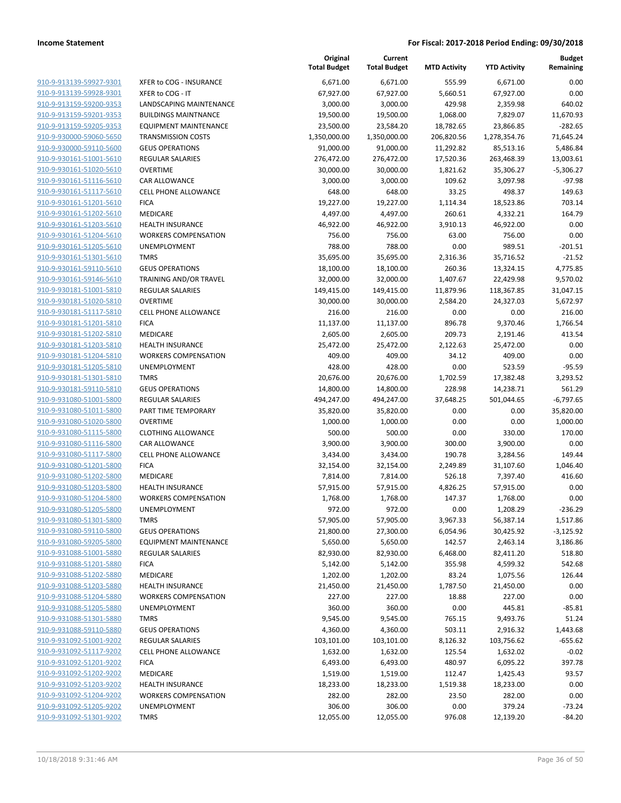| 910-9-913139-59927-9301        |
|--------------------------------|
| 910-9-913139-59928-9301        |
| 910-9-913159-59200-9353        |
| 910-9-913159-59201-9353        |
| 910-9-913159-59205-9353        |
| 910-9-930000-59060-5650        |
| 910-9-930000-59110-5600        |
| 910-9-930161-51001-5610        |
| 910-9-930161-51020-5610        |
| <u>910-9-930161-51116-5610</u> |
| 910-9-930161-51117-5610        |
| 910-9-930161-51201-5610        |
| 910-9-930161-51202-5610        |
| 910-9-930161-51203-5610        |
| 910-9-930161-51204-5610        |
| 910-9-930161-51205-5610        |
| 910-9-930161-51301-5610        |
| 910-9-930161-59110-5610        |
| <u>910-9-930161-59146-5610</u> |
| <u>910-9-930181-51001-5810</u> |
| 910-9-930181-51020-5810        |
| 910-9-930181-51117-5810        |
| 910-9-930181-51201-5810        |
| 910-9-930181-51202-5810        |
| 910-9-930181-51203-5810        |
| 910-9-930181-51204-5810        |
| 910-9-930181-51205-5810        |
| 910-9-930181-51301-5810        |
| 910-9-930181-59110-5810        |
| 910-9-931080-51001-5800        |
| 910-9-931080-51011-5800        |
| 910-9-931080-51020-5800        |
| 910-9-931080-51115-5800        |
| <u>910-9-931080-51116-5800</u> |
| 910-9-931080-51117-5800        |
| 910-9-931080-51201-5800        |
| 910-9-931080-51202-5800        |
| 910-9-931080-51203-5800        |
| 910-9-931080-51204-5800        |
| 910-9-931080-51205-5800        |
| 910-9-931080-51301-5800        |
| 910-9-931080-59110-5800        |
| <u>910-9-931080-59205-5800</u> |
| <u>910-9-931088-51001-5880</u> |
| 910-9-931088-51201-5880        |
| 910-9-931088-51202-5880        |
| 910-9-931088-51203-5880        |
| 910-9-931088-51204-5880        |
| 910-9-931088-51205-5880        |
| <u>910-9-931088-51301-5880</u> |
| 910-9-931088-59110-5880        |
| 910-9-931092-51001-9202        |
| <u>910-9-931092-51117-9202</u> |
| <u>910-9-931092-51201-9202</u> |
| 910-9-931092-51202-9202        |
| 910-9-931092-51203-9202        |
| 910-9-931092-51204-9202        |
| <u>910-9-931092-51205-9202</u> |
| <u>910-9-931092-51301-9202</u> |
|                                |

|                         |                              | Original<br><b>Total Budget</b> | Current<br><b>Total Budget</b> | <b>MTD Activity</b> | <b>YTD Activity</b> | <b>Budget</b><br>Remaining |
|-------------------------|------------------------------|---------------------------------|--------------------------------|---------------------|---------------------|----------------------------|
| 910-9-913139-59927-9301 | XFER to COG - INSURANCE      | 6,671.00                        | 6,671.00                       | 555.99              | 6,671.00            | 0.00                       |
| 910-9-913139-59928-9301 | XFER to COG - IT             | 67,927.00                       | 67,927.00                      | 5,660.51            | 67,927.00           | 0.00                       |
| 910-9-913159-59200-9353 | LANDSCAPING MAINTENANCE      | 3,000.00                        | 3,000.00                       | 429.98              | 2,359.98            | 640.02                     |
| 910-9-913159-59201-9353 | <b>BUILDINGS MAINTNANCE</b>  | 19,500.00                       | 19,500.00                      | 1,068.00            | 7,829.07            | 11,670.93                  |
| 910-9-913159-59205-9353 | <b>EQUIPMENT MAINTENANCE</b> | 23,500.00                       | 23,584.20                      | 18,782.65           | 23,866.85           | $-282.65$                  |
| 910-9-930000-59060-5650 | <b>TRANSMISSION COSTS</b>    | 1,350,000.00                    | 1,350,000.00                   | 206,820.56          | 1,278,354.76        | 71,645.24                  |
| 910-9-930000-59110-5600 | <b>GEUS OPERATIONS</b>       | 91,000.00                       | 91,000.00                      | 11,292.82           | 85,513.16           | 5,486.84                   |
| 910-9-930161-51001-5610 | REGULAR SALARIES             | 276,472.00                      | 276,472.00                     | 17,520.36           | 263,468.39          | 13,003.61                  |
| 910-9-930161-51020-5610 | <b>OVERTIME</b>              | 30,000.00                       | 30,000.00                      | 1,821.62            | 35,306.27           | $-5,306.27$                |
| 910-9-930161-51116-5610 | CAR ALLOWANCE                | 3,000.00                        | 3,000.00                       | 109.62              | 3,097.98            | $-97.98$                   |
| 910-9-930161-51117-5610 | <b>CELL PHONE ALLOWANCE</b>  | 648.00                          | 648.00                         | 33.25               | 498.37              | 149.63                     |
| 910-9-930161-51201-5610 | <b>FICA</b>                  | 19,227.00                       | 19,227.00                      | 1,114.34            | 18,523.86           | 703.14                     |
| 910-9-930161-51202-5610 | MEDICARE                     | 4,497.00                        | 4,497.00                       | 260.61              | 4,332.21            | 164.79                     |
| 910-9-930161-51203-5610 | <b>HEALTH INSURANCE</b>      | 46,922.00                       | 46,922.00                      | 3,910.13            | 46,922.00           | 0.00                       |
| 910-9-930161-51204-5610 | <b>WORKERS COMPENSATION</b>  | 756.00                          | 756.00                         | 63.00               | 756.00              | 0.00                       |
| 910-9-930161-51205-5610 | UNEMPLOYMENT                 | 788.00                          | 788.00                         | 0.00                | 989.51              | $-201.51$                  |
| 910-9-930161-51301-5610 | <b>TMRS</b>                  | 35,695.00                       | 35,695.00                      | 2,316.36            | 35,716.52           | $-21.52$                   |
| 910-9-930161-59110-5610 | <b>GEUS OPERATIONS</b>       | 18,100.00                       | 18,100.00                      | 260.36              | 13,324.15           | 4,775.85                   |
| 910-9-930161-59146-5610 | TRAINING AND/OR TRAVEL       | 32,000.00                       | 32,000.00                      | 1,407.67            | 22,429.98           | 9,570.02                   |
| 910-9-930181-51001-5810 | <b>REGULAR SALARIES</b>      | 149,415.00                      | 149,415.00                     | 11,879.96           | 118,367.85          | 31,047.15                  |
| 910-9-930181-51020-5810 | <b>OVERTIME</b>              | 30,000.00                       | 30,000.00                      | 2,584.20            | 24,327.03           | 5,672.97                   |
| 910-9-930181-51117-5810 | <b>CELL PHONE ALLOWANCE</b>  | 216.00                          | 216.00                         | 0.00                | 0.00                | 216.00                     |
| 910-9-930181-51201-5810 | <b>FICA</b>                  | 11,137.00                       | 11,137.00                      | 896.78              | 9,370.46            | 1,766.54                   |
| 910-9-930181-51202-5810 | MEDICARE                     | 2,605.00                        | 2,605.00                       | 209.73              | 2,191.46            | 413.54                     |
| 910-9-930181-51203-5810 | <b>HEALTH INSURANCE</b>      | 25,472.00                       | 25,472.00                      | 2,122.63            | 25,472.00           | 0.00                       |
| 910-9-930181-51204-5810 | <b>WORKERS COMPENSATION</b>  | 409.00                          | 409.00                         | 34.12               | 409.00              | 0.00                       |
| 910-9-930181-51205-5810 | UNEMPLOYMENT                 | 428.00                          | 428.00                         | 0.00                | 523.59              | $-95.59$                   |
| 910-9-930181-51301-5810 | <b>TMRS</b>                  | 20,676.00                       | 20,676.00                      | 1,702.59            | 17,382.48           | 3,293.52                   |
| 910-9-930181-59110-5810 | <b>GEUS OPERATIONS</b>       | 14,800.00                       | 14,800.00                      | 228.98              | 14,238.71           | 561.29                     |
| 910-9-931080-51001-5800 | REGULAR SALARIES             | 494,247.00                      | 494,247.00                     | 37,648.25           | 501,044.65          | $-6,797.65$                |
| 910-9-931080-51011-5800 | PART TIME TEMPORARY          | 35,820.00                       | 35,820.00                      | 0.00                | 0.00                | 35,820.00                  |
| 910-9-931080-51020-5800 | <b>OVERTIME</b>              | 1,000.00                        | 1,000.00                       | 0.00                | 0.00                | 1,000.00                   |
| 910-9-931080-51115-5800 | <b>CLOTHING ALLOWANCE</b>    | 500.00                          | 500.00                         | 0.00                | 330.00              | 170.00                     |
| 910-9-931080-51116-5800 | CAR ALLOWANCE                | 3,900.00                        | 3,900.00                       | 300.00              | 3,900.00            | 0.00                       |
| 910-9-931080-51117-5800 | <b>CELL PHONE ALLOWANCE</b>  | 3,434.00                        | 3,434.00                       | 190.78              | 3,284.56            | 149.44                     |
| 910-9-931080-51201-5800 | <b>FICA</b>                  | 32,154.00                       | 32,154.00                      | 2,249.89            | 31,107.60           | 1,046.40                   |
| 910-9-931080-51202-5800 | MEDICARE                     | 7,814.00                        | 7,814.00                       | 526.18              | 7,397.40            | 416.60                     |
| 910-9-931080-51203-5800 | <b>HEALTH INSURANCE</b>      | 57,915.00                       | 57,915.00                      | 4,826.25            | 57,915.00           | 0.00                       |
| 910-9-931080-51204-5800 | <b>WORKERS COMPENSATION</b>  | 1,768.00                        | 1,768.00                       | 147.37              | 1,768.00            | 0.00                       |
| 910-9-931080-51205-5800 | UNEMPLOYMENT                 | 972.00                          | 972.00                         | 0.00                | 1,208.29            | $-236.29$                  |
| 910-9-931080-51301-5800 | <b>TMRS</b>                  | 57,905.00                       | 57,905.00                      | 3,967.33            | 56,387.14           | 1,517.86                   |
| 910-9-931080-59110-5800 | <b>GEUS OPERATIONS</b>       | 21,800.00                       | 27,300.00                      | 6,054.96            | 30,425.92           | $-3,125.92$                |
| 910-9-931080-59205-5800 | <b>EQUIPMENT MAINTENANCE</b> | 5,650.00                        | 5,650.00                       | 142.57              | 2,463.14            | 3,186.86                   |
| 910-9-931088-51001-5880 | <b>REGULAR SALARIES</b>      | 82,930.00                       | 82,930.00                      | 6,468.00            | 82,411.20           | 518.80                     |
| 910-9-931088-51201-5880 | <b>FICA</b>                  | 5,142.00                        | 5,142.00                       | 355.98              | 4,599.32            | 542.68                     |
| 910-9-931088-51202-5880 | MEDICARE                     | 1,202.00                        | 1,202.00                       | 83.24               | 1,075.56            | 126.44                     |
| 910-9-931088-51203-5880 | <b>HEALTH INSURANCE</b>      | 21,450.00                       | 21,450.00                      | 1,787.50            | 21,450.00           | 0.00                       |
| 910-9-931088-51204-5880 | <b>WORKERS COMPENSATION</b>  | 227.00                          | 227.00                         | 18.88               | 227.00              | 0.00                       |
| 910-9-931088-51205-5880 | UNEMPLOYMENT                 | 360.00                          | 360.00                         | 0.00                | 445.81              | $-85.81$                   |
| 910-9-931088-51301-5880 | <b>TMRS</b>                  | 9,545.00                        | 9,545.00                       | 765.15              | 9,493.76            | 51.24                      |
| 910-9-931088-59110-5880 | <b>GEUS OPERATIONS</b>       | 4,360.00                        |                                |                     | 2,916.32            | 1,443.68                   |
| 910-9-931092-51001-9202 |                              | 103,101.00                      | 4,360.00                       | 503.11<br>8,126.32  |                     | $-655.62$                  |
|                         | REGULAR SALARIES             |                                 | 103,101.00                     |                     | 103,756.62          |                            |
| 910-9-931092-51117-9202 | <b>CELL PHONE ALLOWANCE</b>  | 1,632.00                        | 1,632.00                       | 125.54              | 1,632.02            | $-0.02$                    |
| 910-9-931092-51201-9202 | <b>FICA</b>                  | 6,493.00                        | 6,493.00                       | 480.97              | 6,095.22            | 397.78                     |
| 910-9-931092-51202-9202 | MEDICARE                     | 1,519.00                        | 1,519.00                       | 112.47              | 1,425.43            | 93.57                      |
| 910-9-931092-51203-9202 | <b>HEALTH INSURANCE</b>      | 18,233.00                       | 18,233.00                      | 1,519.38            | 18,233.00           | 0.00                       |
| 910-9-931092-51204-9202 | <b>WORKERS COMPENSATION</b>  | 282.00                          | 282.00                         | 23.50               | 282.00              | 0.00                       |
| 910-9-931092-51205-9202 | UNEMPLOYMENT                 | 306.00                          | 306.00                         | 0.00                | 379.24              | $-73.24$                   |
| 910-9-931092-51301-9202 | <b>TMRS</b>                  | 12,055.00                       | 12,055.00                      | 976.08              | 12,139.20           | $-84.20$                   |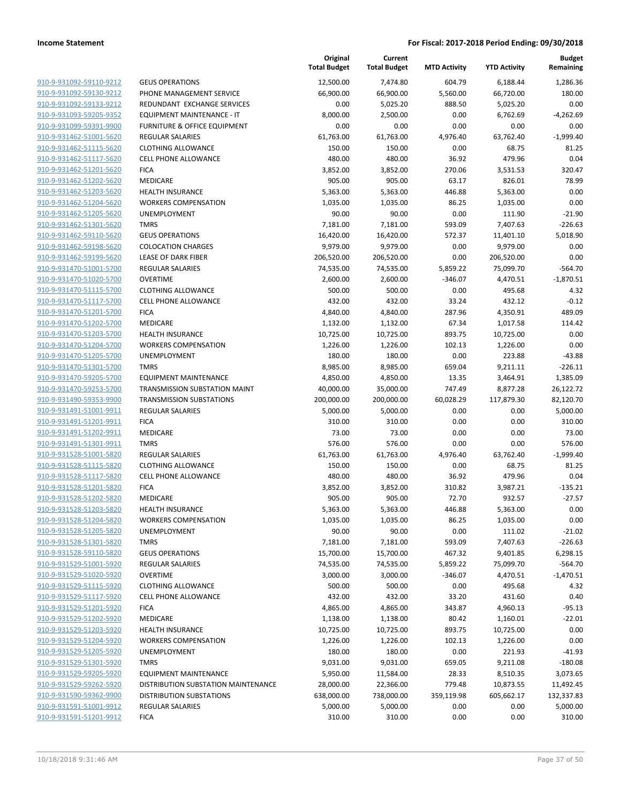|                         |                                     | Original<br><b>Total Budget</b> | Current<br><b>Total Budget</b> | <b>MTD Activity</b> | <b>YTD Activity</b> | <b>Budget</b><br>Remaining |
|-------------------------|-------------------------------------|---------------------------------|--------------------------------|---------------------|---------------------|----------------------------|
| 910-9-931092-59110-9212 | <b>GEUS OPERATIONS</b>              | 12,500.00                       | 7,474.80                       | 604.79              | 6,188.44            | 1,286.36                   |
| 910-9-931092-59130-9212 | PHONE MANAGEMENT SERVICE            | 66,900.00                       | 66,900.00                      | 5,560.00            | 66,720.00           | 180.00                     |
| 910-9-931092-59133-9212 | REDUNDANT EXCHANGE SERVICES         | 0.00                            | 5,025.20                       | 888.50              | 5,025.20            | 0.00                       |
| 910-9-931093-59205-9352 | EQUIPMENT MAINTENANCE - IT          | 8,000.00                        | 2,500.00                       | 0.00                | 6,762.69            | $-4,262.69$                |
| 910-9-931099-59391-9900 | FURNITURE & OFFICE EQUIPMENT        | 0.00                            | 0.00                           | 0.00                | 0.00                | 0.00                       |
| 910-9-931462-51001-5620 | <b>REGULAR SALARIES</b>             | 61,763.00                       | 61,763.00                      | 4,976.40            | 63,762.40           | $-1,999.40$                |
| 910-9-931462-51115-5620 | <b>CLOTHING ALLOWANCE</b>           | 150.00                          | 150.00                         | 0.00                | 68.75               | 81.25                      |
| 910-9-931462-51117-5620 | <b>CELL PHONE ALLOWANCE</b>         | 480.00                          | 480.00                         | 36.92               | 479.96              | 0.04                       |
| 910-9-931462-51201-5620 | <b>FICA</b>                         | 3,852.00                        | 3,852.00                       | 270.06              | 3,531.53            | 320.47                     |
| 910-9-931462-51202-5620 | MEDICARE                            | 905.00                          | 905.00                         | 63.17               | 826.01              | 78.99                      |
| 910-9-931462-51203-5620 | <b>HEALTH INSURANCE</b>             | 5,363.00                        | 5,363.00                       | 446.88              | 5,363.00            | 0.00                       |
| 910-9-931462-51204-5620 | <b>WORKERS COMPENSATION</b>         | 1,035.00                        | 1,035.00                       | 86.25               | 1,035.00            | 0.00                       |
| 910-9-931462-51205-5620 | UNEMPLOYMENT                        | 90.00                           | 90.00                          | 0.00                | 111.90              | $-21.90$                   |
| 910-9-931462-51301-5620 | <b>TMRS</b>                         | 7,181.00                        | 7,181.00                       | 593.09              | 7,407.63            | $-226.63$                  |
| 910-9-931462-59110-5620 | <b>GEUS OPERATIONS</b>              | 16,420.00                       | 16,420.00                      | 572.37              | 11,401.10           | 5,018.90                   |
| 910-9-931462-59198-5620 | <b>COLOCATION CHARGES</b>           | 9,979.00                        | 9,979.00                       | 0.00                | 9,979.00            | 0.00                       |
| 910-9-931462-59199-5620 | <b>LEASE OF DARK FIBER</b>          | 206,520.00                      | 206,520.00                     | 0.00                | 206,520.00          | 0.00                       |
| 910-9-931470-51001-5700 | <b>REGULAR SALARIES</b>             | 74,535.00                       | 74,535.00                      | 5,859.22            | 75,099.70           | $-564.70$                  |
| 910-9-931470-51020-5700 | <b>OVERTIME</b>                     | 2,600.00                        | 2,600.00                       | $-346.07$           | 4,470.51            | $-1,870.51$                |
| 910-9-931470-51115-5700 | <b>CLOTHING ALLOWANCE</b>           | 500.00                          | 500.00                         | 0.00                | 495.68              | 4.32                       |
| 910-9-931470-51117-5700 | <b>CELL PHONE ALLOWANCE</b>         | 432.00                          | 432.00                         | 33.24               | 432.12              | $-0.12$                    |
| 910-9-931470-51201-5700 | <b>FICA</b>                         | 4,840.00                        | 4,840.00                       | 287.96              | 4,350.91            | 489.09                     |
| 910-9-931470-51202-5700 | MEDICARE                            | 1,132.00                        | 1,132.00                       | 67.34               | 1,017.58            | 114.42                     |
| 910-9-931470-51203-5700 | <b>HEALTH INSURANCE</b>             | 10,725.00                       | 10,725.00                      | 893.75              | 10,725.00           | 0.00                       |
| 910-9-931470-51204-5700 | <b>WORKERS COMPENSATION</b>         | 1,226.00                        | 1,226.00                       | 102.13              | 1,226.00            | 0.00                       |
| 910-9-931470-51205-5700 | UNEMPLOYMENT                        | 180.00                          | 180.00                         | 0.00                | 223.88              | $-43.88$                   |
| 910-9-931470-51301-5700 | <b>TMRS</b>                         | 8,985.00                        | 8,985.00                       | 659.04              | 9,211.11            | $-226.11$                  |
| 910-9-931470-59205-5700 | <b>EQUIPMENT MAINTENANCE</b>        | 4,850.00                        | 4,850.00                       | 13.35               | 3,464.91            | 1,385.09                   |
| 910-9-931470-59253-5700 | TRANSMISSION SUBSTATION MAINT       | 40,000.00                       | 35,000.00                      | 747.49              | 8,877.28            | 26,122.72                  |
| 910-9-931490-59353-9900 | <b>TRANSMISSION SUBSTATIONS</b>     | 200,000.00                      | 200,000.00                     | 60,028.29           | 117,879.30          | 82,120.70                  |
| 910-9-931491-51001-9911 | <b>REGULAR SALARIES</b>             | 5,000.00                        | 5,000.00                       | 0.00                | 0.00                | 5,000.00                   |
| 910-9-931491-51201-9911 | <b>FICA</b>                         | 310.00                          | 310.00                         | 0.00                | 0.00                | 310.00                     |
| 910-9-931491-51202-9911 | MEDICARE                            | 73.00                           | 73.00                          | 0.00                | 0.00                | 73.00                      |
| 910-9-931491-51301-9911 | <b>TMRS</b>                         | 576.00                          | 576.00                         | 0.00                | 0.00                | 576.00                     |
| 910-9-931528-51001-5820 | <b>REGULAR SALARIES</b>             | 61,763.00                       | 61,763.00                      | 4,976.40            | 63,762.40           | $-1,999.40$                |
| 910-9-931528-51115-5820 | <b>CLOTHING ALLOWANCE</b>           | 150.00                          | 150.00                         | 0.00                | 68.75               | 81.25                      |
| 910-9-931528-51117-5820 | <b>CELL PHONE ALLOWANCE</b>         | 480.00                          | 480.00                         | 36.92               | 479.96              | 0.04                       |
| 910-9-931528-51201-5820 | <b>FICA</b>                         | 3,852.00                        | 3,852.00                       | 310.82              | 3,987.21            | $-135.21$                  |
| 910-9-931528-51202-5820 | MEDICARE                            | 905.00                          | 905.00                         | 72.70               | 932.57              | $-27.57$                   |
| 910-9-931528-51203-5820 | <b>HEALTH INSURANCE</b>             | 5,363.00                        | 5,363.00                       | 446.88              | 5,363.00            | 0.00                       |
| 910-9-931528-51204-5820 | <b>WORKERS COMPENSATION</b>         | 1,035.00                        | 1,035.00                       | 86.25               | 1,035.00            | 0.00                       |
| 910-9-931528-51205-5820 | UNEMPLOYMENT                        | 90.00                           | 90.00                          | 0.00                | 111.02              | $-21.02$                   |
| 910-9-931528-51301-5820 | <b>TMRS</b>                         | 7,181.00                        | 7,181.00                       | 593.09              | 7,407.63            | $-226.63$                  |
| 910-9-931528-59110-5820 | <b>GEUS OPERATIONS</b>              | 15,700.00                       | 15,700.00                      | 467.32              | 9,401.85            | 6,298.15                   |
| 910-9-931529-51001-5920 | REGULAR SALARIES                    | 74,535.00                       | 74,535.00                      | 5,859.22            | 75,099.70           | $-564.70$                  |
| 910-9-931529-51020-5920 | <b>OVERTIME</b>                     | 3,000.00                        | 3,000.00                       | $-346.07$           | 4,470.51            | $-1,470.51$                |
| 910-9-931529-51115-5920 | <b>CLOTHING ALLOWANCE</b>           | 500.00                          | 500.00                         | 0.00                | 495.68              | 4.32                       |
| 910-9-931529-51117-5920 | <b>CELL PHONE ALLOWANCE</b>         | 432.00                          | 432.00                         | 33.20               | 431.60              | 0.40                       |
| 910-9-931529-51201-5920 | <b>FICA</b>                         | 4,865.00                        | 4,865.00                       | 343.87              | 4,960.13            | $-95.13$                   |
| 910-9-931529-51202-5920 | MEDICARE                            | 1,138.00                        | 1,138.00                       | 80.42               | 1,160.01            | $-22.01$                   |
| 910-9-931529-51203-5920 | <b>HEALTH INSURANCE</b>             | 10,725.00                       | 10,725.00                      | 893.75              | 10,725.00           | 0.00                       |
| 910-9-931529-51204-5920 | <b>WORKERS COMPENSATION</b>         | 1,226.00                        | 1,226.00                       | 102.13              | 1,226.00            | 0.00                       |
| 910-9-931529-51205-5920 | UNEMPLOYMENT                        | 180.00                          | 180.00                         | 0.00                | 221.93              | -41.93                     |
| 910-9-931529-51301-5920 | <b>TMRS</b>                         | 9,031.00                        | 9,031.00                       | 659.05              | 9,211.08            | $-180.08$                  |
| 910-9-931529-59205-5920 | <b>EQUIPMENT MAINTENANCE</b>        | 5,950.00                        | 11,584.00                      | 28.33               | 8,510.35            | 3,073.65                   |
| 910-9-931529-59262-5920 | DISTRIBUTION SUBSTATION MAINTENANCE | 28,000.00                       | 22,366.00                      | 779.48              | 10,873.55           | 11,492.45                  |
| 910-9-931590-59362-9900 | <b>DISTRIBUTION SUBSTATIONS</b>     | 638,000.00                      | 738,000.00                     | 359,119.98          | 605,662.17          | 132,337.83                 |
| 910-9-931591-51001-9912 | <b>REGULAR SALARIES</b>             | 5,000.00                        | 5,000.00                       | 0.00                | 0.00                | 5,000.00                   |
| 910-9-931591-51201-9912 | <b>FICA</b>                         | 310.00                          | 310.00                         | 0.00                | 0.00                | 310.00                     |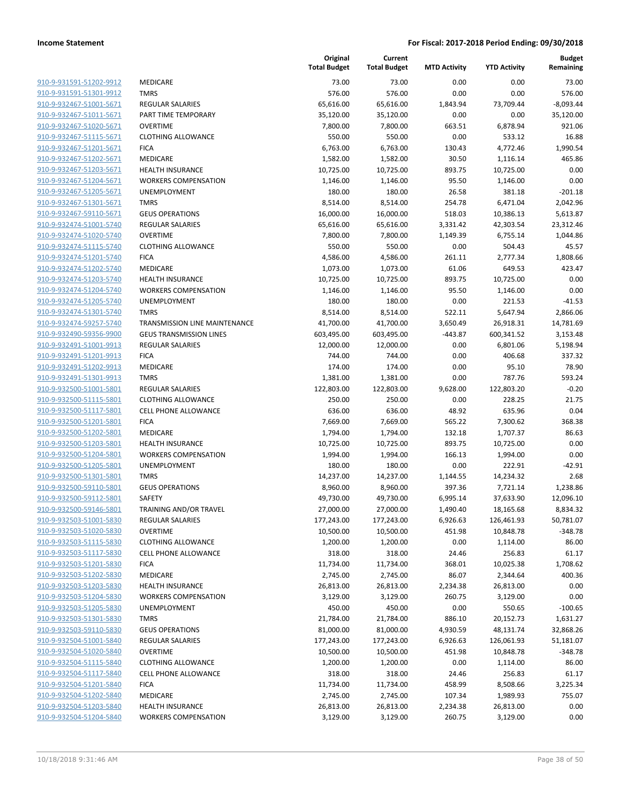| 910-9-931591-51202-9912        |
|--------------------------------|
| 910-9-931591-51301-9912        |
| 910-9-932467-51001-5671        |
| 910-9-932467-51011-5671        |
| 910-9-932467-51020-5671        |
| 910-9-932467-51115-5671        |
| 910-9-932467-51201-5671        |
| 910-9-932467-51202-5671        |
| 910-9-932467-51203-5671        |
| 910-9-932467-51204-5671        |
| 910-9-932467-51205-5671        |
| 910-9-932467-51301-5671        |
| 910-9-932467-59110-5671        |
| 910-9-932474-51001-5740        |
| 910-9-932474-51020-5740        |
| 910-9-932474-51115-5740        |
|                                |
| 910-9-932474-51201-5740        |
| 910-9-932474-51202-5740        |
| 910-9-932474-51203-5740        |
| 910-9-932474-51204-5740        |
| 910-9-932474-51205-5740        |
| 910-9-932474-51301-5740        |
| 910-9-932474-59257-5740        |
| 910-9-932490-59356-9900        |
| 910-9-932491-51001-9913        |
| 910-9-932491-51201-9913        |
| 910-9-932491-51202-9913        |
| 910-9-932491-51301-9913        |
| 910-9-932500-51001-5801        |
| 910-9-932500-51115-5801        |
| 910-9-932500-51117-5801        |
| 910-9-932500-51201-5801        |
| 910-9-932500-51202-5801        |
| 910-9-932500-51203-5801        |
| 910-9-932500-51204-5801        |
| 910-9-932500-51205-5801        |
| 910-9-932500-51301-5801        |
| 910-9-932500-59110-5801        |
| 910-9-932500-59112-5801        |
| 910-9-932500-59146-5801        |
| 910-9-932503-51001-5830        |
|                                |
| <u>910-9-932503-51020-5830</u> |
| 910-9-932503-51115-5830        |
| 910-9-932503-51117-5830        |
| <u>910-9-932503-51201-5830</u> |
| 910-9-932503-51202-5830        |
| 910-9-932503-51203-5830        |
| <u>910-9-932503-51204-5830</u> |
| <u>910-9-932503-51205-5830</u> |
| <u>910-9-932503-51301-5830</u> |
| 910-9-932503-59110-5830        |
| 910-9-932504-51001-5840        |
| 910-9-932504-51020-5840        |
| 910-9-932504-51115-5840        |
| <u>910-9-932504-51117-5840</u> |
| 910-9-932504-51201-5840        |
| 910-9-932504-51202-5840        |
| <u>910-9-932504-51203-5840</u> |
| 910-9-932504-51204-5840        |
|                                |

|                         |                                      | Original<br><b>Total Budget</b> | Current<br><b>Total Budget</b> | <b>MTD Activity</b> | <b>YTD Activity</b> | <b>Budget</b><br>Remaining |
|-------------------------|--------------------------------------|---------------------------------|--------------------------------|---------------------|---------------------|----------------------------|
| 910-9-931591-51202-9912 | <b>MEDICARE</b>                      | 73.00                           | 73.00                          | 0.00                | 0.00                | 73.00                      |
| 910-9-931591-51301-9912 | <b>TMRS</b>                          | 576.00                          | 576.00                         | 0.00                | 0.00                | 576.00                     |
| 910-9-932467-51001-5671 | <b>REGULAR SALARIES</b>              | 65,616.00                       | 65,616.00                      | 1,843.94            | 73,709.44           | $-8,093.44$                |
| 910-9-932467-51011-5671 | PART TIME TEMPORARY                  | 35,120.00                       | 35,120.00                      | 0.00                | 0.00                | 35,120.00                  |
| 910-9-932467-51020-5671 | <b>OVERTIME</b>                      | 7,800.00                        | 7,800.00                       | 663.51              | 6,878.94            | 921.06                     |
| 910-9-932467-51115-5671 | <b>CLOTHING ALLOWANCE</b>            | 550.00                          | 550.00                         | 0.00                | 533.12              | 16.88                      |
| 910-9-932467-51201-5671 | <b>FICA</b>                          | 6,763.00                        | 6,763.00                       | 130.43              | 4,772.46            | 1,990.54                   |
| 910-9-932467-51202-5671 | MEDICARE                             | 1,582.00                        | 1,582.00                       | 30.50               | 1,116.14            | 465.86                     |
| 910-9-932467-51203-5671 | <b>HEALTH INSURANCE</b>              | 10,725.00                       | 10,725.00                      | 893.75              | 10,725.00           | 0.00                       |
| 910-9-932467-51204-5671 | <b>WORKERS COMPENSATION</b>          | 1,146.00                        | 1,146.00                       | 95.50               | 1,146.00            | 0.00                       |
| 910-9-932467-51205-5671 | UNEMPLOYMENT                         | 180.00                          | 180.00                         | 26.58               | 381.18              | $-201.18$                  |
| 910-9-932467-51301-5671 | <b>TMRS</b>                          | 8,514.00                        | 8,514.00                       | 254.78              | 6,471.04            | 2,042.96                   |
| 910-9-932467-59110-5671 | <b>GEUS OPERATIONS</b>               | 16,000.00                       | 16,000.00                      | 518.03              | 10,386.13           | 5,613.87                   |
| 910-9-932474-51001-5740 | <b>REGULAR SALARIES</b>              | 65,616.00                       | 65,616.00                      | 3,331.42            | 42,303.54           | 23,312.46                  |
| 910-9-932474-51020-5740 | <b>OVERTIME</b>                      | 7,800.00                        | 7,800.00                       | 1,149.39            | 6,755.14            | 1,044.86                   |
| 910-9-932474-51115-5740 | <b>CLOTHING ALLOWANCE</b>            | 550.00                          | 550.00                         | 0.00                | 504.43              | 45.57                      |
| 910-9-932474-51201-5740 | <b>FICA</b>                          | 4,586.00                        | 4,586.00                       | 261.11              | 2,777.34            | 1,808.66                   |
| 910-9-932474-51202-5740 | MEDICARE                             | 1,073.00                        | 1,073.00                       | 61.06               | 649.53              | 423.47                     |
| 910-9-932474-51203-5740 | <b>HEALTH INSURANCE</b>              | 10,725.00                       | 10,725.00                      | 893.75              | 10,725.00           | 0.00                       |
| 910-9-932474-51204-5740 | <b>WORKERS COMPENSATION</b>          | 1,146.00                        | 1,146.00                       | 95.50               | 1,146.00            | 0.00                       |
| 910-9-932474-51205-5740 | UNEMPLOYMENT                         | 180.00                          | 180.00                         | 0.00                | 221.53              | $-41.53$                   |
| 910-9-932474-51301-5740 | <b>TMRS</b>                          | 8,514.00                        | 8,514.00                       | 522.11              | 5,647.94            | 2,866.06                   |
| 910-9-932474-59257-5740 | <b>TRANSMISSION LINE MAINTENANCE</b> | 41,700.00                       | 41,700.00                      | 3,650.49            | 26,918.31           | 14,781.69                  |
| 910-9-932490-59356-9900 | <b>GEUS TRANSMISSION LINES</b>       | 603,495.00                      | 603,495.00                     | $-443.87$           | 600,341.52          | 3,153.48                   |
| 910-9-932491-51001-9913 | <b>REGULAR SALARIES</b>              | 12,000.00                       | 12,000.00                      | 0.00                | 6,801.06            | 5,198.94                   |
| 910-9-932491-51201-9913 | <b>FICA</b>                          | 744.00                          | 744.00                         | 0.00                | 406.68              | 337.32                     |
| 910-9-932491-51202-9913 | MEDICARE                             | 174.00                          | 174.00                         | 0.00                | 95.10               | 78.90                      |
| 910-9-932491-51301-9913 | <b>TMRS</b>                          | 1,381.00                        | 1,381.00                       | 0.00                | 787.76              | 593.24                     |
| 910-9-932500-51001-5801 | <b>REGULAR SALARIES</b>              | 122,803.00                      | 122,803.00                     | 9,628.00            | 122,803.20          | $-0.20$                    |
| 910-9-932500-51115-5801 | <b>CLOTHING ALLOWANCE</b>            | 250.00                          | 250.00                         | 0.00                | 228.25              | 21.75                      |
| 910-9-932500-51117-5801 | CELL PHONE ALLOWANCE                 | 636.00                          | 636.00                         | 48.92               | 635.96              | 0.04                       |
| 910-9-932500-51201-5801 | <b>FICA</b>                          | 7,669.00                        | 7,669.00                       | 565.22              | 7,300.62            | 368.38                     |
| 910-9-932500-51202-5801 | <b>MEDICARE</b>                      | 1,794.00                        | 1,794.00                       | 132.18              | 1,707.37            | 86.63                      |
| 910-9-932500-51203-5801 | <b>HEALTH INSURANCE</b>              | 10,725.00                       | 10,725.00                      | 893.75              | 10,725.00           | 0.00                       |
| 910-9-932500-51204-5801 | <b>WORKERS COMPENSATION</b>          | 1,994.00                        | 1,994.00                       | 166.13              | 1,994.00            | 0.00                       |
| 910-9-932500-51205-5801 | UNEMPLOYMENT                         | 180.00                          | 180.00                         | 0.00                | 222.91              | $-42.91$                   |
| 910-9-932500-51301-5801 | <b>TMRS</b>                          | 14,237.00                       | 14,237.00                      | 1,144.55            | 14,234.32           | 2.68                       |
| 910-9-932500-59110-5801 | <b>GEUS OPERATIONS</b>               | 8,960.00                        | 8,960.00                       | 397.36              | 7,721.14            | 1,238.86                   |
| 910-9-932500-59112-5801 | SAFETY                               | 49,730.00                       | 49,730.00                      | 6,995.14            | 37,633.90           | 12,096.10                  |
| 910-9-932500-59146-5801 | TRAINING AND/OR TRAVEL               | 27,000.00                       | 27,000.00                      | 1,490.40            | 18,165.68           | 8,834.32                   |
| 910-9-932503-51001-5830 | <b>REGULAR SALARIES</b>              | 177,243.00                      | 177,243.00                     | 6,926.63            | 126,461.93          | 50,781.07                  |
| 910-9-932503-51020-5830 | <b>OVERTIME</b>                      | 10,500.00                       | 10,500.00                      | 451.98              | 10,848.78           | $-348.78$                  |
| 910-9-932503-51115-5830 | <b>CLOTHING ALLOWANCE</b>            | 1,200.00                        | 1,200.00                       | 0.00                | 1,114.00            | 86.00                      |
| 910-9-932503-51117-5830 | <b>CELL PHONE ALLOWANCE</b>          | 318.00                          | 318.00                         | 24.46               | 256.83              | 61.17                      |
| 910-9-932503-51201-5830 | <b>FICA</b>                          | 11,734.00                       | 11,734.00                      | 368.01              | 10,025.38           | 1,708.62                   |
| 910-9-932503-51202-5830 | MEDICARE                             | 2,745.00                        | 2,745.00                       | 86.07               | 2,344.64            | 400.36                     |
| 910-9-932503-51203-5830 | HEALTH INSURANCE                     | 26,813.00                       | 26,813.00                      | 2,234.38            | 26,813.00           | 0.00                       |
| 910-9-932503-51204-5830 | <b>WORKERS COMPENSATION</b>          | 3,129.00                        | 3,129.00                       | 260.75              | 3,129.00            | 0.00                       |
| 910-9-932503-51205-5830 | UNEMPLOYMENT                         | 450.00                          | 450.00                         | 0.00                | 550.65              | $-100.65$                  |
| 910-9-932503-51301-5830 | <b>TMRS</b>                          | 21,784.00                       | 21,784.00                      | 886.10              | 20,152.73           | 1,631.27                   |
| 910-9-932503-59110-5830 | <b>GEUS OPERATIONS</b>               | 81,000.00                       | 81,000.00                      | 4,930.59            | 48,131.74           | 32,868.26                  |
| 910-9-932504-51001-5840 | <b>REGULAR SALARIES</b>              | 177,243.00                      | 177,243.00                     | 6,926.63            | 126,061.93          | 51,181.07                  |
| 910-9-932504-51020-5840 | <b>OVERTIME</b>                      | 10,500.00                       | 10,500.00                      | 451.98              | 10,848.78           | $-348.78$                  |
| 910-9-932504-51115-5840 | <b>CLOTHING ALLOWANCE</b>            | 1,200.00                        | 1,200.00                       | 0.00                | 1,114.00            | 86.00                      |
| 910-9-932504-51117-5840 | CELL PHONE ALLOWANCE                 | 318.00                          | 318.00                         | 24.46               | 256.83              | 61.17                      |
| 910-9-932504-51201-5840 | <b>FICA</b>                          | 11,734.00                       | 11,734.00                      | 458.99              | 8,508.66            | 3,225.34                   |
| 910-9-932504-51202-5840 | MEDICARE                             | 2,745.00                        | 2,745.00                       | 107.34              | 1,989.93            | 755.07                     |
| 910-9-932504-51203-5840 | HEALTH INSURANCE                     | 26,813.00                       | 26,813.00                      | 2,234.38            | 26,813.00           | 0.00                       |
| 910-9-932504-51204-5840 | <b>WORKERS COMPENSATION</b>          | 3,129.00                        | 3,129.00                       | 260.75              | 3,129.00            | 0.00                       |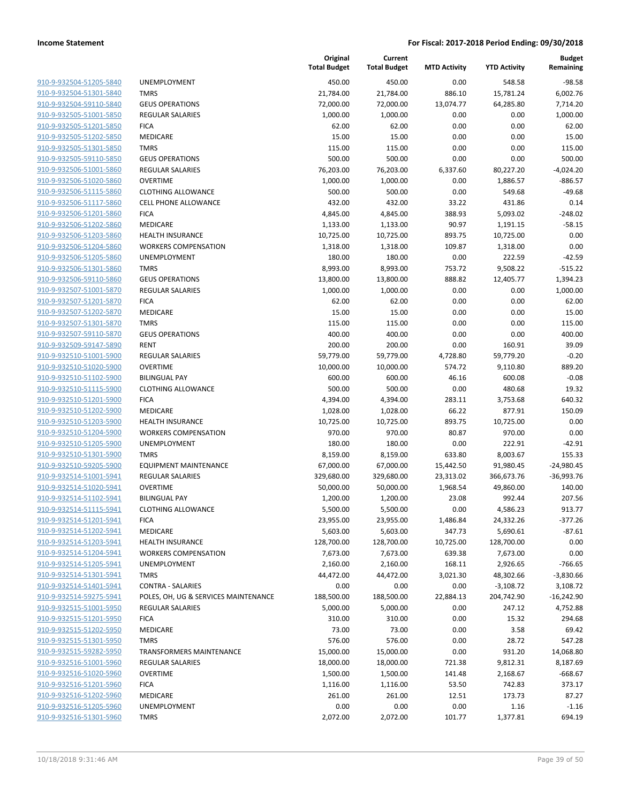| 910-9-932504-51205-5840        |
|--------------------------------|
| 910-9-932504-51301-5840        |
| 910-9-932504-59110-5840        |
| 910-9-932505-51001-5850        |
| 910-9-932505-51201-5850        |
| 910-9-932505-51202-5850        |
| 910-9-932505-51301-5850        |
| 910-9-932505-59110-5850        |
| 910-9-932506-51001-5860        |
| 910-9-932506-51020-5860        |
| 910-9-932506-51115-5860        |
| 910-9-932506-51117-5860        |
| 910-9-932506-51201-5860        |
| 910-9-932506-51202-5860        |
| 910-9-932506-51203-5860        |
|                                |
| <u>910-9-932506-51204-5860</u> |
| 910-9-932506-51205-5860        |
| 910-9-932506-51301-5860        |
| 910-9-932506-59110-5860        |
| 910-9-932507-51001-5870        |
| 910-9-932507-51201-5870        |
| 910-9-932507-51202-5870        |
| 910-9-932507-51301-5870        |
| 910-9-932507-59110-5870        |
| 910-9-932509-59147-5890        |
| <u>910-9-932510-51001-5900</u> |
| 910-9-932510-51020-5900        |
| 910-9-932510-51102-5900        |
| 910-9-932510-51115-5900        |
| 910-9-932510-51201-5900        |
| 910-9-932510-51202-5900        |
| 910-9-932510-51203-5900        |
| 910-9-932510-51204-5900        |
| 910-9-932510-51205-5900        |
| 910-9-932510-51301-5900        |
| 910-9-932510-59205-5900        |
| 910-9-932514-51001-5941        |
| 910-9-932514-51020-5941        |
| 910-9-932514-51102-5941        |
| 910-9-932514-51115-5941        |
| 910-9-932514-51201-5941        |
| 910-9-932514-51202-5941        |
| 910-9-932514-51203-5941        |
|                                |
| 910-9-932514-51204-5941        |
| 910-9-932514-51205-5941        |
| 910-9-932514-51301-5941        |
| 910-9-932514-51401-5941        |
| 910-9-932514-59275-5941        |
| 910-9-932515-51001-5950        |
| <u>910-9-932515-51201-5950</u> |
| 910-9-932515-51202-5950        |
| 910-9-932515-51301-5950        |
| 910-9-932515-59282-5950        |
| 910-9-932516-51001-5960        |
| 910-9-932516-51020-5960        |
| 910-9-932516-51201-5960        |
| 910-9-932516-51202-5960        |
| 910-9-932516-51205-5960        |
| 910-9-932516-51301-5960        |
|                                |

|                         |                                      | Original<br><b>Total Budget</b> | Current<br><b>Total Budget</b> | <b>MTD Activity</b> | <b>YTD Activity</b> | <b>Budget</b><br>Remaining |
|-------------------------|--------------------------------------|---------------------------------|--------------------------------|---------------------|---------------------|----------------------------|
| 910-9-932504-51205-5840 | UNEMPLOYMENT                         | 450.00                          | 450.00                         | 0.00                | 548.58              | $-98.58$                   |
| 910-9-932504-51301-5840 | <b>TMRS</b>                          | 21,784.00                       | 21,784.00                      | 886.10              | 15,781.24           | 6,002.76                   |
| 910-9-932504-59110-5840 | <b>GEUS OPERATIONS</b>               | 72,000.00                       | 72,000.00                      | 13,074.77           | 64,285.80           | 7,714.20                   |
| 910-9-932505-51001-5850 | <b>REGULAR SALARIES</b>              | 1,000.00                        | 1,000.00                       | 0.00                | 0.00                | 1,000.00                   |
| 910-9-932505-51201-5850 | <b>FICA</b>                          | 62.00                           | 62.00                          | 0.00                | 0.00                | 62.00                      |
| 910-9-932505-51202-5850 | MEDICARE                             | 15.00                           | 15.00                          | 0.00                | 0.00                | 15.00                      |
| 910-9-932505-51301-5850 | <b>TMRS</b>                          | 115.00                          | 115.00                         | 0.00                | 0.00                | 115.00                     |
| 910-9-932505-59110-5850 | <b>GEUS OPERATIONS</b>               | 500.00                          | 500.00                         | 0.00                | 0.00                | 500.00                     |
| 910-9-932506-51001-5860 | REGULAR SALARIES                     | 76,203.00                       | 76,203.00                      | 6,337.60            | 80,227.20           | $-4,024.20$                |
| 910-9-932506-51020-5860 | <b>OVERTIME</b>                      | 1,000.00                        | 1,000.00                       | 0.00                | 1,886.57            | $-886.57$                  |
| 910-9-932506-51115-5860 | <b>CLOTHING ALLOWANCE</b>            | 500.00                          | 500.00                         | 0.00                | 549.68              | $-49.68$                   |
| 910-9-932506-51117-5860 | CELL PHONE ALLOWANCE                 | 432.00                          | 432.00                         | 33.22               | 431.86              | 0.14                       |
| 910-9-932506-51201-5860 | <b>FICA</b>                          | 4,845.00                        | 4,845.00                       | 388.93              | 5,093.02            | $-248.02$                  |
| 910-9-932506-51202-5860 | MEDICARE                             | 1,133.00                        | 1,133.00                       | 90.97               | 1,191.15            | $-58.15$                   |
| 910-9-932506-51203-5860 | <b>HEALTH INSURANCE</b>              | 10,725.00                       | 10,725.00                      | 893.75              | 10,725.00           | 0.00                       |
| 910-9-932506-51204-5860 | <b>WORKERS COMPENSATION</b>          | 1,318.00                        | 1,318.00                       | 109.87              | 1,318.00            | 0.00                       |
| 910-9-932506-51205-5860 | UNEMPLOYMENT                         | 180.00                          | 180.00                         | 0.00                | 222.59              | $-42.59$                   |
| 910-9-932506-51301-5860 | <b>TMRS</b>                          | 8,993.00                        | 8,993.00                       | 753.72              | 9,508.22            | $-515.22$                  |
| 910-9-932506-59110-5860 | <b>GEUS OPERATIONS</b>               | 13,800.00                       | 13,800.00                      | 888.82              | 12,405.77           | 1,394.23                   |
| 910-9-932507-51001-5870 | REGULAR SALARIES                     | 1,000.00                        | 1,000.00                       | 0.00                | 0.00                | 1,000.00                   |
| 910-9-932507-51201-5870 | <b>FICA</b>                          | 62.00                           | 62.00                          | 0.00                | 0.00                | 62.00                      |
| 910-9-932507-51202-5870 | <b>MEDICARE</b>                      | 15.00                           | 15.00                          | 0.00                | 0.00                | 15.00                      |
| 910-9-932507-51301-5870 | <b>TMRS</b>                          | 115.00                          | 115.00                         | 0.00                | 0.00                | 115.00                     |
| 910-9-932507-59110-5870 | <b>GEUS OPERATIONS</b>               | 400.00                          | 400.00                         | 0.00                | 0.00                | 400.00                     |
| 910-9-932509-59147-5890 | <b>RENT</b>                          | 200.00                          | 200.00                         | 0.00                | 160.91              | 39.09                      |
| 910-9-932510-51001-5900 | REGULAR SALARIES                     | 59,779.00                       | 59,779.00                      | 4,728.80            | 59,779.20           | $-0.20$                    |
| 910-9-932510-51020-5900 | <b>OVERTIME</b>                      | 10,000.00                       | 10,000.00                      | 574.72              | 9,110.80            | 889.20                     |
| 910-9-932510-51102-5900 | <b>BILINGUAL PAY</b>                 | 600.00                          | 600.00                         | 46.16               | 600.08              | $-0.08$                    |
| 910-9-932510-51115-5900 | <b>CLOTHING ALLOWANCE</b>            | 500.00                          | 500.00                         | 0.00                | 480.68              | 19.32                      |
| 910-9-932510-51201-5900 | <b>FICA</b>                          | 4,394.00                        | 4,394.00                       | 283.11              | 3,753.68            | 640.32                     |
| 910-9-932510-51202-5900 | MEDICARE                             | 1,028.00                        | 1,028.00                       | 66.22               | 877.91              | 150.09                     |
| 910-9-932510-51203-5900 | <b>HEALTH INSURANCE</b>              | 10,725.00                       | 10,725.00                      | 893.75              | 10,725.00           | 0.00                       |
| 910-9-932510-51204-5900 | <b>WORKERS COMPENSATION</b>          | 970.00                          | 970.00                         | 80.87               | 970.00              | 0.00                       |
| 910-9-932510-51205-5900 | UNEMPLOYMENT                         | 180.00                          | 180.00                         | 0.00                | 222.91              | $-42.91$                   |
| 910-9-932510-51301-5900 | <b>TMRS</b>                          | 8,159.00                        | 8,159.00                       | 633.80              | 8,003.67            | 155.33                     |
| 910-9-932510-59205-5900 | <b>EQUIPMENT MAINTENANCE</b>         | 67,000.00                       | 67,000.00                      | 15,442.50           | 91,980.45           | $-24,980.45$               |
| 910-9-932514-51001-5941 | <b>REGULAR SALARIES</b>              | 329,680.00                      | 329,680.00                     | 23,313.02           | 366,673.76          | $-36,993.76$               |
| 910-9-932514-51020-5941 | <b>OVERTIME</b>                      | 50,000.00                       | 50,000.00                      | 1,968.54            | 49,860.00           | 140.00                     |
| 910-9-932514-51102-5941 | <b>BILINGUAL PAY</b>                 | 1,200.00                        | 1,200.00                       | 23.08               | 992.44              | 207.56                     |
| 910-9-932514-51115-5941 | <b>CLOTHING ALLOWANCE</b>            | 5,500.00                        | 5,500.00                       | 0.00                | 4,586.23            | 913.77                     |
| 910-9-932514-51201-5941 | <b>FICA</b>                          | 23,955.00                       | 23,955.00                      | 1,486.84            | 24,332.26           | $-377.26$                  |
| 910-9-932514-51202-5941 | MEDICARE                             | 5,603.00                        | 5,603.00                       | 347.73              | 5,690.61            | $-87.61$                   |
| 910-9-932514-51203-5941 | <b>HEALTH INSURANCE</b>              | 128,700.00                      | 128,700.00                     | 10,725.00           | 128,700.00          | 0.00                       |
| 910-9-932514-51204-5941 | <b>WORKERS COMPENSATION</b>          | 7,673.00                        | 7,673.00                       | 639.38              | 7,673.00            | 0.00                       |
| 910-9-932514-51205-5941 | UNEMPLOYMENT                         | 2,160.00                        | 2,160.00                       | 168.11              | 2,926.65            | $-766.65$                  |
| 910-9-932514-51301-5941 | <b>TMRS</b>                          | 44,472.00                       | 44,472.00                      | 3,021.30            | 48,302.66           | $-3,830.66$                |
| 910-9-932514-51401-5941 | <b>CONTRA - SALARIES</b>             | 0.00                            | 0.00                           | 0.00                | $-3,108.72$         | 3,108.72                   |
| 910-9-932514-59275-5941 | POLES, OH, UG & SERVICES MAINTENANCE | 188,500.00                      | 188,500.00                     | 22,884.13           | 204,742.90          | $-16,242.90$               |
| 910-9-932515-51001-5950 | <b>REGULAR SALARIES</b>              | 5,000.00                        | 5,000.00                       | 0.00                | 247.12              | 4,752.88                   |
| 910-9-932515-51201-5950 | <b>FICA</b>                          | 310.00                          | 310.00                         | 0.00                | 15.32               | 294.68                     |
| 910-9-932515-51202-5950 | MEDICARE                             | 73.00                           | 73.00                          | 0.00                | 3.58                | 69.42                      |
| 910-9-932515-51301-5950 | <b>TMRS</b>                          | 576.00                          | 576.00                         | 0.00                | 28.72               | 547.28                     |
| 910-9-932515-59282-5950 | TRANSFORMERS MAINTENANCE             | 15,000.00                       | 15,000.00                      | 0.00                | 931.20              | 14,068.80                  |
| 910-9-932516-51001-5960 | <b>REGULAR SALARIES</b>              | 18,000.00                       | 18,000.00                      | 721.38              | 9,812.31            | 8,187.69                   |
| 910-9-932516-51020-5960 | <b>OVERTIME</b>                      | 1,500.00                        | 1,500.00                       | 141.48              | 2,168.67            | $-668.67$                  |
| 910-9-932516-51201-5960 | <b>FICA</b>                          | 1,116.00                        | 1,116.00                       | 53.50               | 742.83              | 373.17                     |
| 910-9-932516-51202-5960 | MEDICARE                             | 261.00                          | 261.00                         | 12.51               | 173.73              | 87.27                      |
| 910-9-932516-51205-5960 | UNEMPLOYMENT                         | 0.00                            | 0.00                           | 0.00                | 1.16                | $-1.16$                    |
| 910-9-932516-51301-5960 | <b>TMRS</b>                          | 2,072.00                        | 2,072.00                       | 101.77              | 1,377.81            | 694.19                     |
|                         |                                      |                                 |                                |                     |                     |                            |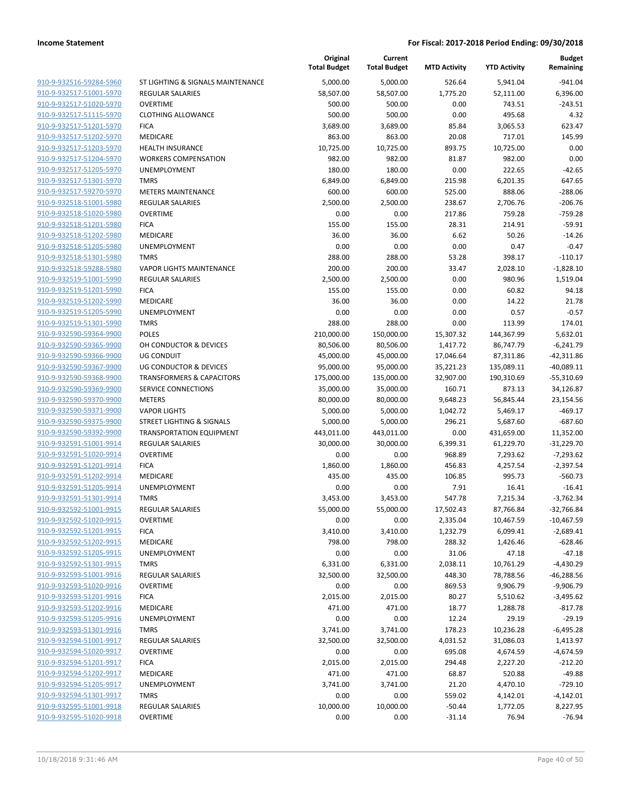| 910-9-932516-59284-5960        |
|--------------------------------|
| 910-9-932517-51001-5970        |
| 910-9-932517-51020-5970        |
| 910-9-932517-51115-5970        |
| <u>910-9-932517-51201-5970</u> |
| 910-9-932517-51202-5970        |
| 910-9-932517-51203-5970        |
| 910-9-932517-51204-5970        |
| 910-9-932517-51205-5970        |
| 910-9-932517-51301-5970        |
| 910-9-932517-59270-5970        |
| 910-9-932518-51001-5980        |
| 910-9-932518-51020-5980        |
| 910-9-932518-51201-5980        |
| <u>910-9-932518-51202-5980</u> |
| 910-9-932518-51205-5980        |
| 910-9-932518-51301-5980        |
|                                |
| 910-9-932518-59288-5980        |
| 910-9-932519-51001-5990        |
| <u>910-9-932519-51201-5990</u> |
| 910-9-932519-51202-5990        |
| 910-9-932519-51205-5990        |
| 910-9-932519-51301-5990        |
| 910-9-932590-59364-9900        |
| <u>910-9-932590-59365-9900</u> |
| 910-9-932590-59366-9900        |
| 910-9-932590-59367-9900        |
| 910-9-932590-59368-9900        |
| 910-9-932590-59369-9900        |
| <u>910-9-932590-59370-9900</u> |
| 910-9-932590-59371-9900        |
| 910-9-932590-59375-9900        |
| 910-9-932590-59392-9900        |
| 910-9-932591-51001-9914        |
| <u>910-9-932591-51020-9914</u> |
| 910-9-932591-51201-9914        |
| 910-9-932591-51202-9914        |
| 910-9-932591-51205-9914        |
| 910-9-932591-51301-9914        |
|                                |
| <u>910-9-932592-51001-9915</u> |
| 910-9-932592-51020-9915        |
| 910-9-932592-51201-9915        |
| 910-9-932592-51202-9915        |
| 910-9-932592-51205-9915        |
| <u>910-9-932592-51301-9915</u> |
| 910-9-932593-51001-9916        |
| 910-9-932593-51020-9916        |
| 910-9-932593-51201-9916        |
| <u>910-9-932593-51202-9916</u> |
| <u>910-9-932593-51205-9916</u> |
| <u>910-9-932593-51301-9916</u> |
| 910-9-932594-51001-9917        |
| 910-9-932594-51020-9917        |
| <u>910-9-932594-51201-9917</u> |
| <u>910-9-932594-51202-9917</u> |
| <u>910-9-932594-51205-9917</u> |
| 910-9-932594-51301-9917        |
| <u>910-9-932595-51001-9918</u> |
| <u>910-9-932595-51020-9918</u> |
|                                |

|                                                    |                                        | Original<br><b>Total Budget</b> | Current<br><b>Total Budget</b> | <b>MTD Activity</b> | <b>YTD Activity</b>    | <b>Budget</b><br>Remaining |
|----------------------------------------------------|----------------------------------------|---------------------------------|--------------------------------|---------------------|------------------------|----------------------------|
| 910-9-932516-59284-5960                            | ST LIGHTING & SIGNALS MAINTENANCE      | 5,000.00                        | 5,000.00                       | 526.64              | 5,941.04               | $-941.04$                  |
| 910-9-932517-51001-5970                            | <b>REGULAR SALARIES</b>                | 58,507.00                       | 58,507.00                      | 1,775.20            | 52,111.00              | 6,396.00                   |
| 910-9-932517-51020-5970                            | <b>OVERTIME</b>                        | 500.00                          | 500.00                         | 0.00                | 743.51                 | $-243.51$                  |
| 910-9-932517-51115-5970                            | <b>CLOTHING ALLOWANCE</b>              | 500.00                          | 500.00                         | 0.00                | 495.68                 | 4.32                       |
| 910-9-932517-51201-5970                            | <b>FICA</b>                            | 3,689.00                        | 3,689.00                       | 85.84               | 3,065.53               | 623.47                     |
| 910-9-932517-51202-5970                            | MEDICARE                               | 863.00                          | 863.00                         | 20.08               | 717.01                 | 145.99                     |
| 910-9-932517-51203-5970                            | <b>HEALTH INSURANCE</b>                | 10,725.00                       | 10,725.00                      | 893.75              | 10,725.00              | 0.00                       |
| 910-9-932517-51204-5970                            | <b>WORKERS COMPENSATION</b>            | 982.00                          | 982.00                         | 81.87               | 982.00                 | 0.00                       |
| 910-9-932517-51205-5970                            | <b>UNEMPLOYMENT</b>                    | 180.00                          | 180.00                         | 0.00                | 222.65                 | $-42.65$                   |
| 910-9-932517-51301-5970                            | <b>TMRS</b>                            | 6,849.00                        | 6,849.00                       | 215.98              | 6,201.35               | 647.65                     |
| 910-9-932517-59270-5970                            | <b>METERS MAINTENANCE</b>              | 600.00                          | 600.00                         | 525.00              | 888.06                 | $-288.06$                  |
| 910-9-932518-51001-5980                            | <b>REGULAR SALARIES</b>                | 2,500.00                        | 2,500.00                       | 238.67              | 2,706.76               | $-206.76$                  |
| 910-9-932518-51020-5980                            | <b>OVERTIME</b>                        | 0.00                            | 0.00                           | 217.86              | 759.28                 | $-759.28$                  |
| 910-9-932518-51201-5980                            | <b>FICA</b>                            | 155.00                          | 155.00                         | 28.31               | 214.91                 | $-59.91$                   |
| 910-9-932518-51202-5980                            | MEDICARE                               | 36.00                           | 36.00                          | 6.62                | 50.26                  | $-14.26$                   |
| 910-9-932518-51205-5980                            | UNEMPLOYMENT                           | 0.00                            | 0.00                           | 0.00                | 0.47                   | $-0.47$                    |
| 910-9-932518-51301-5980                            | <b>TMRS</b>                            | 288.00                          | 288.00                         | 53.28               | 398.17                 | $-110.17$                  |
| 910-9-932518-59288-5980                            | <b>VAPOR LIGHTS MAINTENANCE</b>        | 200.00                          | 200.00                         | 33.47               | 2,028.10               | $-1,828.10$                |
| 910-9-932519-51001-5990                            | <b>REGULAR SALARIES</b>                | 2,500.00                        | 2,500.00                       | 0.00                | 980.96                 | 1,519.04                   |
| 910-9-932519-51201-5990                            | <b>FICA</b>                            | 155.00                          | 155.00                         | 0.00                | 60.82                  | 94.18                      |
| 910-9-932519-51202-5990                            | MEDICARE                               | 36.00                           | 36.00                          | 0.00                | 14.22                  | 21.78                      |
| 910-9-932519-51205-5990                            | <b>UNEMPLOYMENT</b>                    | 0.00                            | 0.00                           | 0.00                | 0.57                   | $-0.57$                    |
| 910-9-932519-51301-5990                            | <b>TMRS</b>                            | 288.00                          | 288.00                         | 0.00                | 113.99                 | 174.01                     |
| 910-9-932590-59364-9900                            | <b>POLES</b>                           | 210,000.00                      | 150,000.00                     | 15,307.32           | 144,367.99             | 5,632.01                   |
| 910-9-932590-59365-9900                            | OH CONDUCTOR & DEVICES                 | 80,506.00                       | 80,506.00                      | 1,417.72            | 86,747.79              | $-6,241.79$                |
| 910-9-932590-59366-9900                            | UG CONDUIT                             | 45,000.00                       | 45,000.00                      | 17,046.64           | 87,311.86              | $-42,311.86$               |
| 910-9-932590-59367-9900                            | <b>UG CONDUCTOR &amp; DEVICES</b>      | 95,000.00                       | 95,000.00                      | 35,221.23           | 135,089.11             | $-40,089.11$               |
| 910-9-932590-59368-9900                            | <b>TRANSFORMERS &amp; CAPACITORS</b>   | 175,000.00                      | 135,000.00                     | 32,907.00           | 190,310.69             | $-55,310.69$               |
| 910-9-932590-59369-9900                            | SERVICE CONNECTIONS                    | 35,000.00                       | 35,000.00                      | 160.71              | 873.13                 | 34,126.87                  |
| 910-9-932590-59370-9900                            | <b>METERS</b>                          | 80,000.00                       | 80,000.00                      | 9,648.23            | 56,845.44              | 23,154.56                  |
| 910-9-932590-59371-9900                            | <b>VAPOR LIGHTS</b>                    | 5,000.00                        | 5,000.00                       | 1,042.72            | 5,469.17               | $-469.17$                  |
| 910-9-932590-59375-9900                            | <b>STREET LIGHTING &amp; SIGNALS</b>   | 5,000.00                        | 5,000.00                       | 296.21              | 5,687.60               | $-687.60$                  |
| 910-9-932590-59392-9900                            | <b>TRANSPORTATION EQUIPMENT</b>        | 443,011.00                      | 443,011.00                     | 0.00                | 431,659.00             | 11,352.00                  |
| 910-9-932591-51001-9914                            | <b>REGULAR SALARIES</b>                | 30,000.00                       | 30,000.00                      | 6,399.31            | 61,229.70              | $-31,229.70$               |
| 910-9-932591-51020-9914                            | <b>OVERTIME</b>                        | 0.00                            | 0.00                           | 968.89              | 7,293.62               | $-7,293.62$                |
| 910-9-932591-51201-9914                            | <b>FICA</b>                            | 1,860.00                        | 1,860.00                       | 456.83              | 4,257.54               | $-2,397.54$                |
| 910-9-932591-51202-9914                            | MEDICARE                               | 435.00                          | 435.00                         | 106.85              | 995.73                 | $-560.73$                  |
| 910-9-932591-51205-9914                            | UNEMPLOYMENT                           | 0.00                            | 0.00                           | 7.91                | 16.41                  | $-16.41$                   |
| 910-9-932591-51301-9914                            | <b>TMRS</b>                            | 3,453.00                        | 3,453.00                       | 547.78              | 7,215.34               | $-3,762.34$                |
| 910-9-932592-51001-9915                            | REGULAR SALARIES                       | 55,000.00                       | 55,000.00                      | 17,502.43           | 87,766.84              | -32,766.84                 |
| 910-9-932592-51020-9915                            | <b>OVERTIME</b>                        | 0.00                            | 0.00                           | 2,335.04            | 10,467.59              | $-10,467.59$               |
| 910-9-932592-51201-9915                            | <b>FICA</b>                            | 3,410.00                        | 3,410.00                       | 1,232.79            | 6,099.41               | $-2,689.41$                |
| 910-9-932592-51202-9915                            | MEDICARE                               | 798.00                          | 798.00                         | 288.32              | 1,426.46               | $-628.46$                  |
| 910-9-932592-51205-9915                            | UNEMPLOYMENT<br><b>TMRS</b>            | 0.00                            | 0.00                           | 31.06               | 47.18                  | $-47.18$                   |
| 910-9-932592-51301-9915<br>910-9-932593-51001-9916 |                                        | 6,331.00                        | 6,331.00                       | 2,038.11            | 10,761.29<br>78,788.56 | $-4,430.29$                |
| 910-9-932593-51020-9916                            | <b>REGULAR SALARIES</b>                | 32,500.00                       | 32,500.00                      | 448.30              |                        | $-46,288.56$               |
| 910-9-932593-51201-9916                            | <b>OVERTIME</b>                        | 0.00                            | 0.00                           | 869.53              | 9,906.79               | $-9,906.79$                |
| 910-9-932593-51202-9916                            | <b>FICA</b>                            | 2,015.00                        | 2,015.00                       | 80.27               | 5,510.62               | $-3,495.62$<br>$-817.78$   |
|                                                    | MEDICARE<br>UNEMPLOYMENT               | 471.00<br>0.00                  | 471.00<br>0.00                 | 18.77<br>12.24      | 1,288.78               | $-29.19$                   |
| 910-9-932593-51205-9916                            |                                        |                                 |                                |                     | 29.19                  |                            |
| 910-9-932593-51301-9916<br>910-9-932594-51001-9917 | <b>TMRS</b><br><b>REGULAR SALARIES</b> | 3,741.00                        | 3,741.00                       | 178.23              | 10,236.28<br>31,086.03 | $-6,495.28$                |
| 910-9-932594-51020-9917                            |                                        | 32,500.00                       | 32,500.00                      | 4,031.52            |                        | 1,413.97                   |
| 910-9-932594-51201-9917                            | <b>OVERTIME</b>                        | 0.00                            | 0.00                           | 695.08              | 4,674.59               | $-4,674.59$                |
|                                                    | <b>FICA</b>                            | 2,015.00                        | 2,015.00                       | 294.48              | 2,227.20               | $-212.20$                  |
| 910-9-932594-51202-9917                            | MEDICARE                               | 471.00                          | 471.00                         | 68.87               | 520.88                 | $-49.88$                   |
| 910-9-932594-51205-9917                            | UNEMPLOYMENT                           | 3,741.00                        | 3,741.00                       | 21.20               | 4,470.10               | $-729.10$                  |
| 910-9-932594-51301-9917                            | <b>TMRS</b>                            | 0.00                            | 0.00                           | 559.02              | 4,142.01               | $-4,142.01$                |
| 910-9-932595-51001-9918<br>910-9-932595-51020-9918 | <b>REGULAR SALARIES</b>                | 10,000.00                       | 10,000.00                      | $-50.44$            | 1,772.05               | 8,227.95                   |
|                                                    | OVERTIME                               | 0.00                            | 0.00                           | $-31.14$            | 76.94                  | $-76.94$                   |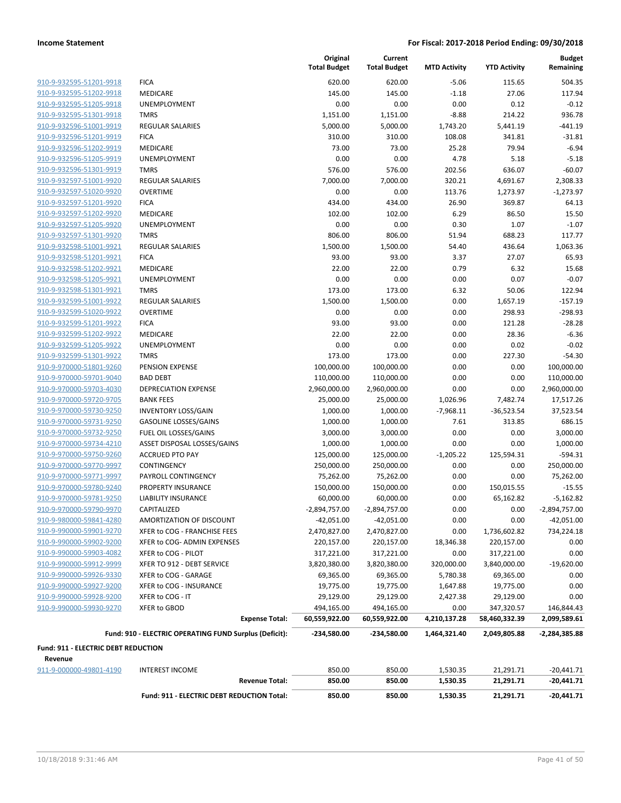| 910-9-932595-51201-9918                                   |
|-----------------------------------------------------------|
| 910-9-932595-51202-9918                                   |
| 910-9-932595-51205-9918                                   |
| 910-9-932595-51301-9918                                   |
| <u>910-9-932596-51001-9919</u>                            |
| 910-9-932596-51201-9919                                   |
| 910-9-932596-51202-9919                                   |
| 910-9-932596-51205-9919                                   |
| 910-9-932596-51301-9919                                   |
| 910-9-932597-51001-9920                                   |
| 910-9-932597-51020-9920                                   |
| 910-9-932597-51201-9920                                   |
| 910-9-932597-51202-9920                                   |
| 910-9-932597-51205-9920                                   |
| <u>910-9-932597-51301-9920</u>                            |
| 910-9-932598-51001-9921                                   |
| 910-9-932598-51201-9921                                   |
| 910-9-932598-51202-9921                                   |
| 910-9-932598-51205-9921                                   |
| 910-9-932598-51301-9921                                   |
| 910-9-932599-51001-9922                                   |
| 910-9-932599-51020-9922                                   |
| 910-9-932599-51201-9922                                   |
| 910-9-932599-51202-9922                                   |
| 910-9-932599-51205-9922                                   |
| 910-9-932599-51301-9922                                   |
| 910-9-970000-51801-9260                                   |
| 910-9-970000-59701-9040                                   |
| 910-9-970000-59703-4030                                   |
| <u>910-9-970000-59720-9705</u>                            |
| 910-9-970000-59730-9250                                   |
| 910-9-970000-59731-9250                                   |
| 910-9-970000-59732-9250                                   |
| 910-9-970000-59734-4210                                   |
| 910-9-970000-59750-9260                                   |
| 910-9-970000-59770-9997                                   |
| 910-9-970000-59771-9997                                   |
| 910-9-970000-59780-9240                                   |
| 910-9-970000-59781-9250                                   |
| 910-9-970000-59790-9970                                   |
| 910-9-980000-59841-4280                                   |
|                                                           |
| 910-9-990000-59901-9270<br>910-9-990000-59902-9200        |
| 910-9-990000-59903-4082                                   |
|                                                           |
| <u>910-9-990000-59912-9999</u><br>910-9-990000-59926-9330 |
|                                                           |
| 910-9-990000-59927-9200<br>910-9-990000-59928-9200        |
| 910-9-990000-59930-9270                                   |
|                                                           |

|                                                    |                                                        | Original<br><b>Total Budget</b> | Current<br><b>Total Budget</b> | <b>MTD Activity</b> | <b>YTD Activity</b> | <b>Budget</b><br>Remaining |
|----------------------------------------------------|--------------------------------------------------------|---------------------------------|--------------------------------|---------------------|---------------------|----------------------------|
|                                                    |                                                        |                                 |                                |                     |                     |                            |
| 910-9-932595-51201-9918<br>910-9-932595-51202-9918 | <b>FICA</b>                                            | 620.00<br>145.00                | 620.00<br>145.00               | $-5.06$             | 115.65<br>27.06     | 504.35                     |
| 910-9-932595-51205-9918                            | MEDICARE<br><b>UNEMPLOYMENT</b>                        | 0.00                            | 0.00                           | $-1.18$<br>0.00     | 0.12                | 117.94<br>$-0.12$          |
| 910-9-932595-51301-9918                            | <b>TMRS</b>                                            | 1,151.00                        | 1,151.00                       | $-8.88$             | 214.22              | 936.78                     |
| 910-9-932596-51001-9919                            | <b>REGULAR SALARIES</b>                                | 5,000.00                        | 5,000.00                       | 1,743.20            | 5,441.19            | $-441.19$                  |
| 910-9-932596-51201-9919                            | <b>FICA</b>                                            | 310.00                          | 310.00                         | 108.08              | 341.81              | $-31.81$                   |
| 910-9-932596-51202-9919                            | MEDICARE                                               | 73.00                           | 73.00                          | 25.28               | 79.94               | $-6.94$                    |
| 910-9-932596-51205-9919                            | <b>UNEMPLOYMENT</b>                                    | 0.00                            | 0.00                           | 4.78                | 5.18                | $-5.18$                    |
| 910-9-932596-51301-9919                            | <b>TMRS</b>                                            | 576.00                          | 576.00                         | 202.56              | 636.07              | $-60.07$                   |
| 910-9-932597-51001-9920                            | <b>REGULAR SALARIES</b>                                | 7,000.00                        | 7,000.00                       | 320.21              | 4,691.67            | 2,308.33                   |
| 910-9-932597-51020-9920                            | <b>OVERTIME</b>                                        | 0.00                            | 0.00                           | 113.76              | 1,273.97            | $-1,273.97$                |
| 910-9-932597-51201-9920                            | <b>FICA</b>                                            | 434.00                          | 434.00                         | 26.90               | 369.87              | 64.13                      |
| 910-9-932597-51202-9920                            | MEDICARE                                               | 102.00                          | 102.00                         | 6.29                | 86.50               | 15.50                      |
| 910-9-932597-51205-9920                            | <b>UNEMPLOYMENT</b>                                    | 0.00                            | 0.00                           | 0.30                | 1.07                | $-1.07$                    |
| 910-9-932597-51301-9920                            | <b>TMRS</b>                                            | 806.00                          | 806.00                         | 51.94               | 688.23              | 117.77                     |
| 910-9-932598-51001-9921                            | <b>REGULAR SALARIES</b>                                | 1,500.00                        | 1,500.00                       | 54.40               | 436.64              | 1,063.36                   |
| 910-9-932598-51201-9921                            | <b>FICA</b>                                            | 93.00                           | 93.00                          | 3.37                | 27.07               | 65.93                      |
| 910-9-932598-51202-9921                            | <b>MEDICARE</b>                                        | 22.00                           | 22.00                          | 0.79                | 6.32                | 15.68                      |
| 910-9-932598-51205-9921                            | <b>UNEMPLOYMENT</b>                                    | 0.00                            | 0.00                           | 0.00                | 0.07                | $-0.07$                    |
| 910-9-932598-51301-9921                            | <b>TMRS</b>                                            | 173.00                          | 173.00                         | 6.32                | 50.06               | 122.94                     |
| 910-9-932599-51001-9922                            | <b>REGULAR SALARIES</b>                                | 1,500.00                        | 1,500.00                       | 0.00                | 1,657.19            | $-157.19$                  |
| 910-9-932599-51020-9922                            | <b>OVERTIME</b>                                        | 0.00                            | 0.00                           | 0.00                | 298.93              | $-298.93$                  |
| 910-9-932599-51201-9922                            | <b>FICA</b>                                            | 93.00                           | 93.00                          | 0.00                | 121.28              | $-28.28$                   |
| 910-9-932599-51202-9922                            | <b>MEDICARE</b>                                        | 22.00                           | 22.00                          | 0.00                | 28.36               | $-6.36$                    |
| 910-9-932599-51205-9922                            | UNEMPLOYMENT                                           | 0.00                            | 0.00                           | 0.00                | 0.02                | $-0.02$                    |
| 910-9-932599-51301-9922                            | <b>TMRS</b>                                            | 173.00                          | 173.00                         | 0.00                | 227.30              | $-54.30$                   |
| 910-9-970000-51801-9260                            | PENSION EXPENSE                                        | 100,000.00                      | 100,000.00                     | 0.00                | 0.00                | 100,000.00                 |
| 910-9-970000-59701-9040                            | <b>BAD DEBT</b>                                        | 110,000.00                      | 110,000.00                     | 0.00                | 0.00                | 110,000.00                 |
| 910-9-970000-59703-4030                            | <b>DEPRECIATION EXPENSE</b>                            | 2,960,000.00                    | 2,960,000.00                   | 0.00                | 0.00                | 2,960,000.00               |
| 910-9-970000-59720-9705                            | <b>BANK FEES</b>                                       | 25,000.00                       | 25,000.00                      | 1,026.96            | 7,482.74            | 17,517.26                  |
| 910-9-970000-59730-9250                            | <b>INVENTORY LOSS/GAIN</b>                             | 1,000.00                        | 1,000.00                       | $-7,968.11$         | $-36,523.54$        | 37,523.54                  |
| 910-9-970000-59731-9250                            | <b>GASOLINE LOSSES/GAINS</b>                           | 1,000.00                        | 1,000.00                       | 7.61                | 313.85              | 686.15                     |
| 910-9-970000-59732-9250                            | FUEL OIL LOSSES/GAINS                                  | 3,000.00                        | 3,000.00                       | 0.00                | 0.00                | 3,000.00                   |
| 910-9-970000-59734-4210                            | ASSET DISPOSAL LOSSES/GAINS                            | 1,000.00                        | 1,000.00                       | 0.00                | 0.00                | 1,000.00                   |
| 910-9-970000-59750-9260                            | <b>ACCRUED PTO PAY</b>                                 | 125,000.00                      | 125,000.00                     | $-1,205.22$         | 125,594.31          | $-594.31$                  |
| 910-9-970000-59770-9997                            | CONTINGENCY                                            | 250,000.00                      | 250,000.00                     | 0.00                | 0.00                | 250,000.00                 |
| 910-9-970000-59771-9997                            | PAYROLL CONTINGENCY                                    | 75,262.00                       | 75,262.00                      | 0.00                | 0.00                | 75,262.00                  |
| 910-9-970000-59780-9240                            | PROPERTY INSURANCE                                     | 150,000.00                      | 150,000.00                     | 0.00                | 150,015.55          | $-15.55$                   |
| 910-9-970000-59781-9250                            | <b>LIABILITY INSURANCE</b>                             | 60,000.00                       | 60,000.00                      | 0.00                | 65,162.82           | $-5,162.82$                |
| 910-9-970000-59790-9970                            | CAPITALIZED                                            | $-2,894,757.00$                 | -2,894,757.00                  | 0.00                | 0.00                | -2,894,757.00              |
| 910-9-980000-59841-4280                            | AMORTIZATION OF DISCOUNT                               | $-42,051.00$                    | $-42,051.00$                   | 0.00                | 0.00                | $-42,051.00$               |
| 910-9-990000-59901-9270                            | XFER to COG - FRANCHISE FEES                           | 2,470,827.00                    | 2,470,827.00                   | 0.00                | 1,736,602.82        | 734,224.18                 |
| 910-9-990000-59902-9200                            | XFER to COG- ADMIN EXPENSES                            | 220,157.00                      | 220,157.00                     | 18,346.38           | 220,157.00          | 0.00                       |
| 910-9-990000-59903-4082                            | XFER to COG - PILOT                                    | 317,221.00                      | 317,221.00                     | 0.00                | 317,221.00          | 0.00                       |
| 910-9-990000-59912-9999                            | XFER TO 912 - DEBT SERVICE                             | 3,820,380.00                    | 3,820,380.00                   | 320,000.00          | 3,840,000.00        | $-19,620.00$               |
| 910-9-990000-59926-9330                            | XFER to COG - GARAGE                                   | 69,365.00                       | 69,365.00                      | 5,780.38            | 69,365.00           | 0.00                       |
| 910-9-990000-59927-9200                            | XFER to COG - INSURANCE                                | 19,775.00                       | 19,775.00                      | 1,647.88            | 19,775.00           | 0.00                       |
| 910-9-990000-59928-9200                            | XFER to COG - IT                                       | 29,129.00                       | 29,129.00                      | 2,427.38            | 29,129.00           | 0.00                       |
| 910-9-990000-59930-9270                            | XFER to GBOD                                           | 494,165.00                      | 494,165.00                     | 0.00                | 347,320.57          | 146,844.43                 |
|                                                    | <b>Expense Total:</b>                                  | 60,559,922.00                   | 60,559,922.00                  | 4,210,137.28        | 58,460,332.39       | 2,099,589.61               |
|                                                    | Fund: 910 - ELECTRIC OPERATING FUND Surplus (Deficit): | -234,580.00                     | -234,580.00                    | 1,464,321.40        | 2,049,805.88        | -2,284,385.88              |
| Fund: 911 - ELECTRIC DEBT REDUCTION                |                                                        |                                 |                                |                     |                     |                            |
| Revenue                                            |                                                        |                                 |                                |                     |                     |                            |
| 911-9-000000-49801-4190                            | <b>INTEREST INCOME</b>                                 | 850.00                          | 850.00                         | 1,530.35            | 21,291.71           | $-20,441.71$               |
|                                                    | <b>Revenue Total:</b>                                  | 850.00                          | 850.00                         | 1,530.35            | 21,291.71           | $-20,441.71$               |
|                                                    | Fund: 911 - ELECTRIC DEBT REDUCTION Total:             | 850.00                          | 850.00                         | 1,530.35            | 21,291.71           | $-20,441.71$               |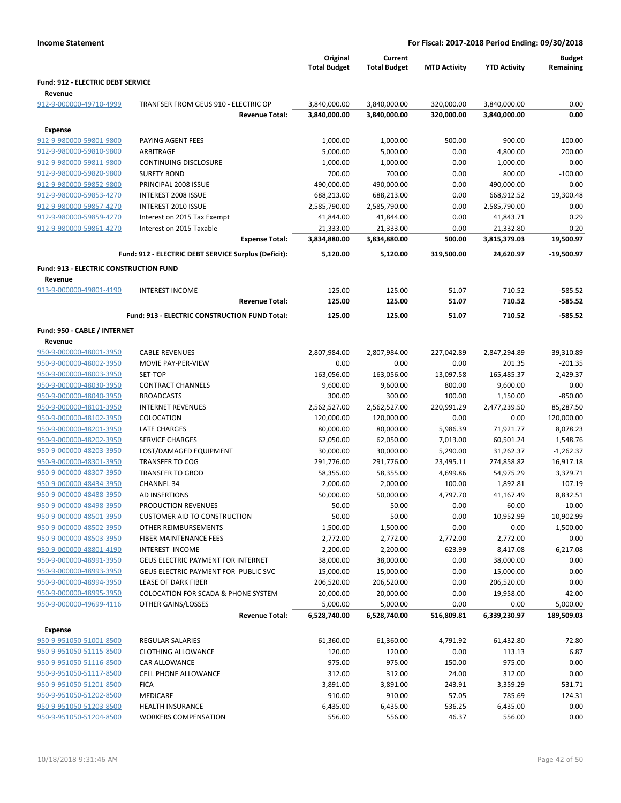|                                               |                                                      | Original<br><b>Total Budget</b> | Current<br><b>Total Budget</b> | <b>MTD Activity</b> | <b>YTD Activity</b> | <b>Budget</b><br>Remaining |
|-----------------------------------------------|------------------------------------------------------|---------------------------------|--------------------------------|---------------------|---------------------|----------------------------|
| <b>Fund: 912 - ELECTRIC DEBT SERVICE</b>      |                                                      |                                 |                                |                     |                     |                            |
| Revenue                                       |                                                      |                                 |                                |                     |                     |                            |
| 912-9-000000-49710-4999                       | TRANFSER FROM GEUS 910 - ELECTRIC OP                 | 3,840,000.00                    | 3,840,000.00                   | 320,000.00          | 3,840,000.00        | 0.00                       |
|                                               | <b>Revenue Total:</b>                                | 3,840,000.00                    | 3,840,000.00                   | 320,000.00          | 3,840,000.00        | 0.00                       |
| <b>Expense</b>                                |                                                      |                                 |                                |                     |                     |                            |
| 912-9-980000-59801-9800                       | PAYING AGENT FEES                                    | 1,000.00                        | 1,000.00                       | 500.00              | 900.00              | 100.00                     |
| 912-9-980000-59810-9800                       | ARBITRAGE                                            | 5,000.00                        | 5,000.00                       | 0.00                | 4,800.00            | 200.00                     |
| 912-9-980000-59811-9800                       | <b>CONTINUING DISCLOSURE</b>                         | 1,000.00                        | 1,000.00                       | 0.00                | 1,000.00            | 0.00                       |
| 912-9-980000-59820-9800                       | <b>SURETY BOND</b>                                   | 700.00                          | 700.00                         | 0.00                | 800.00              | $-100.00$                  |
| 912-9-980000-59852-9800                       | PRINCIPAL 2008 ISSUE                                 | 490,000.00                      | 490,000.00                     | 0.00                | 490,000.00          | 0.00                       |
| 912-9-980000-59853-4270                       | INTEREST 2008 ISSUE                                  | 688,213.00                      | 688,213.00                     | 0.00                | 668,912.52          | 19,300.48                  |
| 912-9-980000-59857-4270                       | INTEREST 2010 ISSUE                                  | 2,585,790.00                    | 2,585,790.00                   | 0.00                | 2,585,790.00        | 0.00                       |
| 912-9-980000-59859-4270                       | Interest on 2015 Tax Exempt                          | 41,844.00                       | 41,844.00                      | 0.00                | 41,843.71           | 0.29                       |
| 912-9-980000-59861-4270                       | Interest on 2015 Taxable                             | 21,333.00                       | 21,333.00                      | 0.00                | 21,332.80           | 0.20                       |
|                                               | <b>Expense Total:</b>                                | 3,834,880.00                    | 3,834,880.00                   | 500.00              | 3,815,379.03        | 19,500.97                  |
|                                               | Fund: 912 - ELECTRIC DEBT SERVICE Surplus (Deficit): | 5,120.00                        | 5,120.00                       | 319,500.00          | 24,620.97           | $-19,500.97$               |
| <b>Fund: 913 - ELECTRIC CONSTRUCTION FUND</b> |                                                      |                                 |                                |                     |                     |                            |
| Revenue                                       |                                                      |                                 |                                |                     |                     |                            |
| 913-9-000000-49801-4190                       | <b>INTEREST INCOME</b>                               | 125.00                          | 125.00                         | 51.07               | 710.52              | $-585.52$                  |
|                                               | <b>Revenue Total:</b>                                | 125.00                          | 125.00                         | 51.07               | 710.52              | $-585.52$                  |
|                                               | Fund: 913 - ELECTRIC CONSTRUCTION FUND Total:        | 125.00                          | 125.00                         | 51.07               | 710.52              | $-585.52$                  |
| Fund: 950 - CABLE / INTERNET                  |                                                      |                                 |                                |                     |                     |                            |
| Revenue                                       |                                                      |                                 |                                |                     |                     |                            |
| 950-9-000000-48001-3950                       | <b>CABLE REVENUES</b>                                | 2,807,984.00                    | 2,807,984.00                   | 227,042.89          | 2,847,294.89        | $-39,310.89$               |
| 950-9-000000-48002-3950                       | MOVIE PAY-PER-VIEW                                   | 0.00                            | 0.00                           | 0.00                | 201.35              | $-201.35$                  |
| 950-9-000000-48003-3950                       | SET-TOP                                              | 163,056.00                      | 163,056.00                     | 13,097.58           | 165,485.37          | $-2,429.37$                |
| 950-9-000000-48030-3950                       | <b>CONTRACT CHANNELS</b>                             | 9,600.00                        | 9,600.00                       | 800.00              | 9,600.00            | 0.00                       |
| 950-9-000000-48040-3950                       | <b>BROADCASTS</b>                                    | 300.00                          | 300.00                         | 100.00              | 1,150.00            | $-850.00$                  |
| 950-9-000000-48101-3950                       | <b>INTERNET REVENUES</b>                             | 2,562,527.00                    | 2,562,527.00                   | 220,991.29          | 2,477,239.50        | 85,287.50                  |
| 950-9-000000-48102-3950                       | COLOCATION                                           | 120,000.00                      | 120,000.00                     | 0.00                | 0.00                | 120,000.00                 |
| 950-9-000000-48201-3950                       | <b>LATE CHARGES</b>                                  | 80,000.00                       | 80,000.00                      | 5,986.39            | 71,921.77           | 8,078.23                   |
| 950-9-000000-48202-3950                       | <b>SERVICE CHARGES</b>                               | 62,050.00                       | 62,050.00                      | 7,013.00            | 60,501.24           | 1,548.76                   |
| 950-9-000000-48203-3950                       | LOST/DAMAGED EQUIPMENT                               | 30,000.00                       | 30,000.00                      | 5,290.00            | 31,262.37           | $-1,262.37$                |
| 950-9-000000-48301-3950                       | <b>TRANSFER TO COG</b>                               | 291,776.00                      | 291,776.00                     | 23,495.11           | 274,858.82          | 16,917.18                  |
| 950-9-000000-48307-3950                       | <b>TRANSFER TO GBOD</b>                              | 58,355.00                       | 58,355.00                      | 4,699.86            | 54,975.29           | 3,379.71                   |
| 950-9-000000-48434-3950                       | <b>CHANNEL 34</b>                                    | 2,000.00                        | 2,000.00                       | 100.00              | 1,892.81            | 107.19                     |
| 950-9-000000-48488-3950                       | AD INSERTIONS                                        | 50,000.00                       | 50,000.00                      | 4,797.70            | 41,167.49           | 8,832.51                   |
| 950-9-000000-48498-3950                       | PRODUCTION REVENUES                                  | 50.00                           | 50.00                          | 0.00                | 60.00               | $-10.00$                   |
| 950-9-000000-48501-3950                       | <b>CUSTOMER AID TO CONSTRUCTION</b>                  | 50.00                           | 50.00                          | 0.00                | 10,952.99           | $-10,902.99$               |
| 950-9-000000-48502-3950                       | OTHER REIMBURSEMENTS                                 | 1,500.00                        | 1,500.00                       | 0.00                | 0.00                | 1,500.00                   |
| 950-9-000000-48503-3950                       | FIBER MAINTENANCE FEES                               | 2,772.00                        | 2,772.00                       | 2,772.00            | 2,772.00            | 0.00                       |
| 950-9-000000-48801-4190                       | INTEREST INCOME                                      | 2,200.00                        | 2,200.00                       | 623.99              | 8,417.08            | $-6,217.08$                |
| 950-9-000000-48991-3950                       | <b>GEUS ELECTRIC PAYMENT FOR INTERNET</b>            | 38,000.00                       | 38,000.00                      | 0.00                | 38,000.00           | 0.00                       |
| 950-9-000000-48993-3950                       | GEUS ELECTRIC PAYMENT FOR PUBLIC SVC                 | 15,000.00                       | 15,000.00                      | 0.00                | 15,000.00           | 0.00                       |
| 950-9-000000-48994-3950                       | LEASE OF DARK FIBER                                  | 206,520.00                      | 206,520.00                     | 0.00                | 206,520.00          | 0.00                       |
| 950-9-000000-48995-3950                       | <b>COLOCATION FOR SCADA &amp; PHONE SYSTEM</b>       | 20,000.00                       | 20,000.00                      | 0.00                | 19,958.00           | 42.00                      |
| 950-9-000000-49699-4116                       | OTHER GAINS/LOSSES                                   | 5,000.00                        | 5,000.00                       | 0.00                | 0.00                | 5,000.00                   |
|                                               | <b>Revenue Total:</b>                                | 6,528,740.00                    | 6,528,740.00                   | 516,809.81          | 6,339,230.97        | 189,509.03                 |
| Expense                                       |                                                      |                                 |                                |                     |                     |                            |
| 950-9-951050-51001-8500                       | <b>REGULAR SALARIES</b>                              | 61,360.00                       | 61,360.00                      | 4,791.92            | 61,432.80           | $-72.80$                   |
| 950-9-951050-51115-8500                       | <b>CLOTHING ALLOWANCE</b>                            | 120.00                          | 120.00                         | 0.00                | 113.13              | 6.87                       |
| 950-9-951050-51116-8500                       | CAR ALLOWANCE                                        | 975.00                          | 975.00                         | 150.00              | 975.00              | 0.00                       |
| 950-9-951050-51117-8500                       | <b>CELL PHONE ALLOWANCE</b>                          | 312.00                          | 312.00                         | 24.00               | 312.00              | 0.00                       |
| 950-9-951050-51201-8500                       | <b>FICA</b>                                          | 3,891.00                        | 3,891.00                       | 243.91              | 3,359.29            | 531.71                     |
| 950-9-951050-51202-8500                       | <b>MEDICARE</b>                                      | 910.00                          | 910.00                         | 57.05               | 785.69              | 124.31                     |
| 950-9-951050-51203-8500                       | <b>HEALTH INSURANCE</b>                              | 6,435.00                        | 6,435.00                       | 536.25              | 6,435.00            | 0.00                       |
| 950-9-951050-51204-8500                       | <b>WORKERS COMPENSATION</b>                          | 556.00                          | 556.00                         | 46.37               | 556.00              | 0.00                       |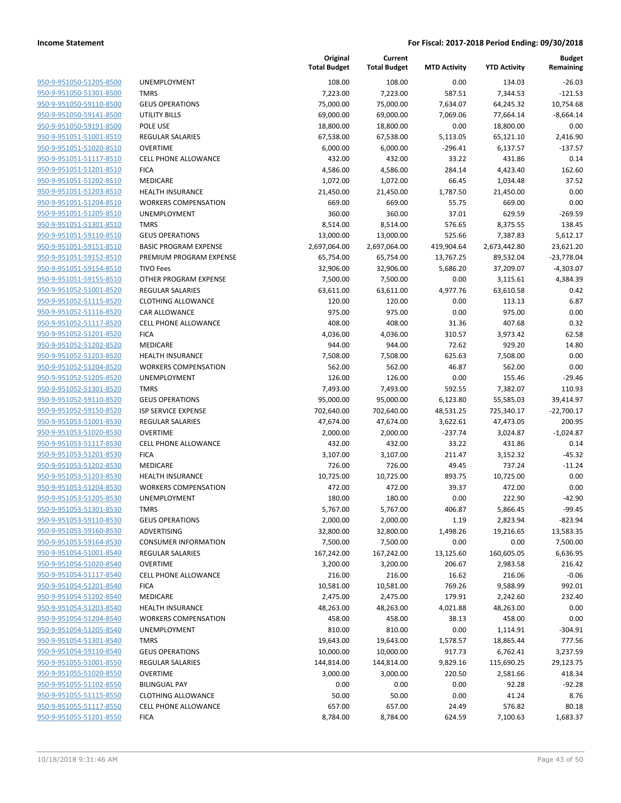950-9-951050-51205-8500 950-9-951050-51301-8500 950-9-951050-59110-8500 950-9-951050-59141-8500 950-9-951050-59191-8500 950-9-951051-51001-8510 950-9-951051-51020-8510 950-9-951051-51117-8510 950-9-951051-51201-8510 950-9-951051-51202-8510 950-9-951051-51203-8510 950-9-951051-51204-8510 950-9-951051-51205-8510 950-9-951051-51301-8510 950-9-951051-59110-8510 950-9-951051-59151-8510 950-9-951051-59152-8510 950-9-951051-59154-8510 950-9-951051-59155-8510 950-9-951052-51001-8520 950-9-951052-51115-8520 950-9-951052-51116-8520 950-9-951052-51117-8520 950-9-951052-51201-8520 950-9-951052-51202-8520 950-9-951052-51203-8520 950-9-951052-51204-8520 950-9-951052-51205-8520 950-9-951052-51301-8520 950-9-951052-59110-8520 950-9-951052-59150-8520 950-9-951053-51001-8530 950-9-951053-51020-8530 950-9-951053-51117-8530 950-9-951053-51201-8530 950-9-951053-51202-8530 950-9-951053-51203-8530 950-9-951053-51204-8530 950-9-951053-51205-8530 950-9-951053-51301-8530 950-9-951053-59110-8530 950-9-951053-59160-8530 950-9-951053-59164-8530 950-9-951054-51001-8540 950-9-951054-51020-8540 950-9-951054-51117-8540 950-9-951054-51201-8540 950-9-951054-51202-8540 950-9-951054-51203-8540 950-9-951054-51204-8540 950-9-951054-51205-8540 950-9-951054-51301-8540 950-9-951054-59110-8540 950-9-951055-51001-8550 950-9-951055-51020-8550 950-9-951055-51102-8550 950-9-951055-51115-8550 950-9-951055-51117-8550 950-9-951055-51201-8550

|                              | Original<br><b>Total Budget</b> | Current<br><b>Total Budget</b> | <b>MTD Activity</b> | <b>YTD Activity</b> | <b>Budget</b><br>Remaining |
|------------------------------|---------------------------------|--------------------------------|---------------------|---------------------|----------------------------|
| <b>UNEMPLOYMENT</b>          | 108.00                          | 108.00                         | 0.00                | 134.03              | $-26.03$                   |
| <b>TMRS</b>                  | 7,223.00                        | 7,223.00                       | 587.51              | 7,344.53            | $-121.53$                  |
| <b>GEUS OPERATIONS</b>       | 75,000.00                       | 75,000.00                      | 7,634.07            | 64,245.32           | 10,754.68                  |
| <b>UTILITY BILLS</b>         | 69,000.00                       | 69,000.00                      | 7,069.06            | 77,664.14           | $-8,664.14$                |
| POLE USE                     | 18,800.00                       | 18,800.00                      | 0.00                | 18,800.00           | 0.00                       |
| <b>REGULAR SALARIES</b>      | 67,538.00                       | 67,538.00                      | 5,113.05            | 65,121.10           | 2,416.90                   |
| <b>OVERTIME</b>              | 6,000.00                        | 6,000.00                       | $-296.41$           | 6,137.57            | $-137.57$                  |
| <b>CELL PHONE ALLOWANCE</b>  | 432.00                          | 432.00                         | 33.22               | 431.86              | 0.14                       |
| <b>FICA</b>                  | 4,586.00                        | 4,586.00                       | 284.14              | 4,423.40            | 162.60                     |
| <b>MEDICARE</b>              | 1,072.00                        | 1,072.00                       | 66.45               | 1,034.48            | 37.52                      |
| <b>HEALTH INSURANCE</b>      | 21,450.00                       | 21,450.00                      | 1,787.50            | 21,450.00           | 0.00                       |
| <b>WORKERS COMPENSATION</b>  | 669.00                          | 669.00                         | 55.75               | 669.00              | 0.00                       |
| <b>UNEMPLOYMENT</b>          | 360.00                          | 360.00                         | 37.01               | 629.59              | $-269.59$                  |
| <b>TMRS</b>                  | 8,514.00                        | 8,514.00                       | 576.65              | 8,375.55            | 138.45                     |
| <b>GEUS OPERATIONS</b>       | 13,000.00                       | 13,000.00                      | 525.66              | 7,387.83            | 5,612.17                   |
| <b>BASIC PROGRAM EXPENSE</b> | 2,697,064.00                    | 2,697,064.00                   | 419,904.64          | 2,673,442.80        | 23,621.20                  |
| PREMIUM PROGRAM EXPENSE      | 65,754.00                       | 65,754.00                      | 13,767.25           | 89,532.04           | $-23,778.04$               |
| <b>TIVO Fees</b>             | 32,906.00                       | 32,906.00                      | 5,686.20            | 37,209.07           | $-4,303.07$                |
| OTHER PROGRAM EXPENSE        | 7,500.00                        | 7,500.00                       | 0.00                | 3,115.61            | 4,384.39                   |
| <b>REGULAR SALARIES</b>      | 63,611.00                       | 63,611.00                      | 4,977.76            | 63,610.58           | 0.42                       |
| <b>CLOTHING ALLOWANCE</b>    | 120.00                          | 120.00                         | 0.00                | 113.13              | 6.87                       |
| <b>CAR ALLOWANCE</b>         | 975.00                          | 975.00                         | 0.00                | 975.00              | 0.00                       |
| <b>CELL PHONE ALLOWANCE</b>  | 408.00                          | 408.00                         | 31.36               | 407.68              | 0.32                       |
| <b>FICA</b>                  | 4,036.00                        | 4,036.00                       | 310.57              | 3,973.42            | 62.58                      |
| MEDICARE                     | 944.00                          | 944.00                         | 72.62               | 929.20              | 14.80                      |
| <b>HEALTH INSURANCE</b>      | 7,508.00                        | 7,508.00                       | 625.63              | 7,508.00            | 0.00                       |
| <b>WORKERS COMPENSATION</b>  | 562.00                          | 562.00                         | 46.87               | 562.00              | 0.00                       |
| UNEMPLOYMENT                 | 126.00                          | 126.00                         | 0.00                | 155.46              | $-29.46$                   |
| <b>TMRS</b>                  | 7,493.00                        | 7,493.00                       | 592.55              | 7,382.07            | 110.93                     |
| <b>GEUS OPERATIONS</b>       | 95,000.00                       | 95,000.00                      | 6,123.80            | 55,585.03           | 39,414.97                  |
| <b>ISP SERVICE EXPENSE</b>   | 702,640.00                      | 702,640.00                     | 48,531.25           | 725,340.17          | $-22,700.17$               |
| <b>REGULAR SALARIES</b>      | 47,674.00                       | 47,674.00                      | 3,622.61            | 47,473.05           | 200.95                     |
| <b>OVERTIME</b>              | 2,000.00                        | 2,000.00                       | $-237.74$           | 3,024.87            | $-1,024.87$                |
| <b>CELL PHONE ALLOWANCE</b>  | 432.00                          | 432.00                         | 33.22               | 431.86              | 0.14                       |
| <b>FICA</b>                  | 3,107.00                        | 3,107.00                       | 211.47              | 3,152.32            | $-45.32$                   |
| <b>MEDICARE</b>              | 726.00                          | 726.00                         | 49.45               | 737.24              | $-11.24$                   |
| <b>HEALTH INSURANCE</b>      | 10,725.00                       | 10,725.00                      | 893.75              | 10,725.00           | 0.00                       |
| <b>WORKERS COMPENSATION</b>  | 472.00                          | 472.00                         | 39.37               | 472.00              | 0.00                       |
| <b>UNEMPLOYMENT</b>          | 180.00                          | 180.00                         | 0.00                | 222.90              | $-42.90$                   |
| <b>TMRS</b>                  | 5,767.00                        | 5,767.00                       | 406.87              | 5,866.45            | -99.45                     |
| <b>GEUS OPERATIONS</b>       | 2,000.00                        | 2,000.00                       | 1.19                | 2,823.94            | $-823.94$                  |
| ADVERTISING                  | 32,800.00                       | 32,800.00                      | 1,498.26            | 19,216.65           | 13,583.35                  |
| <b>CONSUMER INFORMATION</b>  | 7,500.00                        | 7,500.00                       | 0.00                | 0.00                | 7,500.00                   |
| <b>REGULAR SALARIES</b>      | 167,242.00                      | 167,242.00                     | 13,125.60           | 160,605.05          | 6,636.95                   |
| <b>OVERTIME</b>              | 3,200.00                        | 3,200.00                       | 206.67              | 2,983.58            | 216.42                     |
| CELL PHONE ALLOWANCE         | 216.00                          | 216.00                         | 16.62               | 216.06              | $-0.06$                    |
| <b>FICA</b>                  | 10,581.00                       | 10,581.00                      | 769.26              | 9,588.99            | 992.01                     |
| MEDICARE                     | 2,475.00                        | 2,475.00                       | 179.91              | 2,242.60            | 232.40                     |
| <b>HEALTH INSURANCE</b>      | 48,263.00                       | 48,263.00                      | 4,021.88            | 48,263.00           | 0.00                       |
| <b>WORKERS COMPENSATION</b>  | 458.00                          | 458.00                         | 38.13               | 458.00              | 0.00                       |
| UNEMPLOYMENT                 | 810.00                          | 810.00                         | 0.00                | 1,114.91            | $-304.91$                  |
| <b>TMRS</b>                  | 19,643.00                       | 19,643.00                      | 1,578.57            | 18,865.44           | 777.56                     |
| <b>GEUS OPERATIONS</b>       | 10,000.00                       | 10,000.00                      | 917.73              | 6,762.41            | 3,237.59                   |
| <b>REGULAR SALARIES</b>      | 144,814.00                      | 144,814.00                     | 9,829.16            | 115,690.25          | 29,123.75                  |
| <b>OVERTIME</b>              | 3,000.00                        | 3,000.00                       | 220.50              | 2,581.66            | 418.34                     |
| <b>BILINGUAL PAY</b>         | 0.00                            | 0.00                           | 0.00                | 92.28               | $-92.28$                   |
| <b>CLOTHING ALLOWANCE</b>    | 50.00                           | 50.00                          | 0.00                | 41.24               | 8.76                       |
| CELL PHONE ALLOWANCE         | 657.00                          | 657.00                         | 24.49               | 576.82              | 80.18                      |
| <b>FICA</b>                  | 8,784.00                        | 8,784.00                       | 624.59              | 7,100.63            | 1,683.37                   |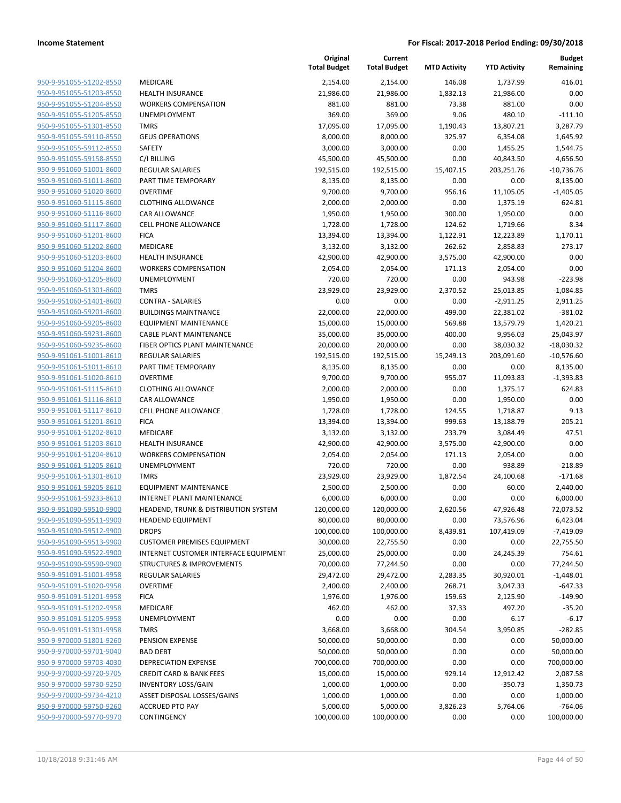**Current**

**Original**

**Budget Remaining**

|                                                    |                                                                           | <b>Total Budget</b>    | <b>Total Budget</b>    | <b>MTD Activity</b> | <b>YTD Activity</b> | Remaining            |
|----------------------------------------------------|---------------------------------------------------------------------------|------------------------|------------------------|---------------------|---------------------|----------------------|
| 950-9-951055-51202-8550                            | MEDICARE                                                                  | 2,154.00               | 2,154.00               | 146.08              | 1,737.99            | 416.01               |
| 950-9-951055-51203-8550                            | <b>HEALTH INSURANCE</b>                                                   | 21,986.00              | 21,986.00              | 1,832.13            | 21,986.00           | 0.00                 |
| 950-9-951055-51204-8550                            | <b>WORKERS COMPENSATION</b>                                               | 881.00                 | 881.00                 | 73.38               | 881.00              | 0.00                 |
| 950-9-951055-51205-8550                            | UNEMPLOYMENT                                                              | 369.00                 | 369.00                 | 9.06                | 480.10              | $-111.10$            |
| 950-9-951055-51301-8550                            | <b>TMRS</b>                                                               | 17,095.00              | 17,095.00              | 1,190.43            | 13,807.21           | 3,287.79             |
| 950-9-951055-59110-8550                            | <b>GEUS OPERATIONS</b>                                                    | 8,000.00               | 8,000.00               | 325.97              | 6,354.08            | 1,645.92             |
| 950-9-951055-59112-8550                            | SAFETY                                                                    | 3,000.00               | 3,000.00               | 0.00                | 1,455.25            | 1,544.75             |
| 950-9-951055-59158-8550                            | C/I BILLING                                                               | 45,500.00              | 45,500.00              | 0.00                | 40,843.50           | 4,656.50             |
| 950-9-951060-51001-8600                            | <b>REGULAR SALARIES</b>                                                   | 192,515.00             | 192,515.00             | 15,407.15           | 203,251.76          | $-10,736.76$         |
| 950-9-951060-51011-8600                            | PART TIME TEMPORARY                                                       | 8,135.00               | 8,135.00               | 0.00                | 0.00                | 8,135.00             |
| 950-9-951060-51020-8600                            | <b>OVERTIME</b>                                                           | 9,700.00               | 9,700.00               | 956.16              | 11,105.05           | $-1,405.05$          |
| 950-9-951060-51115-8600                            | <b>CLOTHING ALLOWANCE</b>                                                 | 2,000.00               | 2,000.00               | 0.00                | 1,375.19            | 624.81               |
| 950-9-951060-51116-8600                            | <b>CAR ALLOWANCE</b>                                                      | 1,950.00               | 1,950.00               | 300.00              | 1,950.00            | 0.00                 |
| 950-9-951060-51117-8600                            | CELL PHONE ALLOWANCE                                                      | 1,728.00               | 1,728.00               | 124.62              | 1,719.66            | 8.34                 |
| 950-9-951060-51201-8600                            | <b>FICA</b>                                                               | 13,394.00              | 13,394.00              | 1,122.91            | 12,223.89           | 1,170.11             |
| 950-9-951060-51202-8600                            | MEDICARE                                                                  | 3,132.00               | 3,132.00               | 262.62              | 2,858.83            | 273.17               |
| 950-9-951060-51203-8600                            | <b>HEALTH INSURANCE</b>                                                   | 42,900.00              | 42,900.00              | 3,575.00            | 42,900.00           | 0.00                 |
| 950-9-951060-51204-8600                            | <b>WORKERS COMPENSATION</b>                                               | 2,054.00               | 2,054.00               | 171.13              | 2,054.00            | 0.00                 |
| 950-9-951060-51205-8600                            | UNEMPLOYMENT                                                              | 720.00                 | 720.00                 | 0.00                | 943.98              | $-223.98$            |
| 950-9-951060-51301-8600                            | <b>TMRS</b>                                                               | 23,929.00              | 23,929.00              | 2,370.52            | 25,013.85           | $-1,084.85$          |
| 950-9-951060-51401-8600                            | <b>CONTRA - SALARIES</b>                                                  | 0.00                   | 0.00                   | 0.00                | $-2,911.25$         | 2,911.25             |
| 950-9-951060-59201-8600                            | <b>BUILDINGS MAINTNANCE</b>                                               | 22,000.00              | 22,000.00              | 499.00              | 22,381.02           | $-381.02$            |
| 950-9-951060-59205-8600                            | <b>EQUIPMENT MAINTENANCE</b>                                              | 15,000.00              | 15,000.00              | 569.88              | 13,579.79           | 1,420.21             |
| 950-9-951060-59231-8600                            | <b>CABLE PLANT MAINTENANCE</b>                                            | 35,000.00              | 35,000.00              | 400.00              | 9,956.03            | 25,043.97            |
| 950-9-951060-59235-8600                            | FIBER OPTICS PLANT MAINTENANCE                                            | 20,000.00              | 20,000.00              | 0.00                | 38,030.32           | $-18,030.32$         |
| 950-9-951061-51001-8610                            | <b>REGULAR SALARIES</b>                                                   | 192,515.00             | 192,515.00             | 15,249.13           | 203,091.60          | $-10,576.60$         |
| 950-9-951061-51011-8610                            | PART TIME TEMPORARY                                                       | 8,135.00               | 8,135.00               | 0.00                | 0.00                | 8,135.00             |
| 950-9-951061-51020-8610                            | <b>OVERTIME</b>                                                           | 9,700.00               | 9,700.00               | 955.07              | 11,093.83           | $-1,393.83$          |
| 950-9-951061-51115-8610                            | <b>CLOTHING ALLOWANCE</b>                                                 | 2,000.00               | 2,000.00               | 0.00                | 1,375.17            | 624.83               |
| 950-9-951061-51116-8610                            | CAR ALLOWANCE                                                             | 1,950.00               | 1,950.00               | 0.00                | 1,950.00            | 0.00                 |
| 950-9-951061-51117-8610                            | <b>CELL PHONE ALLOWANCE</b>                                               | 1,728.00               | 1,728.00               | 124.55              | 1,718.87            | 9.13                 |
| 950-9-951061-51201-8610                            | <b>FICA</b>                                                               | 13,394.00              | 13,394.00              | 999.63              | 13,188.79           | 205.21               |
| 950-9-951061-51202-8610                            | MEDICARE                                                                  | 3,132.00               | 3,132.00               | 233.79              | 3,084.49            | 47.51                |
| 950-9-951061-51203-8610                            | HEALTH INSURANCE                                                          | 42,900.00              | 42,900.00              | 3,575.00            | 42,900.00           | 0.00                 |
| 950-9-951061-51204-8610                            | <b>WORKERS COMPENSATION</b>                                               | 2,054.00               | 2,054.00               | 171.13              | 2,054.00            | 0.00                 |
| 950-9-951061-51205-8610                            | UNEMPLOYMENT                                                              | 720.00                 | 720.00                 | 0.00                | 938.89              | $-218.89$            |
| 950-9-951061-51301-8610                            | <b>TMRS</b>                                                               | 23,929.00              | 23,929.00              | 1,872.54            | 24,100.68           | $-171.68$            |
| 950-9-951061-59205-8610<br>950-9-951061-59233-8610 | <b>EQUIPMENT MAINTENANCE</b>                                              | 2,500.00               | 2,500.00               | 0.00                | 60.00               | 2,440.00<br>6,000.00 |
| 950-9-951090-59510-9900                            | <b>INTERNET PLANT MAINTENANCE</b><br>HEADEND, TRUNK & DISTRIBUTION SYSTEM | 6,000.00<br>120,000.00 | 6,000.00<br>120,000.00 | 0.00<br>2,620.56    | 0.00<br>47,926.48   | 72,073.52            |
| 950-9-951090-59511-9900                            | <b>HEADEND EQUIPMENT</b>                                                  | 80,000.00              | 80,000.00              | 0.00                | 73,576.96           | 6,423.04             |
| 950-9-951090-59512-9900                            | <b>DROPS</b>                                                              | 100,000.00             | 100,000.00             | 8,439.81            | 107,419.09          | $-7,419.09$          |
| 950-9-951090-59513-9900                            | <b>CUSTOMER PREMISES EQUIPMENT</b>                                        | 30,000.00              | 22,755.50              | 0.00                | 0.00                | 22,755.50            |
| 950-9-951090-59522-9900                            | INTERNET CUSTOMER INTERFACE EQUIPMENT                                     | 25,000.00              | 25,000.00              | 0.00                | 24,245.39           | 754.61               |
| 950-9-951090-59590-9900                            | <b>STRUCTURES &amp; IMPROVEMENTS</b>                                      | 70,000.00              | 77,244.50              | 0.00                | 0.00                | 77,244.50            |
| 950-9-951091-51001-9958                            | <b>REGULAR SALARIES</b>                                                   | 29,472.00              | 29,472.00              | 2,283.35            | 30,920.01           | $-1,448.01$          |
| 950-9-951091-51020-9958                            | <b>OVERTIME</b>                                                           | 2,400.00               | 2,400.00               | 268.71              | 3,047.33            | $-647.33$            |
| 950-9-951091-51201-9958                            | <b>FICA</b>                                                               | 1,976.00               | 1,976.00               | 159.63              | 2,125.90            | $-149.90$            |
| 950-9-951091-51202-9958                            | <b>MEDICARE</b>                                                           | 462.00                 | 462.00                 | 37.33               | 497.20              | $-35.20$             |
| 950-9-951091-51205-9958                            | UNEMPLOYMENT                                                              | 0.00                   | 0.00                   | 0.00                | 6.17                | $-6.17$              |
| 950-9-951091-51301-9958                            | <b>TMRS</b>                                                               | 3,668.00               | 3,668.00               | 304.54              | 3,950.85            | $-282.85$            |
| 950-9-970000-51801-9260                            | PENSION EXPENSE                                                           | 50,000.00              | 50,000.00              | 0.00                | 0.00                | 50,000.00            |
| 950-9-970000-59701-9040                            | <b>BAD DEBT</b>                                                           | 50,000.00              | 50,000.00              | 0.00                | 0.00                | 50,000.00            |
| 950-9-970000-59703-4030                            | DEPRECIATION EXPENSE                                                      | 700,000.00             | 700,000.00             | 0.00                | 0.00                | 700,000.00           |
| 950-9-970000-59720-9705                            | <b>CREDIT CARD &amp; BANK FEES</b>                                        | 15,000.00              | 15,000.00              | 929.14              | 12,912.42           | 2,087.58             |
| 950-9-970000-59730-9250                            | <b>INVENTORY LOSS/GAIN</b>                                                | 1,000.00               | 1,000.00               | 0.00                | $-350.73$           | 1,350.73             |
| 950-9-970000-59734-4210                            | ASSET DISPOSAL LOSSES/GAINS                                               | 1,000.00               | 1,000.00               | 0.00                | 0.00                | 1,000.00             |
| 950-9-970000-59750-9260                            | <b>ACCRUED PTO PAY</b>                                                    | 5,000.00               | 5,000.00               | 3,826.23            | 5,764.06            | $-764.06$            |
| 950-9-970000-59770-9970                            | CONTINGENCY                                                               | 100,000.00             | 100,000.00             | 0.00                | 0.00                | 100,000.00           |
|                                                    |                                                                           |                        |                        |                     |                     |                      |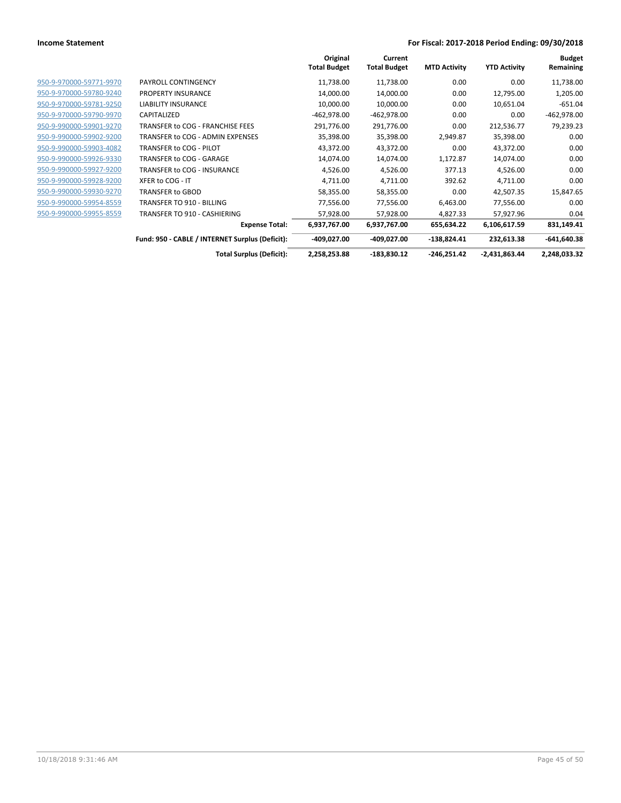|                         |                                                 | Original<br><b>Total Budget</b> | Current<br><b>Total Budget</b> | <b>MTD Activity</b> | <b>YTD Activity</b> | <b>Budget</b><br>Remaining |
|-------------------------|-------------------------------------------------|---------------------------------|--------------------------------|---------------------|---------------------|----------------------------|
| 950-9-970000-59771-9970 | <b>PAYROLL CONTINGENCY</b>                      | 11,738.00                       | 11,738.00                      | 0.00                | 0.00                | 11,738.00                  |
| 950-9-970000-59780-9240 | <b>PROPERTY INSURANCE</b>                       | 14,000.00                       | 14,000.00                      | 0.00                | 12,795.00           | 1,205.00                   |
| 950-9-970000-59781-9250 | <b>LIABILITY INSURANCE</b>                      | 10,000.00                       | 10,000.00                      | 0.00                | 10,651.04           | $-651.04$                  |
| 950-9-970000-59790-9970 | CAPITALIZED                                     | $-462,978.00$                   | $-462,978.00$                  | 0.00                | 0.00                | $-462,978.00$              |
| 950-9-990000-59901-9270 | TRANSFER to COG - FRANCHISE FEES                | 291,776.00                      | 291,776.00                     | 0.00                | 212,536.77          | 79,239.23                  |
| 950-9-990000-59902-9200 | TRANSFER to COG - ADMIN EXPENSES                | 35,398.00                       | 35,398.00                      | 2,949.87            | 35,398.00           | 0.00                       |
| 950-9-990000-59903-4082 | TRANSFER to COG - PILOT                         | 43,372.00                       | 43,372.00                      | 0.00                | 43,372.00           | 0.00                       |
| 950-9-990000-59926-9330 | TRANSFER to COG - GARAGE                        | 14,074.00                       | 14,074.00                      | 1,172.87            | 14,074.00           | 0.00                       |
| 950-9-990000-59927-9200 | TRANSFER to COG - INSURANCE                     | 4,526.00                        | 4,526.00                       | 377.13              | 4,526.00            | 0.00                       |
| 950-9-990000-59928-9200 | XFER to COG - IT                                | 4,711.00                        | 4,711.00                       | 392.62              | 4,711.00            | 0.00                       |
| 950-9-990000-59930-9270 | <b>TRANSFER to GBOD</b>                         | 58,355.00                       | 58,355.00                      | 0.00                | 42,507.35           | 15,847.65                  |
| 950-9-990000-59954-8559 | <b>TRANSFER TO 910 - BILLING</b>                | 77,556.00                       | 77,556.00                      | 6,463.00            | 77,556.00           | 0.00                       |
| 950-9-990000-59955-8559 | TRANSFER TO 910 - CASHIERING                    | 57,928.00                       | 57,928.00                      | 4,827.33            | 57,927.96           | 0.04                       |
|                         | <b>Expense Total:</b>                           | 6,937,767.00                    | 6,937,767.00                   | 655,634.22          | 6,106,617.59        | 831,149.41                 |
|                         | Fund: 950 - CABLE / INTERNET Surplus (Deficit): | -409,027.00                     | -409,027.00                    | $-138,824.41$       | 232,613.38          | $-641,640.38$              |
|                         | <b>Total Surplus (Deficit):</b>                 | 2,258,253.88                    | $-183,830.12$                  | $-246,251.42$       | $-2,431,863.44$     | 2,248,033.32               |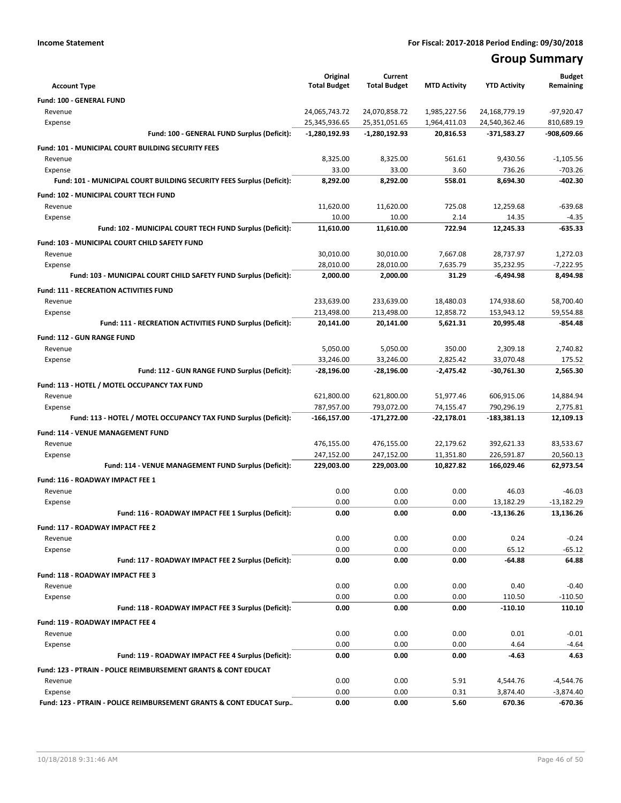# **Group Summary**

|                                                                            | Original<br><b>Total Budget</b> | Current<br><b>Total Budget</b> | <b>MTD Activity</b>          | <b>YTD Activity</b>            | <b>Budget</b><br>Remaining |
|----------------------------------------------------------------------------|---------------------------------|--------------------------------|------------------------------|--------------------------------|----------------------------|
| <b>Account Type</b>                                                        |                                 |                                |                              |                                |                            |
| <b>Fund: 100 - GENERAL FUND</b>                                            |                                 |                                |                              |                                |                            |
| Revenue<br>Expense                                                         | 24,065,743.72<br>25,345,936.65  | 24,070,858.72<br>25,351,051.65 | 1,985,227.56<br>1,964,411.03 | 24,168,779.19<br>24,540,362.46 | $-97,920.47$<br>810,689.19 |
| Fund: 100 - GENERAL FUND Surplus (Deficit):                                | $-1,280,192.93$                 | -1,280,192.93                  | 20,816.53                    | -371,583.27                    | -908,609.66                |
|                                                                            |                                 |                                |                              |                                |                            |
| <b>Fund: 101 - MUNICIPAL COURT BUILDING SECURITY FEES</b>                  |                                 |                                |                              |                                |                            |
| Revenue<br>Expense                                                         | 8,325.00<br>33.00               | 8,325.00<br>33.00              | 561.61<br>3.60               | 9,430.56<br>736.26             | $-1,105.56$<br>$-703.26$   |
| Fund: 101 - MUNICIPAL COURT BUILDING SECURITY FEES Surplus (Deficit):      | 8,292.00                        | 8,292.00                       | 558.01                       | 8,694.30                       | $-402.30$                  |
|                                                                            |                                 |                                |                              |                                |                            |
| Fund: 102 - MUNICIPAL COURT TECH FUND                                      |                                 |                                | 725.08                       | 12,259.68                      | $-639.68$                  |
| Revenue<br>Expense                                                         | 11,620.00<br>10.00              | 11,620.00<br>10.00             | 2.14                         | 14.35                          | $-4.35$                    |
| Fund: 102 - MUNICIPAL COURT TECH FUND Surplus (Deficit):                   | 11,610.00                       | 11,610.00                      | 722.94                       | 12,245.33                      | $-635.33$                  |
|                                                                            |                                 |                                |                              |                                |                            |
| Fund: 103 - MUNICIPAL COURT CHILD SAFETY FUND<br>Revenue                   | 30,010.00                       | 30,010.00                      | 7,667.08                     | 28,737.97                      | 1,272.03                   |
| Expense                                                                    | 28,010.00                       | 28.010.00                      | 7,635.79                     | 35,232.95                      | $-7,222.95$                |
| Fund: 103 - MUNICIPAL COURT CHILD SAFETY FUND Surplus (Deficit):           | 2,000.00                        | 2,000.00                       | 31.29                        | $-6,494.98$                    | 8.494.98                   |
|                                                                            |                                 |                                |                              |                                |                            |
| <b>Fund: 111 - RECREATION ACTIVITIES FUND</b><br>Revenue                   |                                 | 233,639.00                     |                              |                                | 58.700.40                  |
| Expense                                                                    | 233,639.00<br>213,498.00        | 213,498.00                     | 18,480.03<br>12,858.72       | 174,938.60<br>153,943.12       | 59,554.88                  |
| Fund: 111 - RECREATION ACTIVITIES FUND Surplus (Deficit):                  | 20,141.00                       | 20,141.00                      | 5,621.31                     | 20,995.48                      | -854.48                    |
|                                                                            |                                 |                                |                              |                                |                            |
| <b>Fund: 112 - GUN RANGE FUND</b>                                          |                                 |                                |                              |                                |                            |
| Revenue<br>Expense                                                         | 5,050.00<br>33,246.00           | 5.050.00<br>33,246.00          | 350.00<br>2,825.42           | 2,309.18<br>33,070.48          | 2,740.82<br>175.52         |
| Fund: 112 - GUN RANGE FUND Surplus (Deficit):                              | -28,196.00                      | $-28,196.00$                   | -2,475.42                    | -30,761.30                     | 2,565.30                   |
|                                                                            |                                 |                                |                              |                                |                            |
| Fund: 113 - HOTEL / MOTEL OCCUPANCY TAX FUND                               |                                 |                                |                              |                                |                            |
| Revenue                                                                    | 621,800.00<br>787,957.00        | 621,800.00<br>793,072.00       | 51,977.46<br>74,155.47       | 606,915.06<br>790,296.19       | 14,884.94<br>2,775.81      |
| Expense<br>Fund: 113 - HOTEL / MOTEL OCCUPANCY TAX FUND Surplus (Deficit): | -166,157.00                     | -171,272.00                    | $-22,178.01$                 | $-183,381.13$                  | 12,109.13                  |
|                                                                            |                                 |                                |                              |                                |                            |
| Fund: 114 - VENUE MANAGEMENT FUND                                          |                                 |                                |                              |                                |                            |
| Revenue                                                                    | 476,155.00<br>247,152.00        | 476,155.00<br>247,152.00       | 22,179.62<br>11,351.80       | 392,621.33<br>226,591.87       | 83,533.67<br>20,560.13     |
| Expense<br>Fund: 114 - VENUE MANAGEMENT FUND Surplus (Deficit):            | 229,003.00                      | 229,003.00                     | 10,827.82                    | 166,029.46                     | 62,973.54                  |
|                                                                            |                                 |                                |                              |                                |                            |
| Fund: 116 - ROADWAY IMPACT FEE 1                                           |                                 |                                |                              |                                |                            |
| Revenue<br>Expense                                                         | 0.00<br>0.00                    | 0.00<br>0.00                   | 0.00<br>0.00                 | 46.03<br>13,182.29             | $-46.03$<br>$-13,182.29$   |
| Fund: 116 - ROADWAY IMPACT FEE 1 Surplus (Deficit):                        | 0.00                            | 0.00                           | 0.00                         | -13,136.26                     | 13,136.26                  |
|                                                                            |                                 |                                |                              |                                |                            |
| Fund: 117 - ROADWAY IMPACT FEE 2<br>Revenue                                | 0.00                            | 0.00                           | 0.00                         | 0.24                           | $-0.24$                    |
| Expense                                                                    | 0.00                            | 0.00                           | 0.00                         | 65.12                          | $-65.12$                   |
| Fund: 117 - ROADWAY IMPACT FEE 2 Surplus (Deficit):                        | 0.00                            | 0.00                           | 0.00                         | $-64.88$                       | 64.88                      |
|                                                                            |                                 |                                |                              |                                |                            |
| Fund: 118 - ROADWAY IMPACT FEE 3                                           | 0.00                            | 0.00                           | 0.00                         | 0.40                           | $-0.40$                    |
| Revenue<br>Expense                                                         | 0.00                            | 0.00                           | 0.00                         | 110.50                         | $-110.50$                  |
| Fund: 118 - ROADWAY IMPACT FEE 3 Surplus (Deficit):                        | 0.00                            | 0.00                           | 0.00                         | $-110.10$                      | 110.10                     |
|                                                                            |                                 |                                |                              |                                |                            |
| Fund: 119 - ROADWAY IMPACT FEE 4                                           |                                 |                                |                              |                                |                            |
| Revenue<br>Expense                                                         | 0.00<br>0.00                    | 0.00<br>0.00                   | 0.00<br>0.00                 | 0.01<br>4.64                   | $-0.01$<br>$-4.64$         |
| Fund: 119 - ROADWAY IMPACT FEE 4 Surplus (Deficit):                        | 0.00                            | 0.00                           | 0.00                         | -4.63                          | 4.63                       |
|                                                                            |                                 |                                |                              |                                |                            |
| <b>Fund: 123 - PTRAIN - POLICE REIMBURSEMENT GRANTS &amp; CONT EDUCAT</b>  |                                 |                                |                              |                                |                            |
| Revenue<br>Expense                                                         | 0.00<br>0.00                    | 0.00<br>0.00                   | 5.91<br>0.31                 | 4,544.76<br>3,874.40           | $-4,544.76$<br>$-3,874.40$ |
| Fund: 123 - PTRAIN - POLICE REIMBURSEMENT GRANTS & CONT EDUCAT Surp        | 0.00                            | 0.00                           | 5.60                         | 670.36                         | $-670.36$                  |
|                                                                            |                                 |                                |                              |                                |                            |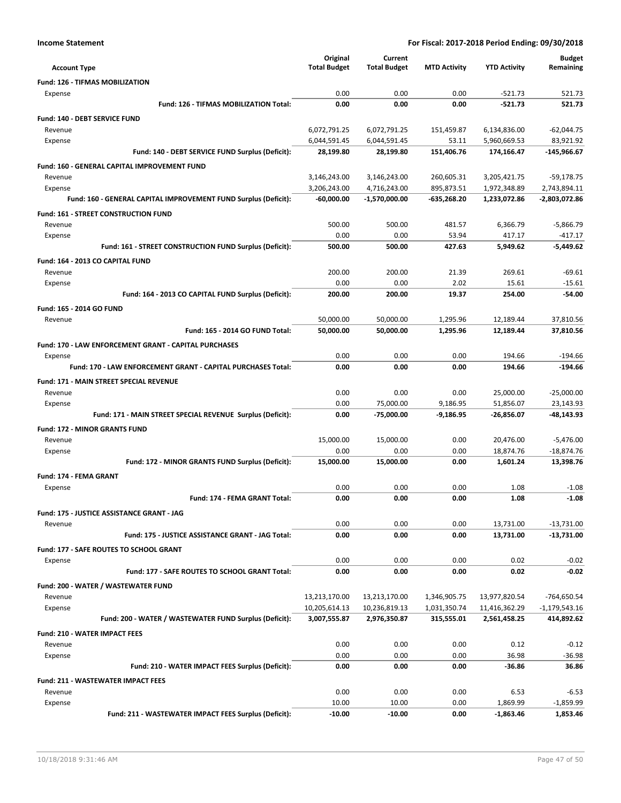|                                                                            | Original                     | Current                      |                           |                              | <b>Budget</b>                |
|----------------------------------------------------------------------------|------------------------------|------------------------------|---------------------------|------------------------------|------------------------------|
| <b>Account Type</b>                                                        | <b>Total Budget</b>          | <b>Total Budget</b>          | <b>MTD Activity</b>       | <b>YTD Activity</b>          | Remaining                    |
| <b>Fund: 126 - TIFMAS MOBILIZATION</b>                                     |                              |                              |                           |                              |                              |
| Expense                                                                    | 0.00                         | 0.00                         | 0.00                      | $-521.73$                    | 521.73                       |
| Fund: 126 - TIFMAS MOBILIZATION Total:                                     | 0.00                         | 0.00                         | 0.00                      | $-521.73$                    | 521.73                       |
| <b>Fund: 140 - DEBT SERVICE FUND</b>                                       |                              |                              |                           |                              |                              |
| Revenue                                                                    | 6,072,791.25                 | 6,072,791.25                 | 151,459.87                | 6,134,836.00                 | $-62,044.75$                 |
| Expense                                                                    | 6,044,591.45                 | 6,044,591.45                 | 53.11                     | 5,960,669.53                 | 83,921.92                    |
| Fund: 140 - DEBT SERVICE FUND Surplus (Deficit):                           | 28,199.80                    | 28,199.80                    | 151,406.76                | 174,166.47                   | $-145,966.67$                |
| Fund: 160 - GENERAL CAPITAL IMPROVEMENT FUND                               |                              |                              |                           |                              |                              |
| Revenue                                                                    | 3,146,243.00<br>3,206,243.00 | 3,146,243.00<br>4,716,243.00 | 260,605.31                | 3,205,421.75                 | $-59,178.75$<br>2,743,894.11 |
| Expense<br>Fund: 160 - GENERAL CAPITAL IMPROVEMENT FUND Surplus (Deficit): | $-60,000.00$                 | -1,570,000.00                | 895,873.51<br>-635,268.20 | 1,972,348.89<br>1,233,072.86 | -2,803,072.86                |
|                                                                            |                              |                              |                           |                              |                              |
| Fund: 161 - STREET CONSTRUCTION FUND<br>Revenue                            | 500.00                       | 500.00                       | 481.57                    | 6,366.79                     | $-5,866.79$                  |
| Expense                                                                    | 0.00                         | 0.00                         | 53.94                     | 417.17                       | $-417.17$                    |
| Fund: 161 - STREET CONSTRUCTION FUND Surplus (Deficit):                    | 500.00                       | 500.00                       | 427.63                    | 5,949.62                     | $-5,449.62$                  |
| Fund: 164 - 2013 CO CAPITAL FUND                                           |                              |                              |                           |                              |                              |
| Revenue                                                                    | 200.00                       | 200.00                       | 21.39                     | 269.61                       | $-69.61$                     |
| Expense                                                                    | 0.00                         | 0.00                         | 2.02                      | 15.61                        | $-15.61$                     |
| Fund: 164 - 2013 CO CAPITAL FUND Surplus (Deficit):                        | 200.00                       | 200.00                       | 19.37                     | 254.00                       | $-54.00$                     |
| Fund: 165 - 2014 GO FUND                                                   |                              |                              |                           |                              |                              |
| Revenue                                                                    | 50,000.00                    | 50,000.00                    | 1,295.96                  | 12,189.44                    | 37,810.56                    |
| Fund: 165 - 2014 GO FUND Total:                                            | 50,000.00                    | 50,000.00                    | 1,295.96                  | 12,189.44                    | 37,810.56                    |
| Fund: 170 - LAW ENFORCEMENT GRANT - CAPITAL PURCHASES                      |                              |                              |                           |                              |                              |
| Expense                                                                    | 0.00                         | 0.00                         | 0.00                      | 194.66                       | $-194.66$                    |
| <b>Fund: 170 - LAW ENFORCEMENT GRANT - CAPITAL PURCHASES Total:</b>        | 0.00                         | 0.00                         | 0.00                      | 194.66                       | $-194.66$                    |
| Fund: 171 - MAIN STREET SPECIAL REVENUE                                    |                              |                              |                           |                              |                              |
| Revenue                                                                    | 0.00                         | 0.00                         | 0.00                      | 25,000.00                    | $-25,000.00$                 |
| Expense                                                                    | 0.00                         | 75,000.00                    | 9,186.95                  | 51,856.07                    | 23,143.93                    |
| Fund: 171 - MAIN STREET SPECIAL REVENUE Surplus (Deficit):                 | 0.00                         | $-75,000.00$                 | $-9,186.95$               | $-26,856.07$                 | -48,143.93                   |
| <b>Fund: 172 - MINOR GRANTS FUND</b>                                       |                              |                              |                           |                              |                              |
| Revenue                                                                    | 15,000.00                    | 15,000.00                    | 0.00                      | 20,476.00                    | $-5,476.00$                  |
| Expense                                                                    | 0.00                         | 0.00                         | 0.00                      | 18,874.76                    | $-18,874.76$                 |
| Fund: 172 - MINOR GRANTS FUND Surplus (Deficit):                           | 15,000.00                    | 15,000.00                    | 0.00                      | 1,601.24                     | 13,398.76                    |
| Fund: 174 - FEMA GRANT                                                     |                              |                              |                           |                              |                              |
| Expense                                                                    | 0.00                         | 0.00                         | 0.00                      | 1.08                         | $-1.08$                      |
| Fund: 174 - FEMA GRANT Total:                                              | 0.00                         | 0.00                         | 0.00                      | 1.08                         | $-1.08$                      |
| Fund: 175 - JUSTICE ASSISTANCE GRANT - JAG                                 |                              |                              |                           |                              |                              |
| Revenue                                                                    | 0.00                         | 0.00                         | 0.00                      | 13,731.00                    | $-13,731.00$                 |
| Fund: 175 - JUSTICE ASSISTANCE GRANT - JAG Total:                          | 0.00                         | 0.00                         | 0.00                      | 13,731.00                    | -13,731.00                   |
| <b>Fund: 177 - SAFE ROUTES TO SCHOOL GRANT</b>                             |                              |                              |                           |                              |                              |
| Expense                                                                    | 0.00                         | 0.00                         | 0.00                      | 0.02                         | $-0.02$                      |
| Fund: 177 - SAFE ROUTES TO SCHOOL GRANT Total:                             | 0.00                         | 0.00                         | 0.00                      | 0.02                         | $-0.02$                      |
| Fund: 200 - WATER / WASTEWATER FUND                                        |                              |                              |                           |                              |                              |
| Revenue                                                                    | 13,213,170.00                | 13,213,170.00                | 1,346,905.75              | 13,977,820.54                | -764,650.54                  |
| Expense                                                                    | 10,205,614.13                | 10,236,819.13                | 1,031,350.74              | 11,416,362.29                | $-1,179,543.16$              |
| Fund: 200 - WATER / WASTEWATER FUND Surplus (Deficit):                     | 3,007,555.87                 | 2,976,350.87                 | 315,555.01                | 2,561,458.25                 | 414,892.62                   |
| <b>Fund: 210 - WATER IMPACT FEES</b>                                       |                              |                              |                           |                              |                              |
| Revenue                                                                    | 0.00                         | 0.00                         | 0.00                      | 0.12                         | $-0.12$                      |
| Expense                                                                    | 0.00                         | 0.00                         | 0.00                      | 36.98                        | $-36.98$                     |
| Fund: 210 - WATER IMPACT FEES Surplus (Deficit):                           | 0.00                         | 0.00                         | 0.00                      | -36.86                       | 36.86                        |
| <b>Fund: 211 - WASTEWATER IMPACT FEES</b>                                  |                              |                              |                           |                              |                              |
| Revenue                                                                    | 0.00                         | 0.00                         | 0.00                      | 6.53                         | $-6.53$                      |
| Expense                                                                    | 10.00                        | 10.00                        | 0.00                      | 1,869.99                     | $-1,859.99$                  |
| Fund: 211 - WASTEWATER IMPACT FEES Surplus (Deficit):                      | $-10.00$                     | $-10.00$                     | 0.00                      | $-1,863.46$                  | 1,853.46                     |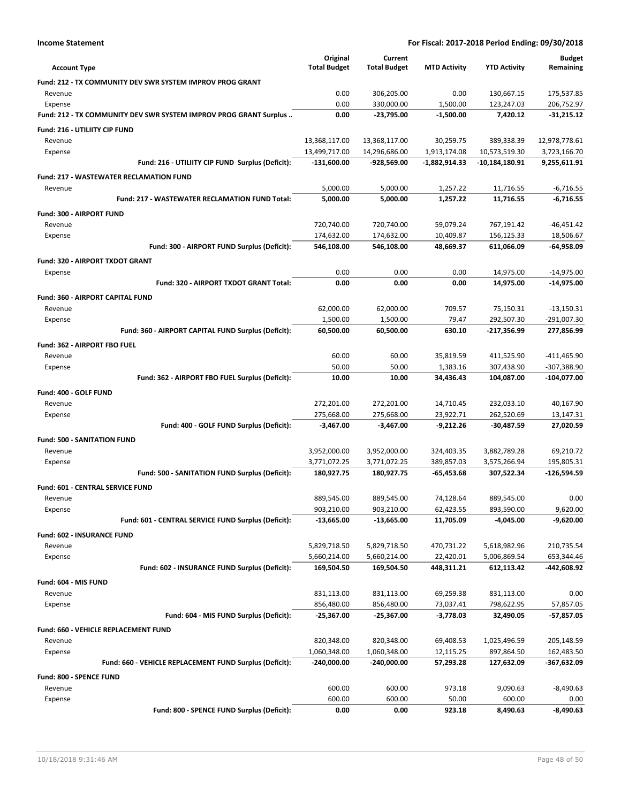| <b>Account Type</b>                                               | Original<br><b>Total Budget</b> | Current<br><b>Total Budget</b> | <b>MTD Activity</b>       | <b>YTD Activity</b>         | <b>Budget</b><br>Remaining |
|-------------------------------------------------------------------|---------------------------------|--------------------------------|---------------------------|-----------------------------|----------------------------|
| Fund: 212 - TX COMMUNITY DEV SWR SYSTEM IMPROV PROG GRANT         |                                 |                                |                           |                             |                            |
| Revenue                                                           | 0.00                            | 306,205.00                     | 0.00                      | 130,667.15                  | 175,537.85                 |
| Expense                                                           | 0.00                            | 330,000.00                     | 1,500.00                  | 123,247.03                  | 206,752.97                 |
| Fund: 212 - TX COMMUNITY DEV SWR SYSTEM IMPROV PROG GRANT Surplus | 0.00                            | -23,795.00                     | $-1,500.00$               | 7,420.12                    | $-31,215.12$               |
| Fund: 216 - UTILIITY CIP FUND                                     |                                 |                                |                           |                             |                            |
|                                                                   | 13,368,117.00                   |                                |                           |                             | 12,978,778.61              |
| Revenue<br>Expense                                                | 13,499,717.00                   | 13,368,117.00<br>14,296,686.00 | 30,259.75<br>1,913,174.08 | 389,338.39<br>10,573,519.30 | 3,723,166.70               |
| Fund: 216 - UTILIITY CIP FUND Surplus (Deficit):                  | $-131,600.00$                   | -928,569.00                    | -1,882,914.33             | -10,184,180.91              | 9,255,611.91               |
|                                                                   |                                 |                                |                           |                             |                            |
| <b>Fund: 217 - WASTEWATER RECLAMATION FUND</b>                    |                                 |                                |                           |                             | $-6,716.55$                |
| Revenue<br>Fund: 217 - WASTEWATER RECLAMATION FUND Total:         | 5,000.00<br>5,000.00            | 5,000.00<br>5,000.00           | 1,257.22<br>1,257.22      | 11,716.55<br>11,716.55      | $-6,716.55$                |
|                                                                   |                                 |                                |                           |                             |                            |
| Fund: 300 - AIRPORT FUND                                          |                                 |                                |                           |                             |                            |
| Revenue                                                           | 720,740.00                      | 720,740.00                     | 59,079.24                 | 767,191.42                  | $-46,451.42$               |
| Expense                                                           | 174,632.00                      | 174,632.00                     | 10,409.87                 | 156,125.33                  | 18,506.67                  |
| Fund: 300 - AIRPORT FUND Surplus (Deficit):                       | 546,108.00                      | 546,108.00                     | 48,669.37                 | 611,066.09                  | $-64,958.09$               |
| Fund: 320 - AIRPORT TXDOT GRANT                                   |                                 |                                |                           |                             |                            |
| Expense                                                           | 0.00                            | 0.00                           | 0.00                      | 14,975.00                   | $-14,975.00$               |
| Fund: 320 - AIRPORT TXDOT GRANT Total:                            | 0.00                            | 0.00                           | 0.00                      | 14,975.00                   | $-14,975.00$               |
| Fund: 360 - AIRPORT CAPITAL FUND                                  |                                 |                                |                           |                             |                            |
| Revenue                                                           | 62,000.00                       | 62,000.00                      | 709.57                    | 75,150.31                   | $-13,150.31$               |
| Expense                                                           | 1,500.00                        | 1,500.00                       | 79.47                     | 292,507.30                  | $-291,007.30$              |
| Fund: 360 - AIRPORT CAPITAL FUND Surplus (Deficit):               | 60,500.00                       | 60,500.00                      | 630.10                    | -217,356.99                 | 277,856.99                 |
| Fund: 362 - AIRPORT FBO FUEL                                      |                                 |                                |                           |                             |                            |
| Revenue                                                           | 60.00                           | 60.00                          | 35,819.59                 | 411,525.90                  | $-411,465.90$              |
| Expense                                                           | 50.00                           | 50.00                          | 1,383.16                  | 307,438.90                  | -307,388.90                |
| Fund: 362 - AIRPORT FBO FUEL Surplus (Deficit):                   | 10.00                           | 10.00                          | 34,436.43                 | 104,087.00                  | -104,077.00                |
| Fund: 400 - GOLF FUND                                             |                                 |                                |                           |                             |                            |
| Revenue                                                           | 272,201.00                      | 272,201.00                     | 14,710.45                 | 232,033.10                  | 40,167.90                  |
| Expense                                                           | 275,668.00                      | 275,668.00                     | 23,922.71                 | 262,520.69                  | 13,147.31                  |
| Fund: 400 - GOLF FUND Surplus (Deficit):                          | $-3,467.00$                     | $-3,467.00$                    | $-9,212.26$               | $-30,487.59$                | 27,020.59                  |
| <b>Fund: 500 - SANITATION FUND</b>                                |                                 |                                |                           |                             |                            |
| Revenue                                                           | 3,952,000.00                    | 3,952,000.00                   | 324,403.35                | 3,882,789.28                | 69,210.72                  |
| Expense                                                           | 3,771,072.25                    | 3,771,072.25                   | 389,857.03                | 3,575,266.94                | 195,805.31                 |
| Fund: 500 - SANITATION FUND Surplus (Deficit):                    | 180,927.75                      | 180,927.75                     | $-65,453.68$              | 307,522.34                  | -126,594.59                |
| Fund: 601 - CENTRAL SERVICE FUND                                  |                                 |                                |                           |                             |                            |
| Revenue                                                           | 889,545.00                      | 889,545.00                     | 74,128.64                 | 889,545.00                  | 0.00                       |
| Expense                                                           | 903,210.00                      | 903,210.00                     | 62,423.55                 | 893,590.00                  | 9,620.00                   |
| Fund: 601 - CENTRAL SERVICE FUND Surplus (Deficit):               | $-13,665.00$                    | $-13,665.00$                   | 11,705.09                 | $-4,045.00$                 | $-9,620.00$                |
| Fund: 602 - INSURANCE FUND                                        |                                 |                                |                           |                             |                            |
| Revenue                                                           | 5,829,718.50                    | 5,829,718.50                   | 470,731.22                | 5,618,982.96                | 210,735.54                 |
| Expense                                                           | 5,660,214.00                    | 5,660,214.00                   | 22,420.01                 | 5,006,869.54                | 653,344.46                 |
| Fund: 602 - INSURANCE FUND Surplus (Deficit):                     | 169,504.50                      | 169,504.50                     | 448,311.21                | 612,113.42                  | -442,608.92                |
| Fund: 604 - MIS FUND                                              |                                 |                                |                           |                             |                            |
| Revenue                                                           | 831,113.00                      | 831,113.00                     | 69,259.38                 | 831,113.00                  | 0.00                       |
| Expense                                                           | 856,480.00                      | 856,480.00                     | 73,037.41                 | 798,622.95                  | 57,857.05                  |
| Fund: 604 - MIS FUND Surplus (Deficit):                           | $-25,367.00$                    | $-25,367.00$                   | $-3,778.03$               | 32,490.05                   | -57,857.05                 |
|                                                                   |                                 |                                |                           |                             |                            |
| <b>Fund: 660 - VEHICLE REPLACEMENT FUND</b>                       |                                 |                                |                           |                             |                            |
| Revenue                                                           | 820,348.00                      | 820,348.00                     | 69,408.53                 | 1,025,496.59                | $-205,148.59$              |
| Expense                                                           | 1,060,348.00                    | 1,060,348.00                   | 12,115.25                 | 897,864.50                  | 162,483.50                 |
| Fund: 660 - VEHICLE REPLACEMENT FUND Surplus (Deficit):           | $-240,000.00$                   | -240,000.00                    | 57,293.28                 | 127,632.09                  | -367,632.09                |
| Fund: 800 - SPENCE FUND                                           |                                 |                                |                           |                             |                            |
| Revenue                                                           | 600.00                          | 600.00                         | 973.18                    | 9,090.63                    | $-8,490.63$                |
| Expense                                                           | 600.00                          | 600.00                         | 50.00                     | 600.00                      | 0.00                       |
| Fund: 800 - SPENCE FUND Surplus (Deficit):                        | 0.00                            | 0.00                           | 923.18                    | 8,490.63                    | $-8,490.63$                |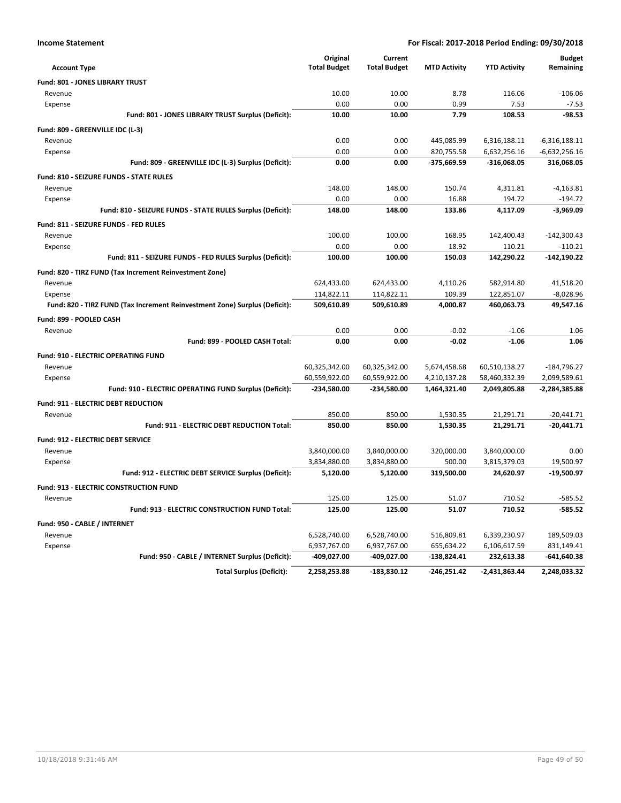| <b>Account Type</b>                                                        | Original<br><b>Total Budget</b> | Current<br><b>Total Budget</b> | <b>MTD Activity</b> | <b>YTD Activity</b> | <b>Budget</b><br>Remaining |
|----------------------------------------------------------------------------|---------------------------------|--------------------------------|---------------------|---------------------|----------------------------|
| Fund: 801 - JONES LIBRARY TRUST                                            |                                 |                                |                     |                     |                            |
| Revenue                                                                    | 10.00                           | 10.00                          | 8.78                | 116.06              | $-106.06$                  |
| Expense                                                                    | 0.00                            | 0.00                           | 0.99                | 7.53                | $-7.53$                    |
| Fund: 801 - JONES LIBRARY TRUST Surplus (Deficit):                         | 10.00                           | 10.00                          | 7.79                | 108.53              | $-98.53$                   |
| Fund: 809 - GREENVILLE IDC (L-3)                                           |                                 |                                |                     |                     |                            |
| Revenue                                                                    | 0.00                            | 0.00                           | 445,085.99          | 6,316,188.11        | $-6,316,188.11$            |
| Expense                                                                    | 0.00                            | 0.00                           | 820,755.58          | 6,632,256.16        | $-6,632,256.16$            |
| Fund: 809 - GREENVILLE IDC (L-3) Surplus (Deficit):                        | 0.00                            | 0.00                           | -375,669.59         | $-316,068.05$       | 316,068.05                 |
| Fund: 810 - SEIZURE FUNDS - STATE RULES                                    |                                 |                                |                     |                     |                            |
| Revenue                                                                    | 148.00                          | 148.00                         | 150.74              | 4,311.81            | $-4,163.81$                |
| Expense                                                                    | 0.00                            | 0.00                           | 16.88               | 194.72              | $-194.72$                  |
| Fund: 810 - SEIZURE FUNDS - STATE RULES Surplus (Deficit):                 | 148.00                          | 148.00                         | 133.86              | 4,117.09            | $-3,969.09$                |
| Fund: 811 - SEIZURE FUNDS - FED RULES                                      |                                 |                                |                     |                     |                            |
| Revenue                                                                    | 100.00                          | 100.00                         | 168.95              | 142,400.43          | $-142,300.43$              |
| Expense                                                                    | 0.00                            | 0.00                           | 18.92               | 110.21              | $-110.21$                  |
| Fund: 811 - SEIZURE FUNDS - FED RULES Surplus (Deficit):                   | 100.00                          | 100.00                         | 150.03              | 142,290.22          | $-142,190.22$              |
| Fund: 820 - TIRZ FUND (Tax Increment Reinvestment Zone)                    |                                 |                                |                     |                     |                            |
| Revenue                                                                    | 624,433.00                      | 624,433.00                     | 4,110.26            | 582,914.80          | 41,518.20                  |
| Expense                                                                    | 114,822.11                      | 114,822.11                     | 109.39              | 122,851.07          | $-8,028.96$                |
| Fund: 820 - TIRZ FUND (Tax Increment Reinvestment Zone) Surplus (Deficit): | 509,610.89                      | 509,610.89                     | 4,000.87            | 460,063.73          | 49,547.16                  |
| Fund: 899 - POOLED CASH                                                    |                                 |                                |                     |                     |                            |
| Revenue                                                                    | 0.00                            | 0.00                           | $-0.02$             | $-1.06$             | 1.06                       |
| Fund: 899 - POOLED CASH Total:                                             | 0.00                            | 0.00                           | $-0.02$             | $-1.06$             | 1.06                       |
| Fund: 910 - ELECTRIC OPERATING FUND                                        |                                 |                                |                     |                     |                            |
| Revenue                                                                    | 60,325,342.00                   | 60,325,342.00                  | 5,674,458.68        | 60,510,138.27       | $-184,796.27$              |
| Expense                                                                    | 60,559,922.00                   | 60,559,922.00                  | 4,210,137.28        | 58,460,332.39       | 2,099,589.61               |
| Fund: 910 - ELECTRIC OPERATING FUND Surplus (Deficit):                     | -234,580.00                     | -234,580.00                    | 1,464,321.40        | 2,049,805.88        | $-2,284,385.88$            |
| Fund: 911 - ELECTRIC DEBT REDUCTION                                        |                                 |                                |                     |                     |                            |
| Revenue                                                                    | 850.00                          | 850.00                         | 1,530.35            | 21,291.71           | $-20.441.71$               |
| Fund: 911 - ELECTRIC DEBT REDUCTION Total:                                 | 850.00                          | 850.00                         | 1,530.35            | 21,291.71           | $-20,441.71$               |
| <b>Fund: 912 - ELECTRIC DEBT SERVICE</b>                                   |                                 |                                |                     |                     |                            |
| Revenue                                                                    | 3,840,000.00                    | 3,840,000.00                   | 320,000.00          | 3,840,000.00        | 0.00                       |
| Expense                                                                    | 3,834,880.00                    | 3,834,880.00                   | 500.00              | 3,815,379.03        | 19,500.97                  |
| Fund: 912 - ELECTRIC DEBT SERVICE Surplus (Deficit):                       | 5,120.00                        | 5,120.00                       | 319,500.00          | 24,620.97           | $-19,500.97$               |
| Fund: 913 - ELECTRIC CONSTRUCTION FUND                                     |                                 |                                |                     |                     |                            |
| Revenue                                                                    | 125.00                          | 125.00                         | 51.07               | 710.52              | $-585.52$                  |
| Fund: 913 - ELECTRIC CONSTRUCTION FUND Total:                              | 125.00                          | 125.00                         | 51.07               | 710.52              | $-585.52$                  |
| Fund: 950 - CABLE / INTERNET                                               |                                 |                                |                     |                     |                            |
| Revenue                                                                    | 6,528,740.00                    | 6,528,740.00                   | 516,809.81          | 6,339,230.97        | 189,509.03                 |
| Expense                                                                    | 6,937,767.00                    | 6,937,767.00                   | 655,634.22          | 6,106,617.59        | 831,149.41                 |
| Fund: 950 - CABLE / INTERNET Surplus (Deficit):                            | -409,027.00                     | -409,027.00                    | -138,824.41         | 232,613.38          | -641,640.38                |
| <b>Total Surplus (Deficit):</b>                                            | 2,258,253.88                    | $-183,830.12$                  | $-246,251.42$       | -2,431,863.44       | 2,248,033.32               |